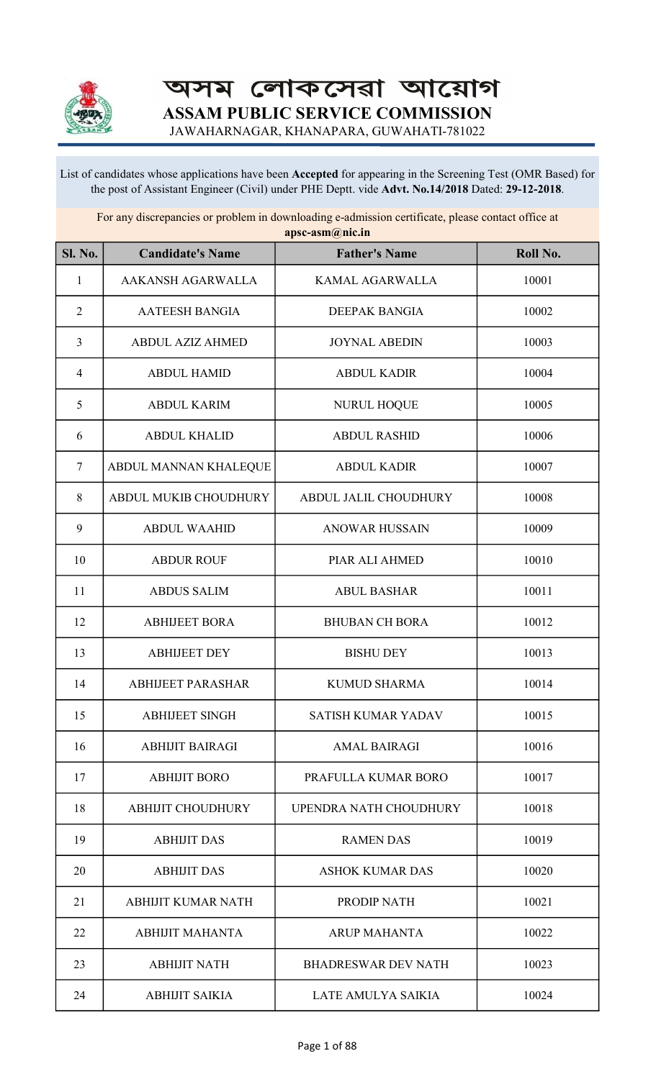

অসম লোকসেৱা আয়োগ ASSAM PUBLIC SERVICE COMMISSION

JAWAHARNAGAR, KHANAPARA, GUWAHATI-781022

List of candidates whose applications have been Accepted for appearing in the Screening Test (OMR Based) for the post of Assistant Engineer (Civil) under PHE Deptt. vide Advt. No.14/2018 Dated: 29-12-2018.

For any discrepancies or problem in downloading e-admission certificate, please contact office at apsc-asm@nic.in

| <b>Sl. No.</b> | <b>Candidate's Name</b>   | <b>Father's Name</b>       | Roll No. |
|----------------|---------------------------|----------------------------|----------|
| 1              | AAKANSH AGARWALLA         | KAMAL AGARWALLA            | 10001    |
| $\overline{2}$ | <b>AATEESH BANGIA</b>     | DEEPAK BANGIA              | 10002    |
| $\mathfrak{Z}$ | <b>ABDUL AZIZ AHMED</b>   | <b>JOYNAL ABEDIN</b>       | 10003    |
| $\overline{4}$ | <b>ABDUL HAMID</b>        | <b>ABDUL KADIR</b>         | 10004    |
| 5              | <b>ABDUL KARIM</b>        | <b>NURUL HOQUE</b>         | 10005    |
| 6              | <b>ABDUL KHALID</b>       | <b>ABDUL RASHID</b>        | 10006    |
| $\tau$         | ABDUL MANNAN KHALEQUE     | <b>ABDUL KADIR</b>         | 10007    |
| 8              | ABDUL MUKIB CHOUDHURY     | ABDUL JALIL CHOUDHURY      | 10008    |
| 9              | <b>ABDUL WAAHID</b>       | <b>ANOWAR HUSSAIN</b>      | 10009    |
| 10             | <b>ABDUR ROUF</b>         | PIAR ALI AHMED             | 10010    |
| 11             | <b>ABDUS SALIM</b>        | <b>ABUL BASHAR</b>         | 10011    |
| 12             | <b>ABHIJEET BORA</b>      | <b>BHUBAN CH BORA</b>      | 10012    |
| 13             | <b>ABHIJEET DEY</b>       | <b>BISHU DEY</b>           | 10013    |
| 14             | <b>ABHIJEET PARASHAR</b>  | <b>KUMUD SHARMA</b>        | 10014    |
| 15             | <b>ABHIJEET SINGH</b>     | SATISH KUMAR YADAV         | 10015    |
| 16             | <b>ABHIJIT BAIRAGI</b>    | <b>AMAL BAIRAGI</b>        | 10016    |
| 17             | <b>ABHIJIT BORO</b>       | PRAFULLA KUMAR BORO        | 10017    |
| 18             | <b>ABHIJIT CHOUDHURY</b>  | UPENDRA NATH CHOUDHURY     | 10018    |
| 19             | <b>ABHIJIT DAS</b>        | <b>RAMEN DAS</b>           | 10019    |
| 20             | <b>ABHIJIT DAS</b>        | <b>ASHOK KUMAR DAS</b>     | 10020    |
| 21             | <b>ABHIJIT KUMAR NATH</b> | PRODIP NATH                | 10021    |
| 22             | <b>ABHIJIT MAHANTA</b>    | <b>ARUP MAHANTA</b>        | 10022    |
| 23             | <b>ABHIJIT NATH</b>       | <b>BHADRESWAR DEV NATH</b> | 10023    |
| 24             | <b>ABHIJIT SAIKIA</b>     | LATE AMULYA SAIKIA         | 10024    |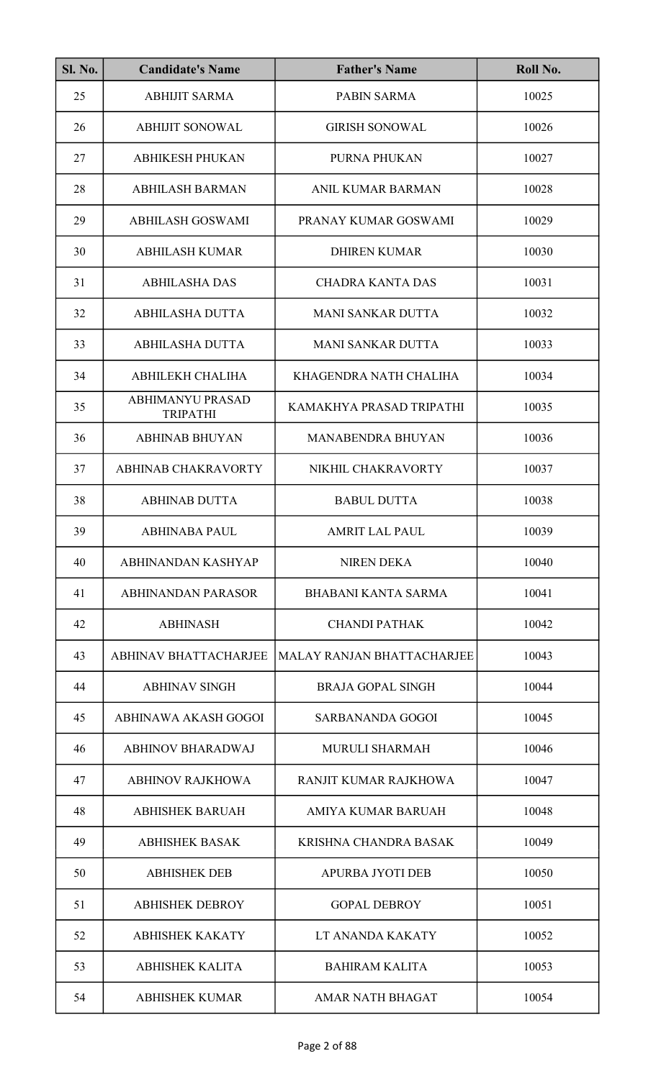| <b>Sl. No.</b> | <b>Candidate's Name</b>                    | <b>Father's Name</b>              | Roll No. |
|----------------|--------------------------------------------|-----------------------------------|----------|
| 25             | <b>ABHIJIT SARMA</b>                       | <b>PABIN SARMA</b>                | 10025    |
| 26             | <b>ABHIJIT SONOWAL</b>                     | <b>GIRISH SONOWAL</b>             | 10026    |
| 27             | <b>ABHIKESH PHUKAN</b>                     | PURNA PHUKAN                      | 10027    |
| 28             | <b>ABHILASH BARMAN</b>                     | <b>ANIL KUMAR BARMAN</b>          | 10028    |
| 29             | <b>ABHILASH GOSWAMI</b>                    | PRANAY KUMAR GOSWAMI              | 10029    |
| 30             | <b>ABHILASH KUMAR</b>                      | <b>DHIREN KUMAR</b>               | 10030    |
| 31             | <b>ABHILASHA DAS</b>                       | <b>CHADRA KANTA DAS</b>           | 10031    |
| 32             | <b>ABHILASHA DUTTA</b>                     | <b>MANI SANKAR DUTTA</b>          | 10032    |
| 33             | <b>ABHILASHA DUTTA</b>                     | <b>MANI SANKAR DUTTA</b>          | 10033    |
| 34             | ABHILEKH CHALIHA                           | KHAGENDRA NATH CHALIHA            | 10034    |
| 35             | <b>ABHIMANYU PRASAD</b><br><b>TRIPATHI</b> | KAMAKHYA PRASAD TRIPATHI          | 10035    |
| 36             | <b>ABHINAB BHUYAN</b>                      | <b>MANABENDRA BHUYAN</b>          | 10036    |
| 37             | ABHINAB CHAKRAVORTY                        | NIKHIL CHAKRAVORTY                | 10037    |
| 38             | <b>ABHINAB DUTTA</b>                       | <b>BABUL DUTTA</b>                | 10038    |
| 39             | <b>ABHINABA PAUL</b>                       | AMRIT LAL PAUL                    | 10039    |
| 40             | ABHINANDAN KASHYAP                         | <b>NIREN DEKA</b>                 | 10040    |
| 41             | <b>ABHINANDAN PARASOR</b>                  | <b>BHABANI KANTA SARMA</b>        | 10041    |
| 42             | <b>ABHINASH</b>                            | <b>CHANDI PATHAK</b>              | 10042    |
| 43             | <b>ABHINAV BHATTACHARJEE</b>               | <b>MALAY RANJAN BHATTACHARJEE</b> | 10043    |
| 44             | <b>ABHINAV SINGH</b>                       | <b>BRAJA GOPAL SINGH</b>          | 10044    |
| 45             | ABHINAWA AKASH GOGOI                       | SARBANANDA GOGOI                  | 10045    |
| 46             | <b>ABHINOV BHARADWAJ</b>                   | <b>MURULI SHARMAH</b>             | 10046    |
| 47             | <b>ABHINOV RAJKHOWA</b>                    | RANJIT KUMAR RAJKHOWA             | 10047    |
| 48             | <b>ABHISHEK BARUAH</b>                     | AMIYA KUMAR BARUAH                | 10048    |
| 49             | <b>ABHISHEK BASAK</b>                      | KRISHNA CHANDRA BASAK             | 10049    |
| 50             | <b>ABHISHEK DEB</b>                        | <b>APURBA JYOTI DEB</b>           | 10050    |
| 51             | <b>ABHISHEK DEBROY</b>                     | <b>GOPAL DEBROY</b>               | 10051    |
| 52             | <b>ABHISHEK KAKATY</b>                     | LT ANANDA KAKATY                  | 10052    |
| 53             | <b>ABHISHEK KALITA</b>                     | <b>BAHIRAM KALITA</b>             | 10053    |
| 54             | <b>ABHISHEK KUMAR</b>                      | <b>AMAR NATH BHAGAT</b>           | 10054    |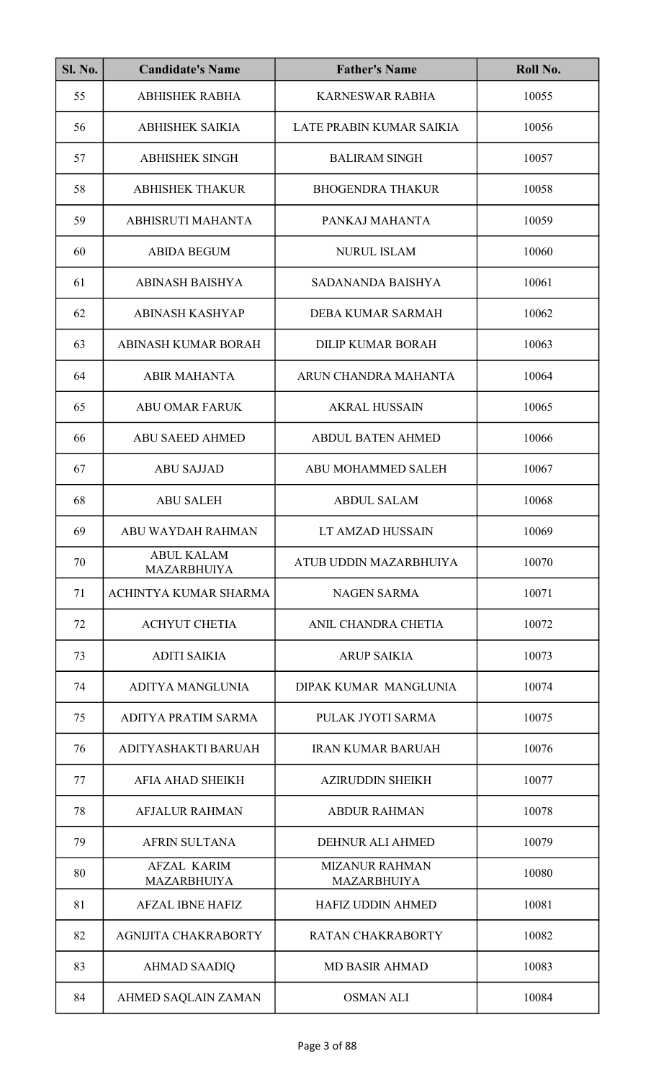| <b>Sl. No.</b> | <b>Candidate's Name</b>                  | <b>Father's Name</b>                        | Roll No. |
|----------------|------------------------------------------|---------------------------------------------|----------|
| 55             | <b>ABHISHEK RABHA</b>                    | <b>KARNESWAR RABHA</b>                      | 10055    |
| 56             | <b>ABHISHEK SAIKIA</b>                   | LATE PRABIN KUMAR SAIKIA                    | 10056    |
| 57             | <b>ABHISHEK SINGH</b>                    | <b>BALIRAM SINGH</b>                        | 10057    |
| 58             | <b>ABHISHEK THAKUR</b>                   | <b>BHOGENDRA THAKUR</b>                     | 10058    |
| 59             | ABHISRUTI MAHANTA                        | PANKAJ MAHANTA                              | 10059    |
| 60             | <b>ABIDA BEGUM</b>                       | <b>NURUL ISLAM</b>                          | 10060    |
| 61             | <b>ABINASH BAISHYA</b>                   | SADANANDA BAISHYA                           | 10061    |
| 62             | <b>ABINASH KASHYAP</b>                   | DEBA KUMAR SARMAH                           | 10062    |
| 63             | ABINASH KUMAR BORAH                      | <b>DILIP KUMAR BORAH</b>                    | 10063    |
| 64             | <b>ABIR MAHANTA</b>                      | ARUN CHANDRA MAHANTA                        | 10064    |
| 65             | <b>ABU OMAR FARUK</b>                    | <b>AKRAL HUSSAIN</b>                        | 10065    |
| 66             | <b>ABU SAEED AHMED</b>                   | <b>ABDUL BATEN AHMED</b>                    | 10066    |
| 67             | <b>ABU SAJJAD</b>                        | ABU MOHAMMED SALEH                          | 10067    |
| 68             | <b>ABU SALEH</b>                         | <b>ABDUL SALAM</b>                          | 10068    |
| 69             | ABU WAYDAH RAHMAN                        | LT AMZAD HUSSAIN                            | 10069    |
| 70             | <b>ABUL KALAM</b><br><b>MAZARBHUIYA</b>  | ATUB UDDIN MAZARBHUIYA                      | 10070    |
| 71             | ACHINTYA KUMAR SHARMA                    | <b>NAGEN SARMA</b>                          | 10071    |
| 72             | <b>ACHYUT CHETIA</b>                     | ANIL CHANDRA CHETIA                         | 10072    |
| 73             | <b>ADITI SAIKIA</b>                      | <b>ARUP SAIKIA</b>                          | 10073    |
| 74             | ADITYA MANGLUNIA                         | DIPAK KUMAR MANGLUNIA                       | 10074    |
| 75             | ADITYA PRATIM SARMA                      | PULAK JYOTI SARMA                           | 10075    |
| 76             | ADITYASHAKTI BARUAH                      | <b>IRAN KUMAR BARUAH</b>                    | 10076    |
| 77             | AFIA AHAD SHEIKH                         | <b>AZIRUDDIN SHEIKH</b>                     | 10077    |
| 78             | <b>AFJALUR RAHMAN</b>                    | <b>ABDUR RAHMAN</b>                         | 10078    |
| 79             | <b>AFRIN SULTANA</b>                     | DEHNUR ALI AHMED                            | 10079    |
| 80             | <b>AFZAL KARIM</b><br><b>MAZARBHUIYA</b> | <b>MIZANUR RAHMAN</b><br><b>MAZARBHUIYA</b> | 10080    |
| 81             | <b>AFZAL IBNE HAFIZ</b>                  | <b>HAFIZ UDDIN AHMED</b>                    | 10081    |
| 82             | <b>AGNIJITA CHAKRABORTY</b>              | <b>RATAN CHAKRABORTY</b>                    | 10082    |
| 83             | <b>AHMAD SAADIQ</b>                      | <b>MD BASIR AHMAD</b>                       | 10083    |
| 84             | AHMED SAQLAIN ZAMAN                      | <b>OSMAN ALI</b>                            | 10084    |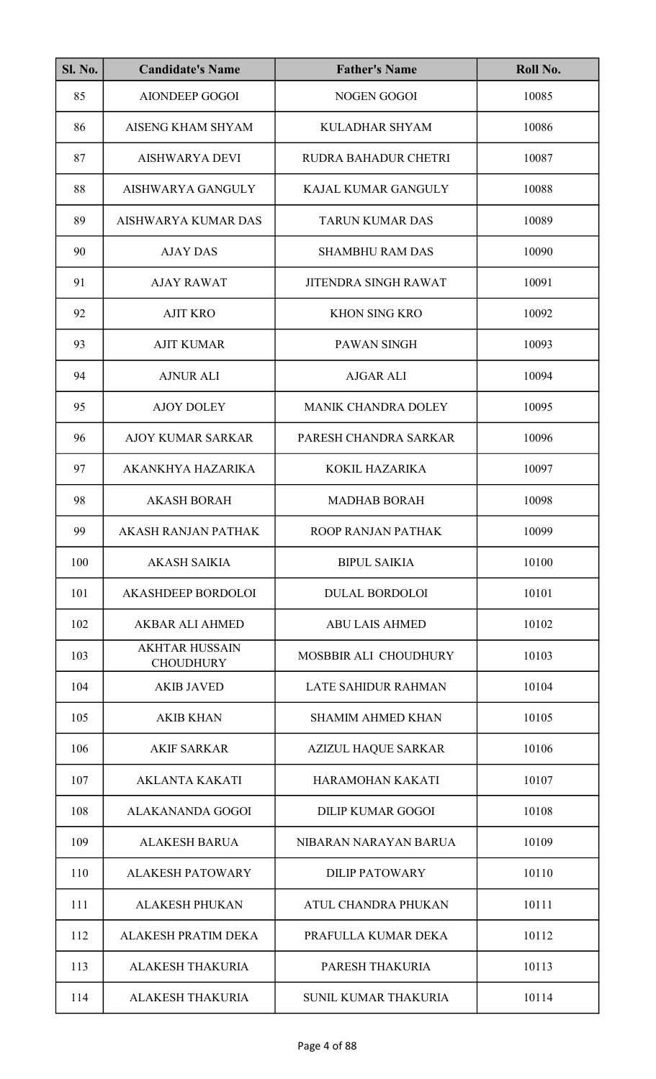| <b>Sl. No.</b> | <b>Candidate's Name</b>                   | <b>Father's Name</b>        | Roll No. |
|----------------|-------------------------------------------|-----------------------------|----------|
| 85             | <b>AIONDEEP GOGOI</b>                     | <b>NOGEN GOGOI</b>          | 10085    |
| 86             | AISENG KHAM SHYAM                         | <b>KULADHAR SHYAM</b>       | 10086    |
| 87             | <b>AISHWARYA DEVI</b>                     | <b>RUDRA BAHADUR CHETRI</b> | 10087    |
| 88             | AISHWARYA GANGULY                         | KAJAL KUMAR GANGULY         | 10088    |
| 89             | AISHWARYA KUMAR DAS                       | <b>TARUN KUMAR DAS</b>      | 10089    |
| 90             | <b>AJAY DAS</b>                           | <b>SHAMBHU RAM DAS</b>      | 10090    |
| 91             | <b>AJAY RAWAT</b>                         | <b>JITENDRA SINGH RAWAT</b> | 10091    |
| 92             | <b>AJIT KRO</b>                           | <b>KHON SING KRO</b>        | 10092    |
| 93             | <b>AJIT KUMAR</b>                         | <b>PAWAN SINGH</b>          | 10093    |
| 94             | <b>AJNUR ALI</b>                          | <b>AJGAR ALI</b>            | 10094    |
| 95             | <b>AJOY DOLEY</b>                         | <b>MANIK CHANDRA DOLEY</b>  | 10095    |
| 96             | <b>AJOY KUMAR SARKAR</b>                  | PARESH CHANDRA SARKAR       | 10096    |
| 97             | AKANKHYA HAZARIKA                         | KOKIL HAZARIKA              | 10097    |
| 98             | <b>AKASH BORAH</b>                        | <b>MADHAB BORAH</b>         | 10098    |
| 99             | AKASH RANJAN PATHAK                       | ROOP RANJAN PATHAK          | 10099    |
| 100            | <b>AKASH SAIKIA</b>                       | <b>BIPUL SAIKIA</b>         | 10100    |
| 101            | <b>AKASHDEEP BORDOLOI</b>                 | <b>DULAL BORDOLOI</b>       | 10101    |
| 102            | <b>AKBAR ALI AHMED</b>                    | <b>ABU LAIS AHMED</b>       | 10102    |
| 103            | <b>AKHTAR HUSSAIN</b><br><b>CHOUDHURY</b> | MOSBBIR ALI CHOUDHURY       | 10103    |
| 104            | <b>AKIB JAVED</b>                         | <b>LATE SAHIDUR RAHMAN</b>  | 10104    |
| 105            | <b>AKIB KHAN</b>                          | <b>SHAMIM AHMED KHAN</b>    | 10105    |
| 106            | <b>AKIF SARKAR</b>                        | <b>AZIZUL HAQUE SARKAR</b>  | 10106    |
| 107            | <b>AKLANTA KAKATI</b>                     | HARAMOHAN KAKATI            | 10107    |
| 108            | <b>ALAKANANDA GOGOI</b>                   | <b>DILIP KUMAR GOGOI</b>    | 10108    |
| 109            | <b>ALAKESH BARUA</b>                      | NIBARAN NARAYAN BARUA       | 10109    |
| 110            | <b>ALAKESH PATOWARY</b>                   | <b>DILIP PATOWARY</b>       | 10110    |
| 111            | <b>ALAKESH PHUKAN</b>                     | ATUL CHANDRA PHUKAN         | 10111    |
| 112            | ALAKESH PRATIM DEKA                       | PRAFULLA KUMAR DEKA         | 10112    |
| 113            | <b>ALAKESH THAKURIA</b>                   | PARESH THAKURIA             | 10113    |
| 114            | <b>ALAKESH THAKURIA</b>                   | <b>SUNIL KUMAR THAKURIA</b> | 10114    |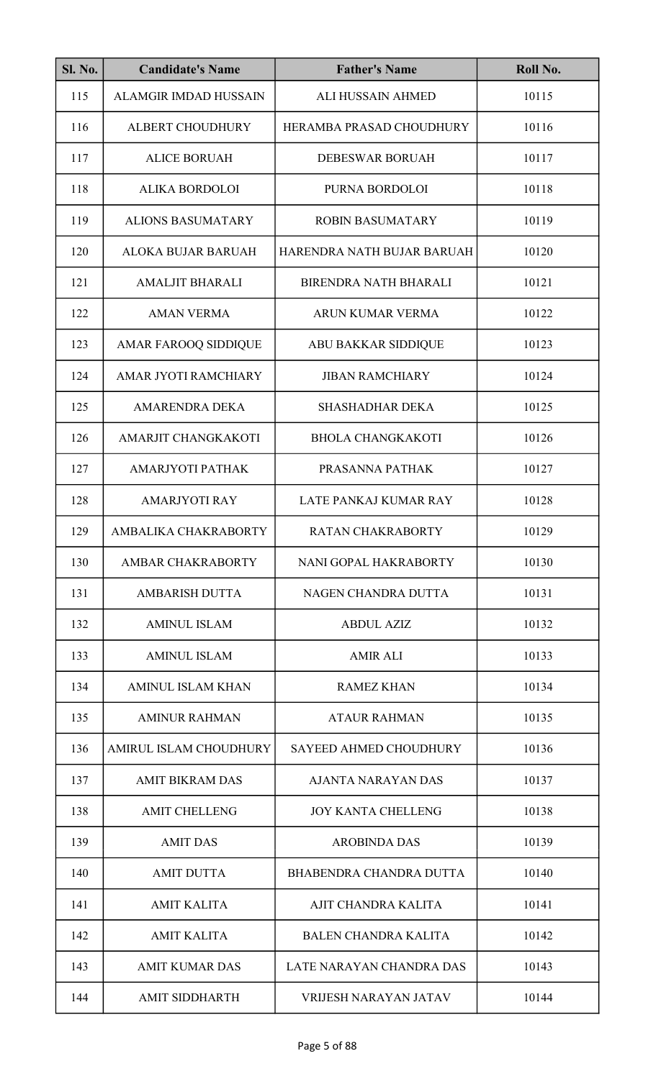| <b>Sl. No.</b> | <b>Candidate's Name</b>      | <b>Father's Name</b>          | Roll No. |
|----------------|------------------------------|-------------------------------|----------|
| 115            | <b>ALAMGIR IMDAD HUSSAIN</b> | <b>ALI HUSSAIN AHMED</b>      | 10115    |
| 116            | <b>ALBERT CHOUDHURY</b>      | HERAMBA PRASAD CHOUDHURY      | 10116    |
| 117            | <b>ALICE BORUAH</b>          | <b>DEBESWAR BORUAH</b>        | 10117    |
| 118            | <b>ALIKA BORDOLOI</b>        | PURNA BORDOLOI                | 10118    |
| 119            | <b>ALIONS BASUMATARY</b>     | <b>ROBIN BASUMATARY</b>       | 10119    |
| 120            | ALOKA BUJAR BARUAH           | HARENDRA NATH BUJAR BARUAH    | 10120    |
| 121            | <b>AMALJIT BHARALI</b>       | <b>BIRENDRA NATH BHARALI</b>  | 10121    |
| 122            | <b>AMAN VERMA</b>            | <b>ARUN KUMAR VERMA</b>       | 10122    |
| 123            | <b>AMAR FAROOQ SIDDIQUE</b>  | <b>ABU BAKKAR SIDDIQUE</b>    | 10123    |
| 124            | AMAR JYOTI RAMCHIARY         | <b>JIBAN RAMCHIARY</b>        | 10124    |
| 125            | <b>AMARENDRA DEKA</b>        | <b>SHASHADHAR DEKA</b>        | 10125    |
| 126            | AMARJIT CHANGKAKOTI          | <b>BHOLA CHANGKAKOTI</b>      | 10126    |
| 127            | AMARJYOTI PATHAK             | PRASANNA PATHAK               | 10127    |
| 128            | <b>AMARJYOTI RAY</b>         | LATE PANKAJ KUMAR RAY         | 10128    |
| 129            | AMBALIKA CHAKRABORTY         | RATAN CHAKRABORTY             | 10129    |
| 130            | <b>AMBAR CHAKRABORTY</b>     | NANI GOPAL HAKRABORTY         | 10130    |
| 131            | <b>AMBARISH DUTTA</b>        | NAGEN CHANDRA DUTTA           | 10131    |
| 132            | <b>AMINUL ISLAM</b>          | <b>ABDUL AZIZ</b>             | 10132    |
| 133            | <b>AMINUL ISLAM</b>          | <b>AMIR ALI</b>               | 10133    |
| 134            | <b>AMINUL ISLAM KHAN</b>     | <b>RAMEZ KHAN</b>             | 10134    |
| 135            | <b>AMINUR RAHMAN</b>         | <b>ATAUR RAHMAN</b>           | 10135    |
| 136            | AMIRUL ISLAM CHOUDHURY       | <b>SAYEED AHMED CHOUDHURY</b> | 10136    |
| 137            | <b>AMIT BIKRAM DAS</b>       | AJANTA NARAYAN DAS            | 10137    |
| 138            | <b>AMIT CHELLENG</b>         | <b>JOY KANTA CHELLENG</b>     | 10138    |
| 139            | <b>AMIT DAS</b>              | <b>AROBINDA DAS</b>           | 10139    |
| 140            | <b>AMIT DUTTA</b>            | BHABENDRA CHANDRA DUTTA       | 10140    |
| 141            | <b>AMIT KALITA</b>           | AJIT CHANDRA KALITA           | 10141    |
| 142            | <b>AMIT KALITA</b>           | <b>BALEN CHANDRA KALITA</b>   | 10142    |
| 143            | <b>AMIT KUMAR DAS</b>        | LATE NARAYAN CHANDRA DAS      | 10143    |
| 144            | <b>AMIT SIDDHARTH</b>        | <b>VRIJESH NARAYAN JATAV</b>  | 10144    |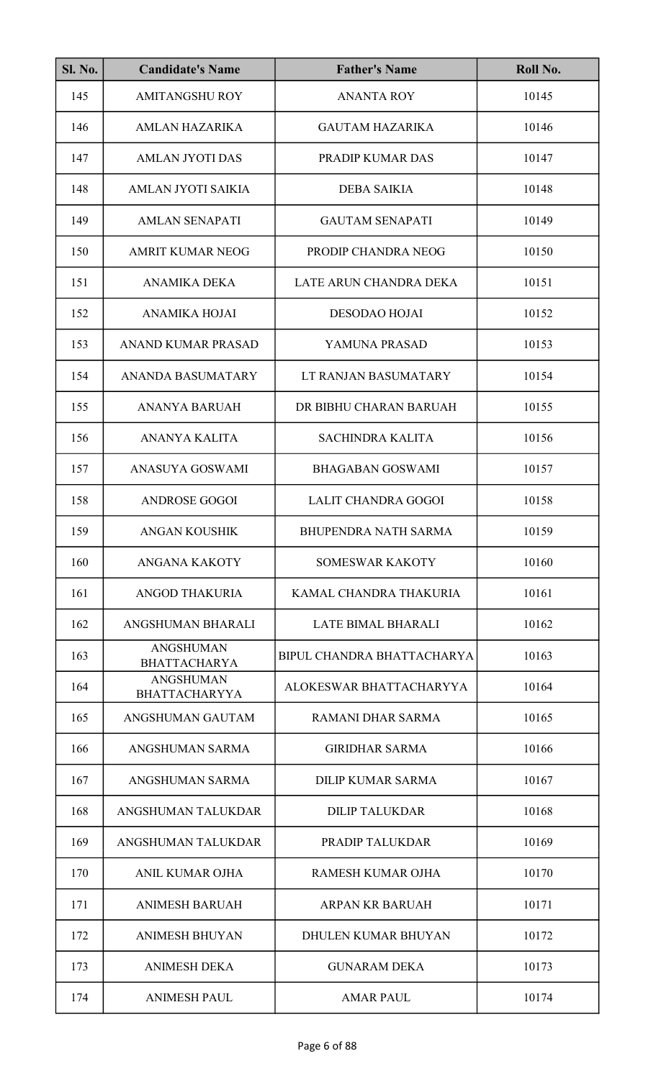| <b>Sl. No.</b> | <b>Candidate's Name</b>                  | <b>Father's Name</b>       | Roll No. |
|----------------|------------------------------------------|----------------------------|----------|
| 145            | <b>AMITANGSHU ROY</b>                    | <b>ANANTA ROY</b>          | 10145    |
| 146            | <b>AMLAN HAZARIKA</b>                    | <b>GAUTAM HAZARIKA</b>     | 10146    |
| 147            | <b>AMLAN JYOTI DAS</b>                   | PRADIP KUMAR DAS           | 10147    |
| 148            | AMLAN JYOTI SAIKIA                       | <b>DEBA SAIKIA</b>         | 10148    |
| 149            | <b>AMLAN SENAPATI</b>                    | <b>GAUTAM SENAPATI</b>     | 10149    |
| 150            | <b>AMRIT KUMAR NEOG</b>                  | PRODIP CHANDRA NEOG        | 10150    |
| 151            | <b>ANAMIKA DEKA</b>                      | LATE ARUN CHANDRA DEKA     | 10151    |
| 152            | <b>ANAMIKA HOJAI</b>                     | <b>DESODAO HOJAI</b>       | 10152    |
| 153            | <b>ANAND KUMAR PRASAD</b>                | YAMUNA PRASAD              | 10153    |
| 154            | <b>ANANDA BASUMATARY</b>                 | LT RANJAN BASUMATARY       | 10154    |
| 155            | <b>ANANYA BARUAH</b>                     | DR BIBHU CHARAN BARUAH     | 10155    |
| 156            | <b>ANANYA KALITA</b>                     | <b>SACHINDRA KALITA</b>    | 10156    |
| 157            | ANASUYA GOSWAMI                          | <b>BHAGABAN GOSWAMI</b>    | 10157    |
| 158            | <b>ANDROSE GOGOI</b>                     | LALIT CHANDRA GOGOI        | 10158    |
| 159            | ANGAN KOUSHIK                            | BHUPENDRA NATH SARMA       | 10159    |
| 160            | ANGANA KAKOTY                            | <b>SOMESWAR KAKOTY</b>     | 10160    |
| 161            | <b>ANGOD THAKURIA</b>                    | KAMAL CHANDRA THAKURIA     | 10161    |
| 162            | ANGSHUMAN BHARALI                        | <b>LATE BIMAL BHARALI</b>  | 10162    |
| 163            | <b>ANGSHUMAN</b><br><b>BHATTACHARYA</b>  | BIPUL CHANDRA BHATTACHARYA | 10163    |
| 164            | <b>ANGSHUMAN</b><br><b>BHATTACHARYYA</b> | ALOKESWAR BHATTACHARYYA    | 10164    |
| 165            | ANGSHUMAN GAUTAM                         | RAMANI DHAR SARMA          | 10165    |
| 166            | ANGSHUMAN SARMA                          | <b>GIRIDHAR SARMA</b>      | 10166    |
| 167            | ANGSHUMAN SARMA                          | DILIP KUMAR SARMA          | 10167    |
| 168            | ANGSHUMAN TALUKDAR                       | <b>DILIP TALUKDAR</b>      | 10168    |
| 169            | ANGSHUMAN TALUKDAR                       | PRADIP TALUKDAR            | 10169    |
| 170            | ANIL KUMAR OJHA                          | RAMESH KUMAR OJHA          | 10170    |
| 171            | <b>ANIMESH BARUAH</b>                    | <b>ARPAN KR BARUAH</b>     | 10171    |
| 172            | <b>ANIMESH BHUYAN</b>                    | <b>DHULEN KUMAR BHUYAN</b> | 10172    |
| 173            | <b>ANIMESH DEKA</b>                      | <b>GUNARAM DEKA</b>        | 10173    |
| 174            | <b>ANIMESH PAUL</b>                      | <b>AMAR PAUL</b>           | 10174    |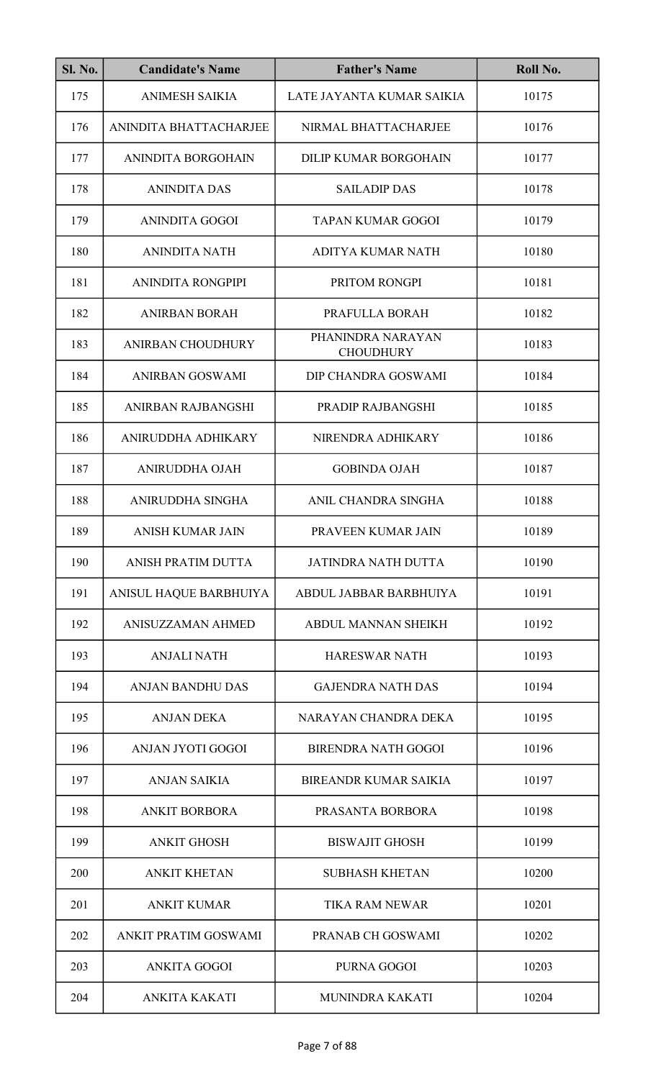| <b>Sl. No.</b> | <b>Candidate's Name</b>   | <b>Father's Name</b>                  | Roll No. |
|----------------|---------------------------|---------------------------------------|----------|
| 175            | <b>ANIMESH SAIKIA</b>     | LATE JAYANTA KUMAR SAIKIA             | 10175    |
| 176            | ANINDITA BHATTACHARJEE    | NIRMAL BHATTACHARJEE                  | 10176    |
| 177            | <b>ANINDITA BORGOHAIN</b> | <b>DILIP KUMAR BORGOHAIN</b>          | 10177    |
| 178            | <b>ANINDITA DAS</b>       | <b>SAILADIP DAS</b>                   | 10178    |
| 179            | ANINDITA GOGOI            | TAPAN KUMAR GOGOI                     | 10179    |
| 180            | <b>ANINDITA NATH</b>      | <b>ADITYA KUMAR NATH</b>              | 10180    |
| 181            | <b>ANINDITA RONGPIPI</b>  | PRITOM RONGPI                         | 10181    |
| 182            | <b>ANIRBAN BORAH</b>      | PRAFULLA BORAH                        | 10182    |
| 183            | <b>ANIRBAN CHOUDHURY</b>  | PHANINDRA NARAYAN<br><b>CHOUDHURY</b> | 10183    |
| 184            | ANIRBAN GOSWAMI           | DIP CHANDRA GOSWAMI                   | 10184    |
| 185            | ANIRBAN RAJBANGSHI        | PRADIP RAJBANGSHI                     | 10185    |
| 186            | ANIRUDDHA ADHIKARY        | NIRENDRA ADHIKARY                     | 10186    |
| 187            | ANIRUDDHA OJAH            | <b>GOBINDA OJAH</b>                   | 10187    |
| 188            | ANIRUDDHA SINGHA          | ANIL CHANDRA SINGHA                   | 10188    |
| 189            | <b>ANISH KUMAR JAIN</b>   | PRAVEEN KUMAR JAIN                    | 10189    |
| 190            | ANISH PRATIM DUTTA        | <b>JATINDRA NATH DUTTA</b>            | 10190    |
| 191            | ANISUL HAQUE BARBHUIYA    | ABDUL JABBAR BARBHUIYA                | 10191    |
| 192            | ANISUZZAMAN AHMED         | ABDUL MANNAN SHEIKH                   | 10192    |
| 193            | <b>ANJALI NATH</b>        | <b>HARESWAR NATH</b>                  | 10193    |
| 194            | <b>ANJAN BANDHU DAS</b>   | <b>GAJENDRA NATH DAS</b>              | 10194    |
| 195            | <b>ANJAN DEKA</b>         | NARAYAN CHANDRA DEKA                  | 10195    |
| 196            | ANJAN JYOTI GOGOI         | <b>BIRENDRA NATH GOGOI</b>            | 10196    |
| 197            | <b>ANJAN SAIKIA</b>       | <b>BIREANDR KUMAR SAIKIA</b>          | 10197    |
| 198            | <b>ANKIT BORBORA</b>      | PRASANTA BORBORA                      | 10198    |
| 199            | <b>ANKIT GHOSH</b>        | <b>BISWAJIT GHOSH</b>                 | 10199    |
| 200            | <b>ANKIT KHETAN</b>       | <b>SUBHASH KHETAN</b>                 | 10200    |
| 201            | <b>ANKIT KUMAR</b>        | <b>TIKA RAM NEWAR</b>                 | 10201    |
| 202            | ANKIT PRATIM GOSWAMI      | PRANAB CH GOSWAMI                     | 10202    |
| 203            | <b>ANKITA GOGOI</b>       | PURNA GOGOI                           | 10203    |
| 204            | <b>ANKITA KAKATI</b>      | MUNINDRA KAKATI                       | 10204    |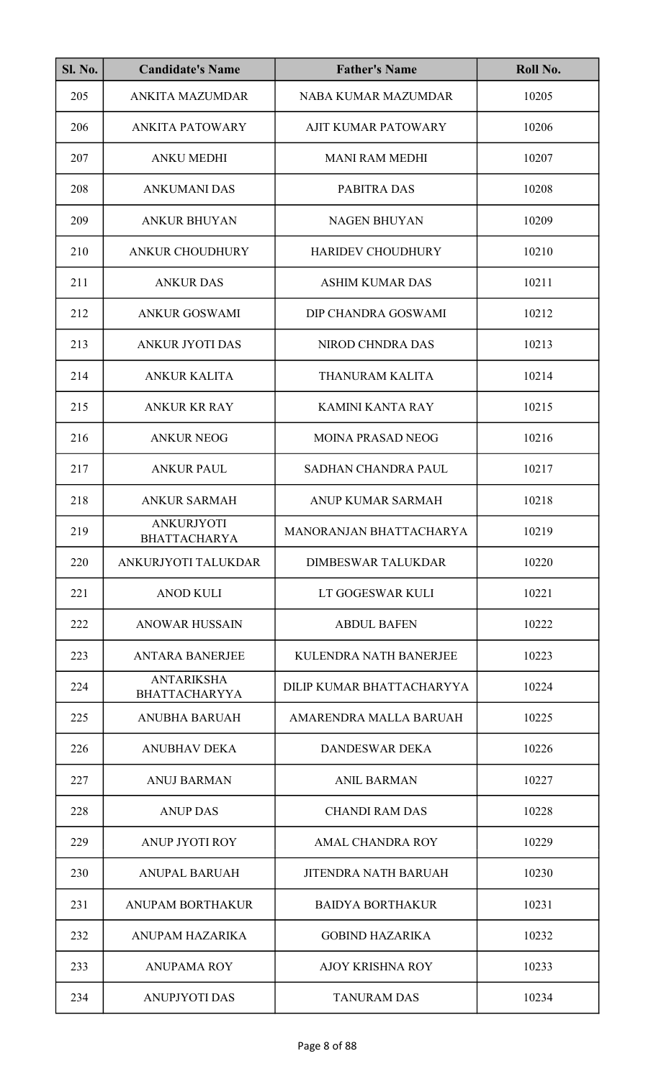| <b>Sl. No.</b> | <b>Candidate's Name</b>                   | <b>Father's Name</b>        | Roll No. |
|----------------|-------------------------------------------|-----------------------------|----------|
| 205            | <b>ANKITA MAZUMDAR</b>                    | <b>NABA KUMAR MAZUMDAR</b>  | 10205    |
| 206            | <b>ANKITA PATOWARY</b>                    | <b>AJIT KUMAR PATOWARY</b>  | 10206    |
| 207            | <b>ANKU MEDHI</b>                         | <b>MANI RAM MEDHI</b>       | 10207    |
| 208            | <b>ANKUMANI DAS</b>                       | PABITRA DAS                 | 10208    |
| 209            | <b>ANKUR BHUYAN</b>                       | <b>NAGEN BHUYAN</b>         | 10209    |
| 210            | <b>ANKUR CHOUDHURY</b>                    | <b>HARIDEV CHOUDHURY</b>    | 10210    |
| 211            | <b>ANKUR DAS</b>                          | <b>ASHIM KUMAR DAS</b>      | 10211    |
| 212            | <b>ANKUR GOSWAMI</b>                      | DIP CHANDRA GOSWAMI         | 10212    |
| 213            | ANKUR JYOTI DAS                           | NIROD CHNDRA DAS            | 10213    |
| 214            | <b>ANKUR KALITA</b>                       | THANURAM KALITA             | 10214    |
| 215            | <b>ANKUR KR RAY</b>                       | <b>KAMINI KANTA RAY</b>     | 10215    |
| 216            | <b>ANKUR NEOG</b>                         | <b>MOINA PRASAD NEOG</b>    | 10216    |
| 217            | <b>ANKUR PAUL</b>                         | <b>SADHAN CHANDRA PAUL</b>  | 10217    |
| 218            | <b>ANKUR SARMAH</b>                       | ANUP KUMAR SARMAH           | 10218    |
| 219            | <b>ANKURJYOTI</b><br><b>BHATTACHARYA</b>  | MANORANJAN BHATTACHARYA     | 10219    |
| 220            | ANKURJYOTI TALUKDAR                       | <b>DIMBESWAR TALUKDAR</b>   | 10220    |
| 221            | <b>ANOD KULI</b>                          | LT GOGESWAR KULI            | 10221    |
| 222            | <b>ANOWAR HUSSAIN</b>                     | <b>ABDUL BAFEN</b>          | 10222    |
| 223            | <b>ANTARA BANERJEE</b>                    | KULENDRA NATH BANERJEE      | 10223    |
| 224            | <b>ANTARIKSHA</b><br><b>BHATTACHARYYA</b> | DILIP KUMAR BHATTACHARYYA   | 10224    |
| 225            | <b>ANUBHA BARUAH</b>                      | AMARENDRA MALLA BARUAH      | 10225    |
| 226            | <b>ANUBHAV DEKA</b>                       | <b>DANDESWAR DEKA</b>       | 10226    |
| 227            | <b>ANUJ BARMAN</b>                        | <b>ANIL BARMAN</b>          | 10227    |
| 228            | <b>ANUP DAS</b>                           | <b>CHANDI RAM DAS</b>       | 10228    |
| 229            | <b>ANUP JYOTI ROY</b>                     | <b>AMAL CHANDRA ROY</b>     | 10229    |
| 230            | <b>ANUPAL BARUAH</b>                      | <b>JITENDRA NATH BARUAH</b> | 10230    |
| 231            | <b>ANUPAM BORTHAKUR</b>                   | <b>BAIDYA BORTHAKUR</b>     | 10231    |
| 232            | ANUPAM HAZARIKA                           | <b>GOBIND HAZARIKA</b>      | 10232    |
| 233            | <b>ANUPAMA ROY</b>                        | <b>AJOY KRISHNA ROY</b>     | 10233    |
| 234            | <b>ANUPJYOTI DAS</b>                      | <b>TANURAM DAS</b>          | 10234    |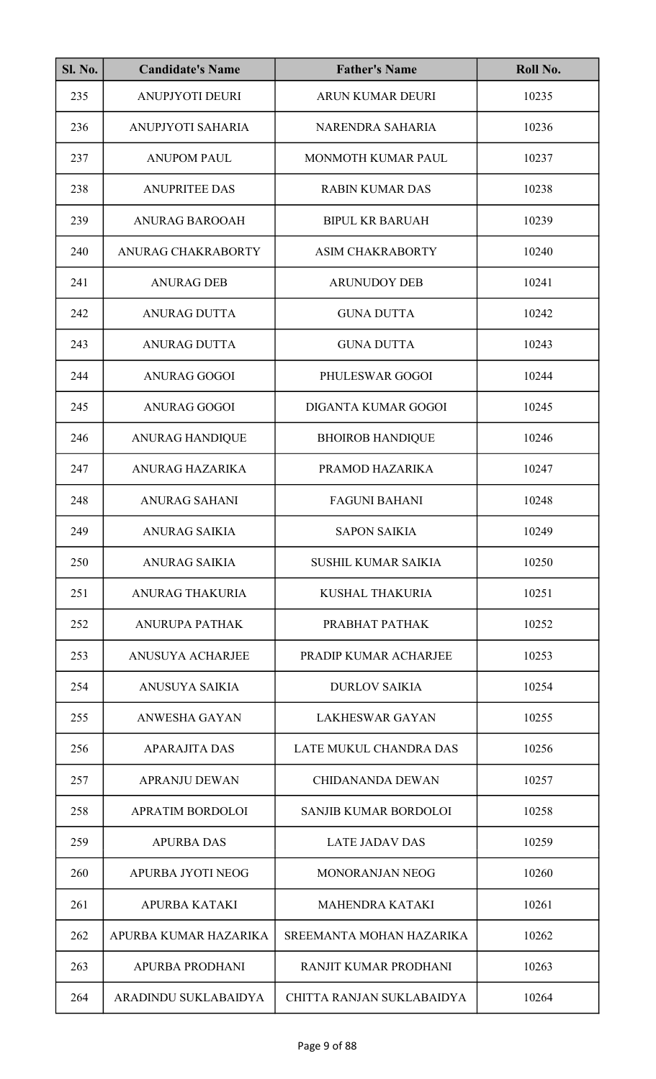| <b>Sl. No.</b> | <b>Candidate's Name</b> | <b>Father's Name</b>         | Roll No. |
|----------------|-------------------------|------------------------------|----------|
| 235            | ANUPJYOTI DEURI         | ARUN KUMAR DEURI             | 10235    |
| 236            | ANUPJYOTI SAHARIA       | NARENDRA SAHARIA             | 10236    |
| 237            | <b>ANUPOM PAUL</b>      | MONMOTH KUMAR PAUL           | 10237    |
| 238            | <b>ANUPRITEE DAS</b>    | <b>RABIN KUMAR DAS</b>       | 10238    |
| 239            | <b>ANURAG BAROOAH</b>   | <b>BIPUL KR BARUAH</b>       | 10239    |
| 240            | ANURAG CHAKRABORTY      | <b>ASIM CHAKRABORTY</b>      | 10240    |
| 241            | <b>ANURAG DEB</b>       | <b>ARUNUDOY DEB</b>          | 10241    |
| 242            | <b>ANURAG DUTTA</b>     | <b>GUNA DUTTA</b>            | 10242    |
| 243            | <b>ANURAG DUTTA</b>     | <b>GUNA DUTTA</b>            | 10243    |
| 244            | <b>ANURAG GOGOI</b>     | PHULESWAR GOGOI              | 10244    |
| 245            | <b>ANURAG GOGOI</b>     | DIGANTA KUMAR GOGOI          | 10245    |
| 246            | <b>ANURAG HANDIQUE</b>  | <b>BHOIROB HANDIQUE</b>      | 10246    |
| 247            | ANURAG HAZARIKA         | PRAMOD HAZARIKA              | 10247    |
| 248            | <b>ANURAG SAHANI</b>    | <b>FAGUNI BAHANI</b>         | 10248    |
| 249            | ANURAG SAIKIA           | <b>SAPON SAIKIA</b>          | 10249    |
| 250            | <b>ANURAG SAIKIA</b>    | <b>SUSHIL KUMAR SAIKIA</b>   | 10250    |
| 251            | <b>ANURAG THAKURIA</b>  | KUSHAL THAKURIA              | 10251    |
| 252            | ANURUPA PATHAK          | PRABHAT PATHAK               | 10252    |
| 253            | <b>ANUSUYA ACHARJEE</b> | PRADIP KUMAR ACHARJEE        | 10253    |
| 254            | ANUSUYA SAIKIA          | <b>DURLOV SAIKIA</b>         | 10254    |
| 255            | ANWESHA GAYAN           | <b>LAKHESWAR GAYAN</b>       | 10255    |
| 256            | <b>APARAJITA DAS</b>    | LATE MUKUL CHANDRA DAS       | 10256    |
| 257            | <b>APRANJU DEWAN</b>    | <b>CHIDANANDA DEWAN</b>      | 10257    |
| 258            | APRATIM BORDOLOI        | <b>SANJIB KUMAR BORDOLOI</b> | 10258    |
| 259            | <b>APURBA DAS</b>       | <b>LATE JADAV DAS</b>        | 10259    |
| 260            | APURBA JYOTI NEOG       | <b>MONORANJAN NEOG</b>       | 10260    |
| 261            | <b>APURBA KATAKI</b>    | <b>MAHENDRA KATAKI</b>       | 10261    |
| 262            | APURBA KUMAR HAZARIKA   | SREEMANTA MOHAN HAZARIKA     | 10262    |
| 263            | APURBA PRODHANI         | RANJIT KUMAR PRODHANI        | 10263    |
| 264            | ARADINDU SUKLABAIDYA    | CHITTA RANJAN SUKLABAIDYA    | 10264    |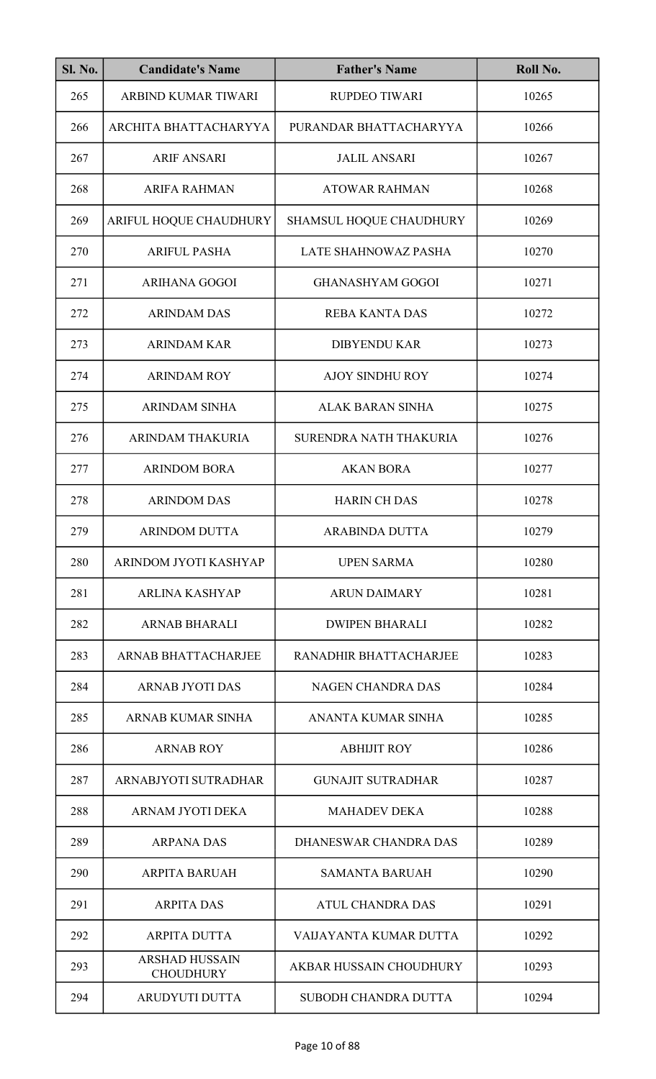| <b>Sl. No.</b> | <b>Candidate's Name</b>                   | <b>Father's Name</b>           | Roll No. |
|----------------|-------------------------------------------|--------------------------------|----------|
| 265            | ARBIND KUMAR TIWARI                       | <b>RUPDEO TIWARI</b>           | 10265    |
| 266            | ARCHITA BHATTACHARYYA                     | PURANDAR BHATTACHARYYA         | 10266    |
| 267            | <b>ARIF ANSARI</b>                        | <b>JALIL ANSARI</b>            | 10267    |
| 268            | <b>ARIFA RAHMAN</b>                       | <b>ATOWAR RAHMAN</b>           | 10268    |
| 269            | ARIFUL HOQUE CHAUDHURY                    | <b>SHAMSUL HOQUE CHAUDHURY</b> | 10269    |
| 270            | <b>ARIFUL PASHA</b>                       | <b>LATE SHAHNOWAZ PASHA</b>    | 10270    |
| 271            | <b>ARIHANA GOGOI</b>                      | <b>GHANASHYAM GOGOI</b>        | 10271    |
| 272            | <b>ARINDAM DAS</b>                        | <b>REBA KANTA DAS</b>          | 10272    |
| 273            | <b>ARINDAM KAR</b>                        | <b>DIBYENDU KAR</b>            | 10273    |
| 274            | <b>ARINDAM ROY</b>                        | <b>AJOY SINDHU ROY</b>         | 10274    |
| 275            | <b>ARINDAM SINHA</b>                      | <b>ALAK BARAN SINHA</b>        | 10275    |
| 276            | <b>ARINDAM THAKURIA</b>                   | SURENDRA NATH THAKURIA         | 10276    |
| 277            | <b>ARINDOM BORA</b>                       | <b>AKAN BORA</b>               | 10277    |
| 278            | <b>ARINDOM DAS</b>                        | <b>HARIN CH DAS</b>            | 10278    |
| 279            | <b>ARINDOM DUTTA</b>                      | <b>ARABINDA DUTTA</b>          | 10279    |
| 280            | ARINDOM JYOTI KASHYAP                     | <b>UPEN SARMA</b>              | 10280    |
| 281            | <b>ARLINA KASHYAP</b>                     | <b>ARUN DAIMARY</b>            | 10281    |
| 282            | <b>ARNAB BHARALI</b>                      | <b>DWIPEN BHARALI</b>          | 10282    |
| 283            | <b>ARNAB BHATTACHARJEE</b>                | RANADHIR BHATTACHARJEE         | 10283    |
| 284            | <b>ARNAB JYOTI DAS</b>                    | <b>NAGEN CHANDRA DAS</b>       | 10284    |
| 285            | ARNAB KUMAR SINHA                         | ANANTA KUMAR SINHA             | 10285    |
| 286            | <b>ARNAB ROY</b>                          | <b>ABHIJIT ROY</b>             | 10286    |
| 287            | ARNABJYOTI SUTRADHAR                      | <b>GUNAJIT SUTRADHAR</b>       | 10287    |
| 288            | ARNAM JYOTI DEKA                          | <b>MAHADEV DEKA</b>            | 10288    |
| 289            | <b>ARPANA DAS</b>                         | DHANESWAR CHANDRA DAS          | 10289    |
| 290            | <b>ARPITA BARUAH</b>                      | <b>SAMANTA BARUAH</b>          | 10290    |
| 291            | <b>ARPITA DAS</b>                         | <b>ATUL CHANDRA DAS</b>        | 10291    |
| 292            | <b>ARPITA DUTTA</b>                       | VAIJAYANTA KUMAR DUTTA         | 10292    |
| 293            | <b>ARSHAD HUSSAIN</b><br><b>CHOUDHURY</b> | <b>AKBAR HUSSAIN CHOUDHURY</b> | 10293    |
| 294            | <b>ARUDYUTI DUTTA</b>                     | <b>SUBODH CHANDRA DUTTA</b>    | 10294    |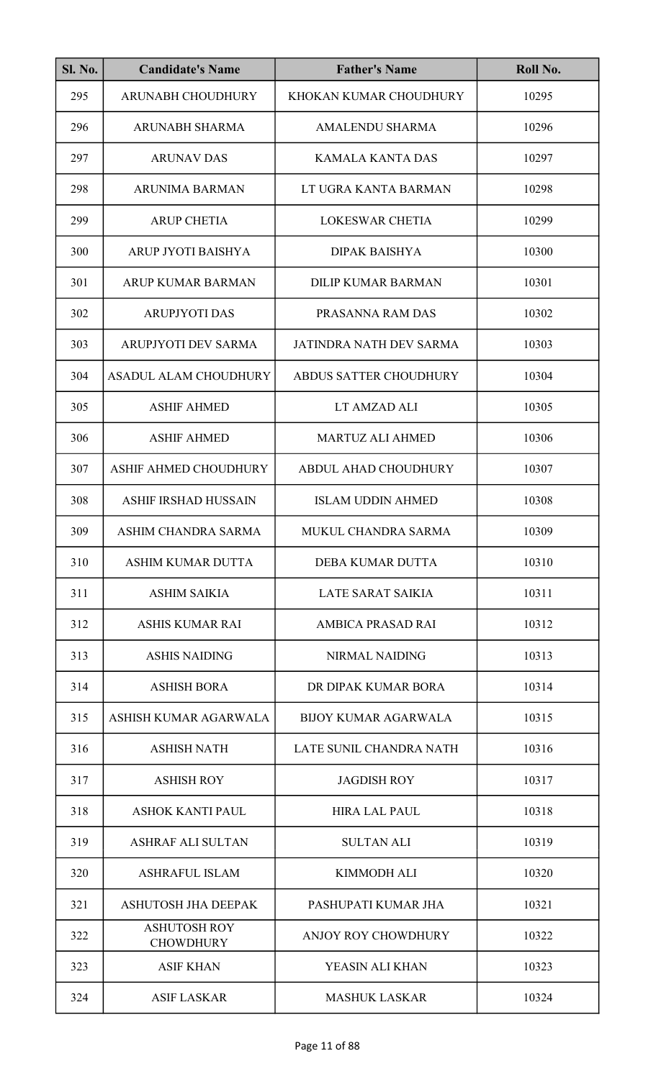| <b>Sl. No.</b> | <b>Candidate's Name</b>                 | <b>Father's Name</b>          | Roll No. |
|----------------|-----------------------------------------|-------------------------------|----------|
| 295            | ARUNABH CHOUDHURY                       | KHOKAN KUMAR CHOUDHURY        | 10295    |
| 296            | <b>ARUNABH SHARMA</b>                   | <b>AMALENDU SHARMA</b>        | 10296    |
| 297            | <b>ARUNAV DAS</b>                       | <b>KAMALA KANTA DAS</b>       | 10297    |
| 298            | <b>ARUNIMA BARMAN</b>                   | LT UGRA KANTA BARMAN          | 10298    |
| 299            | <b>ARUP CHETIA</b>                      | LOKESWAR CHETIA               | 10299    |
| 300            | ARUP JYOTI BAISHYA                      | <b>DIPAK BAISHYA</b>          | 10300    |
| 301            | <b>ARUP KUMAR BARMAN</b>                | <b>DILIP KUMAR BARMAN</b>     | 10301    |
| 302            | <b>ARUPJYOTI DAS</b>                    | PRASANNA RAM DAS              | 10302    |
| 303            | ARUPJYOTI DEV SARMA                     | JATINDRA NATH DEV SARMA       | 10303    |
| 304            | <b>ASADUL ALAM CHOUDHURY</b>            | <b>ABDUS SATTER CHOUDHURY</b> | 10304    |
| 305            | <b>ASHIF AHMED</b>                      | LT AMZAD ALI                  | 10305    |
| 306            | <b>ASHIF AHMED</b>                      | <b>MARTUZ ALI AHMED</b>       | 10306    |
| 307            | ASHIF AHMED CHOUDHURY                   | ABDUL AHAD CHOUDHURY          | 10307    |
| 308            | <b>ASHIF IRSHAD HUSSAIN</b>             | <b>ISLAM UDDIN AHMED</b>      | 10308    |
| 309            | ASHIM CHANDRA SARMA                     | MUKUL CHANDRA SARMA           | 10309    |
| 310            | <b>ASHIM KUMAR DUTTA</b>                | DEBA KUMAR DUTTA              | 10310    |
| 311            | <b>ASHIM SAIKIA</b>                     | <b>LATE SARAT SAIKIA</b>      | 10311    |
| 312            | <b>ASHIS KUMAR RAI</b>                  | <b>AMBICA PRASAD RAI</b>      | 10312    |
| 313            | <b>ASHIS NAIDING</b>                    | <b>NIRMAL NAIDING</b>         | 10313    |
| 314            | <b>ASHISH BORA</b>                      | DR DIPAK KUMAR BORA           | 10314    |
| 315            | ASHISH KUMAR AGARWALA                   | <b>BIJOY KUMAR AGARWALA</b>   | 10315    |
| 316            | <b>ASHISH NATH</b>                      | LATE SUNIL CHANDRA NATH       | 10316    |
| 317            | <b>ASHISH ROY</b>                       | <b>JAGDISH ROY</b>            | 10317    |
| 318            | <b>ASHOK KANTI PAUL</b>                 | <b>HIRA LAL PAUL</b>          | 10318    |
| 319            | <b>ASHRAF ALI SULTAN</b>                | <b>SULTAN ALI</b>             | 10319    |
| 320            | <b>ASHRAFUL ISLAM</b>                   | <b>KIMMODH ALI</b>            | 10320    |
| 321            | ASHUTOSH JHA DEEPAK                     | PASHUPATI KUMAR JHA           | 10321    |
| 322            | <b>ASHUTOSH ROY</b><br><b>CHOWDHURY</b> | ANJOY ROY CHOWDHURY           | 10322    |
| 323            | <b>ASIF KHAN</b>                        | YEASIN ALI KHAN               | 10323    |
| 324            | <b>ASIF LASKAR</b>                      | <b>MASHUK LASKAR</b>          | 10324    |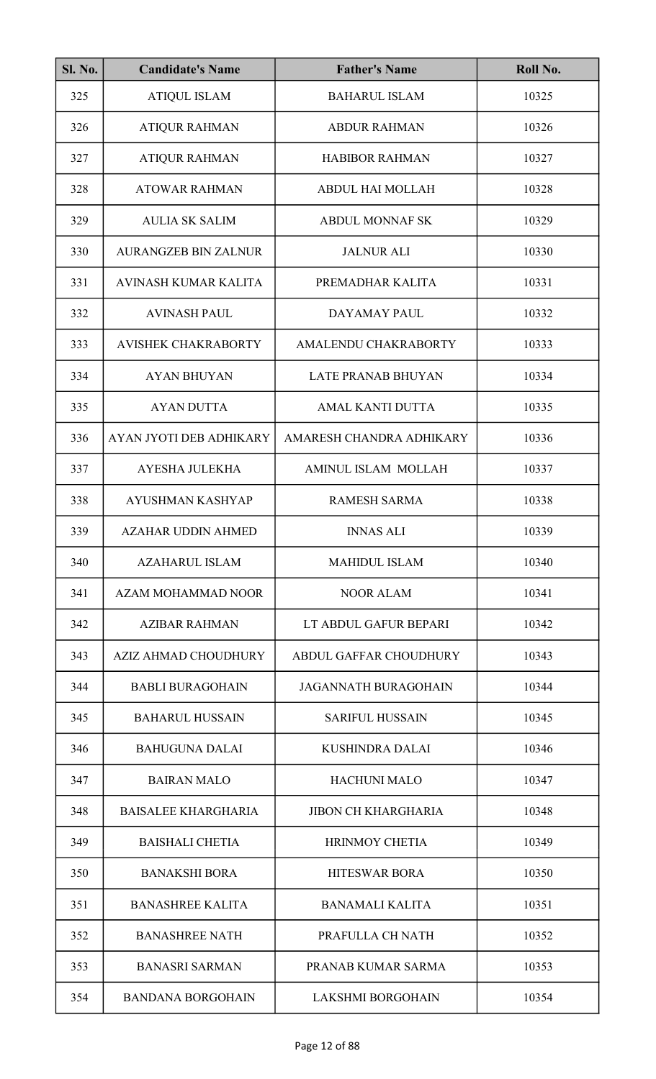| <b>Sl. No.</b> | <b>Candidate's Name</b>     | <b>Father's Name</b>        | Roll No. |
|----------------|-----------------------------|-----------------------------|----------|
| 325            | <b>ATIQUL ISLAM</b>         | <b>BAHARUL ISLAM</b>        | 10325    |
| 326            | <b>ATIQUR RAHMAN</b>        | <b>ABDUR RAHMAN</b>         | 10326    |
| 327            | <b>ATIQUR RAHMAN</b>        | <b>HABIBOR RAHMAN</b>       | 10327    |
| 328            | <b>ATOWAR RAHMAN</b>        | <b>ABDUL HAI MOLLAH</b>     | 10328    |
| 329            | <b>AULIA SK SALIM</b>       | <b>ABDUL MONNAF SK</b>      | 10329    |
| 330            | <b>AURANGZEB BIN ZALNUR</b> | <b>JALNUR ALI</b>           | 10330    |
| 331            | <b>AVINASH KUMAR KALITA</b> | PREMADHAR KALITA            | 10331    |
| 332            | <b>AVINASH PAUL</b>         | DAYAMAY PAUL                | 10332    |
| 333            | <b>AVISHEK CHAKRABORTY</b>  | AMALENDU CHAKRABORTY        | 10333    |
| 334            | <b>AYAN BHUYAN</b>          | <b>LATE PRANAB BHUYAN</b>   | 10334    |
| 335            | <b>AYAN DUTTA</b>           | AMAL KANTI DUTTA            | 10335    |
| 336            | AYAN JYOTI DEB ADHIKARY     | AMARESH CHANDRA ADHIKARY    | 10336    |
| 337            | AYESHA JULEKHA              | AMINUL ISLAM MOLLAH         | 10337    |
| 338            | <b>AYUSHMAN KASHYAP</b>     | <b>RAMESH SARMA</b>         | 10338    |
| 339            | AZAHAR UDDIN AHMED          | <b>INNAS ALI</b>            | 10339    |
| 340            | <b>AZAHARUL ISLAM</b>       | <b>MAHIDUL ISLAM</b>        | 10340    |
| 341            | AZAM MOHAMMAD NOOR          | <b>NOOR ALAM</b>            | 10341    |
| 342            | <b>AZIBAR RAHMAN</b>        | LT ABDUL GAFUR BEPARI       | 10342    |
| 343            | <b>AZIZ AHMAD CHOUDHURY</b> | ABDUL GAFFAR CHOUDHURY      | 10343    |
| 344            | <b>BABLI BURAGOHAIN</b>     | <b>JAGANNATH BURAGOHAIN</b> | 10344    |
| 345            | <b>BAHARUL HUSSAIN</b>      | <b>SARIFUL HUSSAIN</b>      | 10345    |
| 346            | <b>BAHUGUNA DALAI</b>       | <b>KUSHINDRA DALAI</b>      | 10346    |
| 347            | <b>BAIRAN MALO</b>          | <b>HACHUNI MALO</b>         | 10347    |
| 348            | <b>BAISALEE KHARGHARIA</b>  | <b>JIBON CH KHARGHARIA</b>  | 10348    |
| 349            | <b>BAISHALI CHETIA</b>      | <b>HRINMOY CHETIA</b>       | 10349    |
| 350            | <b>BANAKSHI BORA</b>        | <b>HITESWAR BORA</b>        | 10350    |
| 351            | <b>BANASHREE KALITA</b>     | <b>BANAMALI KALITA</b>      | 10351    |
| 352            | <b>BANASHREE NATH</b>       | PRAFULLA CH NATH            | 10352    |
| 353            | <b>BANASRI SARMAN</b>       | PRANAB KUMAR SARMA          | 10353    |
| 354            | <b>BANDANA BORGOHAIN</b>    | <b>LAKSHMI BORGOHAIN</b>    | 10354    |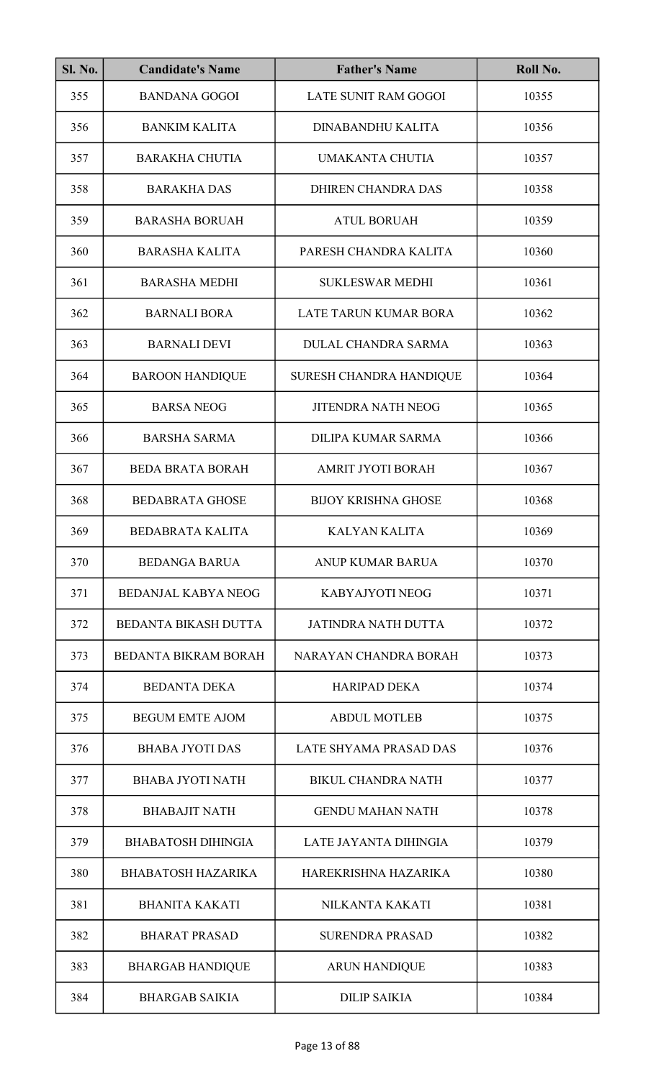| <b>Sl. No.</b> | <b>Candidate's Name</b>     | <b>Father's Name</b>       | Roll No. |
|----------------|-----------------------------|----------------------------|----------|
| 355            | <b>BANDANA GOGOI</b>        | LATE SUNIT RAM GOGOI       | 10355    |
| 356            | <b>BANKIM KALITA</b>        | DINABANDHU KALITA          | 10356    |
| 357            | <b>BARAKHA CHUTIA</b>       | <b>UMAKANTA CHUTIA</b>     | 10357    |
| 358            | <b>BARAKHA DAS</b>          | DHIREN CHANDRA DAS         | 10358    |
| 359            | <b>BARASHA BORUAH</b>       | <b>ATUL BORUAH</b>         | 10359    |
| 360            | <b>BARASHA KALITA</b>       | PARESH CHANDRA KALITA      | 10360    |
| 361            | <b>BARASHA MEDHI</b>        | <b>SUKLESWAR MEDHI</b>     | 10361    |
| 362            | <b>BARNALI BORA</b>         | LATE TARUN KUMAR BORA      | 10362    |
| 363            | <b>BARNALI DEVI</b>         | <b>DULAL CHANDRA SARMA</b> | 10363    |
| 364            | <b>BAROON HANDIQUE</b>      | SURESH CHANDRA HANDIQUE    | 10364    |
| 365            | <b>BARSA NEOG</b>           | <b>JITENDRA NATH NEOG</b>  | 10365    |
| 366            | <b>BARSHA SARMA</b>         | <b>DILIPA KUMAR SARMA</b>  | 10366    |
| 367            | <b>BEDA BRATA BORAH</b>     | <b>AMRIT JYOTI BORAH</b>   | 10367    |
| 368            | <b>BEDABRATA GHOSE</b>      | <b>BIJOY KRISHNA GHOSE</b> | 10368    |
| 369            | <b>BEDABRATA KALITA</b>     | KALYAN KALITA              | 10369    |
| 370            | <b>BEDANGA BARUA</b>        | <b>ANUP KUMAR BARUA</b>    | 10370    |
| 371            | <b>BEDANJAL KABYA NEOG</b>  | KABYAJYOTI NEOG            | 10371    |
| 372            | <b>BEDANTA BIKASH DUTTA</b> | <b>JATINDRA NATH DUTTA</b> | 10372    |
| 373            | <b>BEDANTA BIKRAM BORAH</b> | NARAYAN CHANDRA BORAH      | 10373    |
| 374            | <b>BEDANTA DEKA</b>         | <b>HARIPAD DEKA</b>        | 10374    |
| 375            | <b>BEGUM EMTE AJOM</b>      | <b>ABDUL MOTLEB</b>        | 10375    |
| 376            | <b>BHABA JYOTI DAS</b>      | LATE SHYAMA PRASAD DAS     | 10376    |
| 377            | <b>BHABA JYOTI NATH</b>     | <b>BIKUL CHANDRA NATH</b>  | 10377    |
| 378            | <b>BHABAJIT NATH</b>        | <b>GENDU MAHAN NATH</b>    | 10378    |
| 379            | <b>BHABATOSH DIHINGIA</b>   | LATE JAYANTA DIHINGIA      | 10379    |
| 380            | <b>BHABATOSH HAZARIKA</b>   | HAREKRISHNA HAZARIKA       | 10380    |
| 381            | <b>BHANITA KAKATI</b>       | NILKANTA KAKATI            | 10381    |
| 382            | <b>BHARAT PRASAD</b>        | <b>SURENDRA PRASAD</b>     | 10382    |
| 383            | <b>BHARGAB HANDIQUE</b>     | <b>ARUN HANDIQUE</b>       | 10383    |
| 384            | <b>BHARGAB SAIKIA</b>       | <b>DILIP SAIKIA</b>        | 10384    |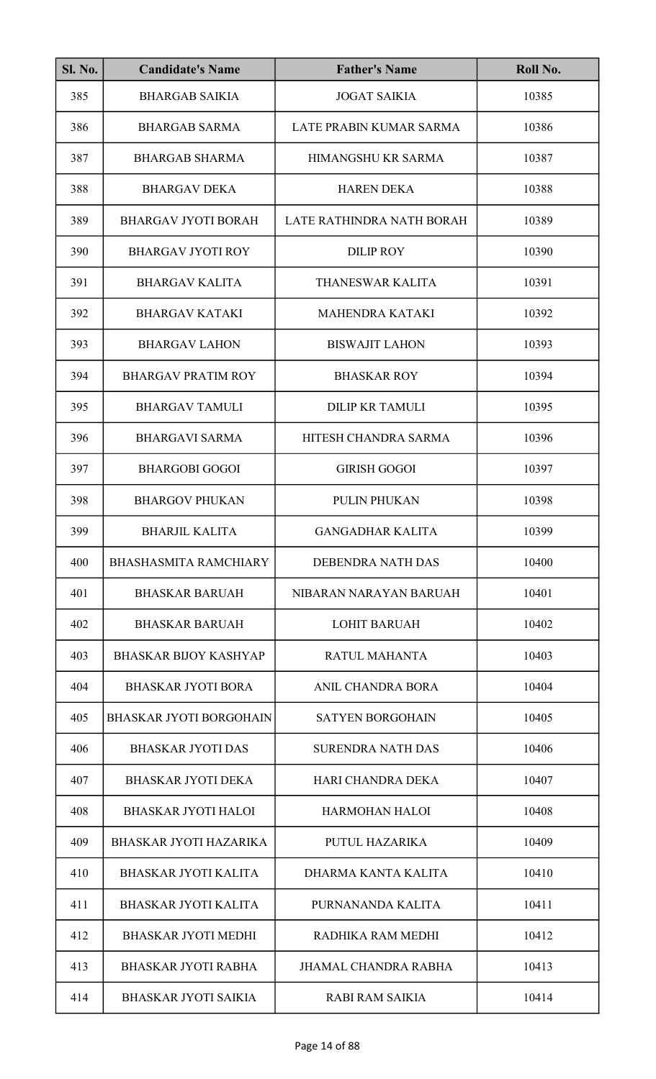| <b>Sl. No.</b> | <b>Candidate's Name</b>        | <b>Father's Name</b>        | Roll No. |
|----------------|--------------------------------|-----------------------------|----------|
| 385            | <b>BHARGAB SAIKIA</b>          | <b>JOGAT SAIKIA</b>         | 10385    |
| 386            | <b>BHARGAB SARMA</b>           | LATE PRABIN KUMAR SARMA     | 10386    |
| 387            | <b>BHARGAB SHARMA</b>          | HIMANGSHU KR SARMA          | 10387    |
| 388            | <b>BHARGAV DEKA</b>            | <b>HAREN DEKA</b>           | 10388    |
| 389            | <b>BHARGAV JYOTI BORAH</b>     | LATE RATHINDRA NATH BORAH   | 10389    |
| 390            | <b>BHARGAV JYOTI ROY</b>       | <b>DILIP ROY</b>            | 10390    |
| 391            | <b>BHARGAV KALITA</b>          | THANESWAR KALITA            | 10391    |
| 392            | <b>BHARGAV KATAKI</b>          | <b>MAHENDRA KATAKI</b>      | 10392    |
| 393            | <b>BHARGAV LAHON</b>           | <b>BISWAJIT LAHON</b>       | 10393    |
| 394            | <b>BHARGAV PRATIM ROY</b>      | <b>BHASKAR ROY</b>          | 10394    |
| 395            | <b>BHARGAV TAMULI</b>          | <b>DILIP KR TAMULI</b>      | 10395    |
| 396            | <b>BHARGAVI SARMA</b>          | HITESH CHANDRA SARMA        | 10396    |
| 397            | <b>BHARGOBI GOGOI</b>          | <b>GIRISH GOGOI</b>         | 10397    |
| 398            | <b>BHARGOV PHUKAN</b>          | <b>PULIN PHUKAN</b>         | 10398    |
| 399            | <b>BHARJIL KALITA</b>          | <b>GANGADHAR KALITA</b>     | 10399    |
| 400            | <b>BHASHASMITA RAMCHIARY</b>   | DEBENDRA NATH DAS           | 10400    |
| 401            | <b>BHASKAR BARUAH</b>          | NIBARAN NARAYAN BARUAH      | 10401    |
| 402            | <b>BHASKAR BARUAH</b>          | <b>LOHIT BARUAH</b>         | 10402    |
| 403            | <b>BHASKAR BIJOY KASHYAP</b>   | RATUL MAHANTA               | 10403    |
| 404            | <b>BHASKAR JYOTI BORA</b>      | ANIL CHANDRA BORA           | 10404    |
| 405            | <b>BHASKAR JYOTI BORGOHAIN</b> | <b>SATYEN BORGOHAIN</b>     | 10405    |
| 406            | <b>BHASKAR JYOTI DAS</b>       | <b>SURENDRA NATH DAS</b>    | 10406    |
| 407            | <b>BHASKAR JYOTI DEKA</b>      | HARI CHANDRA DEKA           | 10407    |
| 408            | <b>BHASKAR JYOTI HALOI</b>     | <b>HARMOHAN HALOI</b>       | 10408    |
| 409            | <b>BHASKAR JYOTI HAZARIKA</b>  | PUTUL HAZARIKA              | 10409    |
| 410            | <b>BHASKAR JYOTI KALITA</b>    | DHARMA KANTA KALITA         | 10410    |
| 411            | <b>BHASKAR JYOTI KALITA</b>    | PURNANANDA KALITA           | 10411    |
| 412            | <b>BHASKAR JYOTI MEDHI</b>     | RADHIKA RAM MEDHI           | 10412    |
| 413            | <b>BHASKAR JYOTI RABHA</b>     | <b>JHAMAL CHANDRA RABHA</b> | 10413    |
| 414            | <b>BHASKAR JYOTI SAIKIA</b>    | <b>RABI RAM SAIKIA</b>      | 10414    |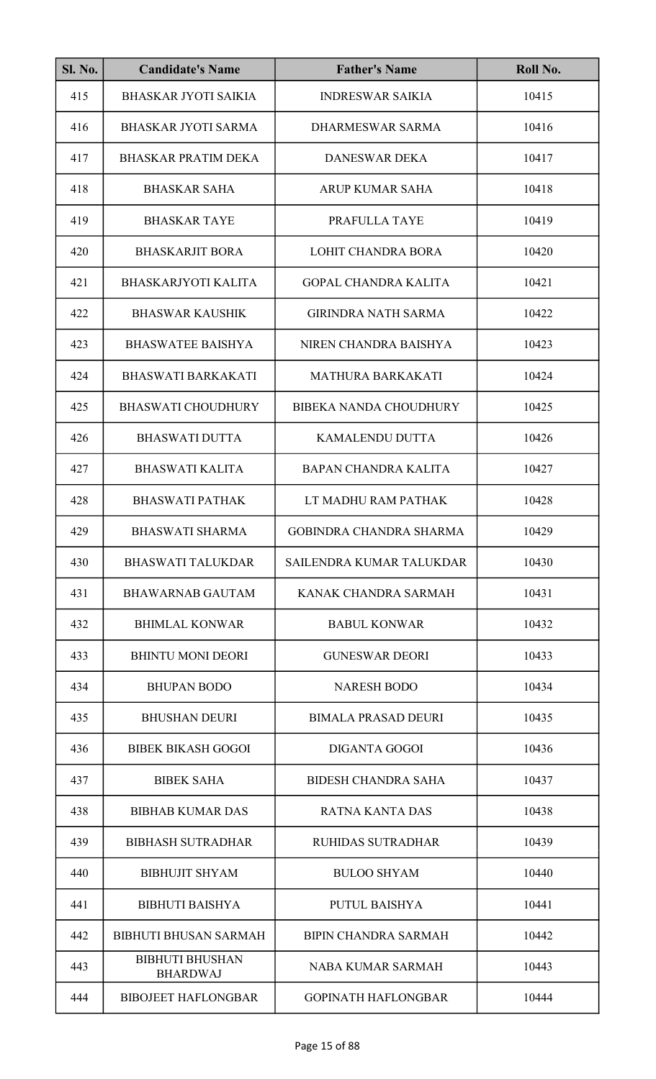| <b>Sl. No.</b> | <b>Candidate's Name</b>                   | <b>Father's Name</b>          | Roll No. |
|----------------|-------------------------------------------|-------------------------------|----------|
| 415            | <b>BHASKAR JYOTI SAIKIA</b>               | <b>INDRESWAR SAIKIA</b>       | 10415    |
| 416            | <b>BHASKAR JYOTI SARMA</b>                | DHARMESWAR SARMA              | 10416    |
| 417            | <b>BHASKAR PRATIM DEKA</b>                | <b>DANESWAR DEKA</b>          | 10417    |
| 418            | <b>BHASKAR SAHA</b>                       | <b>ARUP KUMAR SAHA</b>        | 10418    |
| 419            | <b>BHASKAR TAYE</b>                       | PRAFULLA TAYE                 | 10419    |
| 420            | <b>BHASKARJIT BORA</b>                    | <b>LOHIT CHANDRA BORA</b>     | 10420    |
| 421            | <b>BHASKARJYOTI KALITA</b>                | <b>GOPAL CHANDRA KALITA</b>   | 10421    |
| 422            | <b>BHASWAR KAUSHIK</b>                    | <b>GIRINDRA NATH SARMA</b>    | 10422    |
| 423            | <b>BHASWATEE BAISHYA</b>                  | NIREN CHANDRA BAISHYA         | 10423    |
| 424            | <b>BHASWATI BARKAKATI</b>                 | <b>MATHURA BARKAKATI</b>      | 10424    |
| 425            | <b>BHASWATI CHOUDHURY</b>                 | <b>BIBEKA NANDA CHOUDHURY</b> | 10425    |
| 426            | <b>BHASWATI DUTTA</b>                     | KAMALENDU DUTTA               | 10426    |
| 427            | <b>BHASWATI KALITA</b>                    | <b>BAPAN CHANDRA KALITA</b>   | 10427    |
| 428            | <b>BHASWATI PATHAK</b>                    | LT MADHU RAM PATHAK           | 10428    |
| 429            | <b>BHASWATI SHARMA</b>                    | GOBINDRA CHANDRA SHARMA       | 10429    |
| 430            | <b>BHASWATI TALUKDAR</b>                  | SAILENDRA KUMAR TALUKDAR      | 10430    |
| 431            | <b>BHAWARNAB GAUTAM</b>                   | KANAK CHANDRA SARMAH          | 10431    |
| 432            | <b>BHIMLAL KONWAR</b>                     | <b>BABUL KONWAR</b>           | 10432    |
| 433            | <b>BHINTU MONI DEORI</b>                  | <b>GUNESWAR DEORI</b>         | 10433    |
| 434            | <b>BHUPAN BODO</b>                        | <b>NARESH BODO</b>            | 10434    |
| 435            | <b>BHUSHAN DEURI</b>                      | <b>BIMALA PRASAD DEURI</b>    | 10435    |
| 436            | <b>BIBEK BIKASH GOGOI</b>                 | <b>DIGANTA GOGOI</b>          | 10436    |
| 437            | <b>BIBEK SAHA</b>                         | <b>BIDESH CHANDRA SAHA</b>    | 10437    |
| 438            | <b>BIBHAB KUMAR DAS</b>                   | <b>RATNA KANTA DAS</b>        | 10438    |
| 439            | <b>BIBHASH SUTRADHAR</b>                  | <b>RUHIDAS SUTRADHAR</b>      | 10439    |
| 440            | <b>BIBHUJIT SHYAM</b>                     | <b>BULOO SHYAM</b>            | 10440    |
| 441            | <b>BIBHUTI BAISHYA</b>                    | PUTUL BAISHYA                 | 10441    |
| 442            | <b>BIBHUTI BHUSAN SARMAH</b>              | <b>BIPIN CHANDRA SARMAH</b>   | 10442    |
| 443            | <b>BIBHUTI BHUSHAN</b><br><b>BHARDWAJ</b> | <b>NABA KUMAR SARMAH</b>      | 10443    |
| 444            | <b>BIBOJEET HAFLONGBAR</b>                | <b>GOPINATH HAFLONGBAR</b>    | 10444    |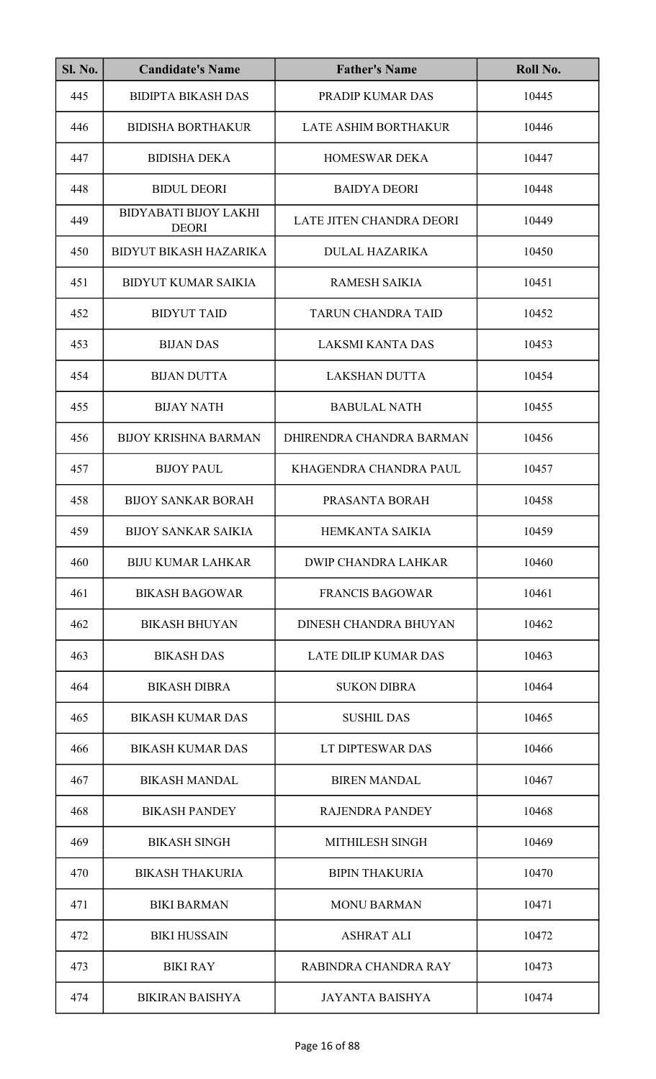| <b>Sl. No.</b> | <b>Candidate's Name</b>                      | <b>Father's Name</b>        | Roll No. |
|----------------|----------------------------------------------|-----------------------------|----------|
| 445            | <b>BIDIPTA BIKASH DAS</b>                    | PRADIP KUMAR DAS            | 10445    |
| 446            | <b>BIDISHA BORTHAKUR</b>                     | LATE ASHIM BORTHAKUR        | 10446    |
| 447            | <b>BIDISHA DEKA</b>                          | <b>HOMESWAR DEKA</b>        | 10447    |
| 448            | <b>BIDUL DEORI</b>                           | <b>BAIDYA DEORI</b>         | 10448    |
| 449            | <b>BIDYABATI BIJOY LAKHI</b><br><b>DEORI</b> | LATE JITEN CHANDRA DEORI    | 10449    |
| 450            | <b>BIDYUT BIKASH HAZARIKA</b>                | <b>DULAL HAZARIKA</b>       | 10450    |
| 451            | <b>BIDYUT KUMAR SAIKIA</b>                   | <b>RAMESH SAIKIA</b>        | 10451    |
| 452            | <b>BIDYUT TAID</b>                           | <b>TARUN CHANDRA TAID</b>   | 10452    |
| 453            | <b>BIJAN DAS</b>                             | <b>LAKSMI KANTA DAS</b>     | 10453    |
| 454            | <b>BIJAN DUTTA</b>                           | <b>LAKSHAN DUTTA</b>        | 10454    |
| 455            | <b>BIJAY NATH</b>                            | <b>BABULAL NATH</b>         | 10455    |
| 456            | <b>BIJOY KRISHNA BARMAN</b>                  | DHIRENDRA CHANDRA BARMAN    | 10456    |
| 457            | <b>BIJOY PAUL</b>                            | KHAGENDRA CHANDRA PAUL      | 10457    |
| 458            | <b>BIJOY SANKAR BORAH</b>                    | PRASANTA BORAH              | 10458    |
| 459            | <b>BIJOY SANKAR SAIKIA</b>                   | HEMKANTA SAIKIA             | 10459    |
| 460            | <b>BIJU KUMAR LAHKAR</b>                     | <b>DWIP CHANDRA LAHKAR</b>  | 10460    |
| 461            | <b>BIKASH BAGOWAR</b>                        | <b>FRANCIS BAGOWAR</b>      | 10461    |
| 462            | <b>BIKASH BHUYAN</b>                         | DINESH CHANDRA BHUYAN       | 10462    |
| 463            | <b>BIKASH DAS</b>                            | <b>LATE DILIP KUMAR DAS</b> | 10463    |
| 464            | <b>BIKASH DIBRA</b>                          | <b>SUKON DIBRA</b>          | 10464    |
| 465            | <b>BIKASH KUMAR DAS</b>                      | <b>SUSHIL DAS</b>           | 10465    |
| 466            | <b>BIKASH KUMAR DAS</b>                      | LT DIPTESWAR DAS            | 10466    |
| 467            | <b>BIKASH MANDAL</b>                         | <b>BIREN MANDAL</b>         | 10467    |
| 468            | <b>BIKASH PANDEY</b>                         | <b>RAJENDRA PANDEY</b>      | 10468    |
| 469            | <b>BIKASH SINGH</b>                          | MITHILESH SINGH             | 10469    |
| 470            | <b>BIKASH THAKURIA</b>                       | <b>BIPIN THAKURIA</b>       | 10470    |
| 471            | <b>BIKI BARMAN</b>                           | <b>MONU BARMAN</b>          | 10471    |
| 472            | <b>BIKI HUSSAIN</b>                          | <b>ASHRAT ALI</b>           | 10472    |
| 473            | <b>BIKI RAY</b>                              | RABINDRA CHANDRA RAY        | 10473    |
| 474            | <b>BIKIRAN BAISHYA</b>                       | <b>JAYANTA BAISHYA</b>      | 10474    |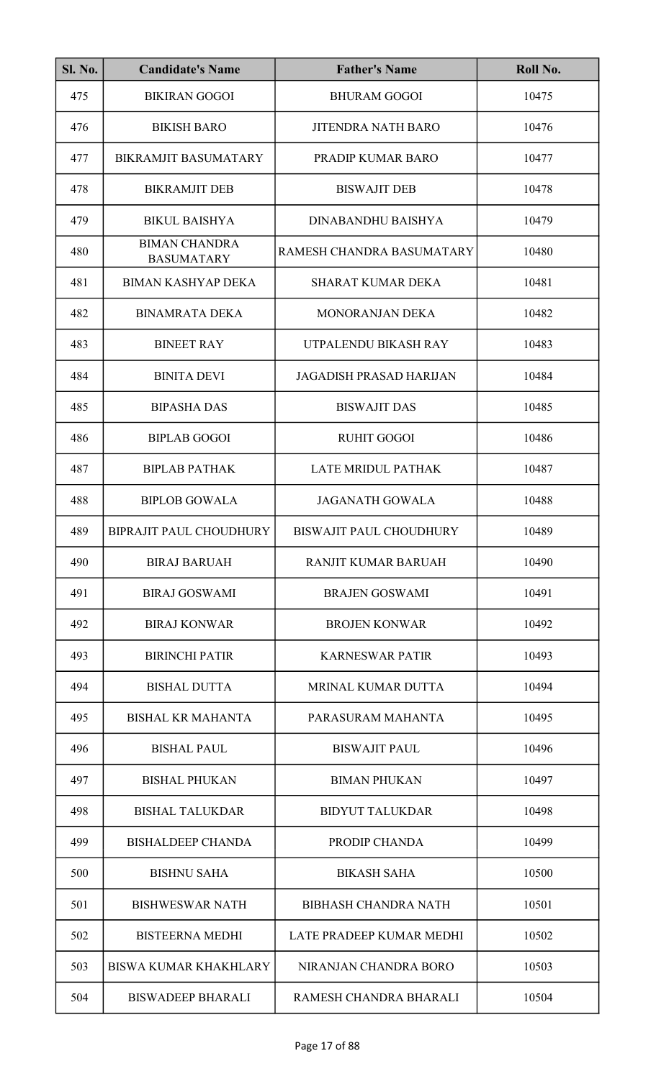| <b>Sl. No.</b> | <b>Candidate's Name</b>                   | <b>Father's Name</b>           | Roll No. |
|----------------|-------------------------------------------|--------------------------------|----------|
| 475            | <b>BIKIRAN GOGOI</b>                      | <b>BHURAM GOGOI</b>            | 10475    |
| 476            | <b>BIKISH BARO</b>                        | <b>JITENDRA NATH BARO</b>      | 10476    |
| 477            | <b>BIKRAMJIT BASUMATARY</b>               | PRADIP KUMAR BARO              | 10477    |
| 478            | <b>BIKRAMJIT DEB</b>                      | <b>BISWAJIT DEB</b>            | 10478    |
| 479            | <b>BIKUL BAISHYA</b>                      | DINABANDHU BAISHYA             | 10479    |
| 480            | <b>BIMAN CHANDRA</b><br><b>BASUMATARY</b> | RAMESH CHANDRA BASUMATARY      | 10480    |
| 481            | <b>BIMAN KASHYAP DEKA</b>                 | <b>SHARAT KUMAR DEKA</b>       | 10481    |
| 482            | <b>BINAMRATA DEKA</b>                     | <b>MONORANJAN DEKA</b>         | 10482    |
| 483            | <b>BINEET RAY</b>                         | UTPALENDU BIKASH RAY           | 10483    |
| 484            | <b>BINITA DEVI</b>                        | <b>JAGADISH PRASAD HARIJAN</b> | 10484    |
| 485            | <b>BIPASHA DAS</b>                        | <b>BISWAJIT DAS</b>            | 10485    |
| 486            | <b>BIPLAB GOGOI</b>                       | <b>RUHIT GOGOI</b>             | 10486    |
| 487            | <b>BIPLAB PATHAK</b>                      | LATE MRIDUL PATHAK             | 10487    |
| 488            | <b>BIPLOB GOWALA</b>                      | <b>JAGANATH GOWALA</b>         | 10488    |
| 489            | BIPRAJIT PAUL CHOUDHURY                   | BISWAJIT PAUL CHOUDHURY        | 10489    |
| 490            | <b>BIRAJ BARUAH</b>                       | <b>RANJIT KUMAR BARUAH</b>     | 10490    |
| 491            | <b>BIRAJ GOSWAMI</b>                      | <b>BRAJEN GOSWAMI</b>          | 10491    |
| 492            | <b>BIRAJ KONWAR</b>                       | <b>BROJEN KONWAR</b>           | 10492    |
| 493            | <b>BIRINCHI PATIR</b>                     | <b>KARNESWAR PATIR</b>         | 10493    |
| 494            | <b>BISHAL DUTTA</b>                       | MRINAL KUMAR DUTTA             | 10494    |
| 495            | <b>BISHAL KR MAHANTA</b>                  | PARASURAM MAHANTA              | 10495    |
| 496            | <b>BISHAL PAUL</b>                        | <b>BISWAJIT PAUL</b>           | 10496    |
| 497            | <b>BISHAL PHUKAN</b>                      | <b>BIMAN PHUKAN</b>            | 10497    |
| 498            | <b>BISHAL TALUKDAR</b>                    | <b>BIDYUT TALUKDAR</b>         | 10498    |
| 499            | <b>BISHALDEEP CHANDA</b>                  | PRODIP CHANDA                  | 10499    |
| 500            | <b>BISHNU SAHA</b>                        | <b>BIKASH SAHA</b>             | 10500    |
| 501            | <b>BISHWESWAR NATH</b>                    | <b>BIBHASH CHANDRA NATH</b>    | 10501    |
| 502            | <b>BISTEERNA MEDHI</b>                    | LATE PRADEEP KUMAR MEDHI       | 10502    |
| 503            | <b>BISWA KUMAR KHAKHLARY</b>              | NIRANJAN CHANDRA BORO          | 10503    |
| 504            | <b>BISWADEEP BHARALI</b>                  | RAMESH CHANDRA BHARALI         | 10504    |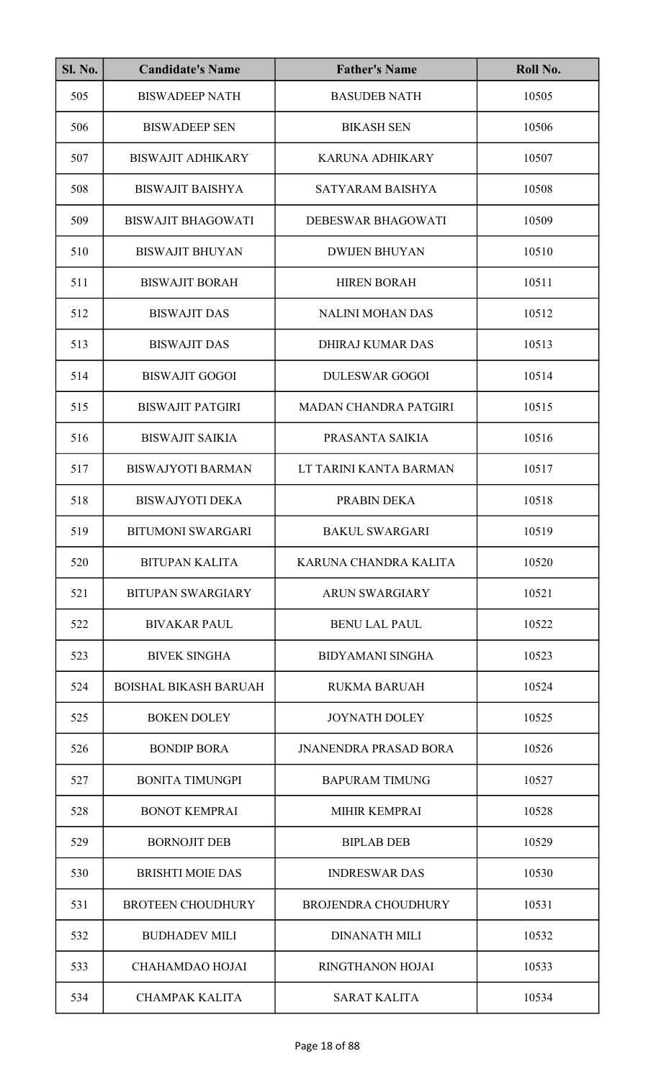| SI. No. | <b>Candidate's Name</b>      | <b>Father's Name</b>         | Roll No. |
|---------|------------------------------|------------------------------|----------|
| 505     | <b>BISWADEEP NATH</b>        | <b>BASUDEB NATH</b>          | 10505    |
| 506     | <b>BISWADEEP SEN</b>         | <b>BIKASH SEN</b>            | 10506    |
| 507     | <b>BISWAJIT ADHIKARY</b>     | <b>KARUNA ADHIKARY</b>       | 10507    |
| 508     | <b>BISWAJIT BAISHYA</b>      | SATYARAM BAISHYA             | 10508    |
| 509     | <b>BISWAJIT BHAGOWATI</b>    | DEBESWAR BHAGOWATI           | 10509    |
| 510     | <b>BISWAJIT BHUYAN</b>       | <b>DWIJEN BHUYAN</b>         | 10510    |
| 511     | <b>BISWAJIT BORAH</b>        | <b>HIREN BORAH</b>           | 10511    |
| 512     | <b>BISWAJIT DAS</b>          | <b>NALINI MOHAN DAS</b>      | 10512    |
| 513     | <b>BISWAJIT DAS</b>          | <b>DHIRAJ KUMAR DAS</b>      | 10513    |
| 514     | <b>BISWAJIT GOGOI</b>        | <b>DULESWAR GOGOI</b>        | 10514    |
| 515     | <b>BISWAJIT PATGIRI</b>      | <b>MADAN CHANDRA PATGIRI</b> | 10515    |
| 516     | <b>BISWAJIT SAIKIA</b>       | PRASANTA SAIKIA              | 10516    |
| 517     | <b>BISWAJYOTI BARMAN</b>     | LT TARINI KANTA BARMAN       | 10517    |
| 518     | <b>BISWAJYOTI DEKA</b>       | PRABIN DEKA                  | 10518    |
| 519     | <b>BITUMONI SWARGARI</b>     | <b>BAKUL SWARGARI</b>        | 10519    |
| 520     | <b>BITUPAN KALITA</b>        | KARUNA CHANDRA KALITA        | 10520    |
| 521     | <b>BITUPAN SWARGIARY</b>     | <b>ARUN SWARGIARY</b>        | 10521    |
| 522     | <b>BIVAKAR PAUL</b>          | <b>BENU LAL PAUL</b>         | 10522    |
| 523     | <b>BIVEK SINGHA</b>          | <b>BIDYAMANI SINGHA</b>      | 10523    |
| 524     | <b>BOISHAL BIKASH BARUAH</b> | <b>RUKMA BARUAH</b>          | 10524    |
| 525     | <b>BOKEN DOLEY</b>           | <b>JOYNATH DOLEY</b>         | 10525    |
| 526     | <b>BONDIP BORA</b>           | <b>JNANENDRA PRASAD BORA</b> | 10526    |
| 527     | <b>BONITA TIMUNGPI</b>       | <b>BAPURAM TIMUNG</b>        | 10527    |
| 528     | <b>BONOT KEMPRAI</b>         | MIHIR KEMPRAI                | 10528    |
| 529     | <b>BORNOJIT DEB</b>          | <b>BIPLAB DEB</b>            | 10529    |
| 530     | <b>BRISHTI MOIE DAS</b>      | <b>INDRESWAR DAS</b>         | 10530    |
| 531     | <b>BROTEEN CHOUDHURY</b>     | <b>BROJENDRA CHOUDHURY</b>   | 10531    |
| 532     | <b>BUDHADEV MILI</b>         | <b>DINANATH MILI</b>         | 10532    |
| 533     | CHAHAMDAO HOJAI              | <b>RINGTHANON HOJAI</b>      | 10533    |
| 534     | <b>CHAMPAK KALITA</b>        | <b>SARAT KALITA</b>          | 10534    |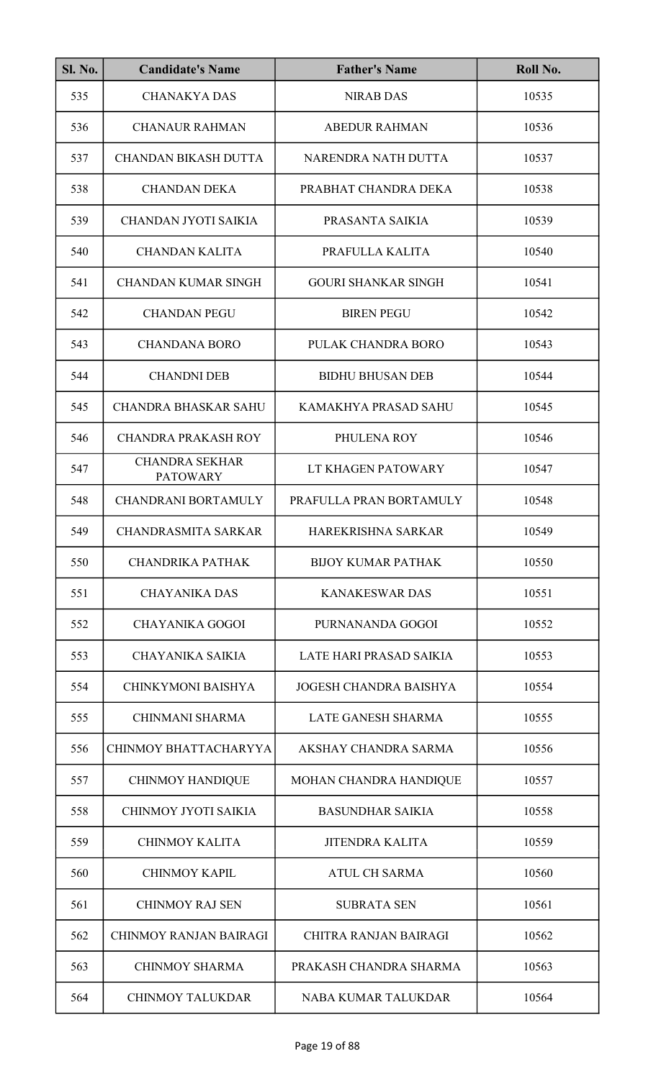| <b>Sl. No.</b> | <b>Candidate's Name</b>                  | <b>Father's Name</b>          | Roll No. |
|----------------|------------------------------------------|-------------------------------|----------|
| 535            | <b>CHANAKYA DAS</b>                      | <b>NIRAB DAS</b>              | 10535    |
| 536            | <b>CHANAUR RAHMAN</b>                    | <b>ABEDUR RAHMAN</b>          | 10536    |
| 537            | <b>CHANDAN BIKASH DUTTA</b>              | NARENDRA NATH DUTTA           | 10537    |
| 538            | <b>CHANDAN DEKA</b>                      | PRABHAT CHANDRA DEKA          | 10538    |
| 539            | CHANDAN JYOTI SAIKIA                     | PRASANTA SAIKIA               | 10539    |
| 540            | <b>CHANDAN KALITA</b>                    | PRAFULLA KALITA               | 10540    |
| 541            | <b>CHANDAN KUMAR SINGH</b>               | <b>GOURI SHANKAR SINGH</b>    | 10541    |
| 542            | <b>CHANDAN PEGU</b>                      | <b>BIREN PEGU</b>             | 10542    |
| 543            | <b>CHANDANA BORO</b>                     | PULAK CHANDRA BORO            | 10543    |
| 544            | <b>CHANDNI DEB</b>                       | <b>BIDHU BHUSAN DEB</b>       | 10544    |
| 545            | <b>CHANDRA BHASKAR SAHU</b>              | KAMAKHYA PRASAD SAHU          | 10545    |
| 546            | <b>CHANDRA PRAKASH ROY</b>               | PHULENA ROY                   | 10546    |
| 547            | <b>CHANDRA SEKHAR</b><br><b>PATOWARY</b> | LT KHAGEN PATOWARY            | 10547    |
| 548            | <b>CHANDRANI BORTAMULY</b>               | PRAFULLA PRAN BORTAMULY       | 10548    |
| 549            | CHANDRASMITA SARKAR                      | HAREKRISHNA SARKAR            | 10549    |
| 550            | <b>CHANDRIKA PATHAK</b>                  | <b>BIJOY KUMAR PATHAK</b>     | 10550    |
| 551            | <b>CHAYANIKA DAS</b>                     | <b>KANAKESWAR DAS</b>         | 10551    |
| 552            | <b>CHAYANIKA GOGOI</b>                   | PURNANANDA GOGOI              | 10552    |
| 553            | CHAYANIKA SAIKIA                         | LATE HARI PRASAD SAIKIA       | 10553    |
| 554            | CHINKYMONI BAISHYA                       | <b>JOGESH CHANDRA BAISHYA</b> | 10554    |
| 555            | <b>CHINMANI SHARMA</b>                   | LATE GANESH SHARMA            | 10555    |
| 556            | CHINMOY BHATTACHARYYA                    | AKSHAY CHANDRA SARMA          | 10556    |
| 557            | <b>CHINMOY HANDIQUE</b>                  | MOHAN CHANDRA HANDIQUE        | 10557    |
| 558            | CHINMOY JYOTI SAIKIA                     | <b>BASUNDHAR SAIKIA</b>       | 10558    |
| 559            | <b>CHINMOY KALITA</b>                    | <b>JITENDRA KALITA</b>        | 10559    |
| 560            | <b>CHINMOY KAPIL</b>                     | <b>ATUL CH SARMA</b>          | 10560    |
| 561            | <b>CHINMOY RAJ SEN</b>                   | <b>SUBRATA SEN</b>            | 10561    |
| 562            | <b>CHINMOY RANJAN BAIRAGI</b>            | <b>CHITRA RANJAN BAIRAGI</b>  | 10562    |
| 563            | <b>CHINMOY SHARMA</b>                    | PRAKASH CHANDRA SHARMA        | 10563    |
| 564            | <b>CHINMOY TALUKDAR</b>                  | NABA KUMAR TALUKDAR           | 10564    |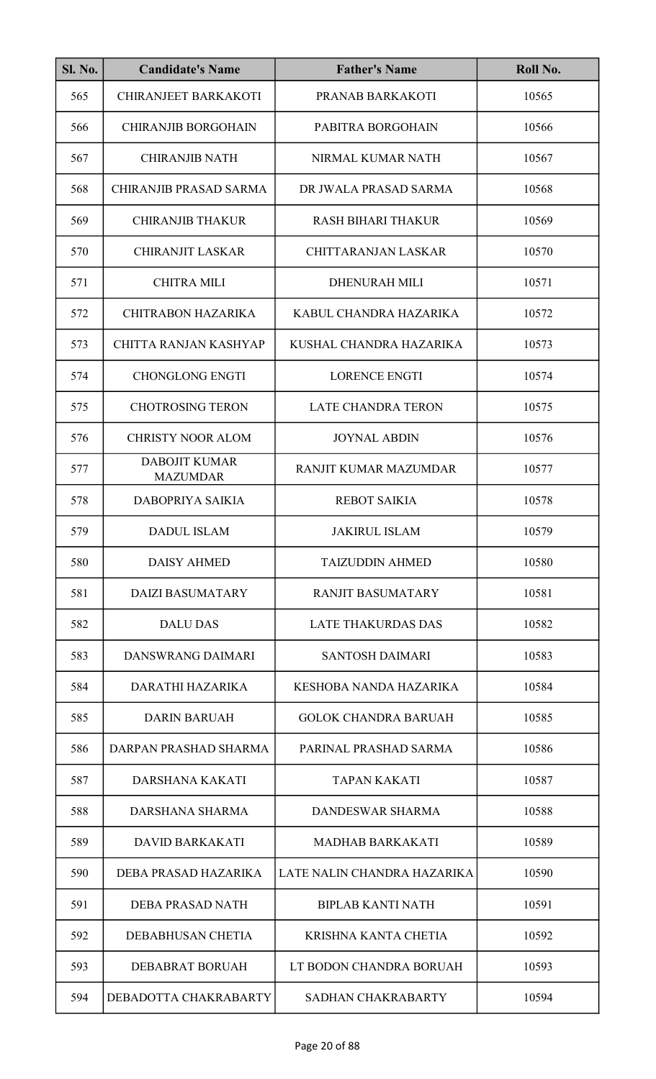| <b>Sl. No.</b> | <b>Candidate's Name</b>                 | <b>Father's Name</b>        | Roll No. |
|----------------|-----------------------------------------|-----------------------------|----------|
| 565            | <b>CHIRANJEET BARKAKOTI</b>             | PRANAB BARKAKOTI            | 10565    |
| 566            | <b>CHIRANJIB BORGOHAIN</b>              | PABITRA BORGOHAIN           | 10566    |
| 567            | <b>CHIRANJIB NATH</b>                   | NIRMAL KUMAR NATH           | 10567    |
| 568            | <b>CHIRANJIB PRASAD SARMA</b>           | DR JWALA PRASAD SARMA       | 10568    |
| 569            | <b>CHIRANJIB THAKUR</b>                 | <b>RASH BIHARI THAKUR</b>   | 10569    |
| 570            | <b>CHIRANJIT LASKAR</b>                 | <b>CHITTARANJAN LASKAR</b>  | 10570    |
| 571            | <b>CHITRA MILI</b>                      | <b>DHENURAH MILI</b>        | 10571    |
| 572            | <b>CHITRABON HAZARIKA</b>               | KABUL CHANDRA HAZARIKA      | 10572    |
| 573            | CHITTA RANJAN KASHYAP                   | KUSHAL CHANDRA HAZARIKA     | 10573    |
| 574            | <b>CHONGLONG ENGTI</b>                  | <b>LORENCE ENGTI</b>        | 10574    |
| 575            | <b>CHOTROSING TERON</b>                 | <b>LATE CHANDRA TERON</b>   | 10575    |
| 576            | <b>CHRISTY NOOR ALOM</b>                | <b>JOYNAL ABDIN</b>         | 10576    |
| 577            | <b>DABOJIT KUMAR</b><br><b>MAZUMDAR</b> | RANJIT KUMAR MAZUMDAR       | 10577    |
| 578            | DABOPRIYA SAIKIA                        | <b>REBOT SAIKIA</b>         | 10578    |
| 579            | <b>DADUL ISLAM</b>                      | <b>JAKIRUL ISLAM</b>        | 10579    |
| 580            | <b>DAISY AHMED</b>                      | <b>TAIZUDDIN AHMED</b>      | 10580    |
| 581            | <b>DAIZI BASUMATARY</b>                 | <b>RANJIT BASUMATARY</b>    | 10581    |
| 582            | <b>DALU DAS</b>                         | <b>LATE THAKURDAS DAS</b>   | 10582    |
| 583            | DANSWRANG DAIMARI                       | <b>SANTOSH DAIMARI</b>      | 10583    |
| 584            | DARATHI HAZARIKA                        | KESHOBA NANDA HAZARIKA      | 10584    |
| 585            | <b>DARIN BARUAH</b>                     | <b>GOLOK CHANDRA BARUAH</b> | 10585    |
| 586            | DARPAN PRASHAD SHARMA                   | PARINAL PRASHAD SARMA       | 10586    |
| 587            | DARSHANA KAKATI                         | <b>TAPAN KAKATI</b>         | 10587    |
| 588            | DARSHANA SHARMA                         | DANDESWAR SHARMA            | 10588    |
| 589            | <b>DAVID BARKAKATI</b>                  | <b>MADHAB BARKAKATI</b>     | 10589    |
| 590            | DEBA PRASAD HAZARIKA                    | LATE NALIN CHANDRA HAZARIKA | 10590    |
| 591            | DEBA PRASAD NATH                        | <b>BIPLAB KANTI NATH</b>    | 10591    |
| 592            | DEBABHUSAN CHETIA                       | KRISHNA KANTA CHETIA        | 10592    |
| 593            | <b>DEBABRAT BORUAH</b>                  | LT BODON CHANDRA BORUAH     | 10593    |
| 594            | DEBADOTTA CHAKRABARTY                   | SADHAN CHAKRABARTY          | 10594    |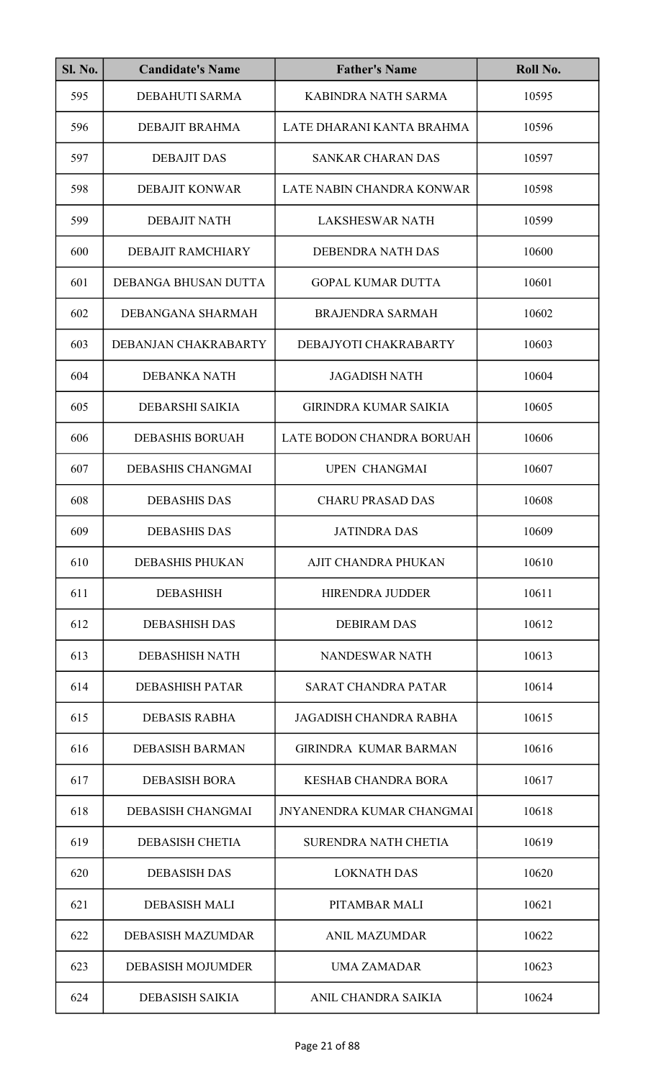| <b>Sl. No.</b> | <b>Candidate's Name</b>  | <b>Father's Name</b>             | Roll No. |
|----------------|--------------------------|----------------------------------|----------|
| 595            | DEBAHUTI SARMA           | KABINDRA NATH SARMA              | 10595    |
| 596            | <b>DEBAJIT BRAHMA</b>    | LATE DHARANI KANTA BRAHMA        | 10596    |
| 597            | <b>DEBAJIT DAS</b>       | <b>SANKAR CHARAN DAS</b>         | 10597    |
| 598            | <b>DEBAJIT KONWAR</b>    | LATE NABIN CHANDRA KONWAR        | 10598    |
| 599            | <b>DEBAJIT NATH</b>      | <b>LAKSHESWAR NATH</b>           | 10599    |
| 600            | DEBAJIT RAMCHIARY        | DEBENDRA NATH DAS                | 10600    |
| 601            | DEBANGA BHUSAN DUTTA     | <b>GOPAL KUMAR DUTTA</b>         | 10601    |
| 602            | DEBANGANA SHARMAH        | <b>BRAJENDRA SARMAH</b>          | 10602    |
| 603            | DEBANJAN CHAKRABARTY     | DEBAJYOTI CHAKRABARTY            | 10603    |
| 604            | <b>DEBANKA NATH</b>      | <b>JAGADISH NATH</b>             | 10604    |
| 605            | DEBARSHI SAIKIA          | <b>GIRINDRA KUMAR SAIKIA</b>     | 10605    |
| 606            | <b>DEBASHIS BORUAH</b>   | LATE BODON CHANDRA BORUAH        | 10606    |
| 607            | DEBASHIS CHANGMAI        | <b>UPEN CHANGMAI</b>             | 10607    |
| 608            | <b>DEBASHIS DAS</b>      | <b>CHARU PRASAD DAS</b>          | 10608    |
| 609            | <b>DEBASHIS DAS</b>      | <b>JATINDRA DAS</b>              | 10609    |
| 610            | <b>DEBASHIS PHUKAN</b>   | AJIT CHANDRA PHUKAN              | 10610    |
| 611            | <b>DEBASHISH</b>         | <b>HIRENDRA JUDDER</b>           | 10611    |
| 612            | <b>DEBASHISH DAS</b>     | <b>DEBIRAM DAS</b>               | 10612    |
| 613            | <b>DEBASHISH NATH</b>    | NANDESWAR NATH                   | 10613    |
| 614            | <b>DEBASHISH PATAR</b>   | <b>SARAT CHANDRA PATAR</b>       | 10614    |
| 615            | <b>DEBASIS RABHA</b>     | <b>JAGADISH CHANDRA RABHA</b>    | 10615    |
| 616            | <b>DEBASISH BARMAN</b>   | <b>GIRINDRA KUMAR BARMAN</b>     | 10616    |
| 617            | <b>DEBASISH BORA</b>     | <b>KESHAB CHANDRA BORA</b>       | 10617    |
| 618            | <b>DEBASISH CHANGMAI</b> | <b>JNYANENDRA KUMAR CHANGMAI</b> | 10618    |
| 619            | <b>DEBASISH CHETIA</b>   | <b>SURENDRA NATH CHETIA</b>      | 10619    |
| 620            | <b>DEBASISH DAS</b>      | <b>LOKNATH DAS</b>               | 10620    |
| 621            | <b>DEBASISH MALI</b>     | PITAMBAR MALI                    | 10621    |
| 622            | <b>DEBASISH MAZUMDAR</b> | <b>ANIL MAZUMDAR</b>             | 10622    |
| 623            | <b>DEBASISH MOJUMDER</b> | <b>UMA ZAMADAR</b>               | 10623    |
| 624            | <b>DEBASISH SAIKIA</b>   | ANIL CHANDRA SAIKIA              | 10624    |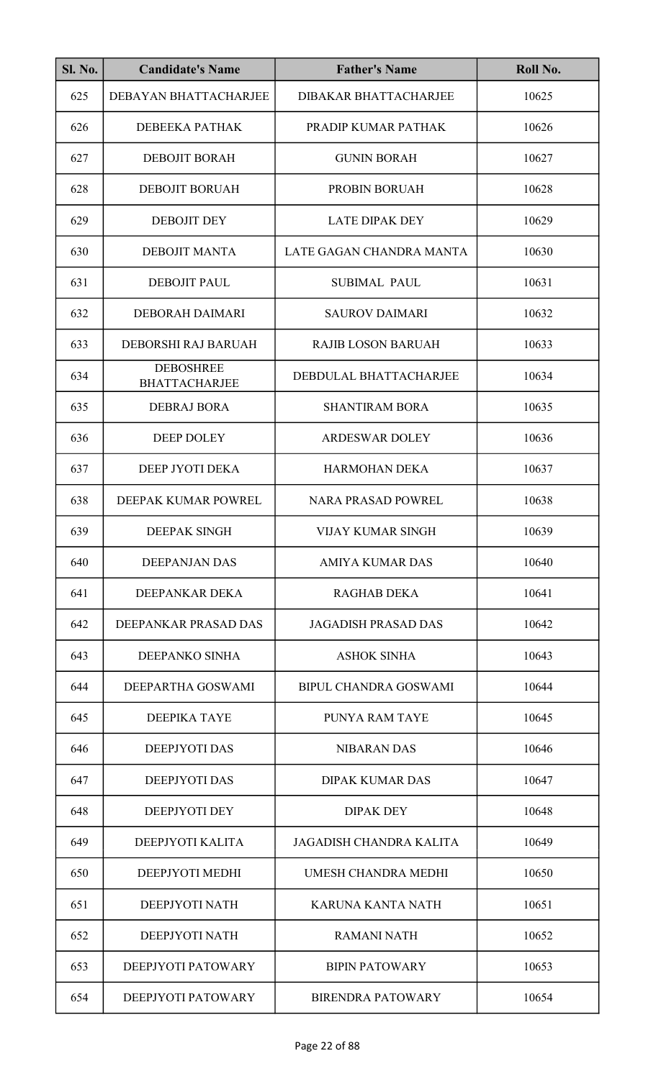| <b>Sl. No.</b> | <b>Candidate's Name</b>                  | <b>Father's Name</b>           | Roll No. |
|----------------|------------------------------------------|--------------------------------|----------|
| 625            | DEBAYAN BHATTACHARJEE                    | DIBAKAR BHATTACHARJEE          | 10625    |
| 626            | DEBEEKA PATHAK                           | PRADIP KUMAR PATHAK            | 10626    |
| 627            | <b>DEBOJIT BORAH</b>                     | <b>GUNIN BORAH</b>             | 10627    |
| 628            | <b>DEBOJIT BORUAH</b>                    | PROBIN BORUAH                  | 10628    |
| 629            | <b>DEBOJIT DEY</b>                       | <b>LATE DIPAK DEY</b>          | 10629    |
| 630            | <b>DEBOJIT MANTA</b>                     | LATE GAGAN CHANDRA MANTA       | 10630    |
| 631            | <b>DEBOJIT PAUL</b>                      | <b>SUBIMAL PAUL</b>            | 10631    |
| 632            | DEBORAH DAIMARI                          | <b>SAUROV DAIMARI</b>          | 10632    |
| 633            | DEBORSHI RAJ BARUAH                      | <b>RAJIB LOSON BARUAH</b>      | 10633    |
| 634            | <b>DEBOSHREE</b><br><b>BHATTACHARJEE</b> | DEBDULAL BHATTACHARJEE         | 10634    |
| 635            | <b>DEBRAJ BORA</b>                       | <b>SHANTIRAM BORA</b>          | 10635    |
| 636            | <b>DEEP DOLEY</b>                        | <b>ARDESWAR DOLEY</b>          | 10636    |
| 637            | DEEP JYOTI DEKA                          | <b>HARMOHAN DEKA</b>           | 10637    |
| 638            | DEEPAK KUMAR POWREL                      | <b>NARA PRASAD POWREL</b>      | 10638    |
| 639            | <b>DEEPAK SINGH</b>                      | VIJAY KUMAR SINGH              | 10639    |
| 640            | <b>DEEPANJAN DAS</b>                     | <b>AMIYA KUMAR DAS</b>         | 10640    |
| 641            | DEEPANKAR DEKA                           | <b>RAGHAB DEKA</b>             | 10641    |
| 642            | DEEPANKAR PRASAD DAS                     | <b>JAGADISH PRASAD DAS</b>     | 10642    |
| 643            | DEEPANKO SINHA                           | <b>ASHOK SINHA</b>             | 10643    |
| 644            | DEEPARTHA GOSWAMI                        | BIPUL CHANDRA GOSWAMI          | 10644    |
| 645            | <b>DEEPIKA TAYE</b>                      | <b>PUNYA RAM TAYE</b>          | 10645    |
| 646            | DEEPJYOTI DAS                            | <b>NIBARAN DAS</b>             | 10646    |
| 647            | <b>DEEPJYOTI DAS</b>                     | <b>DIPAK KUMAR DAS</b>         | 10647    |
| 648            | <b>DEEPJYOTI DEY</b>                     | <b>DIPAK DEY</b>               | 10648    |
| 649            | DEEPJYOTI KALITA                         | <b>JAGADISH CHANDRA KALITA</b> | 10649    |
| 650            | DEEPJYOTI MEDHI                          | UMESH CHANDRA MEDHI            | 10650    |
| 651            | DEEPJYOTI NATH                           | <b>KARUNA KANTA NATH</b>       | 10651    |
| 652            | DEEPJYOTI NATH                           | <b>RAMANI NATH</b>             | 10652    |
| 653            | DEEPJYOTI PATOWARY                       | <b>BIPIN PATOWARY</b>          | 10653    |
| 654            | DEEPJYOTI PATOWARY                       | <b>BIRENDRA PATOWARY</b>       | 10654    |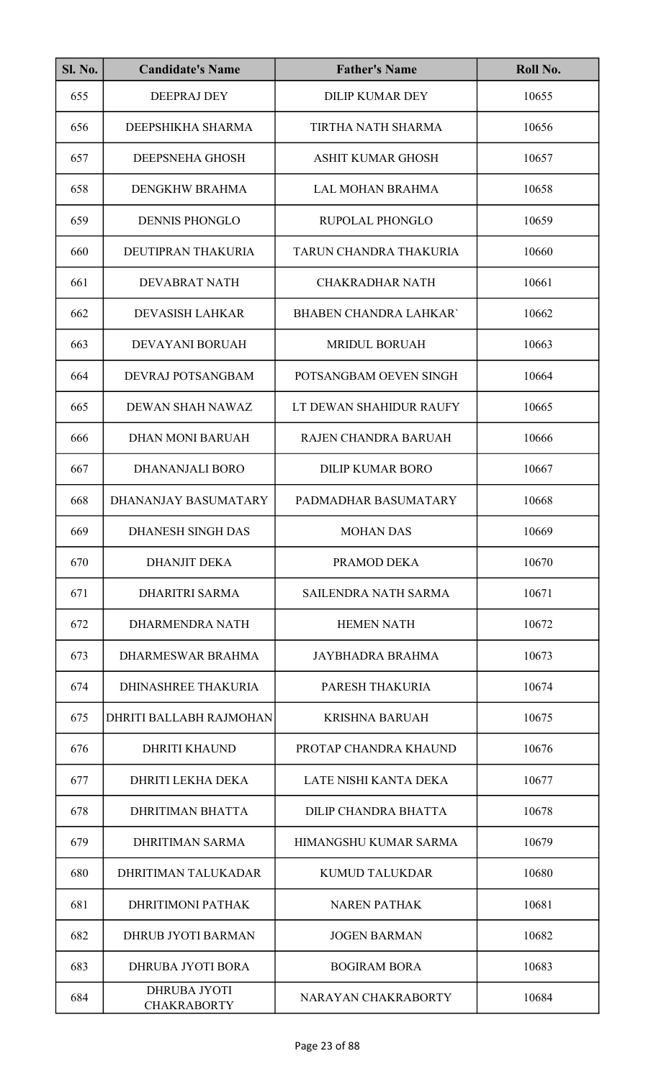| <b>Sl. No.</b> | <b>Candidate's Name</b>                   | <b>Father's Name</b>          | Roll No. |
|----------------|-------------------------------------------|-------------------------------|----------|
| 655            | <b>DEEPRAJ DEY</b>                        | <b>DILIP KUMAR DEY</b>        | 10655    |
| 656            | DEEPSHIKHA SHARMA                         | TIRTHA NATH SHARMA            | 10656    |
| 657            | DEEPSNEHA GHOSH                           | <b>ASHIT KUMAR GHOSH</b>      | 10657    |
| 658            | DENGKHW BRAHMA                            | <b>LAL MOHAN BRAHMA</b>       | 10658    |
| 659            | <b>DENNIS PHONGLO</b>                     | RUPOLAL PHONGLO               | 10659    |
| 660            | DEUTIPRAN THAKURIA                        | TARUN CHANDRA THAKURIA        | 10660    |
| 661            | <b>DEVABRAT NATH</b>                      | <b>CHAKRADHAR NATH</b>        | 10661    |
| 662            | <b>DEVASISH LAHKAR</b>                    | <b>BHABEN CHANDRA LAHKAR'</b> | 10662    |
| 663            | <b>DEVAYANI BORUAH</b>                    | <b>MRIDUL BORUAH</b>          | 10663    |
| 664            | DEVRAJ POTSANGBAM                         | POTSANGBAM OEVEN SINGH        | 10664    |
| 665            | DEWAN SHAH NAWAZ                          | LT DEWAN SHAHIDUR RAUFY       | 10665    |
| 666            | <b>DHAN MONI BARUAH</b>                   | RAJEN CHANDRA BARUAH          | 10666    |
| 667            | <b>DHANANJALI BORO</b>                    | <b>DILIP KUMAR BORO</b>       | 10667    |
| 668            | DHANANJAY BASUMATARY                      | PADMADHAR BASUMATARY          | 10668    |
| 669            | DHANESH SINGH DAS                         | <b>MOHAN DAS</b>              | 10669    |
| 670            | <b>DHANJIT DEKA</b>                       | PRAMOD DEKA                   | 10670    |
| 671            | <b>DHARITRI SARMA</b>                     | <b>SAILENDRA NATH SARMA</b>   | 10671    |
| 672            | DHARMENDRA NATH                           | <b>HEMEN NATH</b>             | 10672    |
| 673            | DHARMESWAR BRAHMA                         | <b>JAYBHADRA BRAHMA</b>       | 10673    |
| 674            | <b>DHINASHREE THAKURIA</b>                | PARESH THAKURIA               | 10674    |
| 675            | DHRITI BALLABH RAJMOHAN                   | <b>KRISHNA BARUAH</b>         | 10675    |
| 676            | <b>DHRITI KHAUND</b>                      | PROTAP CHANDRA KHAUND         | 10676    |
| 677            | DHRITI LEKHA DEKA                         | LATE NISHI KANTA DEKA         | 10677    |
| 678            | <b>DHRITIMAN BHATTA</b>                   | <b>DILIP CHANDRA BHATTA</b>   | 10678    |
| 679            | DHRITIMAN SARMA                           | HIMANGSHU KUMAR SARMA         | 10679    |
| 680            | DHRITIMAN TALUKADAR                       | <b>KUMUD TALUKDAR</b>         | 10680    |
| 681            | <b>DHRITIMONI PATHAK</b>                  | <b>NAREN PATHAK</b>           | 10681    |
| 682            | <b>DHRUB JYOTI BARMAN</b>                 | <b>JOGEN BARMAN</b>           | 10682    |
| 683            | DHRUBA JYOTI BORA                         | <b>BOGIRAM BORA</b>           | 10683    |
| 684            | <b>DHRUBA JYOTI</b><br><b>CHAKRABORTY</b> | NARAYAN CHAKRABORTY           | 10684    |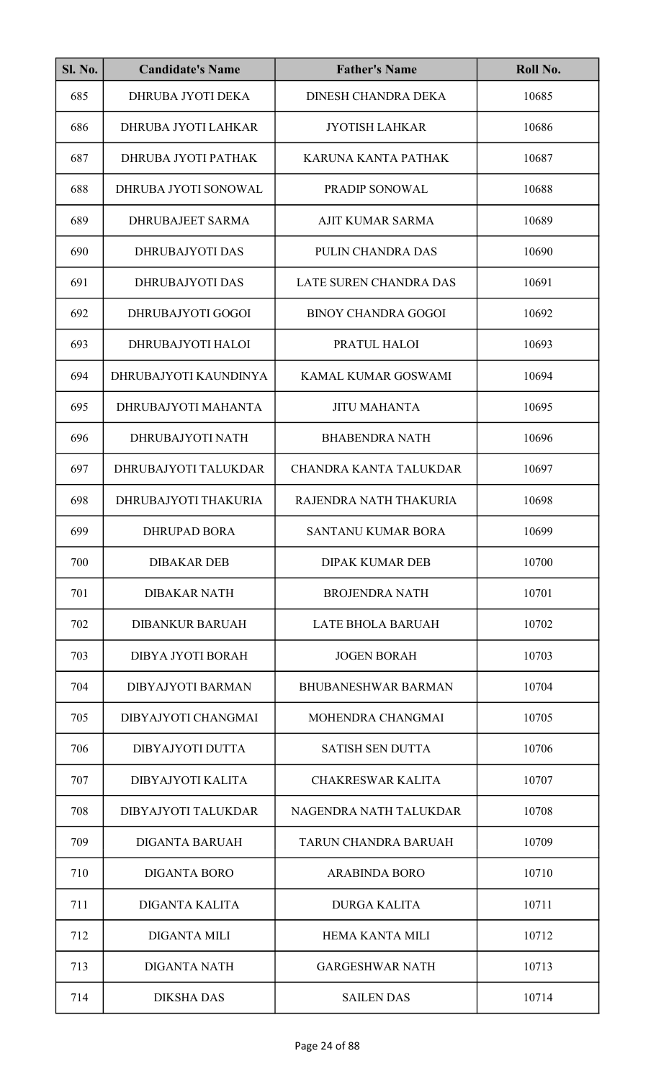| <b>Sl. No.</b> | <b>Candidate's Name</b>  | <b>Father's Name</b>       | Roll No. |
|----------------|--------------------------|----------------------------|----------|
| 685            | DHRUBA JYOTI DEKA        | <b>DINESH CHANDRA DEKA</b> | 10685    |
| 686            | DHRUBA JYOTI LAHKAR      | <b>JYOTISH LAHKAR</b>      | 10686    |
| 687            | DHRUBA JYOTI PATHAK      | KARUNA KANTA PATHAK        | 10687    |
| 688            | DHRUBA JYOTI SONOWAL     | PRADIP SONOWAL             | 10688    |
| 689            | <b>DHRUBAJEET SARMA</b>  | <b>AJIT KUMAR SARMA</b>    | 10689    |
| 690            | <b>DHRUBAJYOTI DAS</b>   | PULIN CHANDRA DAS          | 10690    |
| 691            | <b>DHRUBAJYOTI DAS</b>   | LATE SUREN CHANDRA DAS     | 10691    |
| 692            | DHRUBAJYOTI GOGOI        | <b>BINOY CHANDRA GOGOI</b> | 10692    |
| 693            | DHRUBAJYOTI HALOI        | PRATUL HALOI               | 10693    |
| 694            | DHRUBAJYOTI KAUNDINYA    | KAMAL KUMAR GOSWAMI        | 10694    |
| 695            | DHRUBAJYOTI MAHANTA      | <b>JITU MAHANTA</b>        | 10695    |
| 696            | DHRUBAJYOTI NATH         | <b>BHABENDRA NATH</b>      | 10696    |
| 697            | DHRUBAJYOTI TALUKDAR     | CHANDRA KANTA TALUKDAR     | 10697    |
| 698            | DHRUBAJYOTI THAKURIA     | RAJENDRA NATH THAKURIA     | 10698    |
| 699            | DHRUPAD BORA             | SANTANU KUMAR BORA         | 10699    |
| 700            | <b>DIBAKAR DEB</b>       | <b>DIPAK KUMAR DEB</b>     | 10700    |
| 701            | <b>DIBAKAR NATH</b>      | <b>BROJENDRA NATH</b>      | 10701    |
| 702            | <b>DIBANKUR BARUAH</b>   | <b>LATE BHOLA BARUAH</b>   | 10702    |
| 703            | DIBYA JYOTI BORAH        | <b>JOGEN BORAH</b>         | 10703    |
| 704            | <b>DIBYAJYOTI BARMAN</b> | <b>BHUBANESHWAR BARMAN</b> | 10704    |
| 705            | DIBYAJYOTI CHANGMAI      | MOHENDRA CHANGMAI          | 10705    |
| 706            | DIBYAJYOTI DUTTA         | <b>SATISH SEN DUTTA</b>    | 10706    |
| 707            | DIBYAJYOTI KALITA        | <b>CHAKRESWAR KALITA</b>   | 10707    |
| 708            | DIBYAJYOTI TALUKDAR      | NAGENDRA NATH TALUKDAR     | 10708    |
| 709            | <b>DIGANTA BARUAH</b>    | TARUN CHANDRA BARUAH       | 10709    |
| 710            | <b>DIGANTA BORO</b>      | <b>ARABINDA BORO</b>       | 10710    |
| 711            | <b>DIGANTA KALITA</b>    | <b>DURGA KALITA</b>        | 10711    |
| 712            | <b>DIGANTA MILI</b>      | <b>HEMA KANTA MILI</b>     | 10712    |
| 713            | <b>DIGANTA NATH</b>      | <b>GARGESHWAR NATH</b>     | 10713    |
| 714            | <b>DIKSHA DAS</b>        | <b>SAILEN DAS</b>          | 10714    |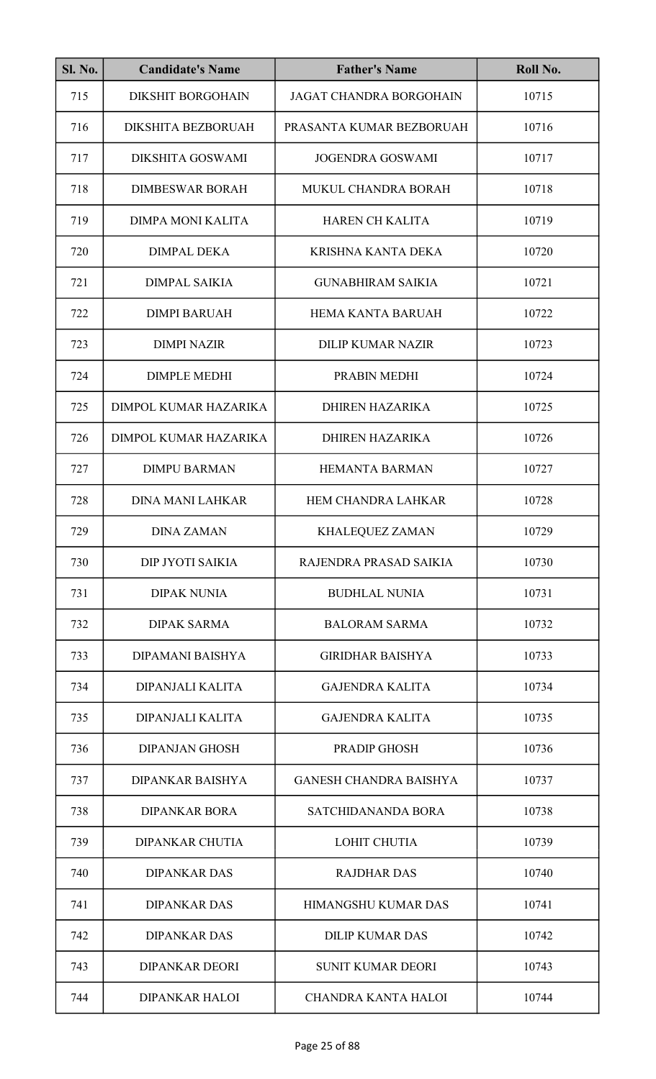| <b>Sl. No.</b> | <b>Candidate's Name</b>   | <b>Father's Name</b>           | Roll No. |
|----------------|---------------------------|--------------------------------|----------|
| 715            | <b>DIKSHIT BORGOHAIN</b>  | <b>JAGAT CHANDRA BORGOHAIN</b> | 10715    |
| 716            | <b>DIKSHITA BEZBORUAH</b> | PRASANTA KUMAR BEZBORUAH       | 10716    |
| 717            | DIKSHITA GOSWAMI          | <b>JOGENDRA GOSWAMI</b>        | 10717    |
| 718            | <b>DIMBESWAR BORAH</b>    | MUKUL CHANDRA BORAH            | 10718    |
| 719            | <b>DIMPA MONI KALITA</b>  | <b>HAREN CH KALITA</b>         | 10719    |
| 720            | <b>DIMPAL DEKA</b>        | KRISHNA KANTA DEKA             | 10720    |
| 721            | <b>DIMPAL SAIKIA</b>      | <b>GUNABHIRAM SAIKIA</b>       | 10721    |
| 722            | <b>DIMPI BARUAH</b>       | <b>HEMA KANTA BARUAH</b>       | 10722    |
| 723            | <b>DIMPI NAZIR</b>        | <b>DILIP KUMAR NAZIR</b>       | 10723    |
| 724            | <b>DIMPLE MEDHI</b>       | PRABIN MEDHI                   | 10724    |
| 725            | DIMPOL KUMAR HAZARIKA     | <b>DHIREN HAZARIKA</b>         | 10725    |
| 726            | DIMPOL KUMAR HAZARIKA     | <b>DHIREN HAZARIKA</b>         | 10726    |
| 727            | <b>DIMPU BARMAN</b>       | <b>HEMANTA BARMAN</b>          | 10727    |
| 728            | <b>DINA MANI LAHKAR</b>   | HEM CHANDRA LAHKAR             | 10728    |
| 729            | <b>DINA ZAMAN</b>         | KHALEQUEZ ZAMAN                | 10729    |
| 730            | DIP JYOTI SAIKIA          | RAJENDRA PRASAD SAIKIA         | 10730    |
| 731            | <b>DIPAK NUNIA</b>        | <b>BUDHLAL NUNIA</b>           | 10731    |
| 732            | <b>DIPAK SARMA</b>        | <b>BALORAM SARMA</b>           | 10732    |
| 733            | DIPAMANI BAISHYA          | <b>GIRIDHAR BAISHYA</b>        | 10733    |
| 734            | DIPANJALI KALITA          | <b>GAJENDRA KALITA</b>         | 10734    |
| 735            | DIPANJALI KALITA          | <b>GAJENDRA KALITA</b>         | 10735    |
| 736            | <b>DIPANJAN GHOSH</b>     | PRADIP GHOSH                   | 10736    |
| 737            | <b>DIPANKAR BAISHYA</b>   | <b>GANESH CHANDRA BAISHYA</b>  | 10737    |
| 738            | <b>DIPANKAR BORA</b>      | <b>SATCHIDANANDA BORA</b>      | 10738    |
| 739            | <b>DIPANKAR CHUTIA</b>    | <b>LOHIT CHUTIA</b>            | 10739    |
| 740            | <b>DIPANKAR DAS</b>       | <b>RAJDHAR DAS</b>             | 10740    |
| 741            | <b>DIPANKAR DAS</b>       | HIMANGSHU KUMAR DAS            | 10741    |
| 742            | <b>DIPANKAR DAS</b>       | <b>DILIP KUMAR DAS</b>         | 10742    |
| 743            | <b>DIPANKAR DEORI</b>     | <b>SUNIT KUMAR DEORI</b>       | 10743    |
| 744            | <b>DIPANKAR HALOI</b>     | <b>CHANDRA KANTA HALOI</b>     | 10744    |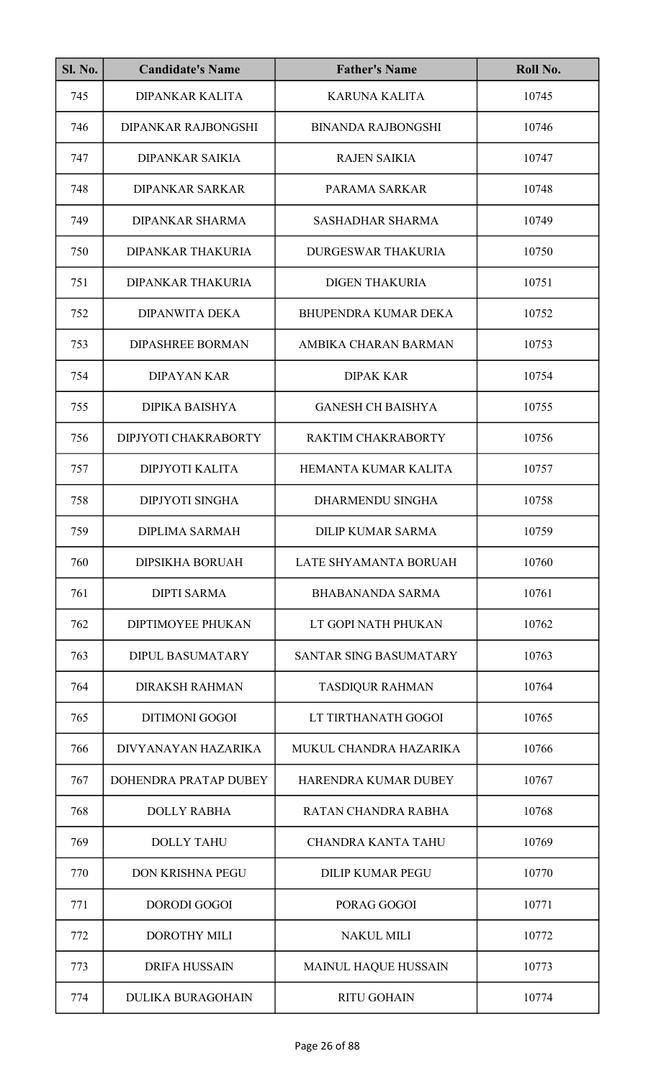| <b>Sl. No.</b> | <b>Candidate's Name</b>  | <b>Father's Name</b>        | Roll No. |
|----------------|--------------------------|-----------------------------|----------|
| 745            | <b>DIPANKAR KALITA</b>   | <b>KARUNA KALITA</b>        | 10745    |
| 746            | DIPANKAR RAJBONGSHI      | <b>BINANDA RAJBONGSHI</b>   | 10746    |
| 747            | <b>DIPANKAR SAIKIA</b>   | <b>RAJEN SAIKIA</b>         | 10747    |
| 748            | <b>DIPANKAR SARKAR</b>   | PARAMA SARKAR               | 10748    |
| 749            | <b>DIPANKAR SHARMA</b>   | <b>SASHADHAR SHARMA</b>     | 10749    |
| 750            | DIPANKAR THAKURIA        | <b>DURGESWAR THAKURIA</b>   | 10750    |
| 751            | <b>DIPANKAR THAKURIA</b> | <b>DIGEN THAKURIA</b>       | 10751    |
| 752            | <b>DIPANWITA DEKA</b>    | <b>BHUPENDRA KUMAR DEKA</b> | 10752    |
| 753            | <b>DIPASHREE BORMAN</b>  | AMBIKA CHARAN BARMAN        | 10753    |
| 754            | <b>DIPAYAN KAR</b>       | <b>DIPAK KAR</b>            | 10754    |
| 755            | DIPIKA BAISHYA           | <b>GANESH CH BAISHYA</b>    | 10755    |
| 756            | DIPJYOTI CHAKRABORTY     | RAKTIM CHAKRABORTY          | 10756    |
| 757            | DIPJYOTI KALITA          | HEMANTA KUMAR KALITA        | 10757    |
| 758            | <b>DIPJYOTI SINGHA</b>   | DHARMENDU SINGHA            | 10758    |
| 759            | DIPLIMA SARMAH           | DILIP KUMAR SARMA           | 10759    |
| 760            | <b>DIPSIKHA BORUAH</b>   | LATE SHYAMANTA BORUAH       | 10760    |
| 761            | <b>DIPTI SARMA</b>       | <b>BHABANANDA SARMA</b>     | 10761    |
| 762            | <b>DIPTIMOYEE PHUKAN</b> | LT GOPI NATH PHUKAN         | 10762    |
| 763            | <b>DIPUL BASUMATARY</b>  | SANTAR SING BASUMATARY      | 10763    |
| 764            | <b>DIRAKSH RAHMAN</b>    | <b>TASDIQUR RAHMAN</b>      | 10764    |
| 765            | <b>DITIMONI GOGOI</b>    | LT TIRTHANATH GOGOI         | 10765    |
| 766            | DIVYANAYAN HAZARIKA      | MUKUL CHANDRA HAZARIKA      | 10766    |
| 767            | DOHENDRA PRATAP DUBEY    | <b>HARENDRA KUMAR DUBEY</b> | 10767    |
| 768            | <b>DOLLY RABHA</b>       | RATAN CHANDRA RABHA         | 10768    |
| 769            | <b>DOLLY TAHU</b>        | <b>CHANDRA KANTA TAHU</b>   | 10769    |
| 770            | <b>DON KRISHNA PEGU</b>  | <b>DILIP KUMAR PEGU</b>     | 10770    |
| 771            | <b>DORODI GOGOI</b>      | PORAG GOGOI                 | 10771    |
| 772            | <b>DOROTHY MILI</b>      | <b>NAKUL MILI</b>           | 10772    |
| 773            | <b>DRIFA HUSSAIN</b>     | <b>MAINUL HAQUE HUSSAIN</b> | 10773    |
| 774            | <b>DULIKA BURAGOHAIN</b> | <b>RITU GOHAIN</b>          | 10774    |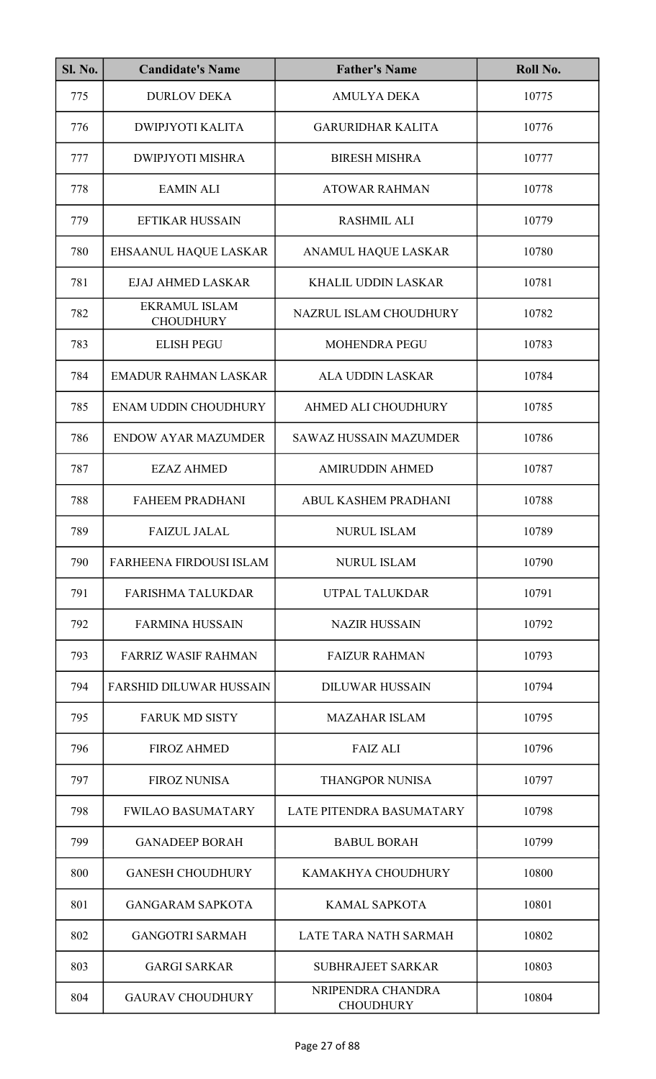| <b>Sl. No.</b> | <b>Candidate's Name</b>                  | <b>Father's Name</b>                  | Roll No. |
|----------------|------------------------------------------|---------------------------------------|----------|
| 775            | <b>DURLOV DEKA</b>                       | <b>AMULYA DEKA</b>                    | 10775    |
| 776            | <b>DWIPJYOTI KALITA</b>                  | <b>GARURIDHAR KALITA</b>              | 10776    |
| 777            | <b>DWIPJYOTI MISHRA</b>                  | <b>BIRESH MISHRA</b>                  | 10777    |
| 778            | <b>EAMIN ALI</b>                         | <b>ATOWAR RAHMAN</b>                  | 10778    |
| 779            | <b>EFTIKAR HUSSAIN</b>                   | <b>RASHMIL ALI</b>                    | 10779    |
| 780            | EHSAANUL HAQUE LASKAR                    | ANAMUL HAQUE LASKAR                   | 10780    |
| 781            | <b>EJAJ AHMED LASKAR</b>                 | <b>KHALIL UDDIN LASKAR</b>            | 10781    |
| 782            | <b>EKRAMUL ISLAM</b><br><b>CHOUDHURY</b> | NAZRUL ISLAM CHOUDHURY                | 10782    |
| 783            | <b>ELISH PEGU</b>                        | <b>MOHENDRA PEGU</b>                  | 10783    |
| 784            | <b>EMADUR RAHMAN LASKAR</b>              | <b>ALA UDDIN LASKAR</b>               | 10784    |
| 785            | <b>ENAM UDDIN CHOUDHURY</b>              | AHMED ALI CHOUDHURY                   | 10785    |
| 786            | <b>ENDOW AYAR MAZUMDER</b>               | <b>SAWAZ HUSSAIN MAZUMDER</b>         | 10786    |
| 787            | <b>EZAZ AHMED</b>                        | <b>AMIRUDDIN AHMED</b>                | 10787    |
| 788            | <b>FAHEEM PRADHANI</b>                   | ABUL KASHEM PRADHANI                  | 10788    |
| 789            | <b>FAIZUL JALAL</b>                      | NURUL ISLAM                           | 10789    |
| 790            | <b>FARHEENA FIRDOUSI ISLAM</b>           | <b>NURUL ISLAM</b>                    | 10790    |
| 791            | <b>FARISHMA TALUKDAR</b>                 | UTPAL TALUKDAR                        | 10791    |
| 792            | <b>FARMINA HUSSAIN</b>                   | <b>NAZIR HUSSAIN</b>                  | 10792    |
| 793            | <b>FARRIZ WASIF RAHMAN</b>               | <b>FAIZUR RAHMAN</b>                  | 10793    |
| 794            | <b>FARSHID DILUWAR HUSSAIN</b>           | <b>DILUWAR HUSSAIN</b>                | 10794    |
| 795            | <b>FARUK MD SISTY</b>                    | <b>MAZAHAR ISLAM</b>                  | 10795    |
| 796            | <b>FIROZ AHMED</b>                       | <b>FAIZ ALI</b>                       | 10796    |
| 797            | <b>FIROZ NUNISA</b>                      | <b>THANGPOR NUNISA</b>                | 10797    |
| 798            | <b>FWILAO BASUMATARY</b>                 | LATE PITENDRA BASUMATARY              | 10798    |
| 799            | <b>GANADEEP BORAH</b>                    | <b>BABUL BORAH</b>                    | 10799    |
| 800            | <b>GANESH CHOUDHURY</b>                  | KAMAKHYA CHOUDHURY                    | 10800    |
| 801            | <b>GANGARAM SAPKOTA</b>                  | <b>KAMAL SAPKOTA</b>                  | 10801    |
| 802            | <b>GANGOTRI SARMAH</b>                   | LATE TARA NATH SARMAH                 | 10802    |
| 803            | <b>GARGI SARKAR</b>                      | <b>SUBHRAJEET SARKAR</b>              | 10803    |
| 804            | <b>GAURAV CHOUDHURY</b>                  | NRIPENDRA CHANDRA<br><b>CHOUDHURY</b> | 10804    |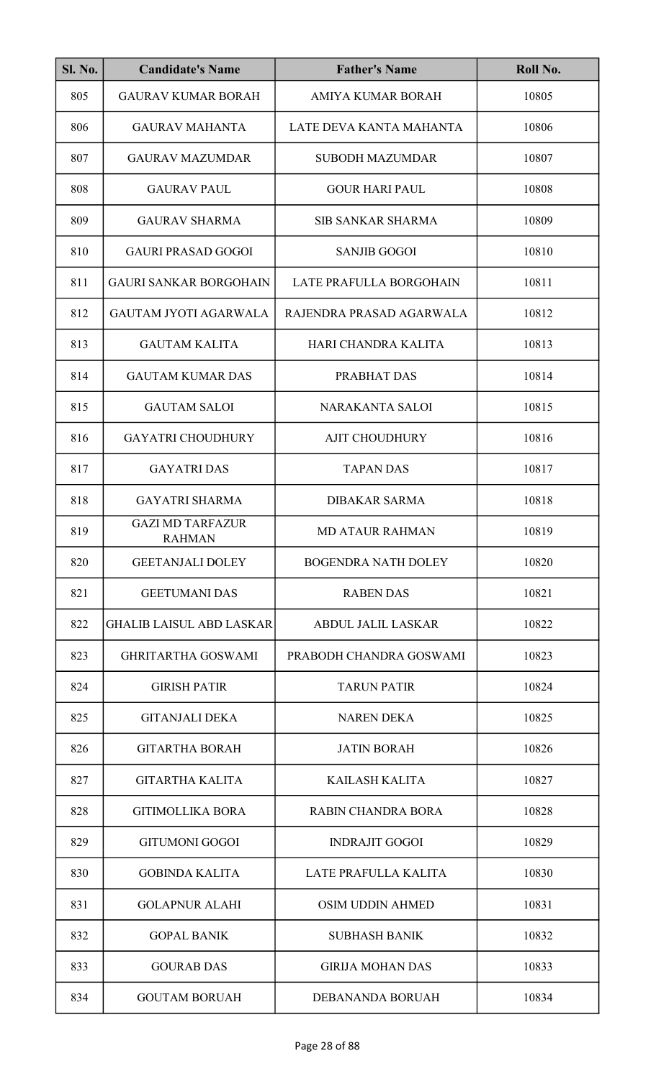| <b>Sl. No.</b> | <b>Candidate's Name</b>                  | <b>Father's Name</b>       | Roll No. |
|----------------|------------------------------------------|----------------------------|----------|
| 805            | <b>GAURAV KUMAR BORAH</b>                | AMIYA KUMAR BORAH          | 10805    |
| 806            | <b>GAURAV MAHANTA</b>                    | LATE DEVA KANTA MAHANTA    | 10806    |
| 807            | <b>GAURAV MAZUMDAR</b>                   | <b>SUBODH MAZUMDAR</b>     | 10807    |
| 808            | <b>GAURAV PAUL</b>                       | <b>GOUR HARI PAUL</b>      | 10808    |
| 809            | <b>GAURAV SHARMA</b>                     | <b>SIB SANKAR SHARMA</b>   | 10809    |
| 810            | <b>GAURI PRASAD GOGOI</b>                | <b>SANJIB GOGOI</b>        | 10810    |
| 811            | <b>GAURI SANKAR BORGOHAIN</b>            | LATE PRAFULLA BORGOHAIN    | 10811    |
| 812            | <b>GAUTAM JYOTI AGARWALA</b>             | RAJENDRA PRASAD AGARWALA   | 10812    |
| 813            | <b>GAUTAM KALITA</b>                     | HARI CHANDRA KALITA        | 10813    |
| 814            | <b>GAUTAM KUMAR DAS</b>                  | PRABHAT DAS                | 10814    |
| 815            | <b>GAUTAM SALOI</b>                      | NARAKANTA SALOI            | 10815    |
| 816            | <b>GAYATRI CHOUDHURY</b>                 | <b>AJIT CHOUDHURY</b>      | 10816    |
| 817            | <b>GAYATRI DAS</b>                       | <b>TAPAN DAS</b>           | 10817    |
| 818            | <b>GAYATRI SHARMA</b>                    | <b>DIBAKAR SARMA</b>       | 10818    |
| 819            | <b>GAZI MD TARFAZUR</b><br><b>RAHMAN</b> | <b>MD ATAUR RAHMAN</b>     | 10819    |
| 820            | <b>GEETANJALI DOLEY</b>                  | <b>BOGENDRA NATH DOLEY</b> | 10820    |
| 821            | <b>GEETUMANI DAS</b>                     | <b>RABEN DAS</b>           | 10821    |
| 822            | <b>GHALIB LAISUL ABD LASKAR</b>          | <b>ABDUL JALIL LASKAR</b>  | 10822    |
| 823            | <b>GHRITARTHA GOSWAMI</b>                | PRABODH CHANDRA GOSWAMI    | 10823    |
| 824            | <b>GIRISH PATIR</b>                      | <b>TARUN PATIR</b>         | 10824    |
| 825            | <b>GITANJALI DEKA</b>                    | <b>NAREN DEKA</b>          | 10825    |
| 826            | <b>GITARTHA BORAH</b>                    | <b>JATIN BORAH</b>         | 10826    |
| 827            | <b>GITARTHA KALITA</b>                   | <b>KAILASH KALITA</b>      | 10827    |
| 828            | <b>GITIMOLLIKA BORA</b>                  | <b>RABIN CHANDRA BORA</b>  | 10828    |
| 829            | <b>GITUMONI GOGOI</b>                    | <b>INDRAJIT GOGOI</b>      | 10829    |
| 830            | <b>GOBINDA KALITA</b>                    | LATE PRAFULLA KALITA       | 10830    |
| 831            | <b>GOLAPNUR ALAHI</b>                    | <b>OSIM UDDIN AHMED</b>    | 10831    |
| 832            | <b>GOPAL BANIK</b>                       | <b>SUBHASH BANIK</b>       | 10832    |
| 833            | <b>GOURAB DAS</b>                        | <b>GIRIJA MOHAN DAS</b>    | 10833    |
| 834            | <b>GOUTAM BORUAH</b>                     | DEBANANDA BORUAH           | 10834    |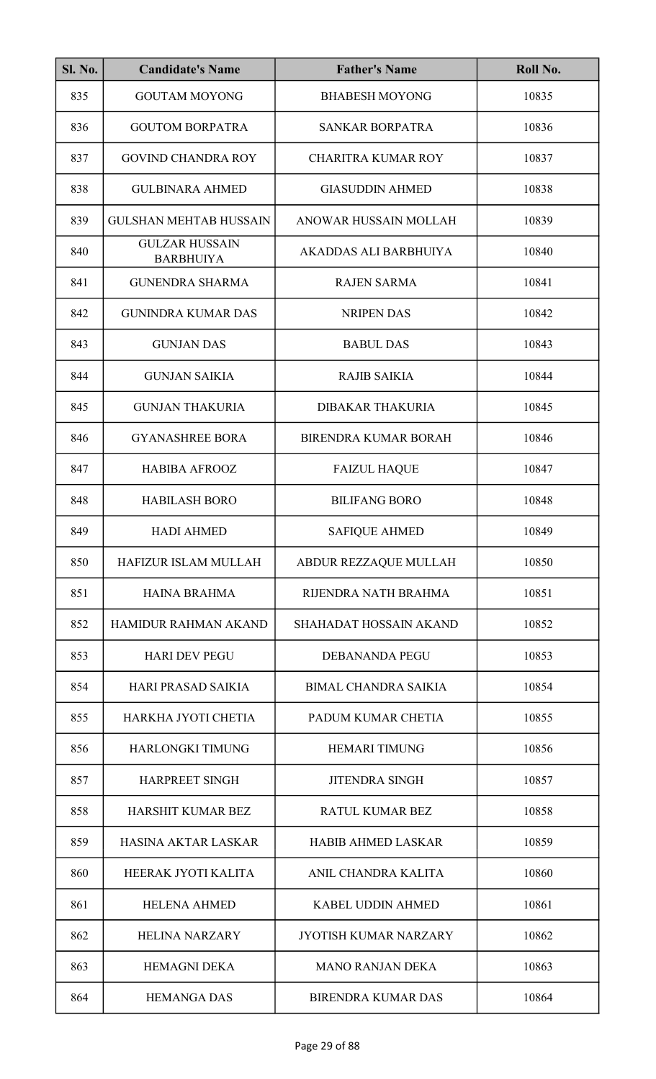| <b>Sl. No.</b> | <b>Candidate's Name</b>                   | <b>Father's Name</b>          | Roll No. |
|----------------|-------------------------------------------|-------------------------------|----------|
| 835            | <b>GOUTAM MOYONG</b>                      | <b>BHABESH MOYONG</b>         | 10835    |
| 836            | <b>GOUTOM BORPATRA</b>                    | <b>SANKAR BORPATRA</b>        | 10836    |
| 837            | <b>GOVIND CHANDRA ROY</b>                 | <b>CHARITRA KUMAR ROY</b>     | 10837    |
| 838            | <b>GULBINARA AHMED</b>                    | <b>GIASUDDIN AHMED</b>        | 10838    |
| 839            | <b>GULSHAN MEHTAB HUSSAIN</b>             | ANOWAR HUSSAIN MOLLAH         | 10839    |
| 840            | <b>GULZAR HUSSAIN</b><br><b>BARBHUIYA</b> | AKADDAS ALI BARBHUIYA         | 10840    |
| 841            | <b>GUNENDRA SHARMA</b>                    | <b>RAJEN SARMA</b>            | 10841    |
| 842            | <b>GUNINDRA KUMAR DAS</b>                 | <b>NRIPEN DAS</b>             | 10842    |
| 843            | <b>GUNJAN DAS</b>                         | <b>BABUL DAS</b>              | 10843    |
| 844            | <b>GUNJAN SAIKIA</b>                      | <b>RAJIB SAIKIA</b>           | 10844    |
| 845            | <b>GUNJAN THAKURIA</b>                    | <b>DIBAKAR THAKURIA</b>       | 10845    |
| 846            | <b>GYANASHREE BORA</b>                    | <b>BIRENDRA KUMAR BORAH</b>   | 10846    |
| 847            | <b>HABIBA AFROOZ</b>                      | <b>FAIZUL HAQUE</b>           | 10847    |
| 848            | <b>HABILASH BORO</b>                      | <b>BILIFANG BORO</b>          | 10848    |
| 849            | <b>HADI AHMED</b>                         | <b>SAFIQUE AHMED</b>          | 10849    |
| 850            | <b>HAFIZUR ISLAM MULLAH</b>               | ABDUR REZZAQUE MULLAH         | 10850    |
| 851            | <b>HAINA BRAHMA</b>                       | RIJENDRA NATH BRAHMA          | 10851    |
| 852            | HAMIDUR RAHMAN AKAND                      | <b>SHAHADAT HOSSAIN AKAND</b> | 10852    |
| 853            | <b>HARI DEV PEGU</b>                      | <b>DEBANANDA PEGU</b>         | 10853    |
| 854            | <b>HARI PRASAD SAIKIA</b>                 | <b>BIMAL CHANDRA SAIKIA</b>   | 10854    |
| 855            | HARKHA JYOTI CHETIA                       | PADUM KUMAR CHETIA            | 10855    |
| 856            | HARLONGKI TIMUNG                          | <b>HEMARI TIMUNG</b>          | 10856    |
| 857            | HARPREET SINGH                            | <b>JITENDRA SINGH</b>         | 10857    |
| 858            | HARSHIT KUMAR BEZ                         | <b>RATUL KUMAR BEZ</b>        | 10858    |
| 859            | <b>HASINA AKTAR LASKAR</b>                | <b>HABIB AHMED LASKAR</b>     | 10859    |
| 860            | HEERAK JYOTI KALITA                       | ANIL CHANDRA KALITA           | 10860    |
| 861            | <b>HELENA AHMED</b>                       | <b>KABEL UDDIN AHMED</b>      | 10861    |
| 862            | <b>HELINA NARZARY</b>                     | <b>JYOTISH KUMAR NARZARY</b>  | 10862    |
| 863            | <b>HEMAGNI DEKA</b>                       | <b>MANO RANJAN DEKA</b>       | 10863    |
| 864            | <b>HEMANGA DAS</b>                        | <b>BIRENDRA KUMAR DAS</b>     | 10864    |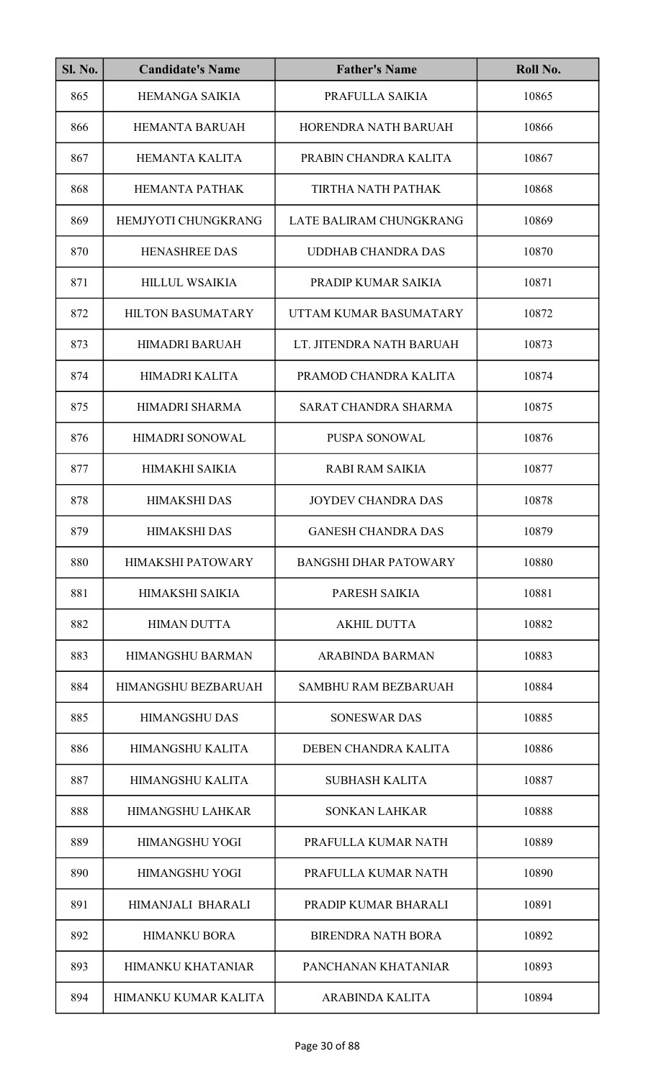| <b>Sl. No.</b> | <b>Candidate's Name</b>  | <b>Father's Name</b>         | Roll No. |
|----------------|--------------------------|------------------------------|----------|
| 865            | <b>HEMANGA SAIKIA</b>    | PRAFULLA SAIKIA              | 10865    |
| 866            | <b>HEMANTA BARUAH</b>    | HORENDRA NATH BARUAH         | 10866    |
| 867            | <b>HEMANTA KALITA</b>    | PRABIN CHANDRA KALITA        | 10867    |
| 868            | <b>HEMANTA PATHAK</b>    | TIRTHA NATH PATHAK           | 10868    |
| 869            | HEMJYOTI CHUNGKRANG      | LATE BALIRAM CHUNGKRANG      | 10869    |
| 870            | <b>HENASHREE DAS</b>     | <b>UDDHAB CHANDRA DAS</b>    | 10870    |
| 871            | <b>HILLUL WSAIKIA</b>    | PRADIP KUMAR SAIKIA          | 10871    |
| 872            | <b>HILTON BASUMATARY</b> | UTTAM KUMAR BASUMATARY       | 10872    |
| 873            | <b>HIMADRI BARUAH</b>    | LT. JITENDRA NATH BARUAH     | 10873    |
| 874            | HIMADRI KALITA           | PRAMOD CHANDRA KALITA        | 10874    |
| 875            | HIMADRI SHARMA           | SARAT CHANDRA SHARMA         | 10875    |
| 876            | HIMADRI SONOWAL          | PUSPA SONOWAL                | 10876    |
| 877            | <b>HIMAKHI SAIKIA</b>    | <b>RABI RAM SAIKIA</b>       | 10877    |
| 878            | <b>HIMAKSHI DAS</b>      | <b>JOYDEV CHANDRA DAS</b>    | 10878    |
| 879            | <b>HIMAKSHI DAS</b>      | <b>GANESH CHANDRA DAS</b>    | 10879    |
| 880            | <b>HIMAKSHI PATOWARY</b> | <b>BANGSHI DHAR PATOWARY</b> | 10880    |
| 881            | <b>HIMAKSHI SAIKIA</b>   | PARESH SAIKIA                | 10881    |
| 882            | <b>HIMAN DUTTA</b>       | <b>AKHIL DUTTA</b>           | 10882    |
| 883            | <b>HIMANGSHU BARMAN</b>  | ARABINDA BARMAN              | 10883    |
| 884            | HIMANGSHU BEZBARUAH      | <b>SAMBHU RAM BEZBARUAH</b>  | 10884    |
| 885            | <b>HIMANGSHU DAS</b>     | <b>SONESWAR DAS</b>          | 10885    |
| 886            | HIMANGSHU KALITA         | DEBEN CHANDRA KALITA         | 10886    |
| 887            | <b>HIMANGSHU KALITA</b>  | <b>SUBHASH KALITA</b>        | 10887    |
| 888            | HIMANGSHU LAHKAR         | <b>SONKAN LAHKAR</b>         | 10888    |
| 889            | <b>HIMANGSHU YOGI</b>    | PRAFULLA KUMAR NATH          | 10889    |
| 890            | <b>HIMANGSHU YOGI</b>    | PRAFULLA KUMAR NATH          | 10890    |
| 891            | <b>HIMANJALI BHARALI</b> | PRADIP KUMAR BHARALI         | 10891    |
| 892            | <b>HIMANKU BORA</b>      | <b>BIRENDRA NATH BORA</b>    | 10892    |
| 893            | <b>HIMANKU KHATANIAR</b> | PANCHANAN KHATANIAR          | 10893    |
| 894            | HIMANKU KUMAR KALITA     | ARABINDA KALITA              | 10894    |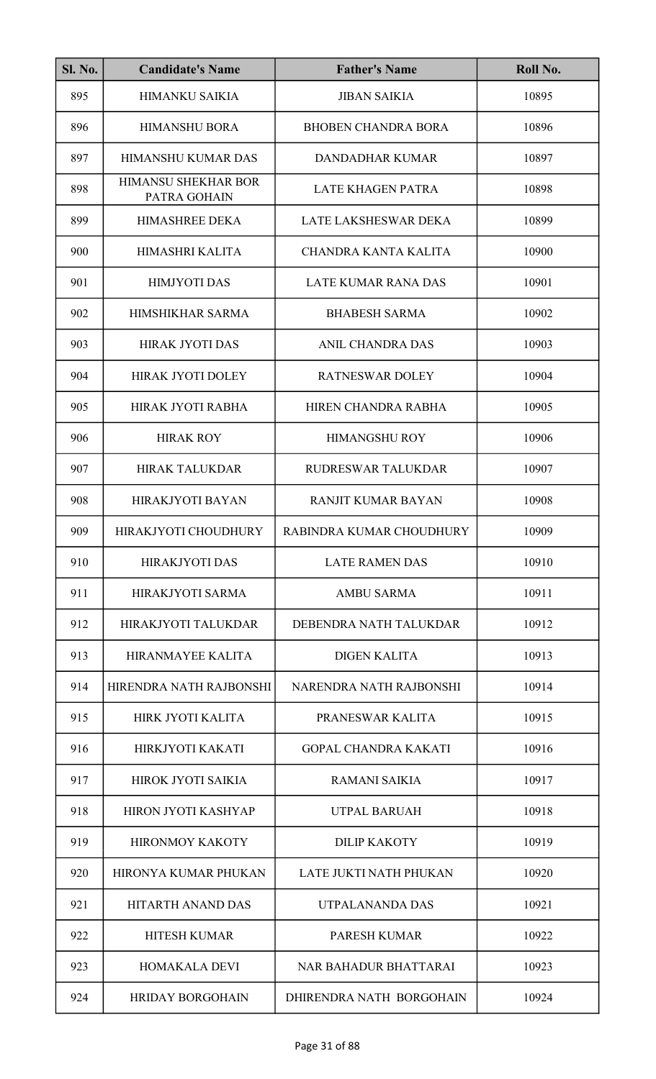| <b>Sl. No.</b> | <b>Candidate's Name</b>             | <b>Father's Name</b>         | Roll No. |
|----------------|-------------------------------------|------------------------------|----------|
| 895            | <b>HIMANKU SAIKIA</b>               | <b>JIBAN SAIKIA</b>          | 10895    |
| 896            | <b>HIMANSHU BORA</b>                | <b>BHOBEN CHANDRA BORA</b>   | 10896    |
| 897            | <b>HIMANSHU KUMAR DAS</b>           | <b>DANDADHAR KUMAR</b>       | 10897    |
| 898            | HIMANSU SHEKHAR BOR<br>PATRA GOHAIN | <b>LATE KHAGEN PATRA</b>     | 10898    |
| 899            | <b>HIMASHREE DEKA</b>               | LATE LAKSHESWAR DEKA         | 10899    |
| 900            | HIMASHRI KALITA                     | <b>CHANDRA KANTA KALITA</b>  | 10900    |
| 901            | <b>HIMJYOTI DAS</b>                 | <b>LATE KUMAR RANA DAS</b>   | 10901    |
| 902            | <b>HIMSHIKHAR SARMA</b>             | <b>BHABESH SARMA</b>         | 10902    |
| 903            | <b>HIRAK JYOTI DAS</b>              | <b>ANIL CHANDRA DAS</b>      | 10903    |
| 904            | <b>HIRAK JYOTI DOLEY</b>            | <b>RATNESWAR DOLEY</b>       | 10904    |
| 905            | HIRAK JYOTI RABHA                   | HIREN CHANDRA RABHA          | 10905    |
| 906            | <b>HIRAK ROY</b>                    | <b>HIMANGSHU ROY</b>         | 10906    |
| 907            | <b>HIRAK TALUKDAR</b>               | <b>RUDRESWAR TALUKDAR</b>    | 10907    |
| 908            | <b>HIRAKJYOTI BAYAN</b>             | RANJIT KUMAR BAYAN           | 10908    |
| 909            | HIRAKJYOTI CHOUDHURY                | RABINDRA KUMAR CHOUDHURY     | 10909    |
| 910            | <b>HIRAKJYOTI DAS</b>               | <b>LATE RAMEN DAS</b>        | 10910    |
| 911            | HIRAKJYOTI SARMA                    | <b>AMBU SARMA</b>            | 10911    |
| 912            | HIRAKJYOTI TALUKDAR                 | DEBENDRA NATH TALUKDAR       | 10912    |
| 913            | <b>HIRANMAYEE KALITA</b>            | <b>DIGEN KALITA</b>          | 10913    |
| 914            | HIRENDRA NATH RAJBONSHI             | NARENDRA NATH RAJBONSHI      | 10914    |
| 915            | HIRK JYOTI KALITA                   | PRANESWAR KALITA             | 10915    |
| 916            | HIRKJYOTI KAKATI                    | <b>GOPAL CHANDRA KAKATI</b>  | 10916    |
| 917            | HIROK JYOTI SAIKIA                  | RAMANI SAIKIA                | 10917    |
| 918            | <b>HIRON JYOTI KASHYAP</b>          | <b>UTPAL BARUAH</b>          | 10918    |
| 919            | <b>HIRONMOY KAKOTY</b>              | <b>DILIP KAKOTY</b>          | 10919    |
| 920            | <b>HIRONYA KUMAR PHUKAN</b>         | LATE JUKTI NATH PHUKAN       | 10920    |
| 921            | <b>HITARTH ANAND DAS</b>            | UTPALANANDA DAS              | 10921    |
| 922            | <b>HITESH KUMAR</b>                 | <b>PARESH KUMAR</b>          | 10922    |
| 923            | <b>HOMAKALA DEVI</b>                | <b>NAR BAHADUR BHATTARAI</b> | 10923    |
| 924            | <b>HRIDAY BORGOHAIN</b>             | DHIRENDRA NATH BORGOHAIN     | 10924    |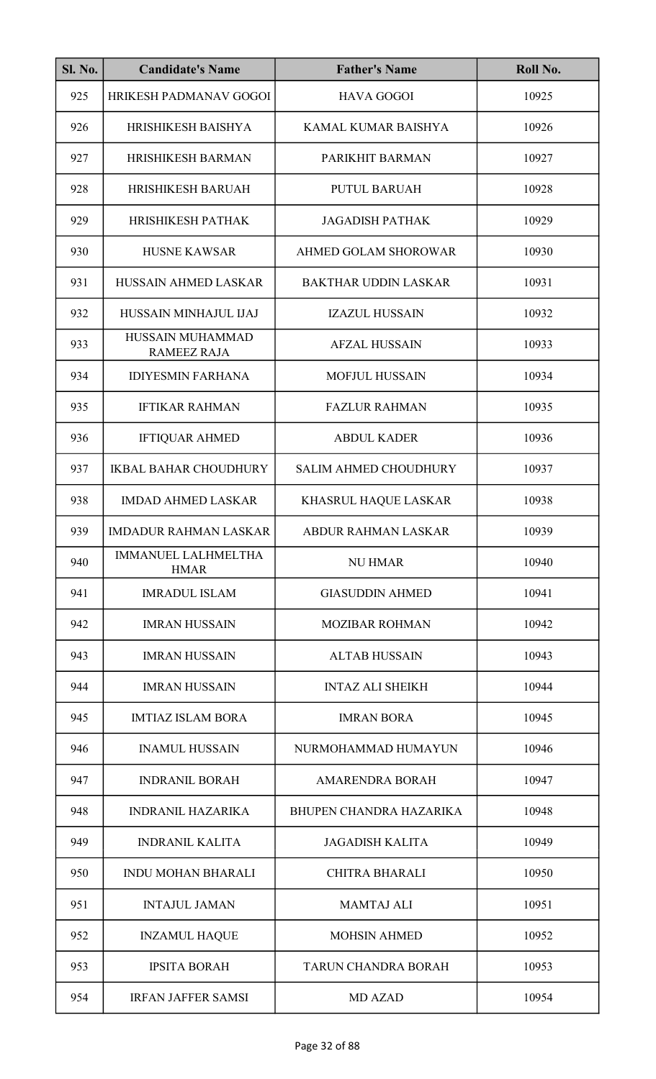| <b>Sl. No.</b> | <b>Candidate's Name</b>                   | <b>Father's Name</b>           | Roll No. |
|----------------|-------------------------------------------|--------------------------------|----------|
| 925            | HRIKESH PADMANAV GOGOI                    | <b>HAVA GOGOI</b>              | 10925    |
| 926            | HRISHIKESH BAISHYA                        | KAMAL KUMAR BAISHYA            | 10926    |
| 927            | <b>HRISHIKESH BARMAN</b>                  | PARIKHIT BARMAN                | 10927    |
| 928            | <b>HRISHIKESH BARUAH</b>                  | <b>PUTUL BARUAH</b>            | 10928    |
| 929            | HRISHIKESH PATHAK                         | <b>JAGADISH PATHAK</b>         | 10929    |
| 930            | <b>HUSNE KAWSAR</b>                       | AHMED GOLAM SHOROWAR           | 10930    |
| 931            | <b>HUSSAIN AHMED LASKAR</b>               | <b>BAKTHAR UDDIN LASKAR</b>    | 10931    |
| 932            | HUSSAIN MINHAJUL IJAJ                     | <b>IZAZUL HUSSAIN</b>          | 10932    |
| 933            | HUSSAIN MUHAMMAD<br><b>RAMEEZ RAJA</b>    | <b>AFZAL HUSSAIN</b>           | 10933    |
| 934            | <b>IDIYESMIN FARHANA</b>                  | <b>MOFJUL HUSSAIN</b>          | 10934    |
| 935            | <b>IFTIKAR RAHMAN</b>                     | <b>FAZLUR RAHMAN</b>           | 10935    |
| 936            | <b>IFTIQUAR AHMED</b>                     | <b>ABDUL KADER</b>             | 10936    |
| 937            | <b>IKBAL BAHAR CHOUDHURY</b>              | <b>SALIM AHMED CHOUDHURY</b>   | 10937    |
| 938            | <b>IMDAD AHMED LASKAR</b>                 | KHASRUL HAQUE LASKAR           | 10938    |
| 939            | <b>IMDADUR RAHMAN LASKAR</b>              | ABDUR RAHMAN LASKAR            | 10939    |
| 940            | <b>IMMANUEL LALHMELTHA</b><br><b>HMAR</b> | <b>NU HMAR</b>                 | 10940    |
| 941            | <b>IMRADUL ISLAM</b>                      | <b>GIASUDDIN AHMED</b>         | 10941    |
| 942            | <b>IMRAN HUSSAIN</b>                      | <b>MOZIBAR ROHMAN</b>          | 10942    |
| 943            | <b>IMRAN HUSSAIN</b>                      | <b>ALTAB HUSSAIN</b>           | 10943    |
| 944            | <b>IMRAN HUSSAIN</b>                      | <b>INTAZ ALI SHEIKH</b>        | 10944    |
| 945            | <b>IMTIAZ ISLAM BORA</b>                  | <b>IMRAN BORA</b>              | 10945    |
| 946            | <b>INAMUL HUSSAIN</b>                     | NURMOHAMMAD HUMAYUN            | 10946    |
| 947            | <b>INDRANIL BORAH</b>                     | <b>AMARENDRA BORAH</b>         | 10947    |
| 948            | <b>INDRANIL HAZARIKA</b>                  | <b>BHUPEN CHANDRA HAZARIKA</b> | 10948    |
| 949            | <b>INDRANIL KALITA</b>                    | <b>JAGADISH KALITA</b>         | 10949    |
| 950            | <b>INDU MOHAN BHARALI</b>                 | <b>CHITRA BHARALI</b>          | 10950    |
| 951            | <b>INTAJUL JAMAN</b>                      | <b>MAMTAJ ALI</b>              | 10951    |
| 952            | <b>INZAMUL HAQUE</b>                      | <b>MOHSIN AHMED</b>            | 10952    |
| 953            | <b>IPSITA BORAH</b>                       | <b>TARUN CHANDRA BORAH</b>     | 10953    |
| 954            | <b>IRFAN JAFFER SAMSI</b>                 | <b>MD AZAD</b>                 | 10954    |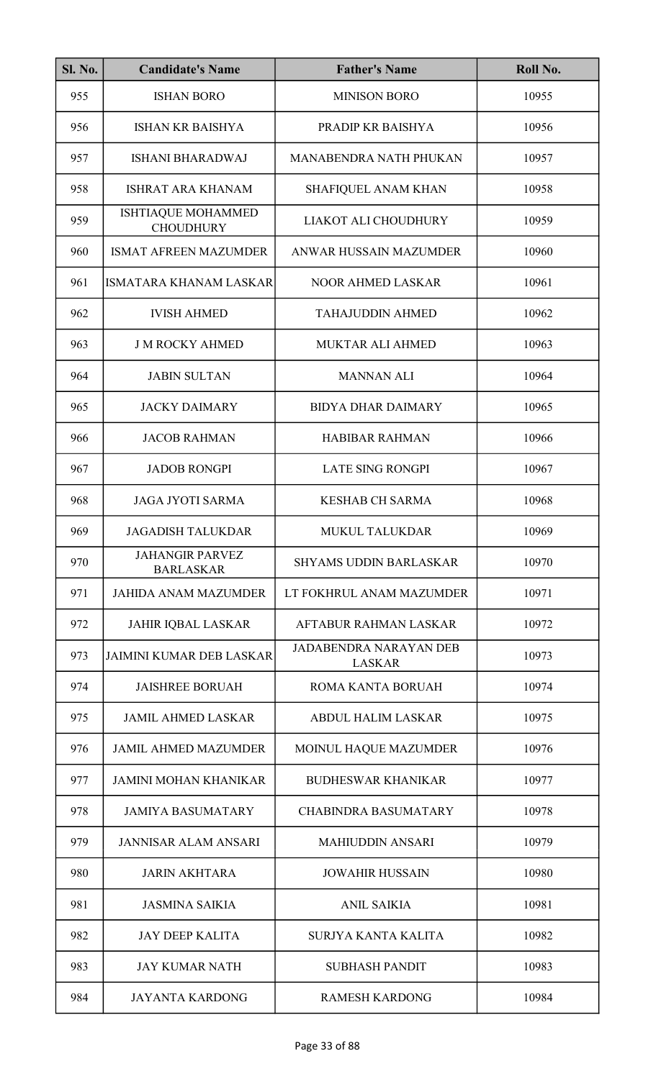| <b>Sl. No.</b> | <b>Candidate's Name</b>                       | <b>Father's Name</b>                           | Roll No. |
|----------------|-----------------------------------------------|------------------------------------------------|----------|
| 955            | <b>ISHAN BORO</b>                             | <b>MINISON BORO</b>                            | 10955    |
| 956            | <b>ISHAN KR BAISHYA</b>                       | PRADIP KR BAISHYA                              | 10956    |
| 957            | <b>ISHANI BHARADWAJ</b>                       | <b>MANABENDRA NATH PHUKAN</b>                  | 10957    |
| 958            | <b>ISHRAT ARA KHANAM</b>                      | SHAFIQUEL ANAM KHAN                            | 10958    |
| 959            | <b>ISHTIAQUE MOHAMMED</b><br><b>CHOUDHURY</b> | LIAKOT ALI CHOUDHURY                           | 10959    |
| 960            | <b>ISMAT AFREEN MAZUMDER</b>                  | ANWAR HUSSAIN MAZUMDER                         | 10960    |
| 961            | <b>ISMATARA KHANAM LASKAR</b>                 | <b>NOOR AHMED LASKAR</b>                       | 10961    |
| 962            | <b>IVISH AHMED</b>                            | <b>TAHAJUDDIN AHMED</b>                        | 10962    |
| 963            | <b>J M ROCKY AHMED</b>                        | MUKTAR ALI AHMED                               | 10963    |
| 964            | <b>JABIN SULTAN</b>                           | <b>MANNAN ALI</b>                              | 10964    |
| 965            | <b>JACKY DAIMARY</b>                          | <b>BIDYA DHAR DAIMARY</b>                      | 10965    |
| 966            | <b>JACOB RAHMAN</b>                           | <b>HABIBAR RAHMAN</b>                          | 10966    |
| 967            | <b>JADOB RONGPI</b>                           | <b>LATE SING RONGPI</b>                        | 10967    |
| 968            | <b>JAGA JYOTI SARMA</b>                       | <b>KESHAB CH SARMA</b>                         | 10968    |
| 969            | <b>JAGADISH TALUKDAR</b>                      | MUKUL TALUKDAR                                 | 10969    |
| 970            | <b>JAHANGIR PARVEZ</b><br><b>BARLASKAR</b>    | <b>SHYAMS UDDIN BARLASKAR</b>                  | 10970    |
| 971            | <b>JAHIDA ANAM MAZUMDER</b>                   | LT FOKHRUL ANAM MAZUMDER                       | 10971    |
| 972            | <b>JAHIR IQBAL LASKAR</b>                     | AFTABUR RAHMAN LASKAR                          | 10972    |
| 973            | <b>JAIMINI KUMAR DEB LASKAR</b>               | <b>JADABENDRA NARAYAN DEB</b><br><b>LASKAR</b> | 10973    |
| 974            | <b>JAISHREE BORUAH</b>                        | ROMA KANTA BORUAH                              | 10974    |
| 975            | <b>JAMIL AHMED LASKAR</b>                     | <b>ABDUL HALIM LASKAR</b>                      | 10975    |
| 976            | <b>JAMIL AHMED MAZUMDER</b>                   | MOINUL HAQUE MAZUMDER                          | 10976    |
| 977            | <b>JAMINI MOHAN KHANIKAR</b>                  | <b>BUDHESWAR KHANIKAR</b>                      | 10977    |
| 978            | <b>JAMIYA BASUMATARY</b>                      | <b>CHABINDRA BASUMATARY</b>                    | 10978    |
| 979            | <b>JANNISAR ALAM ANSARI</b>                   | <b>MAHIUDDIN ANSARI</b>                        | 10979    |
| 980            | <b>JARIN AKHTARA</b>                          | <b>JOWAHIR HUSSAIN</b>                         | 10980    |
| 981            | <b>JASMINA SAIKIA</b>                         | <b>ANIL SAIKIA</b>                             | 10981    |
| 982            | <b>JAY DEEP KALITA</b>                        | SURJYA KANTA KALITA                            | 10982    |
| 983            | <b>JAY KUMAR NATH</b>                         | <b>SUBHASH PANDIT</b>                          | 10983    |
| 984            | <b>JAYANTA KARDONG</b>                        | <b>RAMESH KARDONG</b>                          | 10984    |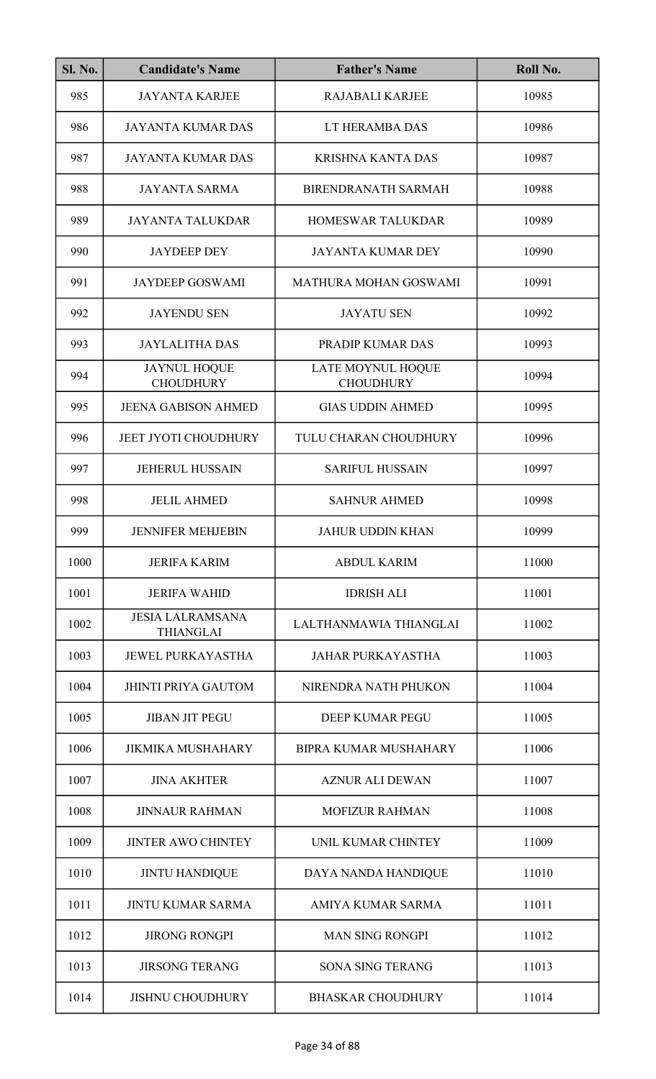| Sl. No. | <b>Candidate's Name</b>                     | <b>Father's Name</b>                  | Roll No. |
|---------|---------------------------------------------|---------------------------------------|----------|
| 985     | <b>JAYANTA KARJEE</b>                       | <b>RAJABALI KARJEE</b>                | 10985    |
| 986     | <b>JAYANTA KUMAR DAS</b>                    | LT HERAMBA DAS                        | 10986    |
| 987     | <b>JAYANTA KUMAR DAS</b>                    | <b>KRISHNA KANTA DAS</b>              | 10987    |
| 988     | <b>JAYANTA SARMA</b>                        | <b>BIRENDRANATH SARMAH</b>            | 10988    |
| 989     | <b>JAYANTA TALUKDAR</b>                     | <b>HOMESWAR TALUKDAR</b>              | 10989    |
| 990     | <b>JAYDEEP DEY</b>                          | <b>JAYANTA KUMAR DEY</b>              | 10990    |
| 991     | <b>JAYDEEP GOSWAMI</b>                      | MATHURA MOHAN GOSWAMI                 | 10991    |
| 992     | <b>JAYENDU SEN</b>                          | <b>JAYATU SEN</b>                     | 10992    |
| 993     | <b>JAYLALITHA DAS</b>                       | PRADIP KUMAR DAS                      | 10993    |
| 994     | <b>JAYNUL HOQUE</b><br><b>CHOUDHURY</b>     | LATE MOYNUL HOQUE<br><b>CHOUDHURY</b> | 10994    |
| 995     | <b>JEENA GABISON AHMED</b>                  | <b>GIAS UDDIN AHMED</b>               | 10995    |
| 996     | <b>JEET JYOTI CHOUDHURY</b>                 | TULU CHARAN CHOUDHURY                 | 10996    |
| 997     | <b>JEHERUL HUSSAIN</b>                      | <b>SARIFUL HUSSAIN</b>                | 10997    |
| 998     | <b>JELIL AHMED</b>                          | <b>SAHNUR AHMED</b>                   | 10998    |
| 999     | <b>JENNIFER MEHJEBIN</b>                    | <b>JAHUR UDDIN KHAN</b>               | 10999    |
| 1000    | <b>JERIFA KARIM</b>                         | <b>ABDUL KARIM</b>                    | 11000    |
| 1001    | <b>JERIFA WAHID</b>                         | <b>IDRISH ALI</b>                     | 11001    |
| 1002    | <b>JESIA LALRAMSANA</b><br><b>THIANGLAI</b> | LALTHANMAWIA THIANGLAI                | 11002    |
| 1003    | <b>JEWEL PURKAYASTHA</b>                    | <b>JAHAR PURKAYASTHA</b>              | 11003    |
| 1004    | <b>JHINTI PRIYA GAUTOM</b>                  | NIRENDRA NATH PHUKON                  | 11004    |
| 1005    | <b>JIBAN JIT PEGU</b>                       | <b>DEEP KUMAR PEGU</b>                | 11005    |
| 1006    | <b>JIKMIKA MUSHAHARY</b>                    | <b>BIPRA KUMAR MUSHAHARY</b>          | 11006    |
| 1007    | <b>JINA AKHTER</b>                          | <b>AZNUR ALI DEWAN</b>                | 11007    |
| 1008    | <b>JINNAUR RAHMAN</b>                       | <b>MOFIZUR RAHMAN</b>                 | 11008    |
| 1009    | <b>JINTER AWO CHINTEY</b>                   | UNIL KUMAR CHINTEY                    | 11009    |
| 1010    | <b>JINTU HANDIQUE</b>                       | DAYA NANDA HANDIQUE                   | 11010    |
| 1011    | <b>JINTU KUMAR SARMA</b>                    | AMIYA KUMAR SARMA                     | 11011    |
| 1012    | <b>JIRONG RONGPI</b>                        | <b>MAN SING RONGPI</b>                | 11012    |
| 1013    | <b>JIRSONG TERANG</b>                       | <b>SONA SING TERANG</b>               | 11013    |
| 1014    | <b>JISHNU CHOUDHURY</b>                     | <b>BHASKAR CHOUDHURY</b>              | 11014    |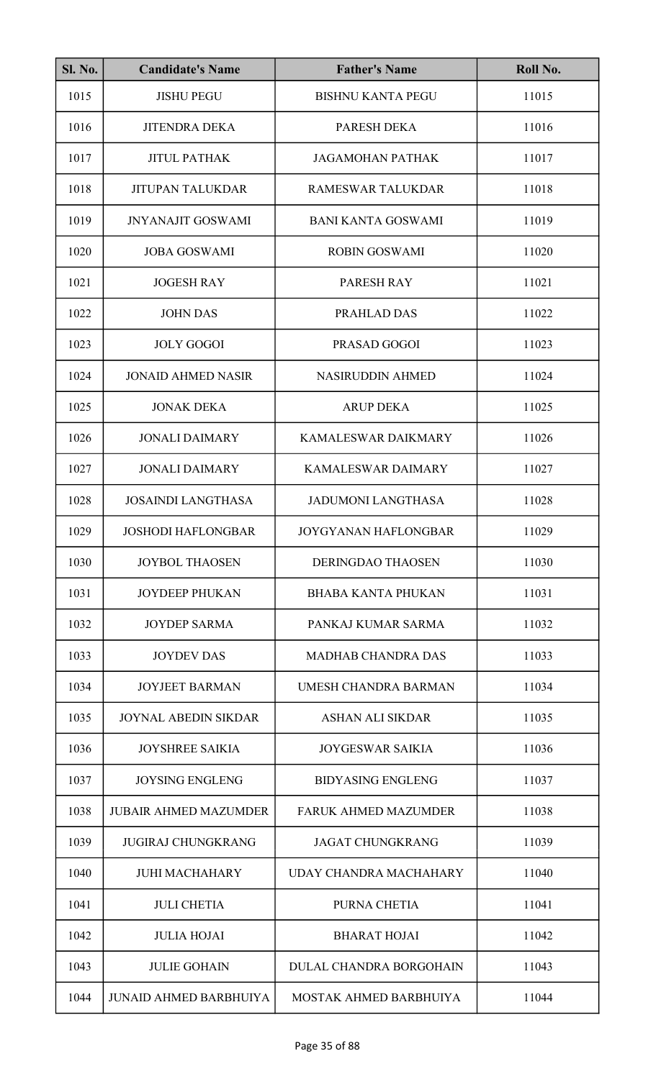| <b>Sl. No.</b> | <b>Candidate's Name</b>       | <b>Father's Name</b>           | Roll No. |
|----------------|-------------------------------|--------------------------------|----------|
| 1015           | <b>JISHU PEGU</b>             | <b>BISHNU KANTA PEGU</b>       | 11015    |
| 1016           | <b>JITENDRA DEKA</b>          | PARESH DEKA                    | 11016    |
| 1017           | <b>JITUL PATHAK</b>           | <b>JAGAMOHAN PATHAK</b>        | 11017    |
| 1018           | <b>JITUPAN TALUKDAR</b>       | <b>RAMESWAR TALUKDAR</b>       | 11018    |
| 1019           | <b>JNYANAJIT GOSWAMI</b>      | <b>BANI KANTA GOSWAMI</b>      | 11019    |
| 1020           | <b>JOBA GOSWAMI</b>           | <b>ROBIN GOSWAMI</b>           | 11020    |
| 1021           | <b>JOGESH RAY</b>             | PARESH RAY                     | 11021    |
| 1022           | <b>JOHN DAS</b>               | PRAHLAD DAS                    | 11022    |
| 1023           | <b>JOLY GOGOI</b>             | PRASAD GOGOI                   | 11023    |
| 1024           | <b>JONAID AHMED NASIR</b>     | <b>NASIRUDDIN AHMED</b>        | 11024    |
| 1025           | <b>JONAK DEKA</b>             | <b>ARUP DEKA</b>               | 11025    |
| 1026           | <b>JONALI DAIMARY</b>         | <b>KAMALESWAR DAIKMARY</b>     | 11026    |
| 1027           | <b>JONALI DAIMARY</b>         | <b>KAMALESWAR DAIMARY</b>      | 11027    |
| 1028           | <b>JOSAINDI LANGTHASA</b>     | <b>JADUMONI LANGTHASA</b>      | 11028    |
| 1029           | <b>JOSHODI HAFLONGBAR</b>     | JOYGYANAN HAFLONGBAR           | 11029    |
| 1030           | <b>JOYBOL THAOSEN</b>         | <b>DERINGDAO THAOSEN</b>       | 11030    |
| 1031           | <b>JOYDEEP PHUKAN</b>         | <b>BHABA KANTA PHUKAN</b>      | 11031    |
| 1032           | <b>JOYDEP SARMA</b>           | PANKAJ KUMAR SARMA             | 11032    |
| 1033           | <b>JOYDEV DAS</b>             | <b>MADHAB CHANDRA DAS</b>      | 11033    |
| 1034           | <b>JOYJEET BARMAN</b>         | UMESH CHANDRA BARMAN           | 11034    |
| 1035           | <b>JOYNAL ABEDIN SIKDAR</b>   | ASHAN ALI SIKDAR               | 11035    |
| 1036           | <b>JOYSHREE SAIKIA</b>        | <b>JOYGESWAR SAIKIA</b>        | 11036    |
| 1037           | <b>JOYSING ENGLENG</b>        | <b>BIDYASING ENGLENG</b>       | 11037    |
| 1038           | <b>JUBAIR AHMED MAZUMDER</b>  | <b>FARUK AHMED MAZUMDER</b>    | 11038    |
| 1039           | <b>JUGIRAJ CHUNGKRANG</b>     | <b>JAGAT CHUNGKRANG</b>        | 11039    |
| 1040           | <b>JUHI MACHAHARY</b>         | UDAY CHANDRA MACHAHARY         | 11040    |
| 1041           | <b>JULI CHETIA</b>            | PURNA CHETIA                   | 11041    |
| 1042           | <b>JULIA HOJAI</b>            | <b>BHARAT HOJAI</b>            | 11042    |
| 1043           | <b>JULIE GOHAIN</b>           | <b>DULAL CHANDRA BORGOHAIN</b> | 11043    |
| 1044           | <b>JUNAID AHMED BARBHUIYA</b> | MOSTAK AHMED BARBHUIYA         | 11044    |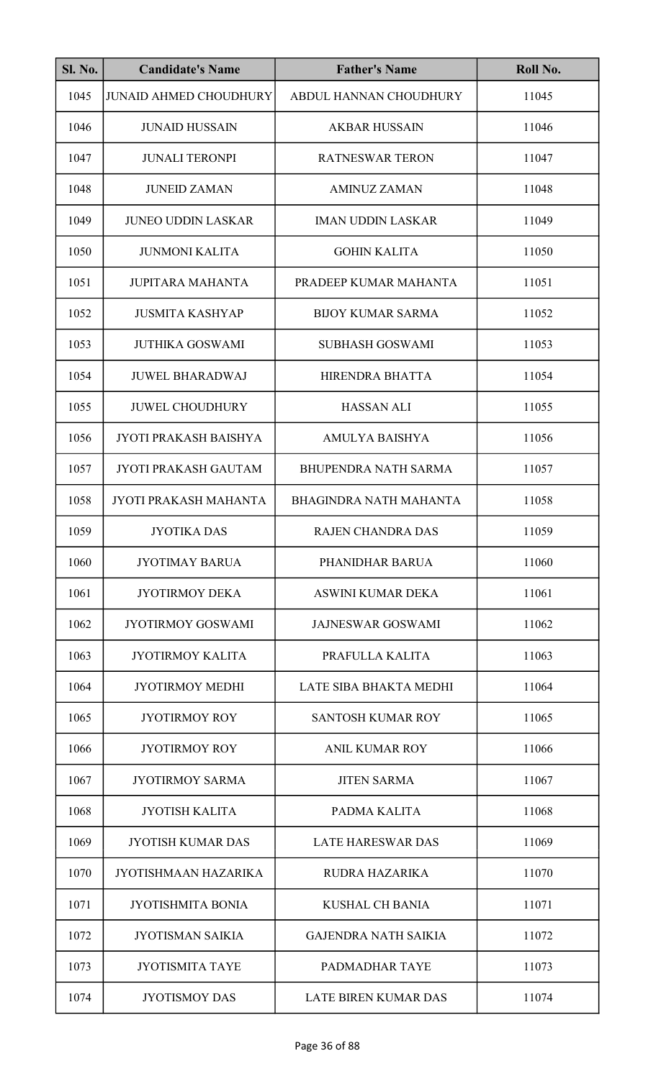| <b>Sl. No.</b> | <b>Candidate's Name</b>       | <b>Father's Name</b>          | Roll No. |
|----------------|-------------------------------|-------------------------------|----------|
| 1045           | <b>JUNAID AHMED CHOUDHURY</b> | ABDUL HANNAN CHOUDHURY        | 11045    |
| 1046           | <b>JUNAID HUSSAIN</b>         | <b>AKBAR HUSSAIN</b>          | 11046    |
| 1047           | <b>JUNALI TERONPI</b>         | <b>RATNESWAR TERON</b>        | 11047    |
| 1048           | <b>JUNEID ZAMAN</b>           | <b>AMINUZ ZAMAN</b>           | 11048    |
| 1049           | <b>JUNEO UDDIN LASKAR</b>     | <b>IMAN UDDIN LASKAR</b>      | 11049    |
| 1050           | <b>JUNMONI KALITA</b>         | <b>GOHIN KALITA</b>           | 11050    |
| 1051           | <b>JUPITARA MAHANTA</b>       | PRADEEP KUMAR MAHANTA         | 11051    |
| 1052           | <b>JUSMITA KASHYAP</b>        | <b>BIJOY KUMAR SARMA</b>      | 11052    |
| 1053           | <b>JUTHIKA GOSWAMI</b>        | <b>SUBHASH GOSWAMI</b>        | 11053    |
| 1054           | <b>JUWEL BHARADWAJ</b>        | HIRENDRA BHATTA               | 11054    |
| 1055           | <b>JUWEL CHOUDHURY</b>        | <b>HASSAN ALI</b>             | 11055    |
| 1056           | <b>JYOTI PRAKASH BAISHYA</b>  | <b>AMULYA BAISHYA</b>         | 11056    |
| 1057           | <b>JYOTI PRAKASH GAUTAM</b>   | <b>BHUPENDRA NATH SARMA</b>   | 11057    |
| 1058           | JYOTI PRAKASH MAHANTA         | <b>BHAGINDRA NATH MAHANTA</b> | 11058    |
| 1059           | <b>JYOTIKA DAS</b>            | RAJEN CHANDRA DAS             | 11059    |
| 1060           | <b>JYOTIMAY BARUA</b>         | PHANIDHAR BARUA               | 11060    |
| 1061           | <b>JYOTIRMOY DEKA</b>         | ASWINI KUMAR DEKA             | 11061    |
| 1062           | <b>JYOTIRMOY GOSWAMI</b>      | <b>JAJNESWAR GOSWAMI</b>      | 11062    |
| 1063           | JYOTIRMOY KALITA              | PRAFULLA KALITA               | 11063    |
| 1064           | <b>JYOTIRMOY MEDHI</b>        | LATE SIBA BHAKTA MEDHI        | 11064    |
| 1065           | JYOTIRMOY ROY                 | <b>SANTOSH KUMAR ROY</b>      | 11065    |
| 1066           | <b>JYOTIRMOY ROY</b>          | <b>ANIL KUMAR ROY</b>         | 11066    |
| 1067           | <b>JYOTIRMOY SARMA</b>        | <b>JITEN SARMA</b>            | 11067    |
| 1068           | <b>JYOTISH KALITA</b>         | PADMA KALITA                  | 11068    |
| 1069           | <b>JYOTISH KUMAR DAS</b>      | <b>LATE HARESWAR DAS</b>      | 11069    |
| 1070           | <b>JYOTISHMAAN HAZARIKA</b>   | RUDRA HAZARIKA                | 11070    |
| 1071           | <b>JYOTISHMITA BONIA</b>      | <b>KUSHAL CH BANIA</b>        | 11071    |
| 1072           | <b>JYOTISMAN SAIKIA</b>       | <b>GAJENDRA NATH SAIKIA</b>   | 11072    |
| 1073           | <b>JYOTISMITA TAYE</b>        | PADMADHAR TAYE                | 11073    |
| 1074           | <b>JYOTISMOY DAS</b>          | <b>LATE BIREN KUMAR DAS</b>   | 11074    |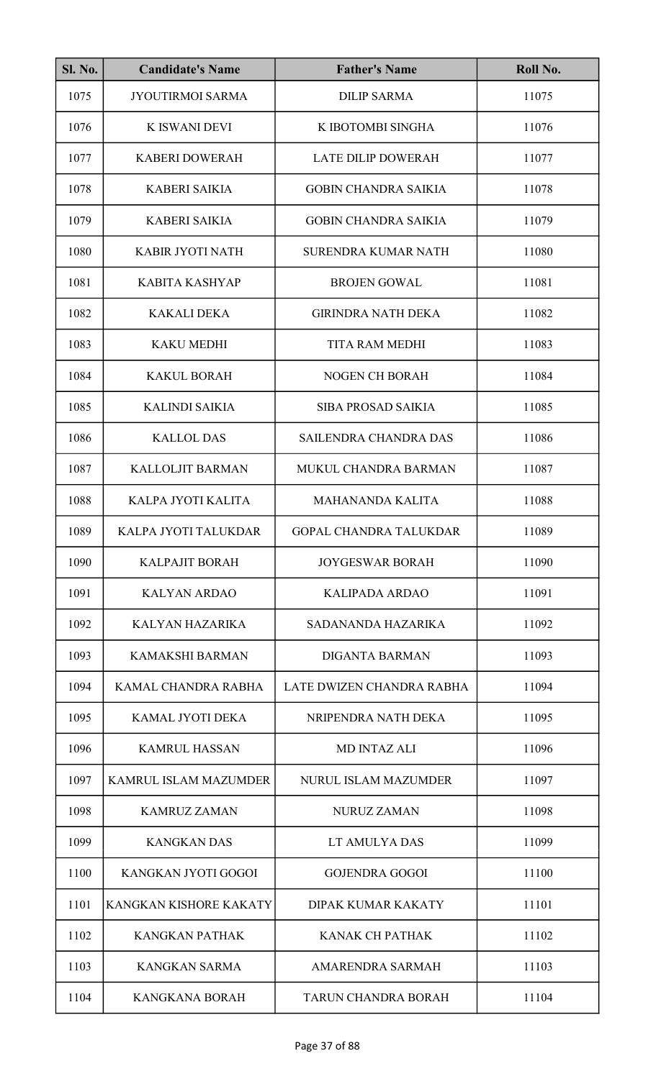| <b>Sl. No.</b> | <b>Candidate's Name</b> | <b>Father's Name</b>          | Roll No. |
|----------------|-------------------------|-------------------------------|----------|
| 1075           | <b>JYOUTIRMOI SARMA</b> | <b>DILIP SARMA</b>            | 11075    |
| 1076           | <b>K ISWANI DEVI</b>    | K IBOTOMBI SINGHA             | 11076    |
| 1077           | <b>KABERI DOWERAH</b>   | <b>LATE DILIP DOWERAH</b>     | 11077    |
| 1078           | <b>KABERI SAIKIA</b>    | <b>GOBIN CHANDRA SAIKIA</b>   | 11078    |
| 1079           | <b>KABERI SAIKIA</b>    | <b>GOBIN CHANDRA SAIKIA</b>   | 11079    |
| 1080           | KABIR JYOTI NATH        | <b>SURENDRA KUMAR NATH</b>    | 11080    |
| 1081           | <b>KABITA KASHYAP</b>   | <b>BROJEN GOWAL</b>           | 11081    |
| 1082           | <b>KAKALI DEKA</b>      | <b>GIRINDRA NATH DEKA</b>     | 11082    |
| 1083           | <b>KAKU MEDHI</b>       | <b>TITA RAM MEDHI</b>         | 11083    |
| 1084           | <b>KAKUL BORAH</b>      | <b>NOGEN CH BORAH</b>         | 11084    |
| 1085           | <b>KALINDI SAIKIA</b>   | <b>SIBA PROSAD SAIKIA</b>     | 11085    |
| 1086           | <b>KALLOL DAS</b>       | SAILENDRA CHANDRA DAS         | 11086    |
| 1087           | <b>KALLOLJIT BARMAN</b> | MUKUL CHANDRA BARMAN          | 11087    |
| 1088           | KALPA JYOTI KALITA      | <b>MAHANANDA KALITA</b>       | 11088    |
| 1089           | KALPA JYOTI TALUKDAR    | <b>GOPAL CHANDRA TALUKDAR</b> | 11089    |
| 1090           | <b>KALPAJIT BORAH</b>   | <b>JOYGESWAR BORAH</b>        | 11090    |
| 1091           | <b>KALYAN ARDAO</b>     | <b>KALIPADA ARDAO</b>         | 11091    |
| 1092           | KALYAN HAZARIKA         | SADANANDA HAZARIKA            | 11092    |
| 1093           | <b>KAMAKSHI BARMAN</b>  | <b>DIGANTA BARMAN</b>         | 11093    |
| 1094           | KAMAL CHANDRA RABHA     | LATE DWIZEN CHANDRA RABHA     | 11094    |
| 1095           | KAMAL JYOTI DEKA        | NRIPENDRA NATH DEKA           | 11095    |
| 1096           | <b>KAMRUL HASSAN</b>    | <b>MD INTAZ ALI</b>           | 11096    |
| 1097           | KAMRUL ISLAM MAZUMDER   | NURUL ISLAM MAZUMDER          | 11097    |
| 1098           | <b>KAMRUZ ZAMAN</b>     | <b>NURUZ ZAMAN</b>            | 11098    |
| 1099           | <b>KANGKAN DAS</b>      | LT AMULYA DAS                 | 11099    |
| 1100           | KANGKAN JYOTI GOGOI     | <b>GOJENDRA GOGOI</b>         | 11100    |
| 1101           | KANGKAN KISHORE KAKATY  | DIPAK KUMAR KAKATY            | 11101    |
| 1102           | <b>KANGKAN PATHAK</b>   | <b>KANAK CH PATHAK</b>        | 11102    |
| 1103           | <b>KANGKAN SARMA</b>    | <b>AMARENDRA SARMAH</b>       | 11103    |
| 1104           | <b>KANGKANA BORAH</b>   | <b>TARUN CHANDRA BORAH</b>    | 11104    |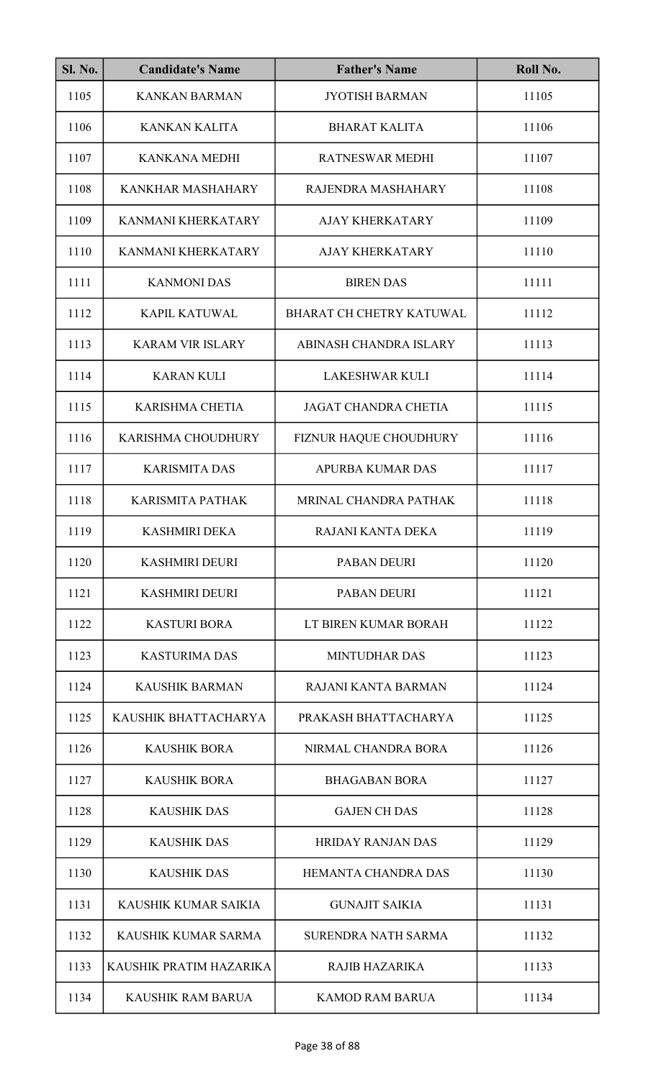| <b>Sl. No.</b> | <b>Candidate's Name</b>   | <b>Father's Name</b>        | Roll No. |
|----------------|---------------------------|-----------------------------|----------|
| 1105           | <b>KANKAN BARMAN</b>      | <b>JYOTISH BARMAN</b>       | 11105    |
| 1106           | <b>KANKAN KALITA</b>      | <b>BHARAT KALITA</b>        | 11106    |
| 1107           | <b>KANKANA MEDHI</b>      | <b>RATNESWAR MEDHI</b>      | 11107    |
| 1108           | KANKHAR MASHAHARY         | RAJENDRA MASHAHARY          | 11108    |
| 1109           | <b>KANMANI KHERKATARY</b> | <b>AJAY KHERKATARY</b>      | 11109    |
| 1110           | KANMANI KHERKATARY        | <b>AJAY KHERKATARY</b>      | 11110    |
| 1111           | <b>KANMONI DAS</b>        | <b>BIREN DAS</b>            | 11111    |
| 1112           | <b>KAPIL KATUWAL</b>      | BHARAT CH CHETRY KATUWAL    | 11112    |
| 1113           | <b>KARAM VIR ISLARY</b>   | ABINASH CHANDRA ISLARY      | 11113    |
| 1114           | <b>KARAN KULI</b>         | <b>LAKESHWAR KULI</b>       | 11114    |
| 1115           | <b>KARISHMA CHETIA</b>    | <b>JAGAT CHANDRA CHETIA</b> | 11115    |
| 1116           | KARISHMA CHOUDHURY        | FIZNUR HAQUE CHOUDHURY      | 11116    |
| 1117           | <b>KARISMITA DAS</b>      | <b>APURBA KUMAR DAS</b>     | 11117    |
| 1118           | <b>KARISMITA PATHAK</b>   | MRINAL CHANDRA PATHAK       | 11118    |
| 1119           | <b>KASHMIRI DEKA</b>      | RAJANI KANTA DEKA           | 11119    |
| 1120           | <b>KASHMIRI DEURI</b>     | <b>PABAN DEURI</b>          | 11120    |
| 1121           | <b>KASHMIRI DEURI</b>     | <b>PABAN DEURI</b>          | 11121    |
| 1122           | <b>KASTURI BORA</b>       | LT BIREN KUMAR BORAH        | 11122    |
| 1123           | <b>KASTURIMA DAS</b>      | <b>MINTUDHAR DAS</b>        | 11123    |
| 1124           | <b>KAUSHIK BARMAN</b>     | RAJANI KANTA BARMAN         | 11124    |
| 1125           | KAUSHIK BHATTACHARYA      | PRAKASH BHATTACHARYA        | 11125    |
| 1126           | <b>KAUSHIK BORA</b>       | NIRMAL CHANDRA BORA         | 11126    |
| 1127           | <b>KAUSHIK BORA</b>       | <b>BHAGABAN BORA</b>        | 11127    |
| 1128           | <b>KAUSHIK DAS</b>        | <b>GAJEN CH DAS</b>         | 11128    |
| 1129           | <b>KAUSHIK DAS</b>        | <b>HRIDAY RANJAN DAS</b>    | 11129    |
| 1130           | <b>KAUSHIK DAS</b>        | HEMANTA CHANDRA DAS         | 11130    |
| 1131           | KAUSHIK KUMAR SAIKIA      | <b>GUNAJIT SAIKIA</b>       | 11131    |
| 1132           | KAUSHIK KUMAR SARMA       | <b>SURENDRA NATH SARMA</b>  | 11132    |
| 1133           | KAUSHIK PRATIM HAZARIKA   | <b>RAJIB HAZARIKA</b>       | 11133    |
| 1134           | <b>KAUSHIK RAM BARUA</b>  | <b>KAMOD RAM BARUA</b>      | 11134    |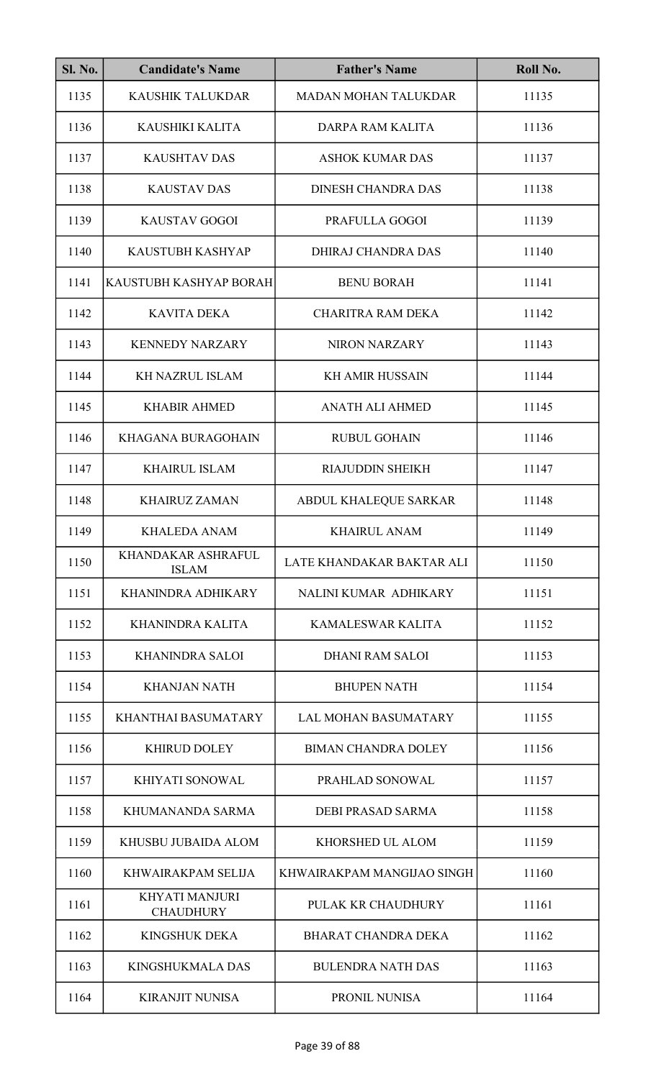| <b>Sl. No.</b> | <b>Candidate's Name</b>                   | <b>Father's Name</b>        | Roll No. |
|----------------|-------------------------------------------|-----------------------------|----------|
| 1135           | KAUSHIK TALUKDAR                          | <b>MADAN MOHAN TALUKDAR</b> | 11135    |
| 1136           | KAUSHIKI KALITA                           | DARPA RAM KALITA            | 11136    |
| 1137           | <b>KAUSHTAV DAS</b>                       | <b>ASHOK KUMAR DAS</b>      | 11137    |
| 1138           | <b>KAUSTAV DAS</b>                        | <b>DINESH CHANDRA DAS</b>   | 11138    |
| 1139           | <b>KAUSTAV GOGOI</b>                      | PRAFULLA GOGOI              | 11139    |
| 1140           | KAUSTUBH KASHYAP                          | <b>DHIRAJ CHANDRA DAS</b>   | 11140    |
| 1141           | KAUSTUBH KASHYAP BORAH                    | <b>BENU BORAH</b>           | 11141    |
| 1142           | <b>KAVITA DEKA</b>                        | <b>CHARITRA RAM DEKA</b>    | 11142    |
| 1143           | <b>KENNEDY NARZARY</b>                    | <b>NIRON NARZARY</b>        | 11143    |
| 1144           | <b>KH NAZRUL ISLAM</b>                    | <b>KH AMIR HUSSAIN</b>      | 11144    |
| 1145           | <b>KHABIR AHMED</b>                       | <b>ANATH ALI AHMED</b>      | 11145    |
| 1146           | KHAGANA BURAGOHAIN                        | <b>RUBUL GOHAIN</b>         | 11146    |
| 1147           | <b>KHAIRUL ISLAM</b>                      | <b>RIAJUDDIN SHEIKH</b>     | 11147    |
| 1148           | <b>KHAIRUZ ZAMAN</b>                      | ABDUL KHALEQUE SARKAR       | 11148    |
| 1149           | KHALEDA ANAM                              | <b>KHAIRUL ANAM</b>         | 11149    |
| 1150           | <b>KHANDAKAR ASHRAFUL</b><br><b>ISLAM</b> | LATE KHANDAKAR BAKTAR ALI   | 11150    |
| 1151           | KHANINDRA ADHIKARY                        | NALINI KUMAR ADHIKARY       | 11151    |
| 1152           | KHANINDRA KALITA                          | KAMALESWAR KALITA           | 11152    |
| 1153           | <b>KHANINDRA SALOI</b>                    | <b>DHANI RAM SALOI</b>      | 11153    |
| 1154           | <b>KHANJAN NATH</b>                       | <b>BHUPEN NATH</b>          | 11154    |
| 1155           | KHANTHAI BASUMATARY                       | <b>LAL MOHAN BASUMATARY</b> | 11155    |
| 1156           | <b>KHIRUD DOLEY</b>                       | <b>BIMAN CHANDRA DOLEY</b>  | 11156    |
| 1157           | KHIYATI SONOWAL                           | PRAHLAD SONOWAL             | 11157    |
| 1158           | KHUMANANDA SARMA                          | DEBI PRASAD SARMA           | 11158    |
| 1159           | KHUSBU JUBAIDA ALOM                       | KHORSHED UL ALOM            | 11159    |
| 1160           | KHWAIRAKPAM SELIJA                        | KHWAIRAKPAM MANGIJAO SINGH  | 11160    |
| 1161           | <b>KHYATI MANJURI</b><br><b>CHAUDHURY</b> | PULAK KR CHAUDHURY          | 11161    |
| 1162           | <b>KINGSHUK DEKA</b>                      | <b>BHARAT CHANDRA DEKA</b>  | 11162    |
| 1163           | <b>KINGSHUKMALA DAS</b>                   | <b>BULENDRA NATH DAS</b>    | 11163    |
| 1164           | <b>KIRANJIT NUNISA</b>                    | PRONIL NUNISA               | 11164    |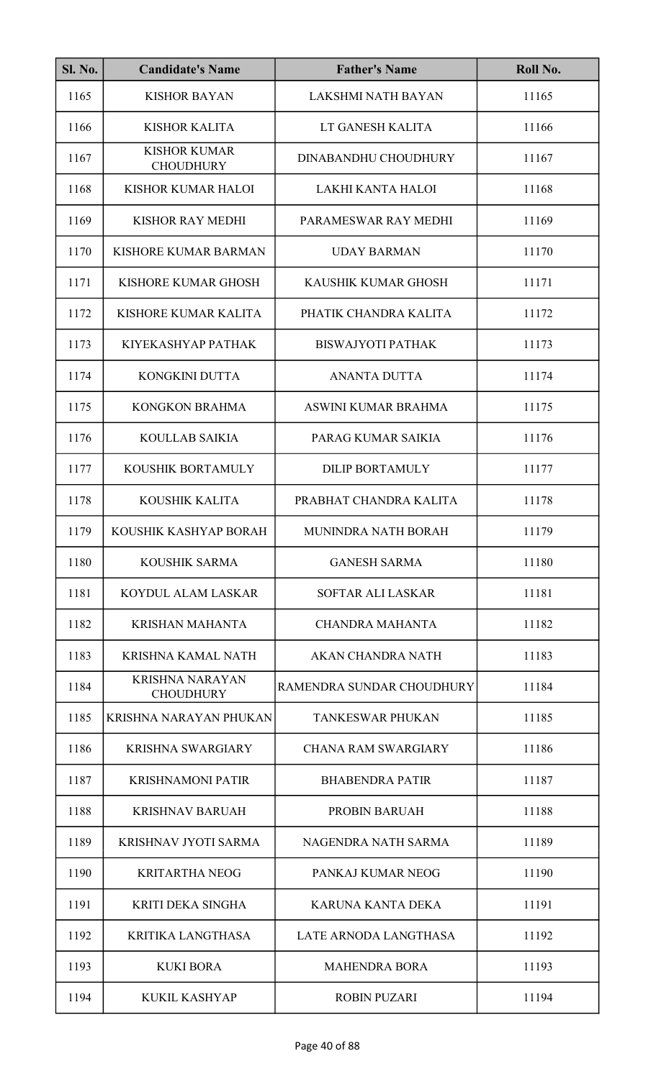| <b>Sl. No.</b> | <b>Candidate's Name</b>                    | <b>Father's Name</b>        | Roll No. |
|----------------|--------------------------------------------|-----------------------------|----------|
| 1165           | <b>KISHOR BAYAN</b>                        | <b>LAKSHMI NATH BAYAN</b>   | 11165    |
| 1166           | <b>KISHOR KALITA</b>                       | LT GANESH KALITA            | 11166    |
| 1167           | <b>KISHOR KUMAR</b><br><b>CHOUDHURY</b>    | <b>DINABANDHU CHOUDHURY</b> | 11167    |
| 1168           | KISHOR KUMAR HALOI                         | LAKHI KANTA HALOI           | 11168    |
| 1169           | KISHOR RAY MEDHI                           | PARAMESWAR RAY MEDHI        | 11169    |
| 1170           | KISHORE KUMAR BARMAN                       | <b>UDAY BARMAN</b>          | 11170    |
| 1171           | KISHORE KUMAR GHOSH                        | KAUSHIK KUMAR GHOSH         | 11171    |
| 1172           | KISHORE KUMAR KALITA                       | PHATIK CHANDRA KALITA       | 11172    |
| 1173           | KIYEKASHYAP PATHAK                         | <b>BISWAJYOTI PATHAK</b>    | 11173    |
| 1174           | KONGKINI DUTTA                             | <b>ANANTA DUTTA</b>         | 11174    |
| 1175           | <b>KONGKON BRAHMA</b>                      | ASWINI KUMAR BRAHMA         | 11175    |
| 1176           | <b>KOULLAB SAIKIA</b>                      | PARAG KUMAR SAIKIA          | 11176    |
| 1177           | KOUSHIK BORTAMULY                          | <b>DILIP BORTAMULY</b>      | 11177    |
| 1178           | KOUSHIK KALITA                             | PRABHAT CHANDRA KALITA      | 11178    |
| 1179           | KOUSHIK KASHYAP BORAH                      | MUNINDRA NATH BORAH         | 11179    |
| 1180           | <b>KOUSHIK SARMA</b>                       | <b>GANESH SARMA</b>         | 11180    |
| 1181           | KOYDUL ALAM LASKAR                         | <b>SOFTAR ALI LASKAR</b>    | 11181    |
| 1182           | <b>KRISHAN MAHANTA</b>                     | <b>CHANDRA MAHANTA</b>      | 11182    |
| 1183           | KRISHNA KAMAL NATH                         | AKAN CHANDRA NATH           | 11183    |
| 1184           | <b>KRISHNA NARAYAN</b><br><b>CHOUDHURY</b> | RAMENDRA SUNDAR CHOUDHURY   | 11184    |
| 1185           | KRISHNA NARAYAN PHUKAN                     | <b>TANKESWAR PHUKAN</b>     | 11185    |
| 1186           | <b>KRISHNA SWARGIARY</b>                   | <b>CHANA RAM SWARGIARY</b>  | 11186    |
| 1187           | <b>KRISHNAMONI PATIR</b>                   | <b>BHABENDRA PATIR</b>      | 11187    |
| 1188           | <b>KRISHNAV BARUAH</b>                     | <b>PROBIN BARUAH</b>        | 11188    |
| 1189           | KRISHNAV JYOTI SARMA                       | NAGENDRA NATH SARMA         | 11189    |
| 1190           | <b>KRITARTHA NEOG</b>                      | PANKAJ KUMAR NEOG           | 11190    |
| 1191           | KRITI DEKA SINGHA                          | KARUNA KANTA DEKA           | 11191    |
| 1192           | <b>KRITIKA LANGTHASA</b>                   | LATE ARNODA LANGTHASA       | 11192    |
| 1193           | <b>KUKI BORA</b>                           | <b>MAHENDRA BORA</b>        | 11193    |
| 1194           | <b>KUKIL KASHYAP</b>                       | <b>ROBIN PUZARI</b>         | 11194    |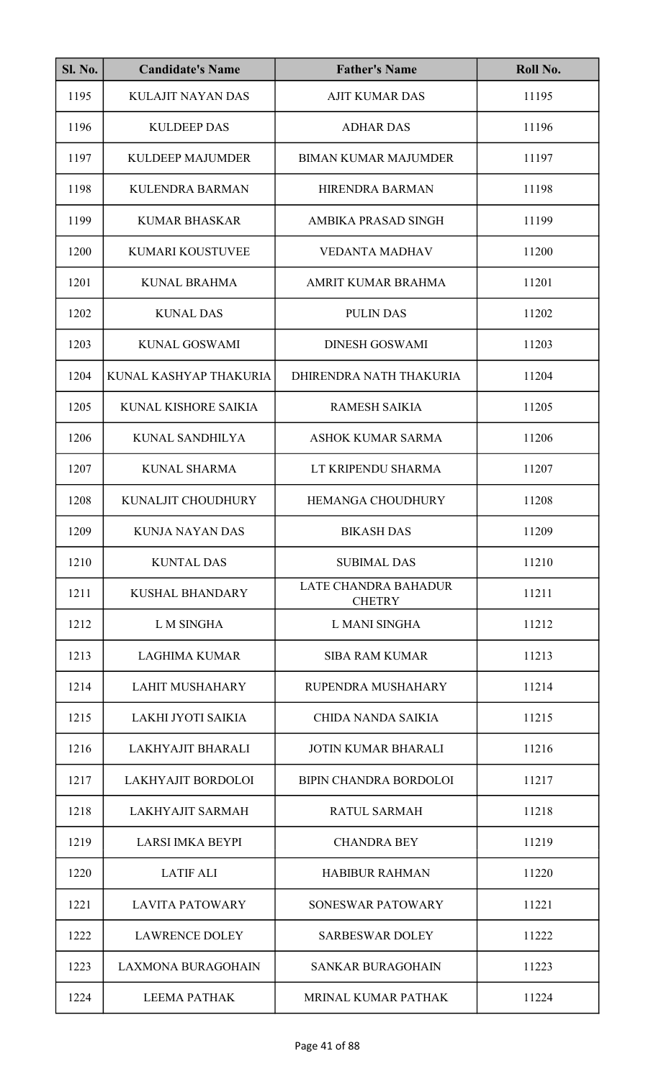| <b>Sl. No.</b> | <b>Candidate's Name</b>   | <b>Father's Name</b>                         | Roll No. |
|----------------|---------------------------|----------------------------------------------|----------|
| 1195           | <b>KULAJIT NAYAN DAS</b>  | <b>AJIT KUMAR DAS</b>                        | 11195    |
| 1196           | <b>KULDEEP DAS</b>        | <b>ADHAR DAS</b>                             | 11196    |
| 1197           | <b>KULDEEP MAJUMDER</b>   | <b>BIMAN KUMAR MAJUMDER</b>                  | 11197    |
| 1198           | <b>KULENDRA BARMAN</b>    | HIRENDRA BARMAN                              | 11198    |
| 1199           | <b>KUMAR BHASKAR</b>      | AMBIKA PRASAD SINGH                          | 11199    |
| 1200           | KUMARI KOUSTUVEE          | <b>VEDANTA MADHAV</b>                        | 11200    |
| 1201           | <b>KUNAL BRAHMA</b>       | AMRIT KUMAR BRAHMA                           | 11201    |
| 1202           | <b>KUNAL DAS</b>          | <b>PULIN DAS</b>                             | 11202    |
| 1203           | <b>KUNAL GOSWAMI</b>      | <b>DINESH GOSWAMI</b>                        | 11203    |
| 1204           | KUNAL KASHYAP THAKURIA    | DHIRENDRA NATH THAKURIA                      | 11204    |
| 1205           | KUNAL KISHORE SAIKIA      | <b>RAMESH SAIKIA</b>                         | 11205    |
| 1206           | KUNAL SANDHILYA           | <b>ASHOK KUMAR SARMA</b>                     | 11206    |
| 1207           | <b>KUNAL SHARMA</b>       | LT KRIPENDU SHARMA                           | 11207    |
| 1208           | KUNALJIT CHOUDHURY        | HEMANGA CHOUDHURY                            | 11208    |
| 1209           | KUNJA NAYAN DAS           | <b>BIKASH DAS</b>                            | 11209    |
| 1210           | <b>KUNTAL DAS</b>         | <b>SUBIMAL DAS</b>                           | 11210    |
| 1211           | <b>KUSHAL BHANDARY</b>    | <b>LATE CHANDRA BAHADUR</b><br><b>CHETRY</b> | 11211    |
| 1212           | L M SINGHA                | L MANI SINGHA                                | 11212    |
| 1213           | <b>LAGHIMA KUMAR</b>      | <b>SIBA RAM KUMAR</b>                        | 11213    |
| 1214           | <b>LAHIT MUSHAHARY</b>    | RUPENDRA MUSHAHARY                           | 11214    |
| 1215           | LAKHI JYOTI SAIKIA        | CHIDA NANDA SAIKIA                           | 11215    |
| 1216           | LAKHYAJIT BHARALI         | <b>JOTIN KUMAR BHARALI</b>                   | 11216    |
| 1217           | LAKHYAJIT BORDOLOI        | <b>BIPIN CHANDRA BORDOLOI</b>                | 11217    |
| 1218           | <b>LAKHYAJIT SARMAH</b>   | <b>RATUL SARMAH</b>                          | 11218    |
| 1219           | <b>LARSI IMKA BEYPI</b>   | <b>CHANDRA BEY</b>                           | 11219    |
| 1220           | <b>LATIF ALI</b>          | <b>HABIBUR RAHMAN</b>                        | 11220    |
| 1221           | <b>LAVITA PATOWARY</b>    | SONESWAR PATOWARY                            | 11221    |
| 1222           | <b>LAWRENCE DOLEY</b>     | <b>SARBESWAR DOLEY</b>                       | 11222    |
| 1223           | <b>LAXMONA BURAGOHAIN</b> | <b>SANKAR BURAGOHAIN</b>                     | 11223    |
| 1224           | <b>LEEMA PATHAK</b>       | <b>MRINAL KUMAR PATHAK</b>                   | 11224    |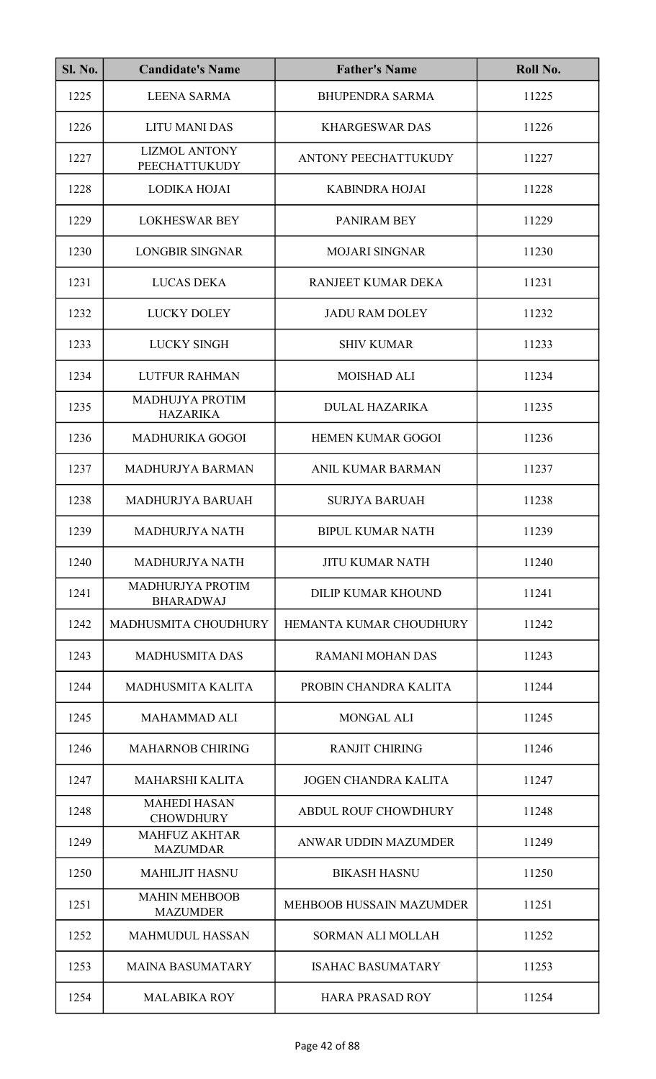| <b>Sl. No.</b> | <b>Candidate's Name</b>                      | <b>Father's Name</b>            | Roll No. |
|----------------|----------------------------------------------|---------------------------------|----------|
| 1225           | <b>LEENA SARMA</b>                           | <b>BHUPENDRA SARMA</b>          | 11225    |
| 1226           | <b>LITU MANI DAS</b>                         | <b>KHARGESWAR DAS</b>           | 11226    |
| 1227           | <b>LIZMOL ANTONY</b><br><b>PEECHATTUKUDY</b> | ANTONY PEECHATTUKUDY            | 11227    |
| 1228           | LODIKA HOJAI                                 | <b>KABINDRA HOJAI</b>           | 11228    |
| 1229           | <b>LOKHESWAR BEY</b>                         | PANIRAM BEY                     | 11229    |
| 1230           | <b>LONGBIR SINGNAR</b>                       | <b>MOJARI SINGNAR</b>           | 11230    |
| 1231           | <b>LUCAS DEKA</b>                            | RANJEET KUMAR DEKA              | 11231    |
| 1232           | <b>LUCKY DOLEY</b>                           | <b>JADU RAM DOLEY</b>           | 11232    |
| 1233           | <b>LUCKY SINGH</b>                           | <b>SHIV KUMAR</b>               | 11233    |
| 1234           | <b>LUTFUR RAHMAN</b>                         | <b>MOISHAD ALI</b>              | 11234    |
| 1235           | MADHUJYA PROTIM<br><b>HAZARIKA</b>           | <b>DULAL HAZARIKA</b>           | 11235    |
| 1236           | <b>MADHURIKA GOGOI</b>                       | <b>HEMEN KUMAR GOGOI</b>        | 11236    |
| 1237           | <b>MADHURJYA BARMAN</b>                      | <b>ANIL KUMAR BARMAN</b>        | 11237    |
| 1238           | MADHURJYA BARUAH                             | <b>SURJYA BARUAH</b>            | 11238    |
| 1239           | MADHURJYA NATH                               | <b>BIPUL KUMAR NATH</b>         | 11239    |
| 1240           | <b>MADHURJYA NATH</b>                        | <b>JITU KUMAR NATH</b>          | 11240    |
| 1241           | <b>MADHURJYA PROTIM</b><br><b>BHARADWAJ</b>  | <b>DILIP KUMAR KHOUND</b>       | 11241    |
| 1242           | MADHUSMITA CHOUDHURY                         | HEMANTA KUMAR CHOUDHURY         | 11242    |
| 1243           | <b>MADHUSMITA DAS</b>                        | <b>RAMANI MOHAN DAS</b>         | 11243    |
| 1244           | <b>MADHUSMITA KALITA</b>                     | PROBIN CHANDRA KALITA           | 11244    |
| 1245           | <b>MAHAMMAD ALI</b>                          | <b>MONGAL ALI</b>               | 11245    |
| 1246           | <b>MAHARNOB CHIRING</b>                      | <b>RANJIT CHIRING</b>           | 11246    |
| 1247           | <b>MAHARSHI KALITA</b>                       | <b>JOGEN CHANDRA KALITA</b>     | 11247    |
| 1248           | <b>MAHEDI HASAN</b><br><b>CHOWDHURY</b>      | <b>ABDUL ROUF CHOWDHURY</b>     | 11248    |
| 1249           | <b>MAHFUZ AKHTAR</b><br><b>MAZUMDAR</b>      | ANWAR UDDIN MAZUMDER            | 11249    |
| 1250           | <b>MAHILJIT HASNU</b>                        | <b>BIKASH HASNU</b>             | 11250    |
| 1251           | <b>MAHIN MEHBOOB</b><br><b>MAZUMDER</b>      | <b>MEHBOOB HUSSAIN MAZUMDER</b> | 11251    |
| 1252           | <b>MAHMUDUL HASSAN</b>                       | <b>SORMAN ALI MOLLAH</b>        | 11252    |
| 1253           | <b>MAINA BASUMATARY</b>                      | <b>ISAHAC BASUMATARY</b>        | 11253    |
| 1254           | <b>MALABIKA ROY</b>                          | <b>HARA PRASAD ROY</b>          | 11254    |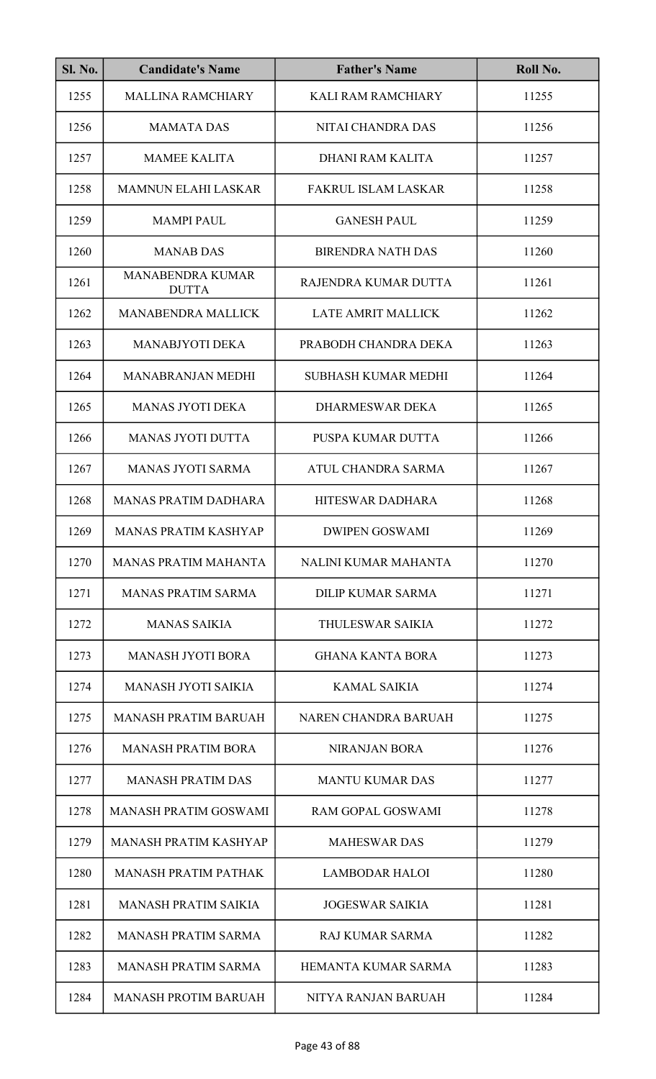| <b>Sl. No.</b> | <b>Candidate's Name</b>                 | <b>Father's Name</b>       | Roll No. |
|----------------|-----------------------------------------|----------------------------|----------|
| 1255           | <b>MALLINA RAMCHIARY</b>                | <b>KALI RAM RAMCHIARY</b>  | 11255    |
| 1256           | <b>MAMATA DAS</b>                       | <b>NITAI CHANDRA DAS</b>   | 11256    |
| 1257           | <b>MAMEE KALITA</b>                     | DHANI RAM KALITA           | 11257    |
| 1258           | <b>MAMNUN ELAHI LASKAR</b>              | <b>FAKRUL ISLAM LASKAR</b> | 11258    |
| 1259           | <b>MAMPI PAUL</b>                       | <b>GANESH PAUL</b>         | 11259    |
| 1260           | <b>MANAB DAS</b>                        | <b>BIRENDRA NATH DAS</b>   | 11260    |
| 1261           | <b>MANABENDRA KUMAR</b><br><b>DUTTA</b> | RAJENDRA KUMAR DUTTA       | 11261    |
| 1262           | <b>MANABENDRA MALLICK</b>               | <b>LATE AMRIT MALLICK</b>  | 11262    |
| 1263           | <b>MANABJYOTI DEKA</b>                  | PRABODH CHANDRA DEKA       | 11263    |
| 1264           | <b>MANABRANJAN MEDHI</b>                | <b>SUBHASH KUMAR MEDHI</b> | 11264    |
| 1265           | <b>MANAS JYOTI DEKA</b>                 | <b>DHARMESWAR DEKA</b>     | 11265    |
| 1266           | <b>MANAS JYOTI DUTTA</b>                | PUSPA KUMAR DUTTA          | 11266    |
| 1267           | <b>MANAS JYOTI SARMA</b>                | ATUL CHANDRA SARMA         | 11267    |
| 1268           | <b>MANAS PRATIM DADHARA</b>             | HITESWAR DADHARA           | 11268    |
| 1269           | MANAS PRATIM KASHYAP                    | <b>DWIPEN GOSWAMI</b>      | 11269    |
| 1270           | <b>MANAS PRATIM MAHANTA</b>             | NALINI KUMAR MAHANTA       | 11270    |
| 1271           | <b>MANAS PRATIM SARMA</b>               | DILIP KUMAR SARMA          | 11271    |
| 1272           | <b>MANAS SAIKIA</b>                     | THULESWAR SAIKIA           | 11272    |
| 1273           | <b>MANASH JYOTI BORA</b>                | <b>GHANA KANTA BORA</b>    | 11273    |
| 1274           | <b>MANASH JYOTI SAIKIA</b>              | <b>KAMAL SAIKIA</b>        | 11274    |
| 1275           | <b>MANASH PRATIM BARUAH</b>             | NAREN CHANDRA BARUAH       | 11275    |
| 1276           | <b>MANASH PRATIM BORA</b>               | <b>NIRANJAN BORA</b>       | 11276    |
| 1277           | <b>MANASH PRATIM DAS</b>                | <b>MANTU KUMAR DAS</b>     | 11277    |
| 1278           | <b>MANASH PRATIM GOSWAMI</b>            | <b>RAM GOPAL GOSWAMI</b>   | 11278    |
| 1279           | <b>MANASH PRATIM KASHYAP</b>            | <b>MAHESWAR DAS</b>        | 11279    |
| 1280           | <b>MANASH PRATIM PATHAK</b>             | <b>LAMBODAR HALOI</b>      | 11280    |
| 1281           | <b>MANASH PRATIM SAIKIA</b>             | <b>JOGESWAR SAIKIA</b>     | 11281    |
| 1282           | <b>MANASH PRATIM SARMA</b>              | RAJ KUMAR SARMA            | 11282    |
| 1283           | <b>MANASH PRATIM SARMA</b>              | <b>HEMANTA KUMAR SARMA</b> | 11283    |
| 1284           | <b>MANASH PROTIM BARUAH</b>             | NITYA RANJAN BARUAH        | 11284    |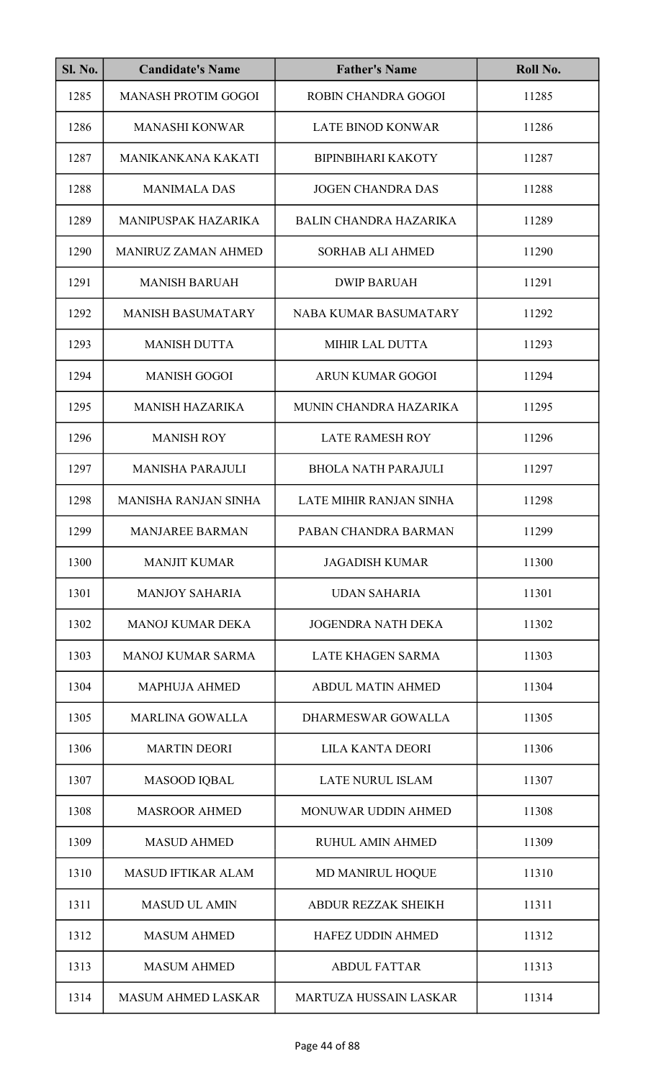| <b>Sl. No.</b> | <b>Candidate's Name</b>     | <b>Father's Name</b>           | Roll No. |
|----------------|-----------------------------|--------------------------------|----------|
| 1285           | <b>MANASH PROTIM GOGOI</b>  | ROBIN CHANDRA GOGOI            | 11285    |
| 1286           | <b>MANASHI KONWAR</b>       | <b>LATE BINOD KONWAR</b>       | 11286    |
| 1287           | MANIKANKANA KAKATI          | <b>BIPINBIHARI KAKOTY</b>      | 11287    |
| 1288           | <b>MANIMALA DAS</b>         | <b>JOGEN CHANDRA DAS</b>       | 11288    |
| 1289           | <b>MANIPUSPAK HAZARIKA</b>  | BALIN CHANDRA HAZARIKA         | 11289    |
| 1290           | <b>MANIRUZ ZAMAN AHMED</b>  | <b>SORHAB ALI AHMED</b>        | 11290    |
| 1291           | <b>MANISH BARUAH</b>        | <b>DWIP BARUAH</b>             | 11291    |
| 1292           | <b>MANISH BASUMATARY</b>    | <b>NABA KUMAR BASUMATARY</b>   | 11292    |
| 1293           | <b>MANISH DUTTA</b>         | MIHIR LAL DUTTA                | 11293    |
| 1294           | <b>MANISH GOGOI</b>         | <b>ARUN KUMAR GOGOI</b>        | 11294    |
| 1295           | <b>MANISH HAZARIKA</b>      | MUNIN CHANDRA HAZARIKA         | 11295    |
| 1296           | <b>MANISH ROY</b>           | <b>LATE RAMESH ROY</b>         | 11296    |
| 1297           | <b>MANISHA PARAJULI</b>     | <b>BHOLA NATH PARAJULI</b>     | 11297    |
| 1298           | <b>MANISHA RANJAN SINHA</b> | <b>LATE MIHIR RANJAN SINHA</b> | 11298    |
| 1299           | <b>MANJAREE BARMAN</b>      | PABAN CHANDRA BARMAN           | 11299    |
| 1300           | <b>MANJIT KUMAR</b>         | <b>JAGADISH KUMAR</b>          | 11300    |
| 1301           | <b>MANJOY SAHARIA</b>       | <b>UDAN SAHARIA</b>            | 11301    |
| 1302           | <b>MANOJ KUMAR DEKA</b>     | <b>JOGENDRA NATH DEKA</b>      | 11302    |
| 1303           | <b>MANOJ KUMAR SARMA</b>    | LATE KHAGEN SARMA              | 11303    |
| 1304           | <b>MAPHUJA AHMED</b>        | <b>ABDUL MATIN AHMED</b>       | 11304    |
| 1305           | <b>MARLINA GOWALLA</b>      | <b>DHARMESWAR GOWALLA</b>      | 11305    |
| 1306           | <b>MARTIN DEORI</b>         | <b>LILA KANTA DEORI</b>        | 11306    |
| 1307           | <b>MASOOD IQBAL</b>         | <b>LATE NURUL ISLAM</b>        | 11307    |
| 1308           | <b>MASROOR AHMED</b>        | MONUWAR UDDIN AHMED            | 11308    |
| 1309           | <b>MASUD AHMED</b>          | <b>RUHUL AMIN AHMED</b>        | 11309    |
| 1310           | <b>MASUD IFTIKAR ALAM</b>   | MD MANIRUL HOQUE               | 11310    |
| 1311           | <b>MASUD UL AMIN</b>        | <b>ABDUR REZZAK SHEIKH</b>     | 11311    |
| 1312           | <b>MASUM AHMED</b>          | <b>HAFEZ UDDIN AHMED</b>       | 11312    |
| 1313           | <b>MASUM AHMED</b>          | <b>ABDUL FATTAR</b>            | 11313    |
| 1314           | <b>MASUM AHMED LASKAR</b>   | <b>MARTUZA HUSSAIN LASKAR</b>  | 11314    |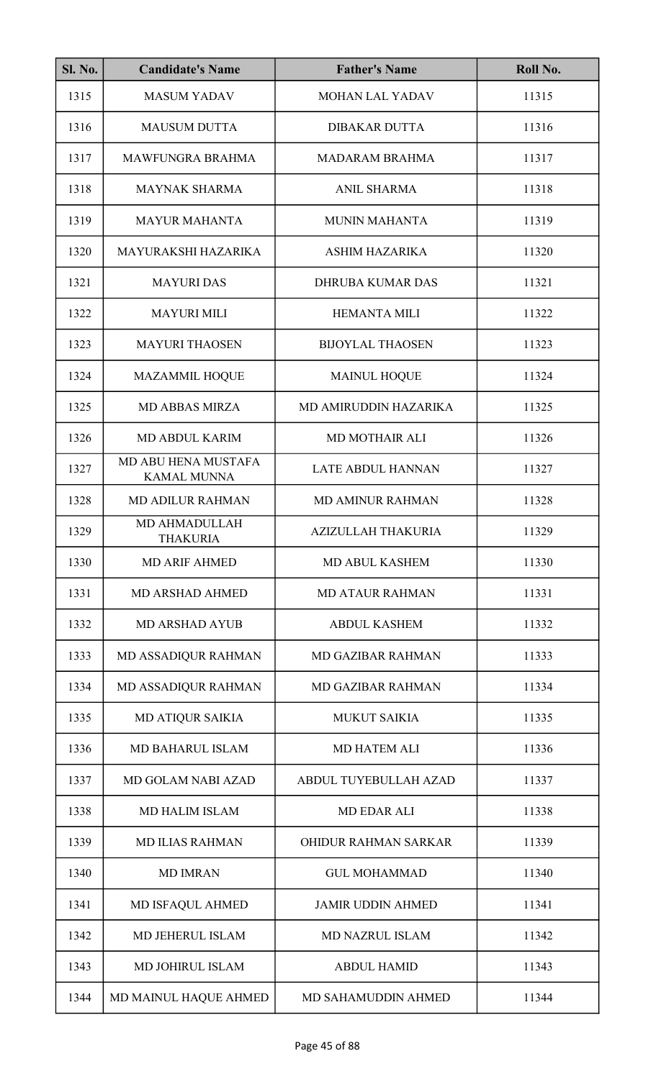| <b>Sl. No.</b> | <b>Candidate's Name</b>                   | <b>Father's Name</b>     | Roll No. |
|----------------|-------------------------------------------|--------------------------|----------|
| 1315           | <b>MASUM YADAV</b>                        | MOHAN LAL YADAV          | 11315    |
| 1316           | <b>MAUSUM DUTTA</b>                       | <b>DIBAKAR DUTTA</b>     | 11316    |
| 1317           | <b>MAWFUNGRA BRAHMA</b>                   | <b>MADARAM BRAHMA</b>    | 11317    |
| 1318           | <b>MAYNAK SHARMA</b>                      | <b>ANIL SHARMA</b>       | 11318    |
| 1319           | <b>MAYUR MAHANTA</b>                      | <b>MUNIN MAHANTA</b>     | 11319    |
| 1320           | MAYURAKSHI HAZARIKA                       | <b>ASHIM HAZARIKA</b>    | 11320    |
| 1321           | <b>MAYURI DAS</b>                         | <b>DHRUBA KUMAR DAS</b>  | 11321    |
| 1322           | <b>MAYURI MILI</b>                        | <b>HEMANTA MILI</b>      | 11322    |
| 1323           | <b>MAYURI THAOSEN</b>                     | <b>BIJOYLAL THAOSEN</b>  | 11323    |
| 1324           | <b>MAZAMMIL HOQUE</b>                     | <b>MAINUL HOQUE</b>      | 11324    |
| 1325           | <b>MD ABBAS MIRZA</b>                     | MD AMIRUDDIN HAZARIKA    | 11325    |
| 1326           | <b>MD ABDUL KARIM</b>                     | <b>MD MOTHAIR ALI</b>    | 11326    |
| 1327           | MD ABU HENA MUSTAFA<br><b>KAMAL MUNNA</b> | LATE ABDUL HANNAN        | 11327    |
| 1328           | <b>MD ADILUR RAHMAN</b>                   | <b>MD AMINUR RAHMAN</b>  | 11328    |
| 1329           | <b>MD AHMADULLAH</b><br>THAKURIA          | AZIZULLAH THAKURIA       | 11329    |
| 1330           | <b>MD ARIF AHMED</b>                      | <b>MD ABUL KASHEM</b>    | 11330    |
| 1331           | <b>MD ARSHAD AHMED</b>                    | <b>MD ATAUR RAHMAN</b>   | 11331    |
| 1332           | <b>MD ARSHAD AYUB</b>                     | <b>ABDUL KASHEM</b>      | 11332    |
| 1333           | MD ASSADIQUR RAHMAN                       | <b>MD GAZIBAR RAHMAN</b> | 11333    |
| 1334           | MD ASSADIQUR RAHMAN                       | <b>MD GAZIBAR RAHMAN</b> | 11334    |
| 1335           | <b>MD ATIQUR SAIKIA</b>                   | <b>MUKUT SAIKIA</b>      | 11335    |
| 1336           | MD BAHARUL ISLAM                          | <b>MD HATEM ALI</b>      | 11336    |
| 1337           | <b>MD GOLAM NABI AZAD</b>                 | ABDUL TUYEBULLAH AZAD    | 11337    |
| 1338           | <b>MD HALIM ISLAM</b>                     | <b>MD EDAR ALI</b>       | 11338    |
| 1339           | <b>MD ILIAS RAHMAN</b>                    | OHIDUR RAHMAN SARKAR     | 11339    |
| 1340           | <b>MD IMRAN</b>                           | <b>GUL MOHAMMAD</b>      | 11340    |
| 1341           | MD ISFAQUL AHMED                          | <b>JAMIR UDDIN AHMED</b> | 11341    |
| 1342           | MD JEHERUL ISLAM                          | <b>MD NAZRUL ISLAM</b>   | 11342    |
| 1343           | MD JOHIRUL ISLAM                          | <b>ABDUL HAMID</b>       | 11343    |
| 1344           | MD MAINUL HAQUE AHMED                     | MD SAHAMUDDIN AHMED      | 11344    |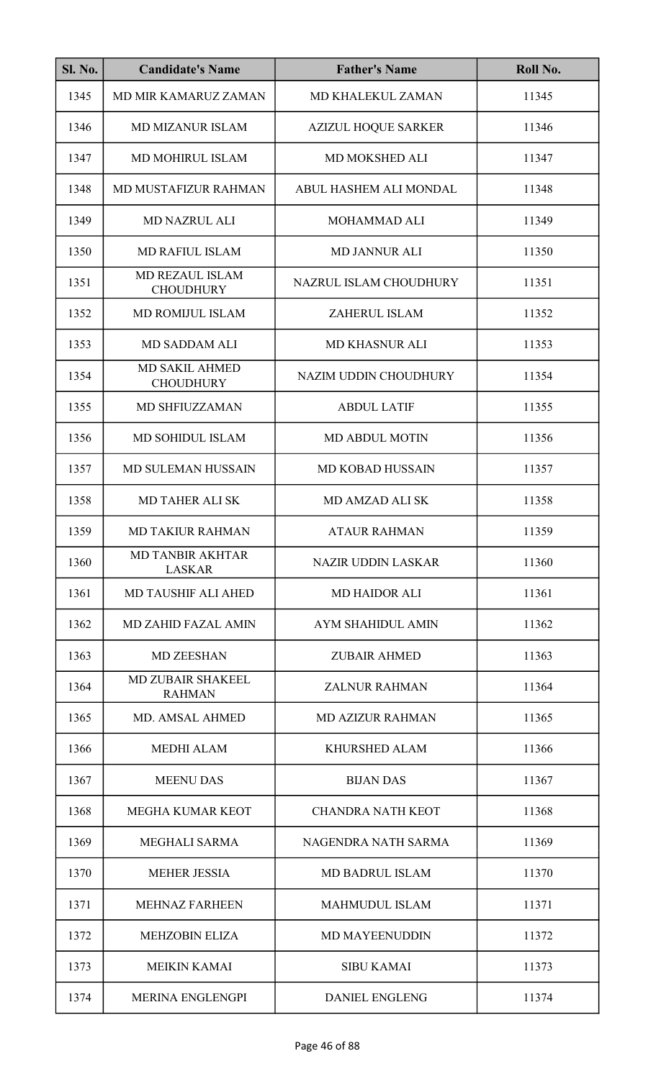| <b>Sl. No.</b> | <b>Candidate's Name</b>                    | <b>Father's Name</b>       | Roll No. |
|----------------|--------------------------------------------|----------------------------|----------|
| 1345           | <b>MD MIR KAMARUZ ZAMAN</b>                | MD KHALEKUL ZAMAN          | 11345    |
| 1346           | <b>MD MIZANUR ISLAM</b>                    | <b>AZIZUL HOQUE SARKER</b> | 11346    |
| 1347           | MD MOHIRUL ISLAM                           | MD MOKSHED ALI             | 11347    |
| 1348           | MD MUSTAFIZUR RAHMAN                       | ABUL HASHEM ALI MONDAL     | 11348    |
| 1349           | <b>MD NAZRUL ALI</b>                       | MOHAMMAD ALI               | 11349    |
| 1350           | <b>MD RAFIUL ISLAM</b>                     | <b>MD JANNUR ALI</b>       | 11350    |
| 1351           | <b>MD REZAUL ISLAM</b><br><b>CHOUDHURY</b> | NAZRUL ISLAM CHOUDHURY     | 11351    |
| 1352           | <b>MD ROMIJUL ISLAM</b>                    | ZAHERUL ISLAM              | 11352    |
| 1353           | <b>MD SADDAM ALI</b>                       | <b>MD KHASNUR ALI</b>      | 11353    |
| 1354           | <b>MD SAKIL AHMED</b><br><b>CHOUDHURY</b>  | NAZIM UDDIN CHOUDHURY      | 11354    |
| 1355           | MD SHFIUZZAMAN                             | <b>ABDUL LATIF</b>         | 11355    |
| 1356           | MD SOHIDUL ISLAM                           | <b>MD ABDUL MOTIN</b>      | 11356    |
| 1357           | MD SULEMAN HUSSAIN                         | <b>MD KOBAD HUSSAIN</b>    | 11357    |
| 1358           | <b>MD TAHER ALI SK</b>                     | MD AMZAD ALI SK            | 11358    |
| 1359           | <b>MD TAKIUR RAHMAN</b>                    | <b>ATAUR RAHMAN</b>        | 11359    |
| 1360           | <b>MD TANBIR AKHTAR</b><br><b>LASKAR</b>   | <b>NAZIR UDDIN LASKAR</b>  | 11360    |
| 1361           | <b>MD TAUSHIF ALI AHED</b>                 | <b>MD HAIDOR ALI</b>       | 11361    |
| 1362           | <b>MD ZAHID FAZAL AMIN</b>                 | AYM SHAHIDUL AMIN          | 11362    |
| 1363           | <b>MD ZEESHAN</b>                          | <b>ZUBAIR AHMED</b>        | 11363    |
| 1364           | MD ZUBAIR SHAKEEL<br><b>RAHMAN</b>         | <b>ZALNUR RAHMAN</b>       | 11364    |
| 1365           | <b>MD. AMSAL AHMED</b>                     | <b>MD AZIZUR RAHMAN</b>    | 11365    |
| 1366           | <b>MEDHI ALAM</b>                          | <b>KHURSHED ALAM</b>       | 11366    |
| 1367           | <b>MEENU DAS</b>                           | <b>BIJAN DAS</b>           | 11367    |
| 1368           | <b>MEGHA KUMAR KEOT</b>                    | <b>CHANDRA NATH KEOT</b>   | 11368    |
| 1369           | MEGHALI SARMA                              | NAGENDRA NATH SARMA        | 11369    |
| 1370           | <b>MEHER JESSIA</b>                        | <b>MD BADRUL ISLAM</b>     | 11370    |
| 1371           | <b>MEHNAZ FARHEEN</b>                      | <b>MAHMUDUL ISLAM</b>      | 11371    |
| 1372           | <b>MEHZOBIN ELIZA</b>                      | <b>MD MAYEENUDDIN</b>      | 11372    |
| 1373           | <b>MEIKIN KAMAI</b>                        | <b>SIBU KAMAI</b>          | 11373    |
| 1374           | <b>MERINA ENGLENGPI</b>                    | <b>DANIEL ENGLENG</b>      | 11374    |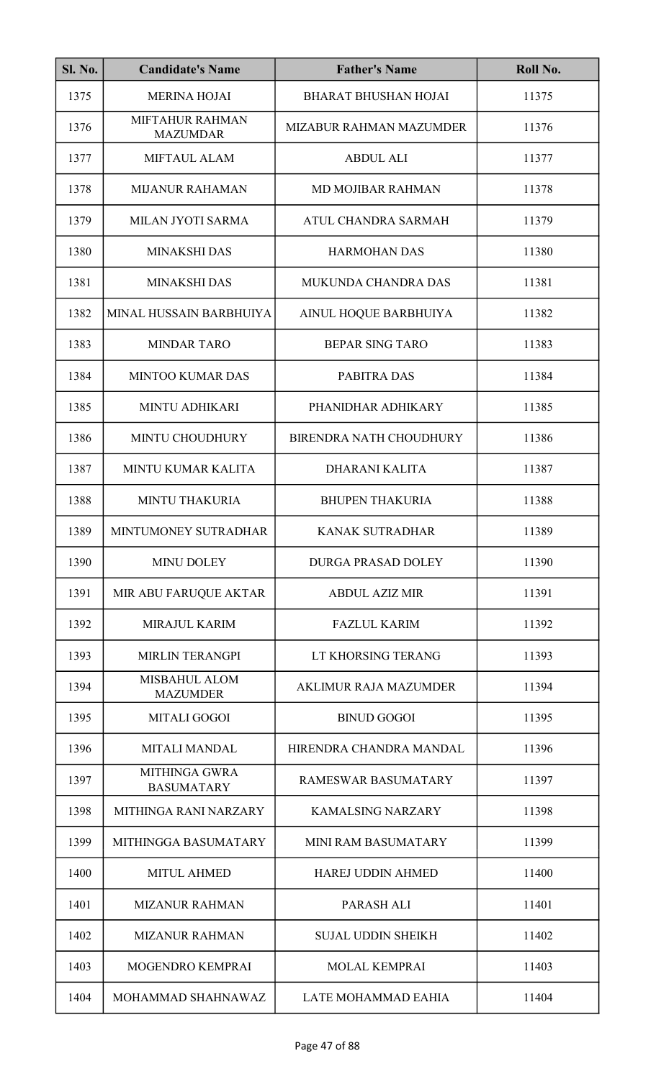| <b>Sl. No.</b> | <b>Candidate's Name</b>                   | <b>Father's Name</b>           | Roll No. |
|----------------|-------------------------------------------|--------------------------------|----------|
| 1375           | <b>MERINA HOJAI</b>                       | <b>BHARAT BHUSHAN HOJAI</b>    | 11375    |
| 1376           | <b>MIFTAHUR RAHMAN</b><br><b>MAZUMDAR</b> | MIZABUR RAHMAN MAZUMDER        | 11376    |
| 1377           | MIFTAUL ALAM                              | <b>ABDUL ALI</b>               | 11377    |
| 1378           | <b>MIJANUR RAHAMAN</b>                    | MD MOJIBAR RAHMAN              | 11378    |
| 1379           | MILAN JYOTI SARMA                         | ATUL CHANDRA SARMAH            | 11379    |
| 1380           | <b>MINAKSHI DAS</b>                       | <b>HARMOHAN DAS</b>            | 11380    |
| 1381           | <b>MINAKSHI DAS</b>                       | MUKUNDA CHANDRA DAS            | 11381    |
| 1382           | MINAL HUSSAIN BARBHUIYA                   | AINUL HOQUE BARBHUIYA          | 11382    |
| 1383           | <b>MINDAR TARO</b>                        | <b>BEPAR SING TARO</b>         | 11383    |
| 1384           | <b>MINTOO KUMAR DAS</b>                   | PABITRA DAS                    | 11384    |
| 1385           | <b>MINTU ADHIKARI</b>                     | PHANIDHAR ADHIKARY             | 11385    |
| 1386           | MINTU CHOUDHURY                           | <b>BIRENDRA NATH CHOUDHURY</b> | 11386    |
| 1387           | MINTU KUMAR KALITA                        | <b>DHARANI KALITA</b>          | 11387    |
| 1388           | <b>MINTU THAKURIA</b>                     | <b>BHUPEN THAKURIA</b>         | 11388    |
| 1389           | MINTUMONEY SUTRADHAR                      | KANAK SUTRADHAR                | 11389    |
| 1390           | <b>MINU DOLEY</b>                         | <b>DURGA PRASAD DOLEY</b>      | 11390    |
| 1391           | MIR ABU FARUQUE AKTAR                     | <b>ABDUL AZIZ MIR</b>          | 11391    |
| 1392           | <b>MIRAJUL KARIM</b>                      | <b>FAZLUL KARIM</b>            | 11392    |
| 1393           | <b>MIRLIN TERANGPI</b>                    | LT KHORSING TERANG             | 11393    |
| 1394           | <b>MISBAHUL ALOM</b><br><b>MAZUMDER</b>   | <b>AKLIMUR RAJA MAZUMDER</b>   | 11394    |
| 1395           | <b>MITALI GOGOI</b>                       | <b>BINUD GOGOI</b>             | 11395    |
| 1396           | <b>MITALI MANDAL</b>                      | HIRENDRA CHANDRA MANDAL        | 11396    |
| 1397           | <b>MITHINGA GWRA</b><br><b>BASUMATARY</b> | RAMESWAR BASUMATARY            | 11397    |
| 1398           | MITHINGA RANI NARZARY                     | <b>KAMALSING NARZARY</b>       | 11398    |
| 1399           | MITHINGGA BASUMATARY                      | <b>MINI RAM BASUMATARY</b>     | 11399    |
| 1400           | <b>MITUL AHMED</b>                        | <b>HAREJ UDDIN AHMED</b>       | 11400    |
| 1401           | <b>MIZANUR RAHMAN</b>                     | PARASH ALI                     | 11401    |
| 1402           | <b>MIZANUR RAHMAN</b>                     | <b>SUJAL UDDIN SHEIKH</b>      | 11402    |
| 1403           | MOGENDRO KEMPRAI                          | <b>MOLAL KEMPRAI</b>           | 11403    |
| 1404           | MOHAMMAD SHAHNAWAZ                        | <b>LATE MOHAMMAD EAHIA</b>     | 11404    |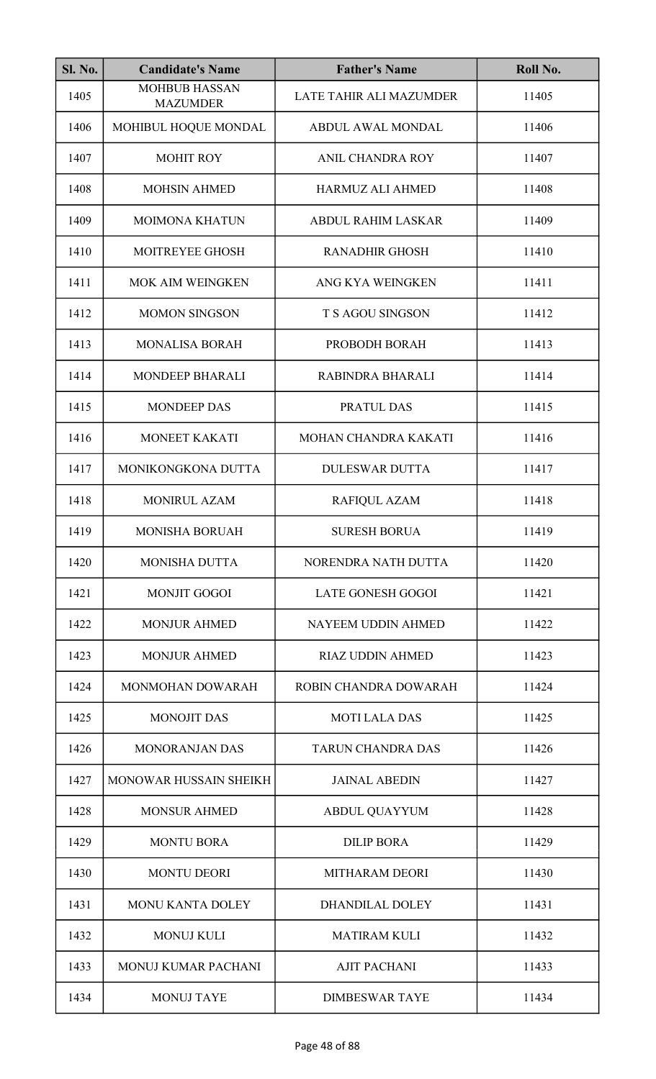| <b>Sl. No.</b> | <b>Candidate's Name</b>                 | <b>Father's Name</b>      | Roll No. |
|----------------|-----------------------------------------|---------------------------|----------|
| 1405           | <b>MOHBUB HASSAN</b><br><b>MAZUMDER</b> | LATE TAHIR ALI MAZUMDER   | 11405    |
| 1406           | MOHIBUL HOQUE MONDAL                    | <b>ABDUL AWAL MONDAL</b>  | 11406    |
| 1407           | <b>MOHIT ROY</b>                        | ANIL CHANDRA ROY          | 11407    |
| 1408           | <b>MOHSIN AHMED</b>                     | <b>HARMUZ ALI AHMED</b>   | 11408    |
| 1409           | <b>MOIMONA KHATUN</b>                   | <b>ABDUL RAHIM LASKAR</b> | 11409    |
| 1410           | MOITREYEE GHOSH                         | <b>RANADHIR GHOSH</b>     | 11410    |
| 1411           | MOK AIM WEINGKEN                        | ANG KYA WEINGKEN          | 11411    |
| 1412           | <b>MOMON SINGSON</b>                    | T S AGOU SINGSON          | 11412    |
| 1413           | <b>MONALISA BORAH</b>                   | PROBODH BORAH             | 11413    |
| 1414           | <b>MONDEEP BHARALI</b>                  | RABINDRA BHARALI          | 11414    |
| 1415           | <b>MONDEEP DAS</b>                      | PRATUL DAS                | 11415    |
| 1416           | MONEET KAKATI                           | MOHAN CHANDRA KAKATI      | 11416    |
| 1417           | MONIKONGKONA DUTTA                      | <b>DULESWAR DUTTA</b>     | 11417    |
| 1418           | <b>MONIRUL AZAM</b>                     | RAFIQUL AZAM              | 11418    |
| 1419           | <b>MONISHA BORUAH</b>                   | <b>SURESH BORUA</b>       | 11419    |
| 1420           | <b>MONISHA DUTTA</b>                    | NORENDRA NATH DUTTA       | 11420    |
| 1421           | <b>MONJIT GOGOI</b>                     | <b>LATE GONESH GOGOI</b>  | 11421    |
| 1422           | <b>MONJUR AHMED</b>                     | NAYEEM UDDIN AHMED        | 11422    |
| 1423           | <b>MONJUR AHMED</b>                     | <b>RIAZ UDDIN AHMED</b>   | 11423    |
| 1424           | MONMOHAN DOWARAH                        | ROBIN CHANDRA DOWARAH     | 11424    |
| 1425           | <b>MONOJIT DAS</b>                      | <b>MOTI LALA DAS</b>      | 11425    |
| 1426           | <b>MONORANJAN DAS</b>                   | <b>TARUN CHANDRA DAS</b>  | 11426    |
| 1427           | MONOWAR HUSSAIN SHEIKH                  | <b>JAINAL ABEDIN</b>      | 11427    |
| 1428           | <b>MONSUR AHMED</b>                     | <b>ABDUL QUAYYUM</b>      | 11428    |
| 1429           | <b>MONTU BORA</b>                       | <b>DILIP BORA</b>         | 11429    |
| 1430           | <b>MONTU DEORI</b>                      | <b>MITHARAM DEORI</b>     | 11430    |
| 1431           | <b>MONU KANTA DOLEY</b>                 | <b>DHANDILAL DOLEY</b>    | 11431    |
| 1432           | <b>MONUJ KULI</b>                       | <b>MATIRAM KULI</b>       | 11432    |
| 1433           | MONUJ KUMAR PACHANI                     | <b>AJIT PACHANI</b>       | 11433    |
| 1434           | <b>MONUJ TAYE</b>                       | <b>DIMBESWAR TAYE</b>     | 11434    |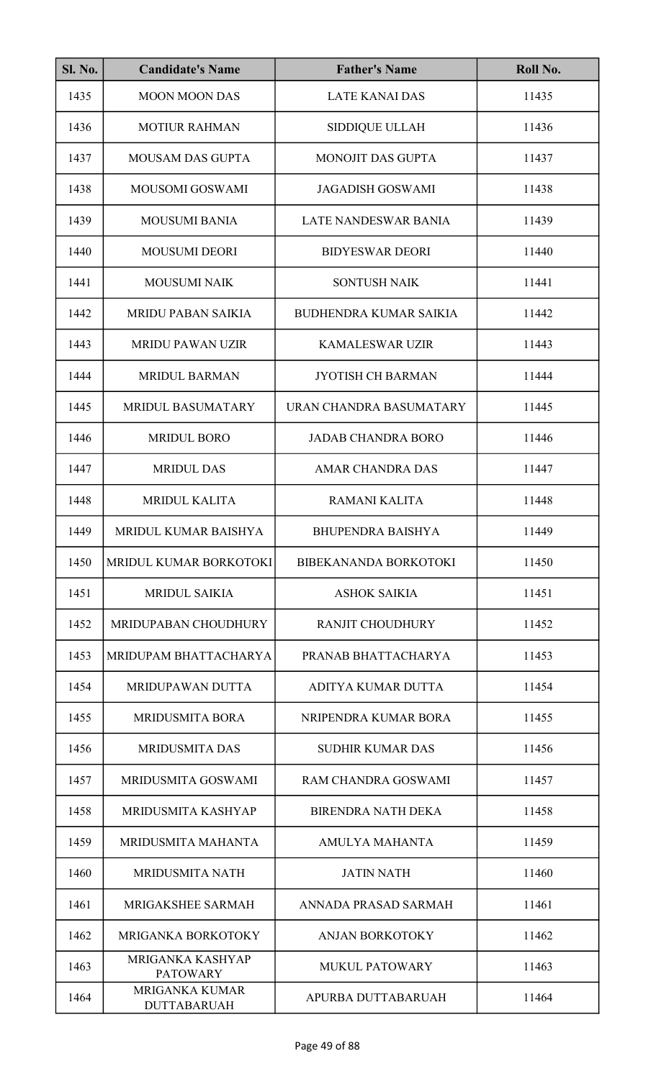| <b>Sl. No.</b> | <b>Candidate's Name</b>                     | <b>Father's Name</b>          | Roll No. |
|----------------|---------------------------------------------|-------------------------------|----------|
| 1435           | <b>MOON MOON DAS</b>                        | <b>LATE KANAI DAS</b>         | 11435    |
| 1436           | <b>MOTIUR RAHMAN</b>                        | <b>SIDDIQUE ULLAH</b>         | 11436    |
| 1437           | <b>MOUSAM DAS GUPTA</b>                     | <b>MONOJIT DAS GUPTA</b>      | 11437    |
| 1438           | MOUSOMI GOSWAMI                             | <b>JAGADISH GOSWAMI</b>       | 11438    |
| 1439           | <b>MOUSUMI BANIA</b>                        | LATE NANDESWAR BANIA          | 11439    |
| 1440           | <b>MOUSUMI DEORI</b>                        | <b>BIDYESWAR DEORI</b>        | 11440    |
| 1441           | <b>MOUSUMI NAIK</b>                         | <b>SONTUSH NAIK</b>           | 11441    |
| 1442           | <b>MRIDU PABAN SAIKIA</b>                   | <b>BUDHENDRA KUMAR SAIKIA</b> | 11442    |
| 1443           | <b>MRIDU PAWAN UZIR</b>                     | <b>KAMALESWAR UZIR</b>        | 11443    |
| 1444           | <b>MRIDUL BARMAN</b>                        | <b>JYOTISH CH BARMAN</b>      | 11444    |
| 1445           | MRIDUL BASUMATARY                           | URAN CHANDRA BASUMATARY       | 11445    |
| 1446           | <b>MRIDUL BORO</b>                          | <b>JADAB CHANDRA BORO</b>     | 11446    |
| 1447           | <b>MRIDUL DAS</b>                           | <b>AMAR CHANDRA DAS</b>       | 11447    |
| 1448           | <b>MRIDUL KALITA</b>                        | <b>RAMANI KALITA</b>          | 11448    |
| 1449           | MRIDUL KUMAR BAISHYA                        | <b>BHUPENDRA BAISHYA</b>      | 11449    |
| 1450           | MRIDUL KUMAR BORKOTOKI                      | <b>BIBEKANANDA BORKOTOKI</b>  | 11450    |
| 1451           | <b>MRIDUL SAIKIA</b>                        | <b>ASHOK SAIKIA</b>           | 11451    |
| 1452           | <b>MRIDUPABAN CHOUDHURY</b>                 | <b>RANJIT CHOUDHURY</b>       | 11452    |
| 1453           | MRIDUPAM BHATTACHARYA                       | PRANAB BHATTACHARYA           | 11453    |
| 1454           | <b>MRIDUPAWAN DUTTA</b>                     | ADITYA KUMAR DUTTA            | 11454    |
| 1455           | <b>MRIDUSMITA BORA</b>                      | NRIPENDRA KUMAR BORA          | 11455    |
| 1456           | <b>MRIDUSMITA DAS</b>                       | <b>SUDHIR KUMAR DAS</b>       | 11456    |
| 1457           | MRIDUSMITA GOSWAMI                          | RAM CHANDRA GOSWAMI           | 11457    |
| 1458           | MRIDUSMITA KASHYAP                          | <b>BIRENDRA NATH DEKA</b>     | 11458    |
| 1459           | MRIDUSMITA MAHANTA                          | AMULYA MAHANTA                | 11459    |
| 1460           | <b>MRIDUSMITA NATH</b>                      | <b>JATIN NATH</b>             | 11460    |
| 1461           | MRIGAKSHEE SARMAH                           | ANNADA PRASAD SARMAH          | 11461    |
| 1462           | <b>MRIGANKA BORKOTOKY</b>                   | <b>ANJAN BORKOTOKY</b>        | 11462    |
| 1463           | MRIGANKA KASHYAP<br><b>PATOWARY</b>         | <b>MUKUL PATOWARY</b>         | 11463    |
| 1464           | <b>MRIGANKA KUMAR</b><br><b>DUTTABARUAH</b> | APURBA DUTTABARUAH            | 11464    |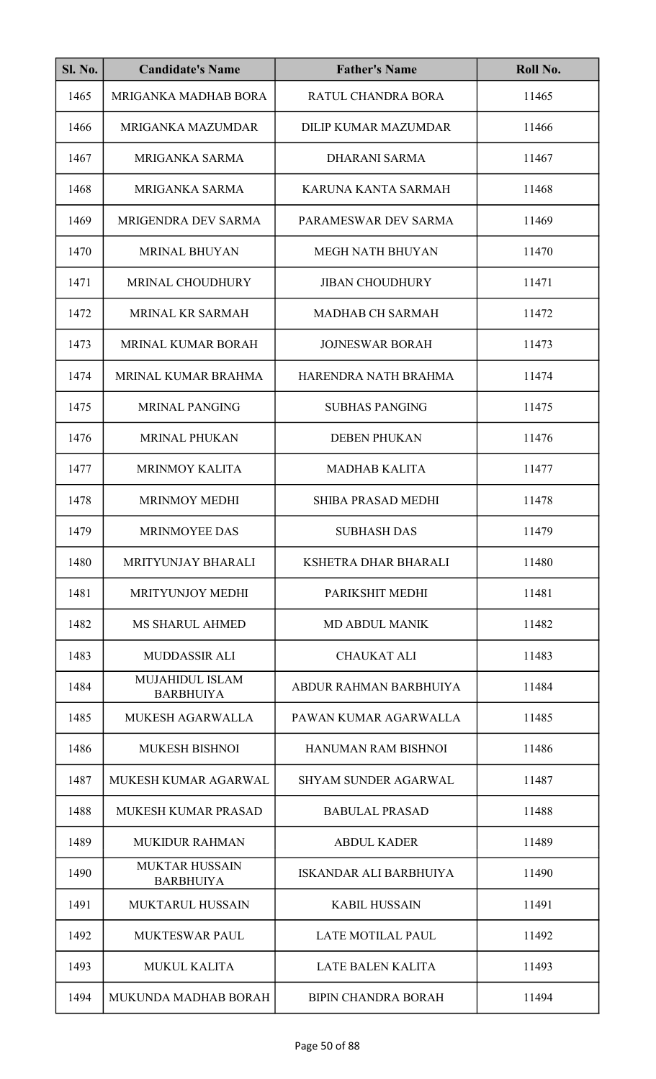| <b>Sl. No.</b> | <b>Candidate's Name</b>                    | <b>Father's Name</b>        | Roll No. |
|----------------|--------------------------------------------|-----------------------------|----------|
| 1465           | MRIGANKA MADHAB BORA                       | RATUL CHANDRA BORA          | 11465    |
| 1466           | MRIGANKA MAZUMDAR                          | <b>DILIP KUMAR MAZUMDAR</b> | 11466    |
| 1467           | MRIGANKA SARMA                             | <b>DHARANI SARMA</b>        | 11467    |
| 1468           | MRIGANKA SARMA                             | KARUNA KANTA SARMAH         | 11468    |
| 1469           | MRIGENDRA DEV SARMA                        | PARAMESWAR DEV SARMA        | 11469    |
| 1470           | <b>MRINAL BHUYAN</b>                       | <b>MEGH NATH BHUYAN</b>     | 11470    |
| 1471           | <b>MRINAL CHOUDHURY</b>                    | <b>JIBAN CHOUDHURY</b>      | 11471    |
| 1472           | MRINAL KR SARMAH                           | <b>MADHAB CH SARMAH</b>     | 11472    |
| 1473           | MRINAL KUMAR BORAH                         | <b>JOJNESWAR BORAH</b>      | 11473    |
| 1474           | MRINAL KUMAR BRAHMA                        | HARENDRA NATH BRAHMA        | 11474    |
| 1475           | <b>MRINAL PANGING</b>                      | <b>SUBHAS PANGING</b>       | 11475    |
| 1476           | <b>MRINAL PHUKAN</b>                       | <b>DEBEN PHUKAN</b>         | 11476    |
| 1477           | <b>MRINMOY KALITA</b>                      | <b>MADHAB KALITA</b>        | 11477    |
| 1478           | <b>MRINMOY MEDHI</b>                       | <b>SHIBA PRASAD MEDHI</b>   | 11478    |
| 1479           | MRINMOYEE DAS                              | <b>SUBHASH DAS</b>          | 11479    |
| 1480           | <b>MRITYUNJAY BHARALI</b>                  | KSHETRA DHAR BHARALI        | 11480    |
| 1481           | MRITYUNJOY MEDHI                           | PARIKSHIT MEDHI             | 11481    |
| 1482           | <b>MS SHARUL AHMED</b>                     | <b>MD ABDUL MANIK</b>       | 11482    |
| 1483           | <b>MUDDASSIR ALI</b>                       | <b>CHAUKAT ALI</b>          | 11483    |
| 1484           | <b>MUJAHIDUL ISLAM</b><br><b>BARBHUIYA</b> | ABDUR RAHMAN BARBHUIYA      | 11484    |
| 1485           | MUKESH AGARWALLA                           | PAWAN KUMAR AGARWALLA       | 11485    |
| 1486           | <b>MUKESH BISHNOI</b>                      | <b>HANUMAN RAM BISHNOI</b>  | 11486    |
| 1487           | <b>MUKESH KUMAR AGARWAL</b>                | <b>SHYAM SUNDER AGARWAL</b> | 11487    |
| 1488           | <b>MUKESH KUMAR PRASAD</b>                 | <b>BABULAL PRASAD</b>       | 11488    |
| 1489           | <b>MUKIDUR RAHMAN</b>                      | <b>ABDUL KADER</b>          | 11489    |
| 1490           | <b>MUKTAR HUSSAIN</b><br><b>BARBHUIYA</b>  | ISKANDAR ALI BARBHUIYA      | 11490    |
| 1491           | <b>MUKTARUL HUSSAIN</b>                    | <b>KABIL HUSSAIN</b>        | 11491    |
| 1492           | <b>MUKTESWAR PAUL</b>                      | <b>LATE MOTILAL PAUL</b>    | 11492    |
| 1493           | <b>MUKUL KALITA</b>                        | <b>LATE BALEN KALITA</b>    | 11493    |
| 1494           | MUKUNDA MADHAB BORAH                       | <b>BIPIN CHANDRA BORAH</b>  | 11494    |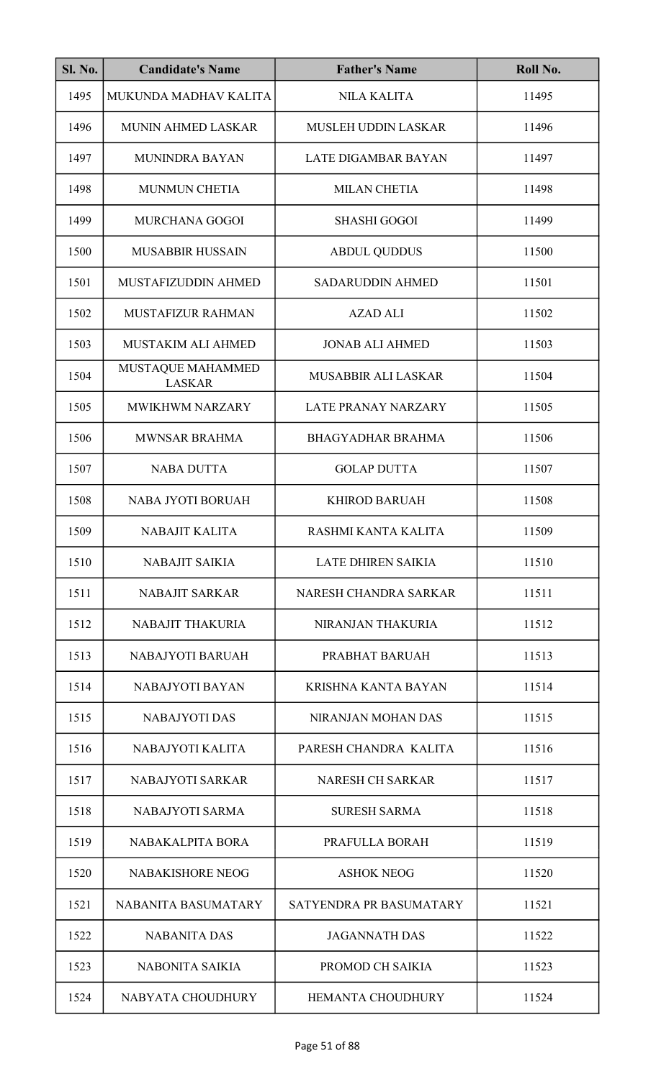| Sl. No. | <b>Candidate's Name</b>            | <b>Father's Name</b>       | Roll No. |
|---------|------------------------------------|----------------------------|----------|
| 1495    | MUKUNDA MADHAV KALITA              | <b>NILA KALITA</b>         | 11495    |
| 1496    | MUNIN AHMED LASKAR                 | MUSLEH UDDIN LASKAR        | 11496    |
| 1497    | <b>MUNINDRA BAYAN</b>              | <b>LATE DIGAMBAR BAYAN</b> | 11497    |
| 1498    | <b>MUNMUN CHETIA</b>               | <b>MILAN CHETIA</b>        | 11498    |
| 1499    | <b>MURCHANA GOGOI</b>              | <b>SHASHI GOGOI</b>        | 11499    |
| 1500    | <b>MUSABBIR HUSSAIN</b>            | <b>ABDUL QUDDUS</b>        | 11500    |
| 1501    | MUSTAFIZUDDIN AHMED                | <b>SADARUDDIN AHMED</b>    | 11501    |
| 1502    | <b>MUSTAFIZUR RAHMAN</b>           | <b>AZAD ALI</b>            | 11502    |
| 1503    | MUSTAKIM ALI AHMED                 | <b>JONAB ALI AHMED</b>     | 11503    |
| 1504    | MUSTAQUE MAHAMMED<br><b>LASKAR</b> | <b>MUSABBIR ALI LASKAR</b> | 11504    |
| 1505    | <b>MWIKHWM NARZARY</b>             | <b>LATE PRANAY NARZARY</b> | 11505    |
| 1506    | MWNSAR BRAHMA                      | <b>BHAGYADHAR BRAHMA</b>   | 11506    |
| 1507    | <b>NABA DUTTA</b>                  | <b>GOLAP DUTTA</b>         | 11507    |
| 1508    | NABA JYOTI BORUAH                  | <b>KHIROD BARUAH</b>       | 11508    |
| 1509    | NABAJIT KALITA                     | RASHMI KANTA KALITA        | 11509    |
| 1510    | <b>NABAJIT SAIKIA</b>              | <b>LATE DHIREN SAIKIA</b>  | 11510    |
| 1511    | <b>NABAJIT SARKAR</b>              | NARESH CHANDRA SARKAR      | 11511    |
| 1512    | <b>NABAJIT THAKURIA</b>            | NIRANJAN THAKURIA          | 11512    |
| 1513    | NABAJYOTI BARUAH                   | PRABHAT BARUAH             | 11513    |
| 1514    | NABAJYOTI BAYAN                    | <b>KRISHNA KANTA BAYAN</b> | 11514    |
| 1515    | <b>NABAJYOTI DAS</b>               | NIRANJAN MOHAN DAS         | 11515    |
| 1516    | NABAJYOTI KALITA                   | PARESH CHANDRA KALITA      | 11516    |
| 1517    | <b>NABAJYOTI SARKAR</b>            | <b>NARESH CH SARKAR</b>    | 11517    |
| 1518    | NABAJYOTI SARMA                    | <b>SURESH SARMA</b>        | 11518    |
| 1519    | NABAKALPITA BORA                   | PRAFULLA BORAH             | 11519    |
| 1520    | <b>NABAKISHORE NEOG</b>            | <b>ASHOK NEOG</b>          | 11520    |
| 1521    | NABANITA BASUMATARY                | SATYENDRA PR BASUMATARY    | 11521    |
| 1522    | <b>NABANITA DAS</b>                | <b>JAGANNATH DAS</b>       | 11522    |
| 1523    | NABONITA SAIKIA                    | PROMOD CH SAIKIA           | 11523    |
| 1524    | NABYATA CHOUDHURY                  | HEMANTA CHOUDHURY          | 11524    |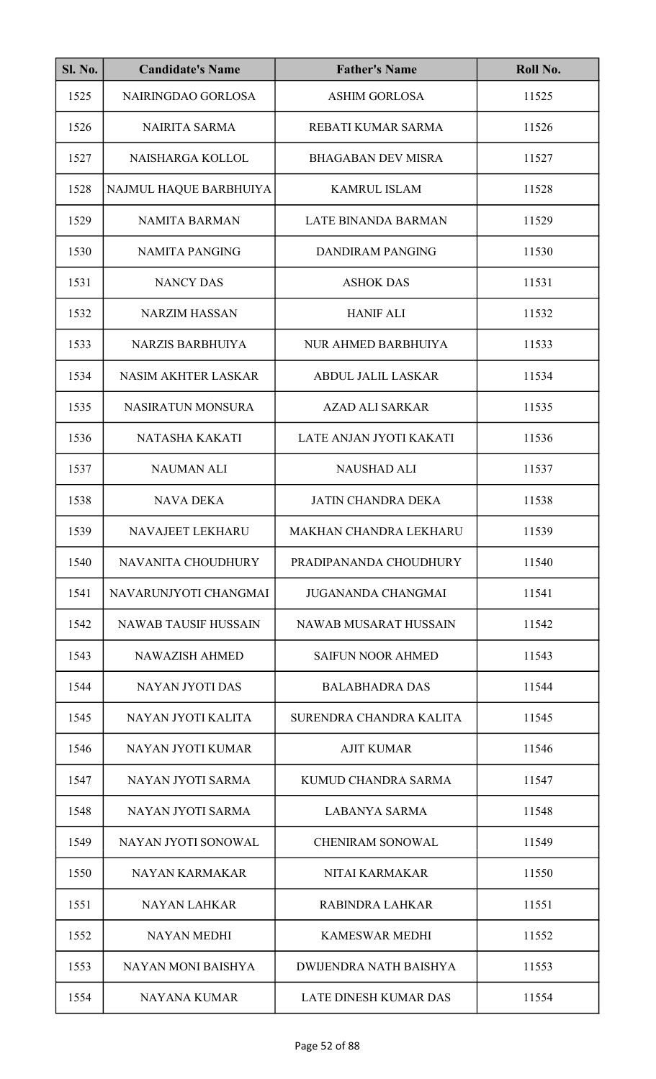| Sl. No. | <b>Candidate's Name</b>     | <b>Father's Name</b>          | Roll No. |
|---------|-----------------------------|-------------------------------|----------|
| 1525    | NAIRINGDAO GORLOSA          | <b>ASHIM GORLOSA</b>          | 11525    |
| 1526    | <b>NAIRITA SARMA</b>        | REBATI KUMAR SARMA            | 11526    |
| 1527    | NAISHARGA KOLLOL            | <b>BHAGABAN DEV MISRA</b>     | 11527    |
| 1528    | NAJMUL HAQUE BARBHUIYA      | <b>KAMRUL ISLAM</b>           | 11528    |
| 1529    | <b>NAMITA BARMAN</b>        | <b>LATE BINANDA BARMAN</b>    | 11529    |
| 1530    | <b>NAMITA PANGING</b>       | <b>DANDIRAM PANGING</b>       | 11530    |
| 1531    | <b>NANCY DAS</b>            | <b>ASHOK DAS</b>              | 11531    |
| 1532    | <b>NARZIM HASSAN</b>        | <b>HANIF ALI</b>              | 11532    |
| 1533    | <b>NARZIS BARBHUIYA</b>     | NUR AHMED BARBHUIYA           | 11533    |
| 1534    | <b>NASIM AKHTER LASKAR</b>  | <b>ABDUL JALIL LASKAR</b>     | 11534    |
| 1535    | <b>NASIRATUN MONSURA</b>    | <b>AZAD ALI SARKAR</b>        | 11535    |
| 1536    | NATASHA KAKATI              | LATE ANJAN JYOTI KAKATI       | 11536    |
| 1537    | <b>NAUMAN ALI</b>           | <b>NAUSHAD ALI</b>            | 11537    |
| 1538    | <b>NAVA DEKA</b>            | <b>JATIN CHANDRA DEKA</b>     | 11538    |
| 1539    | NAVAJEET LEKHARU            | MAKHAN CHANDRA LEKHARU        | 11539    |
| 1540    | NAVANITA CHOUDHURY          | PRADIPANANDA CHOUDHURY        | 11540    |
| 1541    | NAVARUNJYOTI CHANGMAI       | <b>JUGANANDA CHANGMAI</b>     | 11541    |
| 1542    | <b>NAWAB TAUSIF HUSSAIN</b> | <b>NAWAB MUSARAT HUSSAIN</b>  | 11542    |
| 1543    | <b>NAWAZISH AHMED</b>       | <b>SAIFUN NOOR AHMED</b>      | 11543    |
| 1544    | NAYAN JYOTI DAS             | <b>BALABHADRA DAS</b>         | 11544    |
| 1545    | NAYAN JYOTI KALITA          | SURENDRA CHANDRA KALITA       | 11545    |
| 1546    | NAYAN JYOTI KUMAR           | <b>AJIT KUMAR</b>             | 11546    |
| 1547    | NAYAN JYOTI SARMA           | KUMUD CHANDRA SARMA           | 11547    |
| 1548    | NAYAN JYOTI SARMA           | <b>LABANYA SARMA</b>          | 11548    |
| 1549    | NAYAN JYOTI SONOWAL         | <b>CHENIRAM SONOWAL</b>       | 11549    |
| 1550    | NAYAN KARMAKAR              | NITAI KARMAKAR                | 11550    |
| 1551    | <b>NAYAN LAHKAR</b>         | <b>RABINDRA LAHKAR</b>        | 11551    |
| 1552    | <b>NAYAN MEDHI</b>          | <b>KAMESWAR MEDHI</b>         | 11552    |
| 1553    | <b>NAYAN MONI BAISHYA</b>   | <b>DWIJENDRA NATH BAISHYA</b> | 11553    |
| 1554    | <b>NAYANA KUMAR</b>         | <b>LATE DINESH KUMAR DAS</b>  | 11554    |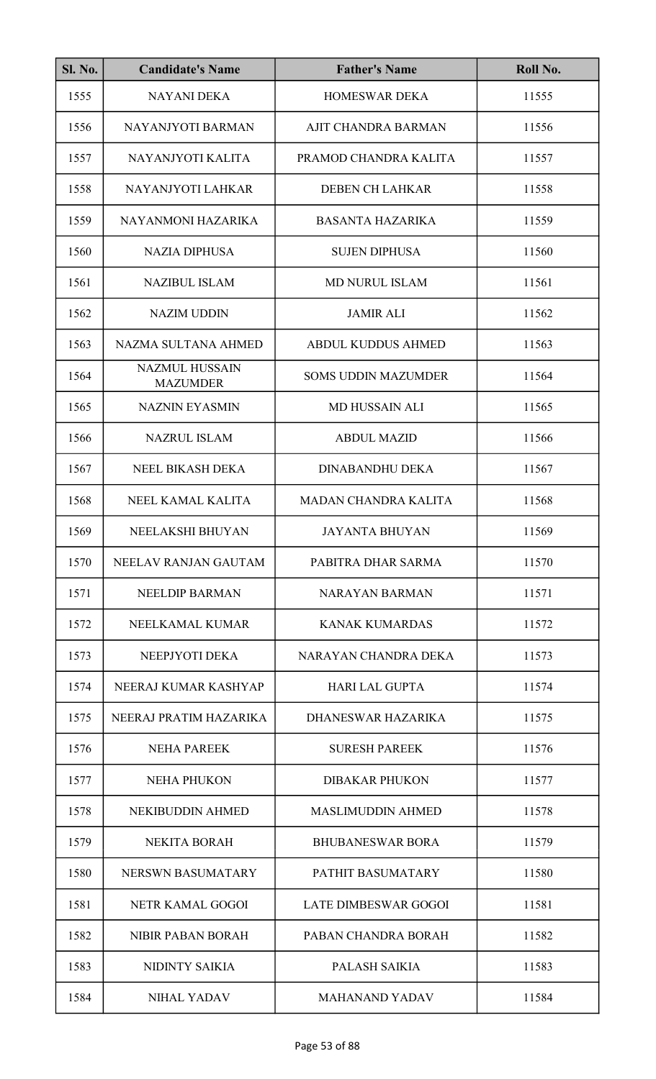| <b>Sl. No.</b> | <b>Candidate's Name</b>                  | <b>Father's Name</b>        | Roll No. |
|----------------|------------------------------------------|-----------------------------|----------|
| 1555           | <b>NAYANI DEKA</b>                       | <b>HOMESWAR DEKA</b>        | 11555    |
| 1556           | NAYANJYOTI BARMAN                        | AJIT CHANDRA BARMAN         | 11556    |
| 1557           | NAYANJYOTI KALITA                        | PRAMOD CHANDRA KALITA       | 11557    |
| 1558           | NAYANJYOTI LAHKAR                        | <b>DEBEN CH LAHKAR</b>      | 11558    |
| 1559           | NAYANMONI HAZARIKA                       | <b>BASANTA HAZARIKA</b>     | 11559    |
| 1560           | <b>NAZIA DIPHUSA</b>                     | <b>SUJEN DIPHUSA</b>        | 11560    |
| 1561           | <b>NAZIBUL ISLAM</b>                     | <b>MD NURUL ISLAM</b>       | 11561    |
| 1562           | <b>NAZIM UDDIN</b>                       | <b>JAMIR ALI</b>            | 11562    |
| 1563           | NAZMA SULTANA AHMED                      | <b>ABDUL KUDDUS AHMED</b>   | 11563    |
| 1564           | <b>NAZMUL HUSSAIN</b><br><b>MAZUMDER</b> | <b>SOMS UDDIN MAZUMDER</b>  | 11564    |
| 1565           | <b>NAZNIN EYASMIN</b>                    | <b>MD HUSSAIN ALI</b>       | 11565    |
| 1566           | <b>NAZRUL ISLAM</b>                      | <b>ABDUL MAZID</b>          | 11566    |
| 1567           | NEEL BIKASH DEKA                         | <b>DINABANDHU DEKA</b>      | 11567    |
| 1568           | NEEL KAMAL KALITA                        | MADAN CHANDRA KALITA        | 11568    |
| 1569           | NEELAKSHI BHUYAN                         | <b>JAYANTA BHUYAN</b>       | 11569    |
| 1570           | NEELAV RANJAN GAUTAM                     | PABITRA DHAR SARMA          | 11570    |
| 1571           | <b>NEELDIP BARMAN</b>                    | <b>NARAYAN BARMAN</b>       | 11571    |
| 1572           | NEELKAMAL KUMAR                          | <b>KANAK KUMARDAS</b>       | 11572    |
| 1573           | NEEPJYOTI DEKA                           | NARAYAN CHANDRA DEKA        | 11573    |
| 1574           | NEERAJ KUMAR KASHYAP                     | <b>HARI LAL GUPTA</b>       | 11574    |
| 1575           | NEERAJ PRATIM HAZARIKA                   | DHANESWAR HAZARIKA          | 11575    |
| 1576           | <b>NEHA PAREEK</b>                       | <b>SURESH PAREEK</b>        | 11576    |
| 1577           | <b>NEHA PHUKON</b>                       | <b>DIBAKAR PHUKON</b>       | 11577    |
| 1578           | NEKIBUDDIN AHMED                         | <b>MASLIMUDDIN AHMED</b>    | 11578    |
| 1579           | <b>NEKITA BORAH</b>                      | <b>BHUBANESWAR BORA</b>     | 11579    |
| 1580           | NERSWN BASUMATARY                        | PATHIT BASUMATARY           | 11580    |
| 1581           | NETR KAMAL GOGOI                         | <b>LATE DIMBESWAR GOGOI</b> | 11581    |
| 1582           | NIBIR PABAN BORAH                        | PABAN CHANDRA BORAH         | 11582    |
| 1583           | NIDINTY SAIKIA                           | PALASH SAIKIA               | 11583    |
| 1584           | <b>NIHAL YADAV</b>                       | <b>MAHANAND YADAV</b>       | 11584    |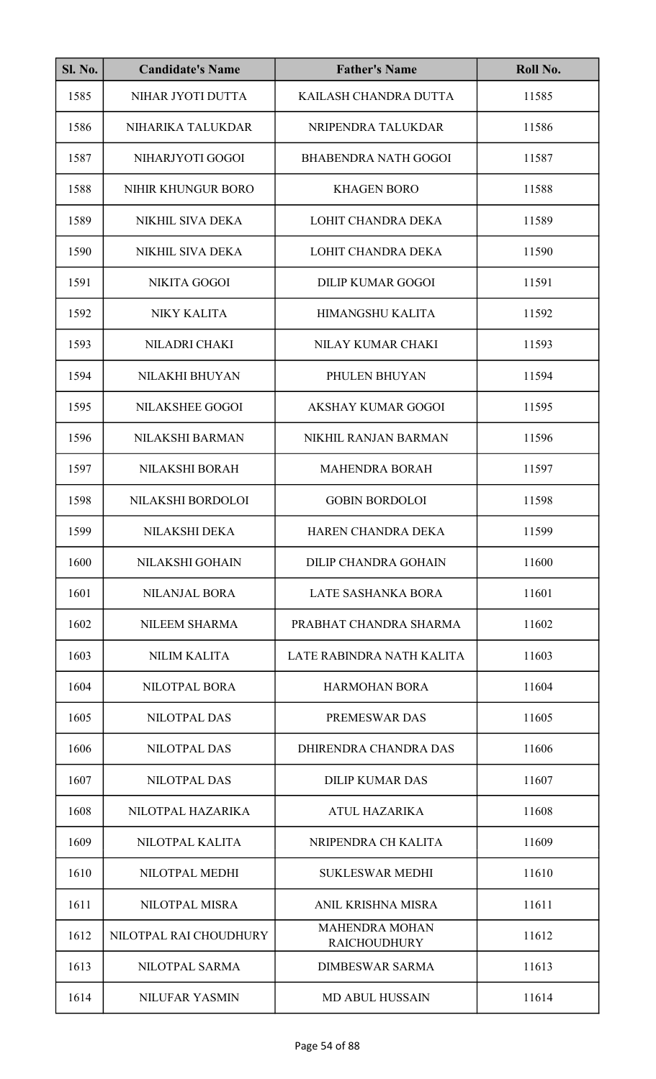| <b>Sl. No.</b> | <b>Candidate's Name</b> | <b>Father's Name</b>                         | Roll No. |
|----------------|-------------------------|----------------------------------------------|----------|
| 1585           | NIHAR JYOTI DUTTA       | KAILASH CHANDRA DUTTA                        | 11585    |
| 1586           | NIHARIKA TALUKDAR       | NRIPENDRA TALUKDAR                           | 11586    |
| 1587           | NIHARJYOTI GOGOI        | <b>BHABENDRA NATH GOGOI</b>                  | 11587    |
| 1588           | NIHIR KHUNGUR BORO      | <b>KHAGEN BORO</b>                           | 11588    |
| 1589           | NIKHIL SIVA DEKA        | <b>LOHIT CHANDRA DEKA</b>                    | 11589    |
| 1590           | NIKHIL SIVA DEKA        | <b>LOHIT CHANDRA DEKA</b>                    | 11590    |
| 1591           | <b>NIKITA GOGOI</b>     | <b>DILIP KUMAR GOGOI</b>                     | 11591    |
| 1592           | <b>NIKY KALITA</b>      | HIMANGSHU KALITA                             | 11592    |
| 1593           | NILADRI CHAKI           | NILAY KUMAR CHAKI                            | 11593    |
| 1594           | NILAKHI BHUYAN          | PHULEN BHUYAN                                | 11594    |
| 1595           | NILAKSHEE GOGOI         | <b>AKSHAY KUMAR GOGOI</b>                    | 11595    |
| 1596           | <b>NILAKSHI BARMAN</b>  | NIKHIL RANJAN BARMAN                         | 11596    |
| 1597           | NILAKSHI BORAH          | <b>MAHENDRA BORAH</b>                        | 11597    |
| 1598           | NILAKSHI BORDOLOI       | <b>GOBIN BORDOLOI</b>                        | 11598    |
| 1599           | NILAKSHI DEKA           | HAREN CHANDRA DEKA                           | 11599    |
| 1600           | NILAKSHI GOHAIN         | DILIP CHANDRA GOHAIN                         | 11600    |
| 1601           | <b>NILANJAL BORA</b>    | LATE SASHANKA BORA                           | 11601    |
| 1602           | <b>NILEEM SHARMA</b>    | PRABHAT CHANDRA SHARMA                       | 11602    |
| 1603           | <b>NILIM KALITA</b>     | LATE RABINDRA NATH KALITA                    | 11603    |
| 1604           | NILOTPAL BORA           | <b>HARMOHAN BORA</b>                         | 11604    |
| 1605           | <b>NILOTPAL DAS</b>     | <b>PREMESWAR DAS</b>                         | 11605    |
| 1606           | <b>NILOTPAL DAS</b>     | DHIRENDRA CHANDRA DAS                        | 11606    |
| 1607           | <b>NILOTPAL DAS</b>     | <b>DILIP KUMAR DAS</b>                       | 11607    |
| 1608           | NILOTPAL HAZARIKA       | <b>ATUL HAZARIKA</b>                         | 11608    |
| 1609           | NILOTPAL KALITA         | NRIPENDRA CH KALITA                          | 11609    |
| 1610           | NILOTPAL MEDHI          | <b>SUKLESWAR MEDHI</b>                       | 11610    |
| 1611           | <b>NILOTPAL MISRA</b>   | ANIL KRISHNA MISRA                           | 11611    |
| 1612           | NILOTPAL RAI CHOUDHURY  | <b>MAHENDRA MOHAN</b><br><b>RAICHOUDHURY</b> | 11612    |
| 1613           | NILOTPAL SARMA          | <b>DIMBESWAR SARMA</b>                       | 11613    |
| 1614           | <b>NILUFAR YASMIN</b>   | <b>MD ABUL HUSSAIN</b>                       | 11614    |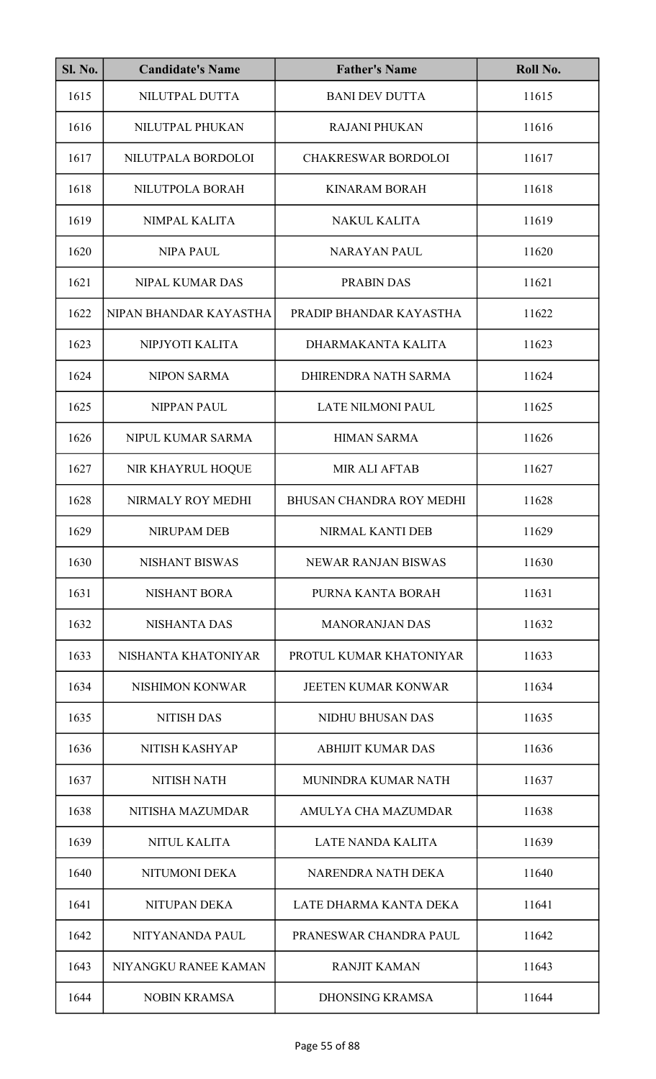| Sl. No. | <b>Candidate's Name</b> | <b>Father's Name</b>       | Roll No. |
|---------|-------------------------|----------------------------|----------|
| 1615    | NILUTPAL DUTTA          | <b>BANI DEV DUTTA</b>      | 11615    |
| 1616    | NILUTPAL PHUKAN         | <b>RAJANI PHUKAN</b>       | 11616    |
| 1617    | NILUTPALA BORDOLOI      | <b>CHAKRESWAR BORDOLOI</b> | 11617    |
| 1618    | NILUTPOLA BORAH         | <b>KINARAM BORAH</b>       | 11618    |
| 1619    | NIMPAL KALITA           | <b>NAKUL KALITA</b>        | 11619    |
| 1620    | <b>NIPA PAUL</b>        | <b>NARAYAN PAUL</b>        | 11620    |
| 1621    | <b>NIPAL KUMAR DAS</b>  | PRABIN DAS                 | 11621    |
| 1622    | NIPAN BHANDAR KAYASTHA  | PRADIP BHANDAR KAYASTHA    | 11622    |
| 1623    | NIPJYOTI KALITA         | DHARMAKANTA KALITA         | 11623    |
| 1624    | <b>NIPON SARMA</b>      | DHIRENDRA NATH SARMA       | 11624    |
| 1625    | <b>NIPPAN PAUL</b>      | <b>LATE NILMONI PAUL</b>   | 11625    |
| 1626    | NIPUL KUMAR SARMA       | <b>HIMAN SARMA</b>         | 11626    |
| 1627    | NIR KHAYRUL HOQUE       | <b>MIR ALI AFTAB</b>       | 11627    |
| 1628    | NIRMALY ROY MEDHI       | BHUSAN CHANDRA ROY MEDHI   | 11628    |
| 1629    | NIRUPAM DEB             | NIRMAL KANTI DEB           | 11629    |
| 1630    | <b>NISHANT BISWAS</b>   | <b>NEWAR RANJAN BISWAS</b> | 11630    |
| 1631    | <b>NISHANT BORA</b>     | PURNA KANTA BORAH          | 11631    |
| 1632    | <b>NISHANTA DAS</b>     | <b>MANORANJAN DAS</b>      | 11632    |
| 1633    | NISHANTA KHATONIYAR     | PROTUL KUMAR KHATONIYAR    | 11633    |
| 1634    | <b>NISHIMON KONWAR</b>  | <b>JEETEN KUMAR KONWAR</b> | 11634    |
| 1635    | <b>NITISH DAS</b>       | <b>NIDHU BHUSAN DAS</b>    | 11635    |
| 1636    | NITISH KASHYAP          | ABHIJIT KUMAR DAS          | 11636    |
| 1637    | <b>NITISH NATH</b>      | MUNINDRA KUMAR NATH        | 11637    |
| 1638    | NITISHA MAZUMDAR        | AMULYA CHA MAZUMDAR        | 11638    |
| 1639    | <b>NITUL KALITA</b>     | <b>LATE NANDA KALITA</b>   | 11639    |
| 1640    | NITUMONI DEKA           | NARENDRA NATH DEKA         | 11640    |
| 1641    | NITUPAN DEKA            | LATE DHARMA KANTA DEKA     | 11641    |
| 1642    | NITYANANDA PAUL         | PRANESWAR CHANDRA PAUL     | 11642    |
| 1643    | NIYANGKU RANEE KAMAN    | <b>RANJIT KAMAN</b>        | 11643    |
| 1644    | <b>NOBIN KRAMSA</b>     | <b>DHONSING KRAMSA</b>     | 11644    |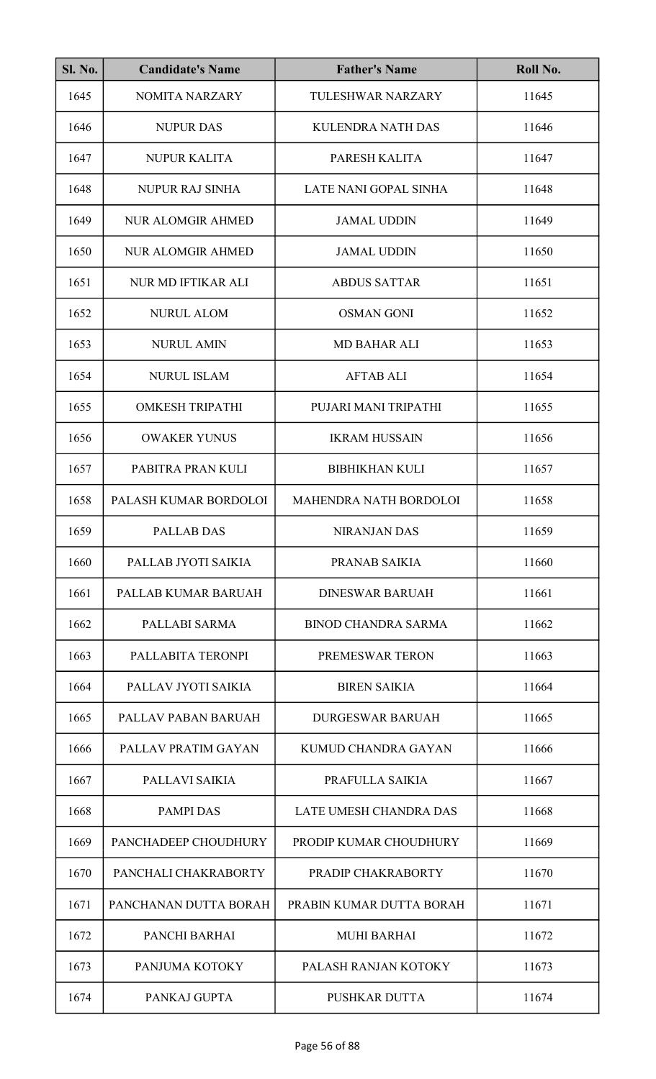| <b>Sl. No.</b> | <b>Candidate's Name</b>   | <b>Father's Name</b>       | Roll No. |
|----------------|---------------------------|----------------------------|----------|
| 1645           | <b>NOMITA NARZARY</b>     | TULESHWAR NARZARY          | 11645    |
| 1646           | <b>NUPUR DAS</b>          | <b>KULENDRA NATH DAS</b>   | 11646    |
| 1647           | <b>NUPUR KALITA</b>       | PARESH KALITA              | 11647    |
| 1648           | <b>NUPUR RAJ SINHA</b>    | LATE NANI GOPAL SINHA      | 11648    |
| 1649           | <b>NUR ALOMGIR AHMED</b>  | <b>JAMAL UDDIN</b>         | 11649    |
| 1650           | <b>NUR ALOMGIR AHMED</b>  | <b>JAMAL UDDIN</b>         | 11650    |
| 1651           | <b>NUR MD IFTIKAR ALI</b> | <b>ABDUS SATTAR</b>        | 11651    |
| 1652           | <b>NURUL ALOM</b>         | <b>OSMAN GONI</b>          | 11652    |
| 1653           | <b>NURUL AMIN</b>         | <b>MD BAHAR ALI</b>        | 11653    |
| 1654           | <b>NURUL ISLAM</b>        | <b>AFTAB ALI</b>           | 11654    |
| 1655           | <b>OMKESH TRIPATHI</b>    | PUJARI MANI TRIPATHI       | 11655    |
| 1656           | <b>OWAKER YUNUS</b>       | <b>IKRAM HUSSAIN</b>       | 11656    |
| 1657           | PABITRA PRAN KULI         | <b>BIBHIKHAN KULI</b>      | 11657    |
| 1658           | PALASH KUMAR BORDOLOI     | MAHENDRA NATH BORDOLOI     | 11658    |
| 1659           | PALLAB DAS                | <b>NIRANJAN DAS</b>        | 11659    |
| 1660           | PALLAB JYOTI SAIKIA       | PRANAB SAIKIA              | 11660    |
| 1661           | PALLAB KUMAR BARUAH       | <b>DINESWAR BARUAH</b>     | 11661    |
| 1662           | PALLABI SARMA             | <b>BINOD CHANDRA SARMA</b> | 11662    |
| 1663           | PALLABITA TERONPI         | PREMESWAR TERON            | 11663    |
| 1664           | PALLAV JYOTI SAIKIA       | <b>BIREN SAIKIA</b>        | 11664    |
| 1665           | PALLAV PABAN BARUAH       | <b>DURGESWAR BARUAH</b>    | 11665    |
| 1666           | PALLAV PRATIM GAYAN       | KUMUD CHANDRA GAYAN        | 11666    |
| 1667           | PALLAVI SAIKIA            | PRAFULLA SAIKIA            | 11667    |
| 1668           | <b>PAMPI DAS</b>          | LATE UMESH CHANDRA DAS     | 11668    |
| 1669           | PANCHADEEP CHOUDHURY      | PRODIP KUMAR CHOUDHURY     | 11669    |
| 1670           | PANCHALI CHAKRABORTY      | PRADIP CHAKRABORTY         | 11670    |
| 1671           | PANCHANAN DUTTA BORAH     | PRABIN KUMAR DUTTA BORAH   | 11671    |
| 1672           | PANCHI BARHAI             | <b>MUHI BARHAI</b>         | 11672    |
| 1673           | PANJUMA KOTOKY            | PALASH RANJAN KOTOKY       | 11673    |
| 1674           | PANKAJ GUPTA              | <b>PUSHKAR DUTTA</b>       | 11674    |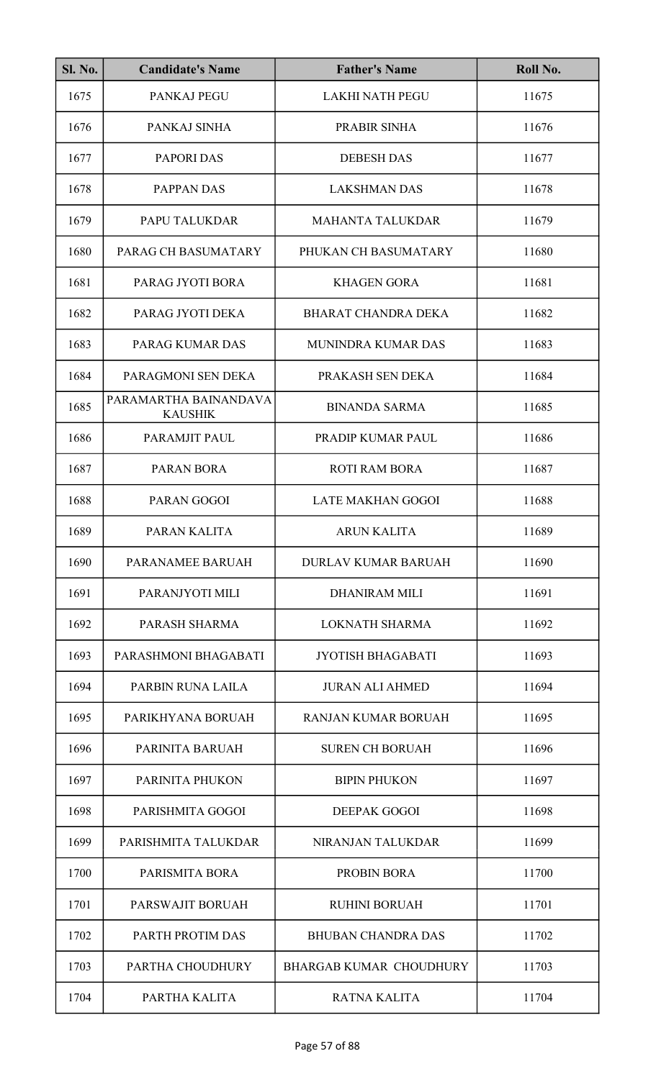| <b>Sl. No.</b> | <b>Candidate's Name</b>                 | <b>Father's Name</b>           | Roll No. |
|----------------|-----------------------------------------|--------------------------------|----------|
| 1675           | PANKAJ PEGU                             | <b>LAKHI NATH PEGU</b>         | 11675    |
| 1676           | PANKAJ SINHA                            | PRABIR SINHA                   | 11676    |
| 1677           | <b>PAPORI DAS</b>                       | <b>DEBESH DAS</b>              | 11677    |
| 1678           | PAPPAN DAS                              | <b>LAKSHMAN DAS</b>            | 11678    |
| 1679           | PAPU TALUKDAR                           | <b>MAHANTA TALUKDAR</b>        | 11679    |
| 1680           | PARAG CH BASUMATARY                     | PHUKAN CH BASUMATARY           | 11680    |
| 1681           | PARAG JYOTI BORA                        | <b>KHAGEN GORA</b>             | 11681    |
| 1682           | PARAG JYOTI DEKA                        | <b>BHARAT CHANDRA DEKA</b>     | 11682    |
| 1683           | PARAG KUMAR DAS                         | MUNINDRA KUMAR DAS             | 11683    |
| 1684           | PARAGMONI SEN DEKA                      | PRAKASH SEN DEKA               | 11684    |
| 1685           | PARAMARTHA BAINANDAVA<br><b>KAUSHIK</b> | <b>BINANDA SARMA</b>           | 11685    |
| 1686           | PARAMJIT PAUL                           | PRADIP KUMAR PAUL              | 11686    |
| 1687           | <b>PARAN BORA</b>                       | <b>ROTI RAM BORA</b>           | 11687    |
| 1688           | PARAN GOGOI                             | <b>LATE MAKHAN GOGOI</b>       | 11688    |
| 1689           | PARAN KALITA                            | <b>ARUN KALITA</b>             | 11689    |
| 1690           | PARANAMEE BARUAH                        | <b>DURLAV KUMAR BARUAH</b>     | 11690    |
| 1691           | PARANJYOTI MILI                         | <b>DHANIRAM MILI</b>           | 11691    |
| 1692           | PARASH SHARMA                           | LOKNATH SHARMA                 | 11692    |
| 1693           | PARASHMONI BHAGABATI                    | <b>JYOTISH BHAGABATI</b>       | 11693    |
| 1694           | PARBIN RUNA LAILA                       | <b>JURAN ALI AHMED</b>         | 11694    |
| 1695           | PARIKHYANA BORUAH                       | <b>RANJAN KUMAR BORUAH</b>     | 11695    |
| 1696           | PARINITA BARUAH                         | <b>SUREN CH BORUAH</b>         | 11696    |
| 1697           | PARINITA PHUKON                         | <b>BIPIN PHUKON</b>            | 11697    |
| 1698           | PARISHMITA GOGOI                        | DEEPAK GOGOI                   | 11698    |
| 1699           | PARISHMITA TALUKDAR                     | NIRANJAN TALUKDAR              | 11699    |
| 1700           | PARISMITA BORA                          | <b>PROBIN BORA</b>             | 11700    |
| 1701           | PARSWAJIT BORUAH                        | <b>RUHINI BORUAH</b>           | 11701    |
| 1702           | PARTH PROTIM DAS                        | <b>BHUBAN CHANDRA DAS</b>      | 11702    |
| 1703           | PARTHA CHOUDHURY                        | <b>BHARGAB KUMAR CHOUDHURY</b> | 11703    |
| 1704           | PARTHA KALITA                           | <b>RATNA KALITA</b>            | 11704    |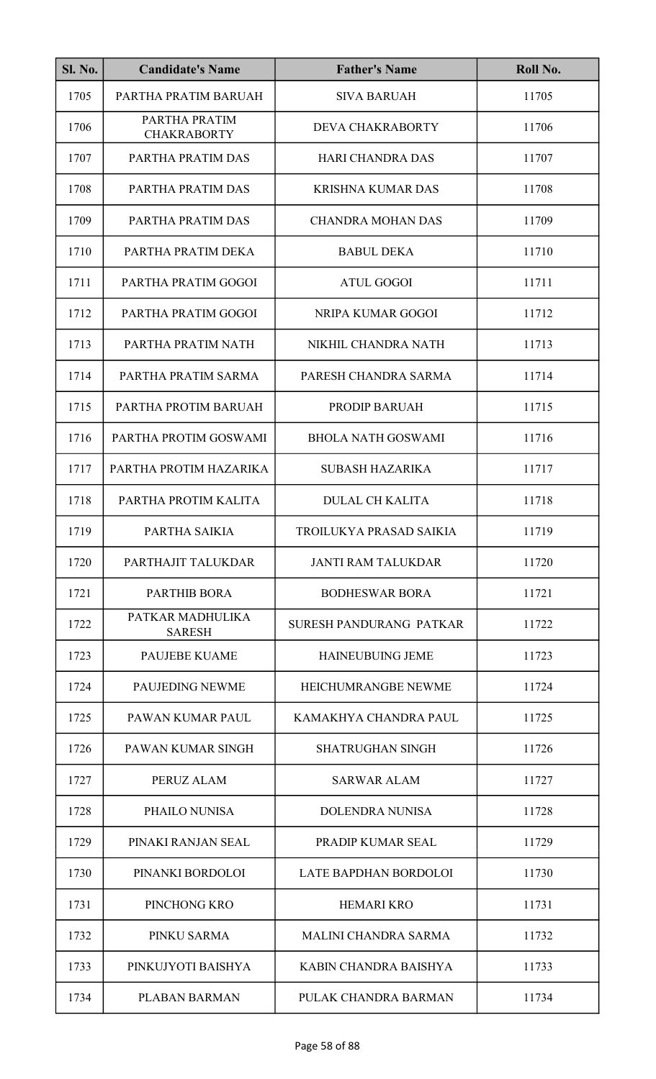| <b>Sl. No.</b> | <b>Candidate's Name</b>             | <b>Father's Name</b>        | Roll No. |
|----------------|-------------------------------------|-----------------------------|----------|
| 1705           | PARTHA PRATIM BARUAH                | <b>SIVA BARUAH</b>          | 11705    |
| 1706           | PARTHA PRATIM<br><b>CHAKRABORTY</b> | DEVA CHAKRABORTY            | 11706    |
| 1707           | PARTHA PRATIM DAS                   | <b>HARI CHANDRA DAS</b>     | 11707    |
| 1708           | PARTHA PRATIM DAS                   | <b>KRISHNA KUMAR DAS</b>    | 11708    |
| 1709           | PARTHA PRATIM DAS                   | <b>CHANDRA MOHAN DAS</b>    | 11709    |
| 1710           | PARTHA PRATIM DEKA                  | <b>BABUL DEKA</b>           | 11710    |
| 1711           | PARTHA PRATIM GOGOI                 | <b>ATUL GOGOI</b>           | 11711    |
| 1712           | PARTHA PRATIM GOGOI                 | NRIPA KUMAR GOGOI           | 11712    |
| 1713           | PARTHA PRATIM NATH                  | NIKHIL CHANDRA NATH         | 11713    |
| 1714           | PARTHA PRATIM SARMA                 | PARESH CHANDRA SARMA        | 11714    |
| 1715           | PARTHA PROTIM BARUAH                | PRODIP BARUAH               | 11715    |
| 1716           | PARTHA PROTIM GOSWAMI               | <b>BHOLA NATH GOSWAMI</b>   | 11716    |
| 1717           | PARTHA PROTIM HAZARIKA              | <b>SUBASH HAZARIKA</b>      | 11717    |
| 1718           | PARTHA PROTIM KALITA                | <b>DULAL CH KALITA</b>      | 11718    |
| 1719           | PARTHA SAIKIA                       | TROILUKYA PRASAD SAIKIA     | 11719    |
| 1720           | PARTHAJIT TALUKDAR                  | <b>JANTI RAM TALUKDAR</b>   | 11720    |
| 1721           | <b>PARTHIB BORA</b>                 | <b>BODHESWAR BORA</b>       | 11721    |
| 1722           | PATKAR MADHULIKA<br><b>SARESH</b>   | SURESH PANDURANG PATKAR     | 11722    |
| 1723           | <b>PAUJEBE KUAME</b>                | <b>HAINEUBUING JEME</b>     | 11723    |
| 1724           | PAUJEDING NEWME                     | HEICHUMRANGBE NEWME         | 11724    |
| 1725           | PAWAN KUMAR PAUL                    | KAMAKHYA CHANDRA PAUL       | 11725    |
| 1726           | PAWAN KUMAR SINGH                   | <b>SHATRUGHAN SINGH</b>     | 11726    |
| 1727           | PERUZ ALAM                          | <b>SARWAR ALAM</b>          | 11727    |
| 1728           | PHAILO NUNISA                       | <b>DOLENDRA NUNISA</b>      | 11728    |
| 1729           | PINAKI RANJAN SEAL                  | PRADIP KUMAR SEAL           | 11729    |
| 1730           | PINANKI BORDOLOI                    | LATE BAPDHAN BORDOLOI       | 11730    |
| 1731           | PINCHONG KRO                        | <b>HEMARI KRO</b>           | 11731    |
| 1732           | PINKU SARMA                         | <b>MALINI CHANDRA SARMA</b> | 11732    |
| 1733           | PINKUJYOTI BAISHYA                  | KABIN CHANDRA BAISHYA       | 11733    |
| 1734           | PLABAN BARMAN                       | PULAK CHANDRA BARMAN        | 11734    |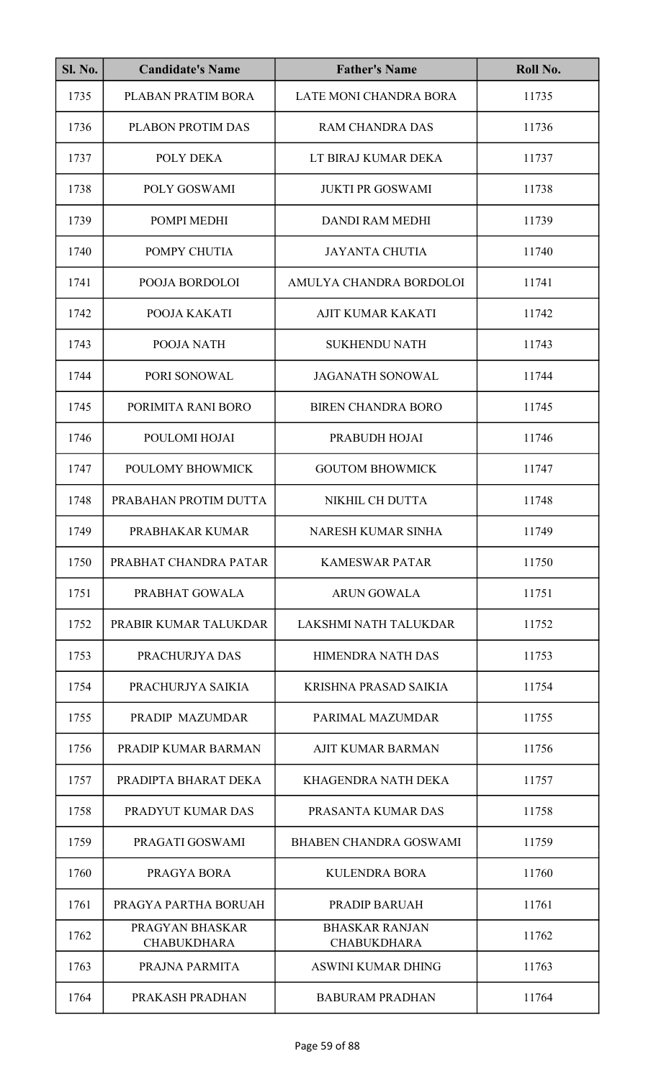| <b>Sl. No.</b> | <b>Candidate's Name</b>               | <b>Father's Name</b>                        | Roll No. |
|----------------|---------------------------------------|---------------------------------------------|----------|
| 1735           | PLABAN PRATIM BORA                    | LATE MONI CHANDRA BORA                      | 11735    |
| 1736           | PLABON PROTIM DAS                     | <b>RAM CHANDRA DAS</b>                      | 11736    |
| 1737           | POLY DEKA                             | LT BIRAJ KUMAR DEKA                         | 11737    |
| 1738           | POLY GOSWAMI                          | <b>JUKTI PR GOSWAMI</b>                     | 11738    |
| 1739           | POMPI MEDHI                           | <b>DANDI RAM MEDHI</b>                      | 11739    |
| 1740           | POMPY CHUTIA                          | <b>JAYANTA CHUTIA</b>                       | 11740    |
| 1741           | POOJA BORDOLOI                        | AMULYA CHANDRA BORDOLOI                     | 11741    |
| 1742           | POOJA KAKATI                          | <b>AJIT KUMAR KAKATI</b>                    | 11742    |
| 1743           | POOJA NATH                            | <b>SUKHENDU NATH</b>                        | 11743    |
| 1744           | PORI SONOWAL                          | <b>JAGANATH SONOWAL</b>                     | 11744    |
| 1745           | PORIMITA RANI BORO                    | <b>BIREN CHANDRA BORO</b>                   | 11745    |
| 1746           | POULOMI HOJAI                         | PRABUDH HOJAI                               | 11746    |
| 1747           | POULOMY BHOWMICK                      | <b>GOUTOM BHOWMICK</b>                      | 11747    |
| 1748           | PRABAHAN PROTIM DUTTA                 | NIKHIL CH DUTTA                             | 11748    |
| 1749           | PRABHAKAR KUMAR                       | NARESH KUMAR SINHA                          | 11749    |
| 1750           | PRABHAT CHANDRA PATAR                 | <b>KAMESWAR PATAR</b>                       | 11750    |
| 1751           | PRABHAT GOWALA                        | <b>ARUN GOWALA</b>                          | 11751    |
| 1752           | PRABIR KUMAR TALUKDAR                 | LAKSHMI NATH TALUKDAR                       | 11752    |
| 1753           | PRACHURJYA DAS                        | <b>HIMENDRA NATH DAS</b>                    | 11753    |
| 1754           | PRACHURJYA SAIKIA                     | KRISHNA PRASAD SAIKIA                       | 11754    |
| 1755           | PRADIP MAZUMDAR                       | PARIMAL MAZUMDAR                            | 11755    |
| 1756           | PRADIP KUMAR BARMAN                   | <b>AJIT KUMAR BARMAN</b>                    | 11756    |
| 1757           | PRADIPTA BHARAT DEKA                  | KHAGENDRA NATH DEKA                         | 11757    |
| 1758           | PRADYUT KUMAR DAS                     | PRASANTA KUMAR DAS                          | 11758    |
| 1759           | PRAGATI GOSWAMI                       | <b>BHABEN CHANDRA GOSWAMI</b>               | 11759    |
| 1760           | PRAGYA BORA                           | <b>KULENDRA BORA</b>                        | 11760    |
| 1761           | PRAGYA PARTHA BORUAH                  | PRADIP BARUAH                               | 11761    |
| 1762           | PRAGYAN BHASKAR<br><b>CHABUKDHARA</b> | <b>BHASKAR RANJAN</b><br><b>CHABUKDHARA</b> | 11762    |
| 1763           | PRAJNA PARMITA                        | <b>ASWINI KUMAR DHING</b>                   | 11763    |
| 1764           | PRAKASH PRADHAN                       | <b>BABURAM PRADHAN</b>                      | 11764    |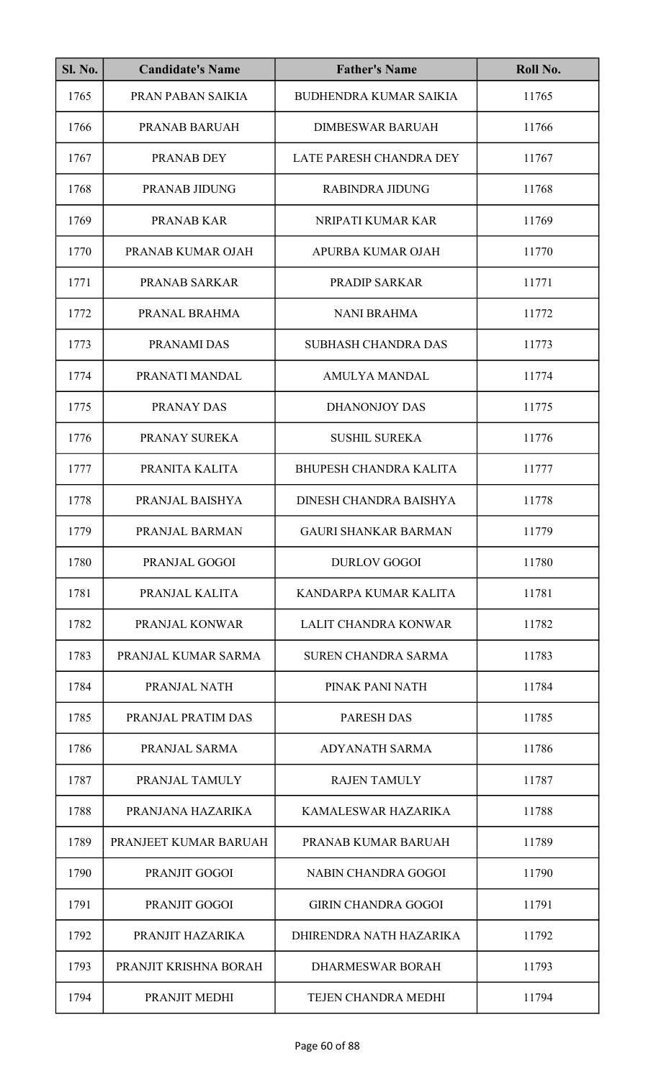| <b>Sl. No.</b> | <b>Candidate's Name</b> | <b>Father's Name</b>          | Roll No. |
|----------------|-------------------------|-------------------------------|----------|
| 1765           | PRAN PABAN SAIKIA       | <b>BUDHENDRA KUMAR SAIKIA</b> | 11765    |
| 1766           | PRANAB BARUAH           | <b>DIMBESWAR BARUAH</b>       | 11766    |
| 1767           | PRANAB DEY              | LATE PARESH CHANDRA DEY       | 11767    |
| 1768           | PRANAB JIDUNG           | <b>RABINDRA JIDUNG</b>        | 11768    |
| 1769           | <b>PRANAB KAR</b>       | NRIPATI KUMAR KAR             | 11769    |
| 1770           | PRANAB KUMAR OJAH       | APURBA KUMAR OJAH             | 11770    |
| 1771           | PRANAB SARKAR           | PRADIP SARKAR                 | 11771    |
| 1772           | PRANAL BRAHMA           | <b>NANI BRAHMA</b>            | 11772    |
| 1773           | PRANAMI DAS             | <b>SUBHASH CHANDRA DAS</b>    | 11773    |
| 1774           | PRANATI MANDAL          | <b>AMULYA MANDAL</b>          | 11774    |
| 1775           | PRANAY DAS              | <b>DHANONJOY DAS</b>          | 11775    |
| 1776           | PRANAY SUREKA           | <b>SUSHIL SUREKA</b>          | 11776    |
| 1777           | PRANITA KALITA          | <b>BHUPESH CHANDRA KALITA</b> | 11777    |
| 1778           | PRANJAL BAISHYA         | DINESH CHANDRA BAISHYA        | 11778    |
| 1779           | PRANJAL BARMAN          | <b>GAURI SHANKAR BARMAN</b>   | 11779    |
| 1780           | PRANJAL GOGOI           | <b>DURLOV GOGOI</b>           | 11780    |
| 1781           | PRANJAL KALITA          | KANDARPA KUMAR KALITA         | 11781    |
| 1782           | PRANJAL KONWAR          | <b>LALIT CHANDRA KONWAR</b>   | 11782    |
| 1783           | PRANJAL KUMAR SARMA     | <b>SUREN CHANDRA SARMA</b>    | 11783    |
| 1784           | PRANJAL NATH            | PINAK PANI NATH               | 11784    |
| 1785           | PRANJAL PRATIM DAS      | <b>PARESH DAS</b>             | 11785    |
| 1786           | PRANJAL SARMA           | <b>ADYANATH SARMA</b>         | 11786    |
| 1787           | PRANJAL TAMULY          | <b>RAJEN TAMULY</b>           | 11787    |
| 1788           | PRANJANA HAZARIKA       | KAMALESWAR HAZARIKA           | 11788    |
| 1789           | PRANJEET KUMAR BARUAH   | PRANAB KUMAR BARUAH           | 11789    |
| 1790           | PRANJIT GOGOI           | <b>NABIN CHANDRA GOGOI</b>    | 11790    |
| 1791           | PRANJIT GOGOI           | <b>GIRIN CHANDRA GOGOI</b>    | 11791    |
| 1792           | PRANJIT HAZARIKA        | DHIRENDRA NATH HAZARIKA       | 11792    |
| 1793           | PRANJIT KRISHNA BORAH   | <b>DHARMESWAR BORAH</b>       | 11793    |
| 1794           | PRANJIT MEDHI           | TEJEN CHANDRA MEDHI           | 11794    |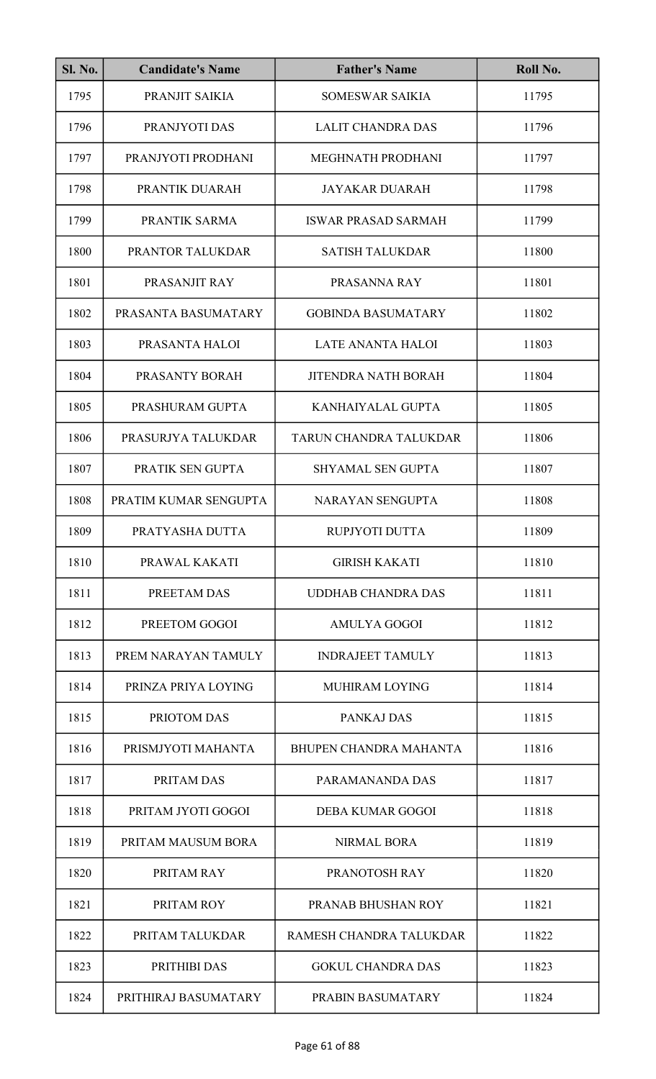| <b>Sl. No.</b> | <b>Candidate's Name</b> | <b>Father's Name</b>          | Roll No. |
|----------------|-------------------------|-------------------------------|----------|
| 1795           | PRANJIT SAIKIA          | <b>SOMESWAR SAIKIA</b>        | 11795    |
| 1796           | PRANJYOTI DAS           | <b>LALIT CHANDRA DAS</b>      | 11796    |
| 1797           | PRANJYOTI PRODHANI      | MEGHNATH PRODHANI             | 11797    |
| 1798           | PRANTIK DUARAH          | <b>JAYAKAR DUARAH</b>         | 11798    |
| 1799           | PRANTIK SARMA           | <b>ISWAR PRASAD SARMAH</b>    | 11799    |
| 1800           | PRANTOR TALUKDAR        | <b>SATISH TALUKDAR</b>        | 11800    |
| 1801           | PRASANJIT RAY           | PRASANNA RAY                  | 11801    |
| 1802           | PRASANTA BASUMATARY     | <b>GOBINDA BASUMATARY</b>     | 11802    |
| 1803           | PRASANTA HALOI          | <b>LATE ANANTA HALOI</b>      | 11803    |
| 1804           | PRASANTY BORAH          | <b>JITENDRA NATH BORAH</b>    | 11804    |
| 1805           | PRASHURAM GUPTA         | KANHAIYALAL GUPTA             | 11805    |
| 1806           | PRASURJYA TALUKDAR      | TARUN CHANDRA TALUKDAR        | 11806    |
| 1807           | PRATIK SEN GUPTA        | SHYAMAL SEN GUPTA             | 11807    |
| 1808           | PRATIM KUMAR SENGUPTA   | NARAYAN SENGUPTA              | 11808    |
| 1809           | PRATYASHA DUTTA         | RUPJYOTI DUTTA                | 11809    |
| 1810           | PRAWAL KAKATI           | <b>GIRISH KAKATI</b>          | 11810    |
| 1811           | PREETAM DAS             | <b>UDDHAB CHANDRA DAS</b>     | 11811    |
| 1812           | PREETOM GOGOI           | AMULYA GOGOI                  | 11812    |
| 1813           | PREM NARAYAN TAMULY     | <b>INDRAJEET TAMULY</b>       | 11813    |
| 1814           | PRINZA PRIYA LOYING     | <b>MUHIRAM LOYING</b>         | 11814    |
| 1815           | PRIOTOM DAS             | PANKAJ DAS                    | 11815    |
| 1816           | PRISMJYOTI MAHANTA      | <b>BHUPEN CHANDRA MAHANTA</b> | 11816    |
| 1817           | PRITAM DAS              | PARAMANANDA DAS               | 11817    |
| 1818           | PRITAM JYOTI GOGOI      | <b>DEBA KUMAR GOGOI</b>       | 11818    |
| 1819           | PRITAM MAUSUM BORA      | <b>NIRMAL BORA</b>            | 11819    |
| 1820           | PRITAM RAY              | PRANOTOSH RAY                 | 11820    |
| 1821           | PRITAM ROY              | PRANAB BHUSHAN ROY            | 11821    |
| 1822           | PRITAM TALUKDAR         | RAMESH CHANDRA TALUKDAR       | 11822    |
| 1823           | PRITHIBI DAS            | <b>GOKUL CHANDRA DAS</b>      | 11823    |
| 1824           | PRITHIRAJ BASUMATARY    | PRABIN BASUMATARY             | 11824    |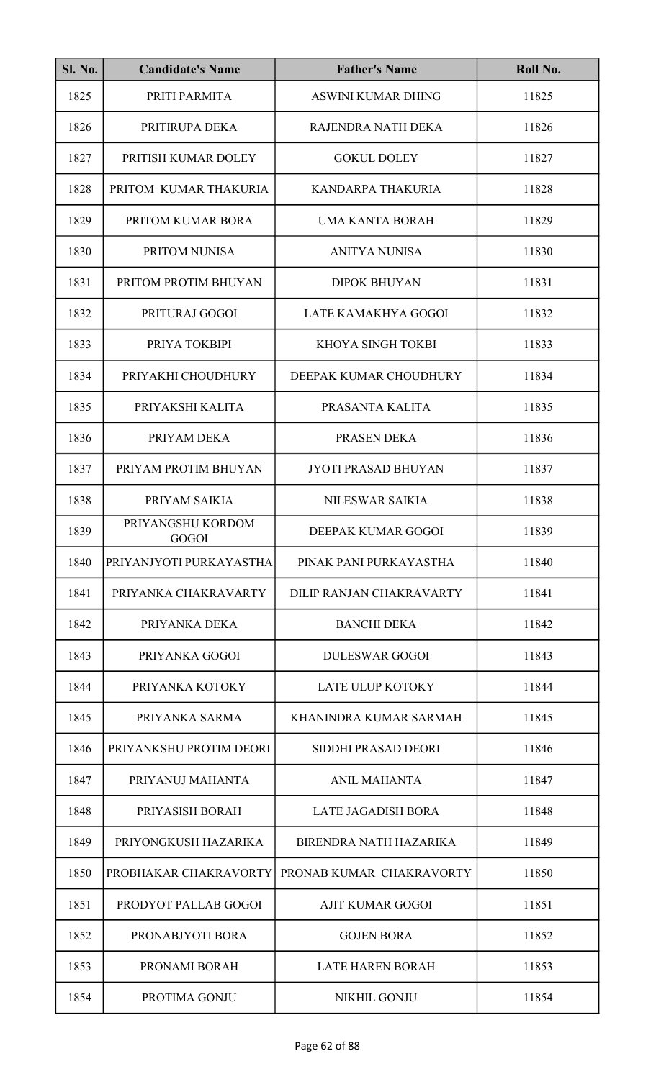| <b>Sl. No.</b> | <b>Candidate's Name</b>    | <b>Father's Name</b>          | Roll No. |
|----------------|----------------------------|-------------------------------|----------|
| 1825           | PRITI PARMITA              | <b>ASWINI KUMAR DHING</b>     | 11825    |
| 1826           | PRITIRUPA DEKA             | RAJENDRA NATH DEKA            | 11826    |
| 1827           | PRITISH KUMAR DOLEY        | <b>GOKUL DOLEY</b>            | 11827    |
| 1828           | PRITOM KUMAR THAKURIA      | KANDARPA THAKURIA             | 11828    |
| 1829           | PRITOM KUMAR BORA          | UMA KANTA BORAH               | 11829    |
| 1830           | PRITOM NUNISA              | <b>ANITYA NUNISA</b>          | 11830    |
| 1831           | PRITOM PROTIM BHUYAN       | <b>DIPOK BHUYAN</b>           | 11831    |
| 1832           | PRITURAJ GOGOI             | LATE KAMAKHYA GOGOI           | 11832    |
| 1833           | PRIYA TOKBIPI              | KHOYA SINGH TOKBI             | 11833    |
| 1834           | PRIYAKHI CHOUDHURY         | DEEPAK KUMAR CHOUDHURY        | 11834    |
| 1835           | PRIYAKSHI KALITA           | PRASANTA KALITA               | 11835    |
| 1836           | PRIYAM DEKA                | PRASEN DEKA                   | 11836    |
| 1837           | PRIYAM PROTIM BHUYAN       | <b>JYOTI PRASAD BHUYAN</b>    | 11837    |
| 1838           | PRIYAM SAIKIA              | NILESWAR SAIKIA               | 11838    |
| 1839           | PRIYANGSHU KORDOM<br>GOGOI | DEEPAK KUMAR GOGOI            | 11839    |
| 1840           | PRIYANJYOTI PURKAYASTHA    | PINAK PANI PURKAYASTHA        | 11840    |
| 1841           | PRIYANKA CHAKRAVARTY       | DILIP RANJAN CHAKRAVARTY      | 11841    |
| 1842           | PRIYANKA DEKA              | <b>BANCHI DEKA</b>            | 11842    |
| 1843           | PRIYANKA GOGOI             | <b>DULESWAR GOGOI</b>         | 11843    |
| 1844           | PRIYANKA KOTOKY            | <b>LATE ULUP KOTOKY</b>       | 11844    |
| 1845           | PRIYANKA SARMA             | KHANINDRA KUMAR SARMAH        | 11845    |
| 1846           | PRIYANKSHU PROTIM DEORI    | SIDDHI PRASAD DEORI           | 11846    |
| 1847           | PRIYANUJ MAHANTA           | ANIL MAHANTA                  | 11847    |
| 1848           | PRIYASISH BORAH            | <b>LATE JAGADISH BORA</b>     | 11848    |
| 1849           | PRIYONGKUSH HAZARIKA       | <b>BIRENDRA NATH HAZARIKA</b> | 11849    |
| 1850           | PROBHAKAR CHAKRAVORTY      | PRONAB KUMAR CHAKRAVORTY      | 11850    |
| 1851           | PRODYOT PALLAB GOGOI       | <b>AJIT KUMAR GOGOI</b>       | 11851    |
| 1852           | PRONABJYOTI BORA           | <b>GOJEN BORA</b>             | 11852    |
| 1853           | PRONAMI BORAH              | <b>LATE HAREN BORAH</b>       | 11853    |
| 1854           | PROTIMA GONJU              | <b>NIKHIL GONJU</b>           | 11854    |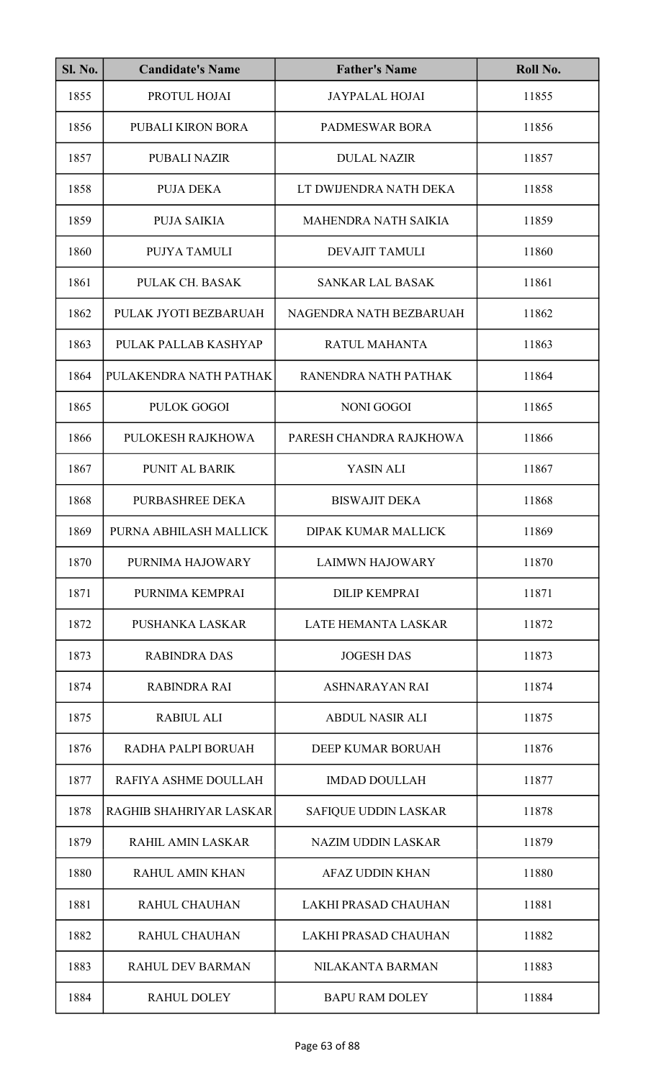| <b>Sl. No.</b> | <b>Candidate's Name</b> | <b>Father's Name</b>        | Roll No. |
|----------------|-------------------------|-----------------------------|----------|
| 1855           | PROTUL HOJAI            | <b>JAYPALAL HOJAI</b>       | 11855    |
| 1856           | PUBALI KIRON BORA       | <b>PADMESWAR BORA</b>       | 11856    |
| 1857           | <b>PUBALI NAZIR</b>     | <b>DULAL NAZIR</b>          | 11857    |
| 1858           | PUJA DEKA               | LT DWIJENDRA NATH DEKA      | 11858    |
| 1859           | <b>PUJA SAIKIA</b>      | <b>MAHENDRA NATH SAIKIA</b> | 11859    |
| 1860           | PUJYA TAMULI            | <b>DEVAJIT TAMULI</b>       | 11860    |
| 1861           | PULAK CH. BASAK         | <b>SANKAR LAL BASAK</b>     | 11861    |
| 1862           | PULAK JYOTI BEZBARUAH   | NAGENDRA NATH BEZBARUAH     | 11862    |
| 1863           | PULAK PALLAB KASHYAP    | <b>RATUL MAHANTA</b>        | 11863    |
| 1864           | PULAKENDRA NATH PATHAK  | RANENDRA NATH PATHAK        | 11864    |
| 1865           | <b>PULOK GOGOI</b>      | <b>NONI GOGOI</b>           | 11865    |
| 1866           | PULOKESH RAJKHOWA       | PARESH CHANDRA RAJKHOWA     | 11866    |
| 1867           | PUNIT AL BARIK          | YASIN ALI                   | 11867    |
| 1868           | PURBASHREE DEKA         | <b>BISWAJIT DEKA</b>        | 11868    |
| 1869           | PURNA ABHILASH MALLICK  | DIPAK KUMAR MALLICK         | 11869    |
| 1870           | PURNIMA HAJOWARY        | <b>LAIMWN HAJOWARY</b>      | 11870    |
| 1871           | PURNIMA KEMPRAI         | <b>DILIP KEMPRAI</b>        | 11871    |
| 1872           | PUSHANKA LASKAR         | <b>LATE HEMANTA LASKAR</b>  | 11872    |
| 1873           | <b>RABINDRA DAS</b>     | <b>JOGESH DAS</b>           | 11873    |
| 1874           | <b>RABINDRA RAI</b>     | <b>ASHNARAYAN RAI</b>       | 11874    |
| 1875           | <b>RABIUL ALI</b>       | <b>ABDUL NASIR ALI</b>      | 11875    |
| 1876           | RADHA PALPI BORUAH      | DEEP KUMAR BORUAH           | 11876    |
| 1877           | RAFIYA ASHME DOULLAH    | <b>IMDAD DOULLAH</b>        | 11877    |
| 1878           | RAGHIB SHAHRIYAR LASKAR | SAFIQUE UDDIN LASKAR        | 11878    |
| 1879           | RAHIL AMIN LASKAR       | <b>NAZIM UDDIN LASKAR</b>   | 11879    |
| 1880           | <b>RAHUL AMIN KHAN</b>  | <b>AFAZ UDDIN KHAN</b>      | 11880    |
| 1881           | <b>RAHUL CHAUHAN</b>    | LAKHI PRASAD CHAUHAN        | 11881    |
| 1882           | <b>RAHUL CHAUHAN</b>    | LAKHI PRASAD CHAUHAN        | 11882    |
| 1883           | <b>RAHUL DEV BARMAN</b> | NILAKANTA BARMAN            | 11883    |
| 1884           | <b>RAHUL DOLEY</b>      | <b>BAPU RAM DOLEY</b>       | 11884    |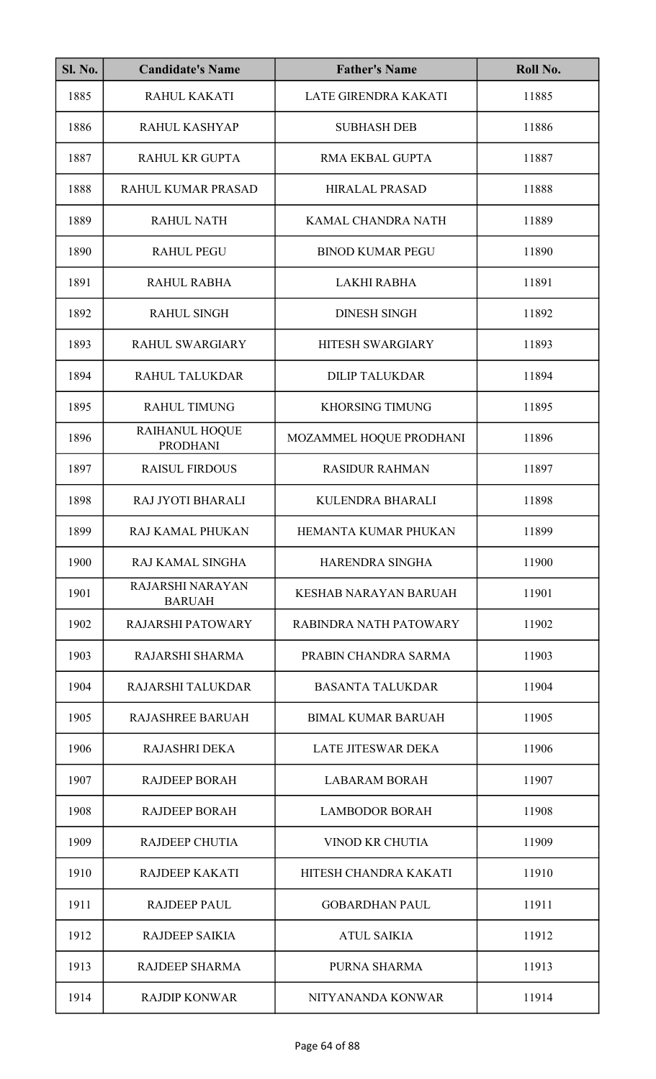| <b>Sl. No.</b> | <b>Candidate's Name</b>                  | <b>Father's Name</b>         | Roll No. |
|----------------|------------------------------------------|------------------------------|----------|
| 1885           | RAHUL KAKATI                             | LATE GIRENDRA KAKATI         | 11885    |
| 1886           | RAHUL KASHYAP                            | <b>SUBHASH DEB</b>           | 11886    |
| 1887           | <b>RAHUL KR GUPTA</b>                    | <b>RMA EKBAL GUPTA</b>       | 11887    |
| 1888           | RAHUL KUMAR PRASAD                       | <b>HIRALAL PRASAD</b>        | 11888    |
| 1889           | <b>RAHUL NATH</b>                        | KAMAL CHANDRA NATH           | 11889    |
| 1890           | <b>RAHUL PEGU</b>                        | <b>BINOD KUMAR PEGU</b>      | 11890    |
| 1891           | RAHUL RABHA                              | <b>LAKHI RABHA</b>           | 11891    |
| 1892           | <b>RAHUL SINGH</b>                       | <b>DINESH SINGH</b>          | 11892    |
| 1893           | <b>RAHUL SWARGIARY</b>                   | <b>HITESH SWARGIARY</b>      | 11893    |
| 1894           | <b>RAHUL TALUKDAR</b>                    | <b>DILIP TALUKDAR</b>        | 11894    |
| 1895           | <b>RAHUL TIMUNG</b>                      | <b>KHORSING TIMUNG</b>       | 11895    |
| 1896           | RAIHANUL HOQUE<br><b>PRODHANI</b>        | MOZAMMEL HOQUE PRODHANI      | 11896    |
| 1897           | <b>RAISUL FIRDOUS</b>                    | <b>RASIDUR RAHMAN</b>        | 11897    |
| 1898           | RAJ JYOTI BHARALI                        | KULENDRA BHARALI             | 11898    |
| 1899           | RAJ KAMAL PHUKAN                         | HEMANTA KUMAR PHUKAN         | 11899    |
| 1900           | RAJ KAMAL SINGHA                         | HARENDRA SINGHA              | 11900    |
| 1901           | <b>RAJARSHI NARAYAN</b><br><b>BARUAH</b> | <b>KESHAB NARAYAN BARUAH</b> | 11901    |
| 1902           | <b>RAJARSHI PATOWARY</b>                 | RABINDRA NATH PATOWARY       | 11902    |
| 1903           | RAJARSHI SHARMA                          | PRABIN CHANDRA SARMA         | 11903    |
| 1904           | RAJARSHI TALUKDAR                        | <b>BASANTA TALUKDAR</b>      | 11904    |
| 1905           | <b>RAJASHREE BARUAH</b>                  | <b>BIMAL KUMAR BARUAH</b>    | 11905    |
| 1906           | <b>RAJASHRI DEKA</b>                     | <b>LATE JITESWAR DEKA</b>    | 11906    |
| 1907           | <b>RAJDEEP BORAH</b>                     | <b>LABARAM BORAH</b>         | 11907    |
| 1908           | <b>RAJDEEP BORAH</b>                     | <b>LAMBODOR BORAH</b>        | 11908    |
| 1909           | <b>RAJDEEP CHUTIA</b>                    | <b>VINOD KR CHUTIA</b>       | 11909    |
| 1910           | <b>RAJDEEP KAKATI</b>                    | HITESH CHANDRA KAKATI        | 11910    |
| 1911           | <b>RAJDEEP PAUL</b>                      | <b>GOBARDHAN PAUL</b>        | 11911    |
| 1912           | <b>RAJDEEP SAIKIA</b>                    | <b>ATUL SAIKIA</b>           | 11912    |
| 1913           | RAJDEEP SHARMA                           | PURNA SHARMA                 | 11913    |
| 1914           | <b>RAJDIP KONWAR</b>                     | NITYANANDA KONWAR            | 11914    |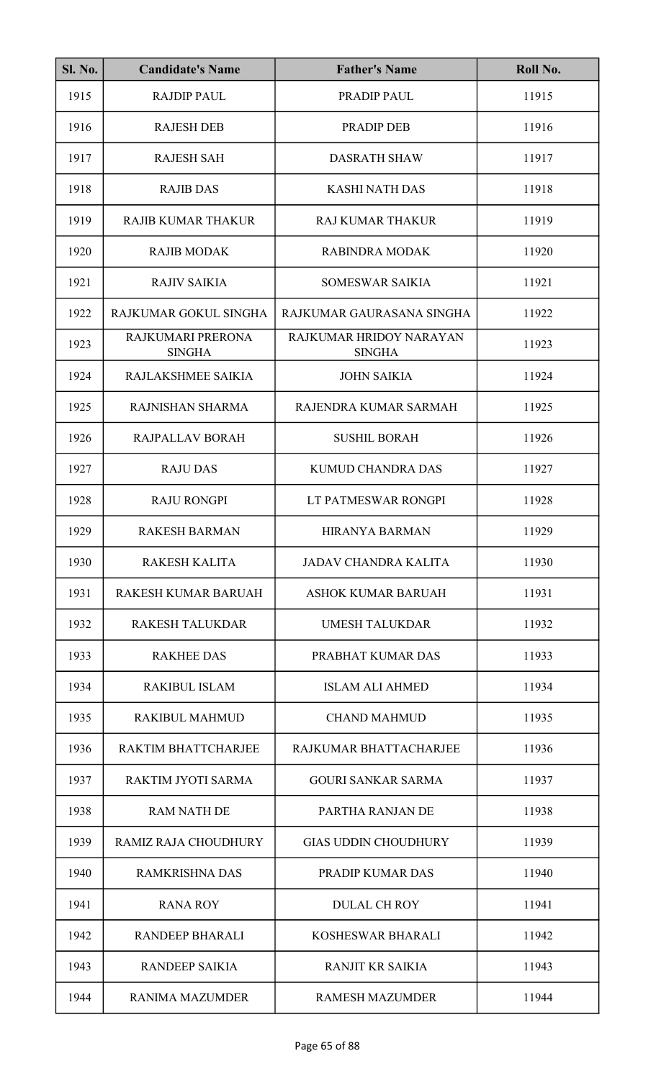| <b>Sl. No.</b> | <b>Candidate's Name</b>            | <b>Father's Name</b>                     | Roll No. |
|----------------|------------------------------------|------------------------------------------|----------|
| 1915           | <b>RAJDIP PAUL</b>                 | PRADIP PAUL                              | 11915    |
| 1916           | <b>RAJESH DEB</b>                  | <b>PRADIP DEB</b>                        | 11916    |
| 1917           | <b>RAJESH SAH</b>                  | <b>DASRATH SHAW</b>                      | 11917    |
| 1918           | <b>RAJIB DAS</b>                   | <b>KASHI NATH DAS</b>                    | 11918    |
| 1919           | <b>RAJIB KUMAR THAKUR</b>          | <b>RAJ KUMAR THAKUR</b>                  | 11919    |
| 1920           | <b>RAJIB MODAK</b>                 | <b>RABINDRA MODAK</b>                    | 11920    |
| 1921           | <b>RAJIV SAIKIA</b>                | <b>SOMESWAR SAIKIA</b>                   | 11921    |
| 1922           | RAJKUMAR GOKUL SINGHA              | RAJKUMAR GAURASANA SINGHA                | 11922    |
| 1923           | RAJKUMARI PRERONA<br><b>SINGHA</b> | RAJKUMAR HRIDOY NARAYAN<br><b>SINGHA</b> | 11923    |
| 1924           | RAJLAKSHMEE SAIKIA                 | <b>JOHN SAIKIA</b>                       | 11924    |
| 1925           | RAJNISHAN SHARMA                   | RAJENDRA KUMAR SARMAH                    | 11925    |
| 1926           | RAJPALLAV BORAH                    | <b>SUSHIL BORAH</b>                      | 11926    |
| 1927           | <b>RAJU DAS</b>                    | <b>KUMUD CHANDRA DAS</b>                 | 11927    |
| 1928           | <b>RAJU RONGPI</b>                 | LT PATMESWAR RONGPI                      | 11928    |
| 1929           | <b>RAKESH BARMAN</b>               | HIRANYA BARMAN                           | 11929    |
| 1930           | <b>RAKESH KALITA</b>               | <b>JADAV CHANDRA KALITA</b>              | 11930    |
| 1931           | RAKESH KUMAR BARUAH                | <b>ASHOK KUMAR BARUAH</b>                | 11931    |
| 1932           | <b>RAKESH TALUKDAR</b>             | <b>UMESH TALUKDAR</b>                    | 11932    |
| 1933           | <b>RAKHEE DAS</b>                  | PRABHAT KUMAR DAS                        | 11933    |
| 1934           | <b>RAKIBUL ISLAM</b>               | <b>ISLAM ALI AHMED</b>                   | 11934    |
| 1935           | <b>RAKIBUL MAHMUD</b>              | <b>CHAND MAHMUD</b>                      | 11935    |
| 1936           | RAKTIM BHATTCHARJEE                | RAJKUMAR BHATTACHARJEE                   | 11936    |
| 1937           | RAKTIM JYOTI SARMA                 | <b>GOURI SANKAR SARMA</b>                | 11937    |
| 1938           | <b>RAM NATH DE</b>                 | PARTHA RANJAN DE                         | 11938    |
| 1939           | RAMIZ RAJA CHOUDHURY               | <b>GIAS UDDIN CHOUDHURY</b>              | 11939    |
| 1940           | <b>RAMKRISHNA DAS</b>              | <b>PRADIP KUMAR DAS</b>                  | 11940    |
| 1941           | <b>RANA ROY</b>                    | <b>DULAL CH ROY</b>                      | 11941    |
| 1942           | <b>RANDEEP BHARALI</b>             | KOSHESWAR BHARALI                        | 11942    |
| 1943           | <b>RANDEEP SAIKIA</b>              | <b>RANJIT KR SAIKIA</b>                  | 11943    |
| 1944           | <b>RANIMA MAZUMDER</b>             | <b>RAMESH MAZUMDER</b>                   | 11944    |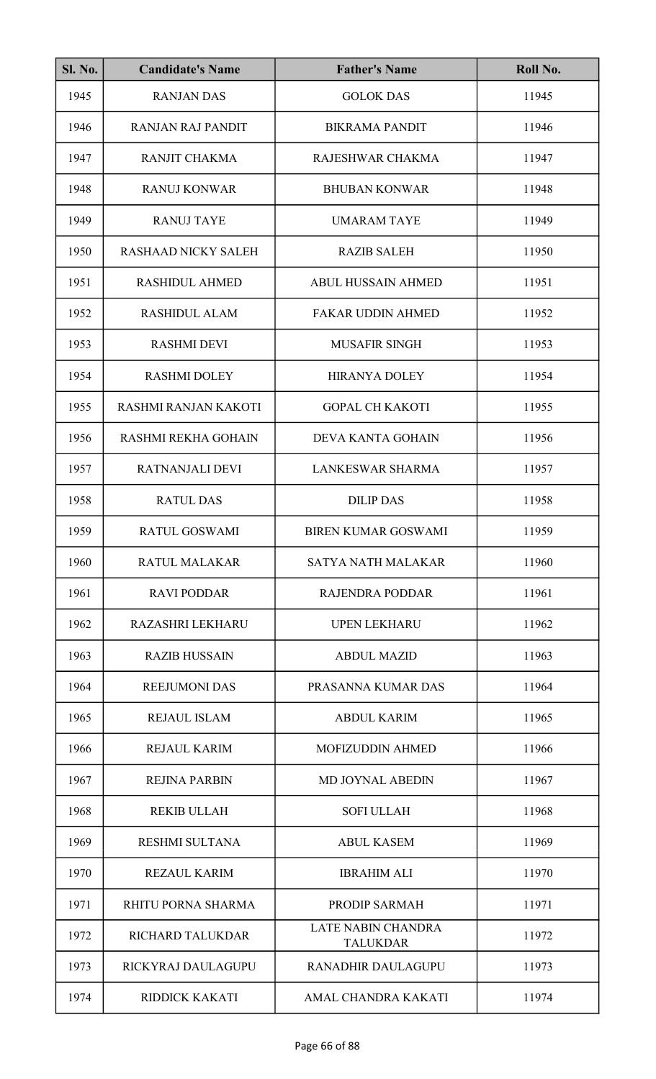| <b>Sl. No.</b> | <b>Candidate's Name</b>    | <b>Father's Name</b>                         | Roll No. |
|----------------|----------------------------|----------------------------------------------|----------|
| 1945           | <b>RANJAN DAS</b>          | <b>GOLOK DAS</b>                             | 11945    |
| 1946           | <b>RANJAN RAJ PANDIT</b>   | <b>BIKRAMA PANDIT</b>                        | 11946    |
| 1947           | RANJIT CHAKMA              | RAJESHWAR CHAKMA                             | 11947    |
| 1948           | <b>RANUJ KONWAR</b>        | <b>BHUBAN KONWAR</b>                         | 11948    |
| 1949           | <b>RANUJ TAYE</b>          | <b>UMARAM TAYE</b>                           | 11949    |
| 1950           | <b>RASHAAD NICKY SALEH</b> | <b>RAZIB SALEH</b>                           | 11950    |
| 1951           | <b>RASHIDUL AHMED</b>      | <b>ABUL HUSSAIN AHMED</b>                    | 11951    |
| 1952           | <b>RASHIDUL ALAM</b>       | <b>FAKAR UDDIN AHMED</b>                     | 11952    |
| 1953           | <b>RASHMI DEVI</b>         | <b>MUSAFIR SINGH</b>                         | 11953    |
| 1954           | <b>RASHMI DOLEY</b>        | <b>HIRANYA DOLEY</b>                         | 11954    |
| 1955           | RASHMI RANJAN KAKOTI       | <b>GOPAL CH KAKOTI</b>                       | 11955    |
| 1956           | <b>RASHMI REKHA GOHAIN</b> | DEVA KANTA GOHAIN                            | 11956    |
| 1957           | RATNANJALI DEVI            | <b>LANKESWAR SHARMA</b>                      | 11957    |
| 1958           | <b>RATUL DAS</b>           | <b>DILIP DAS</b>                             | 11958    |
| 1959           | RATUL GOSWAMI              | <b>BIREN KUMAR GOSWAMI</b>                   | 11959    |
| 1960           | <b>RATUL MALAKAR</b>       | <b>SATYA NATH MALAKAR</b>                    | 11960    |
| 1961           | <b>RAVI PODDAR</b>         | <b>RAJENDRA PODDAR</b>                       | 11961    |
| 1962           | <b>RAZASHRI LEKHARU</b>    | <b>UPEN LEKHARU</b>                          | 11962    |
| 1963           | <b>RAZIB HUSSAIN</b>       | <b>ABDUL MAZID</b>                           | 11963    |
| 1964           | <b>REEJUMONI DAS</b>       | PRASANNA KUMAR DAS                           | 11964    |
| 1965           | <b>REJAUL ISLAM</b>        | <b>ABDUL KARIM</b>                           | 11965    |
| 1966           | <b>REJAUL KARIM</b>        | <b>MOFIZUDDIN AHMED</b>                      | 11966    |
| 1967           | <b>REJINA PARBIN</b>       | <b>MD JOYNAL ABEDIN</b>                      | 11967    |
| 1968           | <b>REKIB ULLAH</b>         | <b>SOFI ULLAH</b>                            | 11968    |
| 1969           | RESHMI SULTANA             | <b>ABUL KASEM</b>                            | 11969    |
| 1970           | <b>REZAUL KARIM</b>        | <b>IBRAHIM ALI</b>                           | 11970    |
| 1971           | RHITU PORNA SHARMA         | PRODIP SARMAH                                | 11971    |
| 1972           | RICHARD TALUKDAR           | <b>LATE NABIN CHANDRA</b><br><b>TALUKDAR</b> | 11972    |
| 1973           | RICKYRAJ DAULAGUPU         | <b>RANADHIR DAULAGUPU</b>                    | 11973    |
| 1974           | RIDDICK KAKATI             | AMAL CHANDRA KAKATI                          | 11974    |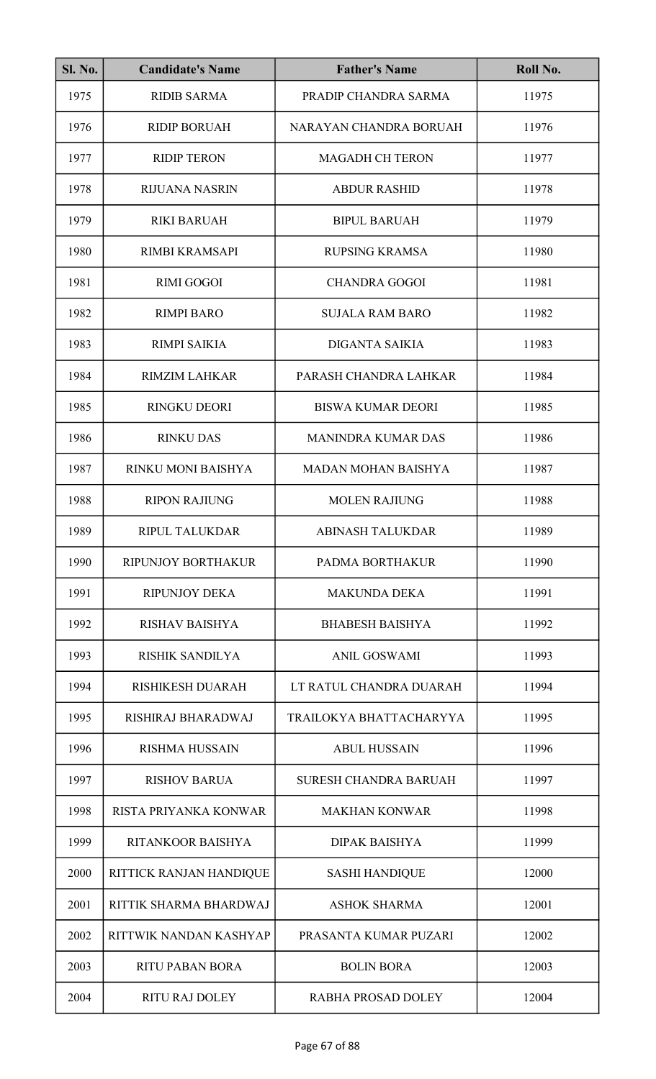| SI. No. | <b>Candidate's Name</b>   | <b>Father's Name</b>         | Roll No. |
|---------|---------------------------|------------------------------|----------|
| 1975    | <b>RIDIB SARMA</b>        | PRADIP CHANDRA SARMA         | 11975    |
| 1976    | <b>RIDIP BORUAH</b>       | NARAYAN CHANDRA BORUAH       | 11976    |
| 1977    | <b>RIDIP TERON</b>        | <b>MAGADH CH TERON</b>       | 11977    |
| 1978    | <b>RIJUANA NASRIN</b>     | <b>ABDUR RASHID</b>          | 11978    |
| 1979    | <b>RIKI BARUAH</b>        | <b>BIPUL BARUAH</b>          | 11979    |
| 1980    | <b>RIMBI KRAMSAPI</b>     | <b>RUPSING KRAMSA</b>        | 11980    |
| 1981    | <b>RIMI GOGOI</b>         | <b>CHANDRA GOGOI</b>         | 11981    |
| 1982    | <b>RIMPI BARO</b>         | <b>SUJALA RAM BARO</b>       | 11982    |
| 1983    | <b>RIMPI SAIKIA</b>       | <b>DIGANTA SAIKIA</b>        | 11983    |
| 1984    | <b>RIMZIM LAHKAR</b>      | PARASH CHANDRA LAHKAR        | 11984    |
| 1985    | <b>RINGKU DEORI</b>       | <b>BISWA KUMAR DEORI</b>     | 11985    |
| 1986    | <b>RINKU DAS</b>          | <b>MANINDRA KUMAR DAS</b>    | 11986    |
| 1987    | RINKU MONI BAISHYA        | <b>MADAN MOHAN BAISHYA</b>   | 11987    |
| 1988    | <b>RIPON RAJIUNG</b>      | <b>MOLEN RAJIUNG</b>         | 11988    |
| 1989    | RIPUL TALUKDAR            | <b>ABINASH TALUKDAR</b>      | 11989    |
| 1990    | <b>RIPUNJOY BORTHAKUR</b> | PADMA BORTHAKUR              | 11990    |
| 1991    | <b>RIPUNJOY DEKA</b>      | <b>MAKUNDA DEKA</b>          | 11991    |
| 1992    | <b>RISHAV BAISHYA</b>     | <b>BHABESH BAISHYA</b>       | 11992    |
| 1993    | <b>RISHIK SANDILYA</b>    | <b>ANIL GOSWAMI</b>          | 11993    |
| 1994    | RISHIKESH DUARAH          | LT RATUL CHANDRA DUARAH      | 11994    |
| 1995    | RISHIRAJ BHARADWAJ        | TRAILOKYA BHATTACHARYYA      | 11995    |
| 1996    | <b>RISHMA HUSSAIN</b>     | <b>ABUL HUSSAIN</b>          | 11996    |
| 1997    | <b>RISHOV BARUA</b>       | <b>SURESH CHANDRA BARUAH</b> | 11997    |
| 1998    | RISTA PRIYANKA KONWAR     | <b>MAKHAN KONWAR</b>         | 11998    |
| 1999    | RITANKOOR BAISHYA         | <b>DIPAK BAISHYA</b>         | 11999    |
| 2000    | RITTICK RANJAN HANDIQUE   | <b>SASHI HANDIQUE</b>        | 12000    |
| 2001    | RITTIK SHARMA BHARDWAJ    | <b>ASHOK SHARMA</b>          | 12001    |
| 2002    | RITTWIK NANDAN KASHYAP    | PRASANTA KUMAR PUZARI        | 12002    |
| 2003    | <b>RITU PABAN BORA</b>    | <b>BOLIN BORA</b>            | 12003    |
| 2004    | <b>RITU RAJ DOLEY</b>     | <b>RABHA PROSAD DOLEY</b>    | 12004    |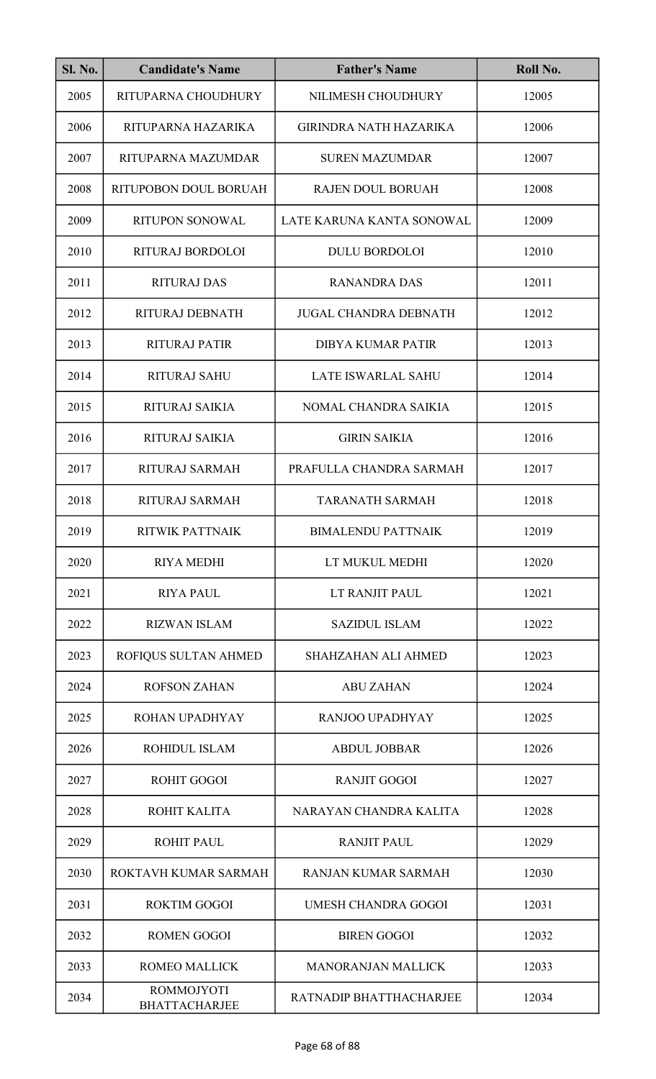| <b>Sl. No.</b> | <b>Candidate's Name</b>                   | <b>Father's Name</b>          | Roll No. |
|----------------|-------------------------------------------|-------------------------------|----------|
| 2005           | RITUPARNA CHOUDHURY                       | NILIMESH CHOUDHURY            | 12005    |
| 2006           | RITUPARNA HAZARIKA                        | <b>GIRINDRA NATH HAZARIKA</b> | 12006    |
| 2007           | RITUPARNA MAZUMDAR                        | <b>SUREN MAZUMDAR</b>         | 12007    |
| 2008           | RITUPOBON DOUL BORUAH                     | RAJEN DOUL BORUAH             | 12008    |
| 2009           | <b>RITUPON SONOWAL</b>                    | LATE KARUNA KANTA SONOWAL     | 12009    |
| 2010           | RITURAJ BORDOLOI                          | <b>DULU BORDOLOI</b>          | 12010    |
| 2011           | <b>RITURAJ DAS</b>                        | <b>RANANDRA DAS</b>           | 12011    |
| 2012           | RITURAJ DEBNATH                           | <b>JUGAL CHANDRA DEBNATH</b>  | 12012    |
| 2013           | <b>RITURAJ PATIR</b>                      | <b>DIBYA KUMAR PATIR</b>      | 12013    |
| 2014           | <b>RITURAJ SAHU</b>                       | <b>LATE ISWARLAL SAHU</b>     | 12014    |
| 2015           | <b>RITURAJ SAIKIA</b>                     | NOMAL CHANDRA SAIKIA          | 12015    |
| 2016           | <b>RITURAJ SAIKIA</b>                     | <b>GIRIN SAIKIA</b>           | 12016    |
| 2017           | RITURAJ SARMAH                            | PRAFULLA CHANDRA SARMAH       | 12017    |
| 2018           | RITURAJ SARMAH                            | <b>TARANATH SARMAH</b>        | 12018    |
| 2019           | RITWIK PATTNAIK                           | <b>BIMALENDU PATTNAIK</b>     | 12019    |
| 2020           | <b>RIYA MEDHI</b>                         | LT MUKUL MEDHI                | 12020    |
| 2021           | <b>RIYA PAUL</b>                          | LT RANJIT PAUL                | 12021    |
| 2022           | <b>RIZWAN ISLAM</b>                       | <b>SAZIDUL ISLAM</b>          | 12022    |
| 2023           | ROFIQUS SULTAN AHMED                      | SHAHZAHAN ALI AHMED           | 12023    |
| 2024           | <b>ROFSON ZAHAN</b>                       | <b>ABU ZAHAN</b>              | 12024    |
| 2025           | ROHAN UPADHYAY                            | RANJOO UPADHYAY               | 12025    |
| 2026           | ROHIDUL ISLAM                             | <b>ABDUL JOBBAR</b>           | 12026    |
| 2027           | <b>ROHIT GOGOI</b>                        | <b>RANJIT GOGOI</b>           | 12027    |
| 2028           | ROHIT KALITA                              | NARAYAN CHANDRA KALITA        | 12028    |
| 2029           | <b>ROHIT PAUL</b>                         | <b>RANJIT PAUL</b>            | 12029    |
| 2030           | ROKTAVH KUMAR SARMAH                      | <b>RANJAN KUMAR SARMAH</b>    | 12030    |
| 2031           | <b>ROKTIM GOGOI</b>                       | <b>UMESH CHANDRA GOGOI</b>    | 12031    |
| 2032           | <b>ROMEN GOGOI</b>                        | <b>BIREN GOGOI</b>            | 12032    |
| 2033           | <b>ROMEO MALLICK</b>                      | <b>MANORANJAN MALLICK</b>     | 12033    |
| 2034           | <b>ROMMOJYOTI</b><br><b>BHATTACHARJEE</b> | RATNADIP BHATTHACHARJEE       | 12034    |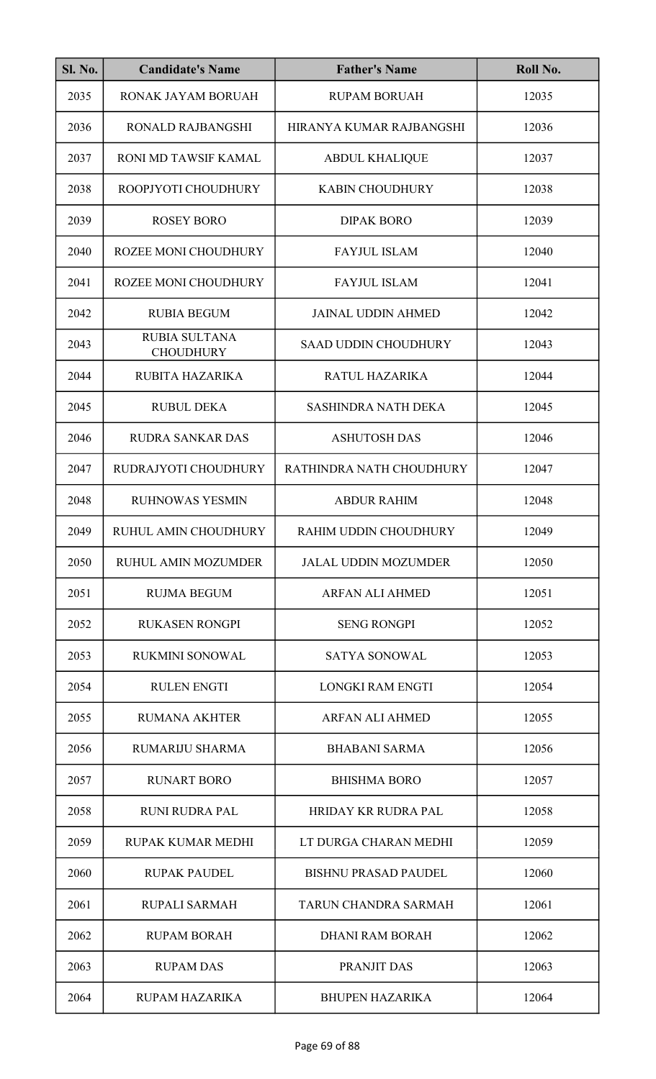| <b>Sl. No.</b> | <b>Candidate's Name</b>                  | <b>Father's Name</b>        | Roll No. |
|----------------|------------------------------------------|-----------------------------|----------|
| 2035           | RONAK JAYAM BORUAH                       | <b>RUPAM BORUAH</b>         | 12035    |
| 2036           | <b>RONALD RAJBANGSHI</b>                 | HIRANYA KUMAR RAJBANGSHI    | 12036    |
| 2037           | <b>RONI MD TAWSIF KAMAL</b>              | <b>ABDUL KHALIQUE</b>       | 12037    |
| 2038           | ROOPJYOTI CHOUDHURY                      | <b>KABIN CHOUDHURY</b>      | 12038    |
| 2039           | <b>ROSEY BORO</b>                        | <b>DIPAK BORO</b>           | 12039    |
| 2040           | <b>ROZEE MONI CHOUDHURY</b>              | <b>FAYJUL ISLAM</b>         | 12040    |
| 2041           | <b>ROZEE MONI CHOUDHURY</b>              | <b>FAYJUL ISLAM</b>         | 12041    |
| 2042           | <b>RUBIA BEGUM</b>                       | <b>JAINAL UDDIN AHMED</b>   | 12042    |
| 2043           | <b>RUBIA SULTANA</b><br><b>CHOUDHURY</b> | <b>SAAD UDDIN CHOUDHURY</b> | 12043    |
| 2044           | RUBITA HAZARIKA                          | RATUL HAZARIKA              | 12044    |
| 2045           | <b>RUBUL DEKA</b>                        | <b>SASHINDRA NATH DEKA</b>  | 12045    |
| 2046           | <b>RUDRA SANKAR DAS</b>                  | <b>ASHUTOSH DAS</b>         | 12046    |
| 2047           | RUDRAJYOTI CHOUDHURY                     | RATHINDRA NATH CHOUDHURY    | 12047    |
| 2048           | <b>RUHNOWAS YESMIN</b>                   | <b>ABDUR RAHIM</b>          | 12048    |
| 2049           | RUHUL AMIN CHOUDHURY                     | RAHIM UDDIN CHOUDHURY       | 12049    |
| 2050           | <b>RUHUL AMIN MOZUMDER</b>               | <b>JALAL UDDIN MOZUMDER</b> | 12050    |
| 2051           | <b>RUJMA BEGUM</b>                       | <b>ARFAN ALI AHMED</b>      | 12051    |
| 2052           | <b>RUKASEN RONGPI</b>                    | <b>SENG RONGPI</b>          | 12052    |
| 2053           | <b>RUKMINI SONOWAL</b>                   | SATYA SONOWAL               | 12053    |
| 2054           | <b>RULEN ENGTI</b>                       | <b>LONGKI RAM ENGTI</b>     | 12054    |
| 2055           | <b>RUMANA AKHTER</b>                     | <b>ARFAN ALI AHMED</b>      | 12055    |
| 2056           | <b>RUMARIJU SHARMA</b>                   | <b>BHABANI SARMA</b>        | 12056    |
| 2057           | <b>RUNART BORO</b>                       | <b>BHISHMA BORO</b>         | 12057    |
| 2058           | <b>RUNI RUDRA PAL</b>                    | <b>HRIDAY KR RUDRA PAL</b>  | 12058    |
| 2059           | RUPAK KUMAR MEDHI                        | LT DURGA CHARAN MEDHI       | 12059    |
| 2060           | <b>RUPAK PAUDEL</b>                      | <b>BISHNU PRASAD PAUDEL</b> | 12060    |
| 2061           | <b>RUPALI SARMAH</b>                     | TARUN CHANDRA SARMAH        | 12061    |
| 2062           | <b>RUPAM BORAH</b>                       | <b>DHANI RAM BORAH</b>      | 12062    |
| 2063           | <b>RUPAM DAS</b>                         | PRANJIT DAS                 | 12063    |
| 2064           | <b>RUPAM HAZARIKA</b>                    | <b>BHUPEN HAZARIKA</b>      | 12064    |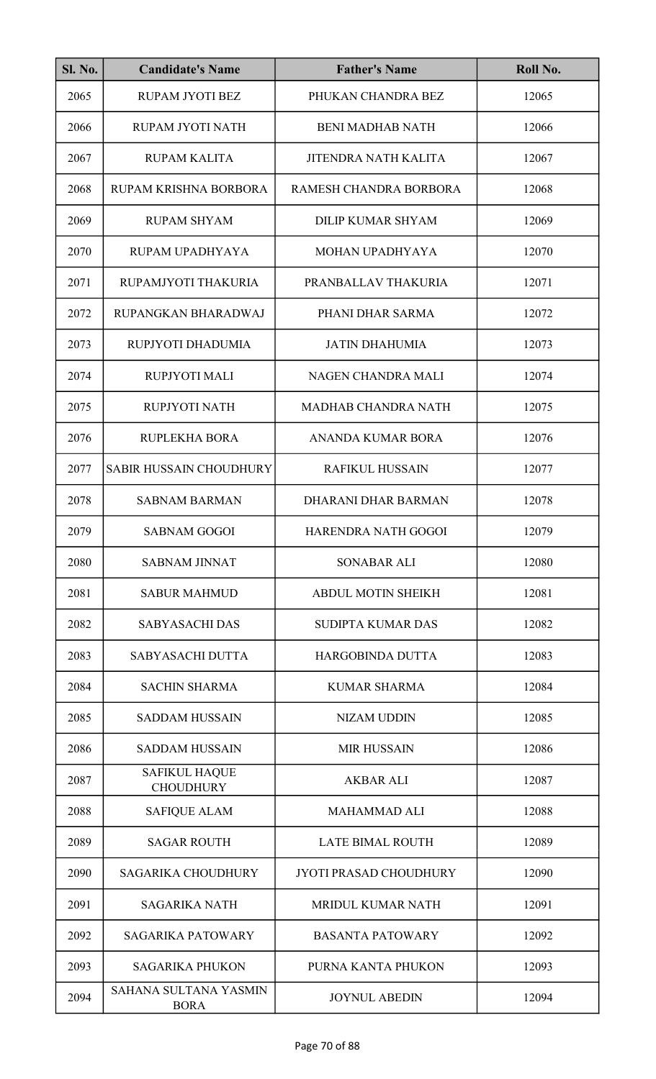| <b>Sl. No.</b> | <b>Candidate's Name</b>                  | <b>Father's Name</b>          | Roll No. |
|----------------|------------------------------------------|-------------------------------|----------|
| 2065           | RUPAM JYOTI BEZ                          | PHUKAN CHANDRA BEZ            | 12065    |
| 2066           | RUPAM JYOTI NATH                         | <b>BENI MADHAB NATH</b>       | 12066    |
| 2067           | <b>RUPAM KALITA</b>                      | <b>JITENDRA NATH KALITA</b>   | 12067    |
| 2068           | RUPAM KRISHNA BORBORA                    | RAMESH CHANDRA BORBORA        | 12068    |
| 2069           | <b>RUPAM SHYAM</b>                       | <b>DILIP KUMAR SHYAM</b>      | 12069    |
| 2070           | RUPAM UPADHYAYA                          | MOHAN UPADHYAYA               | 12070    |
| 2071           | RUPAMJYOTI THAKURIA                      | PRANBALLAV THAKURIA           | 12071    |
| 2072           | RUPANGKAN BHARADWAJ                      | PHANI DHAR SARMA              | 12072    |
| 2073           | RUPJYOTI DHADUMIA                        | <b>JATIN DHAHUMIA</b>         | 12073    |
| 2074           | RUPJYOTI MALI                            | NAGEN CHANDRA MALI            | 12074    |
| 2075           | RUPJYOTI NATH                            | <b>MADHAB CHANDRA NATH</b>    | 12075    |
| 2076           | RUPLEKHA BORA                            | ANANDA KUMAR BORA             | 12076    |
| 2077           | <b>SABIR HUSSAIN CHOUDHURY</b>           | <b>RAFIKUL HUSSAIN</b>        | 12077    |
| 2078           | <b>SABNAM BARMAN</b>                     | DHARANI DHAR BARMAN           | 12078    |
| 2079           | <b>SABNAM GOGOI</b>                      | HARENDRA NATH GOGOI           | 12079    |
| 2080           | <b>SABNAM JINNAT</b>                     | <b>SONABAR ALI</b>            | 12080    |
| 2081           | <b>SABUR MAHMUD</b>                      | <b>ABDUL MOTIN SHEIKH</b>     | 12081    |
| 2082           | <b>SABYASACHI DAS</b>                    | <b>SUDIPTA KUMAR DAS</b>      | 12082    |
| 2083           | <b>SABYASACHI DUTTA</b>                  | <b>HARGOBINDA DUTTA</b>       | 12083    |
| 2084           | <b>SACHIN SHARMA</b>                     | <b>KUMAR SHARMA</b>           | 12084    |
| 2085           | <b>SADDAM HUSSAIN</b>                    | <b>NIZAM UDDIN</b>            | 12085    |
| 2086           | <b>SADDAM HUSSAIN</b>                    | <b>MIR HUSSAIN</b>            | 12086    |
| 2087           | <b>SAFIKUL HAQUE</b><br><b>CHOUDHURY</b> | <b>AKBAR ALI</b>              | 12087    |
| 2088           | <b>SAFIQUE ALAM</b>                      | <b>MAHAMMAD ALI</b>           | 12088    |
| 2089           | <b>SAGAR ROUTH</b>                       | <b>LATE BIMAL ROUTH</b>       | 12089    |
| 2090           | <b>SAGARIKA CHOUDHURY</b>                | <b>JYOTI PRASAD CHOUDHURY</b> | 12090    |
| 2091           | <b>SAGARIKA NATH</b>                     | <b>MRIDUL KUMAR NATH</b>      | 12091    |
| 2092           | <b>SAGARIKA PATOWARY</b>                 | <b>BASANTA PATOWARY</b>       | 12092    |
| 2093           | <b>SAGARIKA PHUKON</b>                   | PURNA KANTA PHUKON            | 12093    |
| 2094           | SAHANA SULTANA YASMIN<br><b>BORA</b>     | <b>JOYNUL ABEDIN</b>          | 12094    |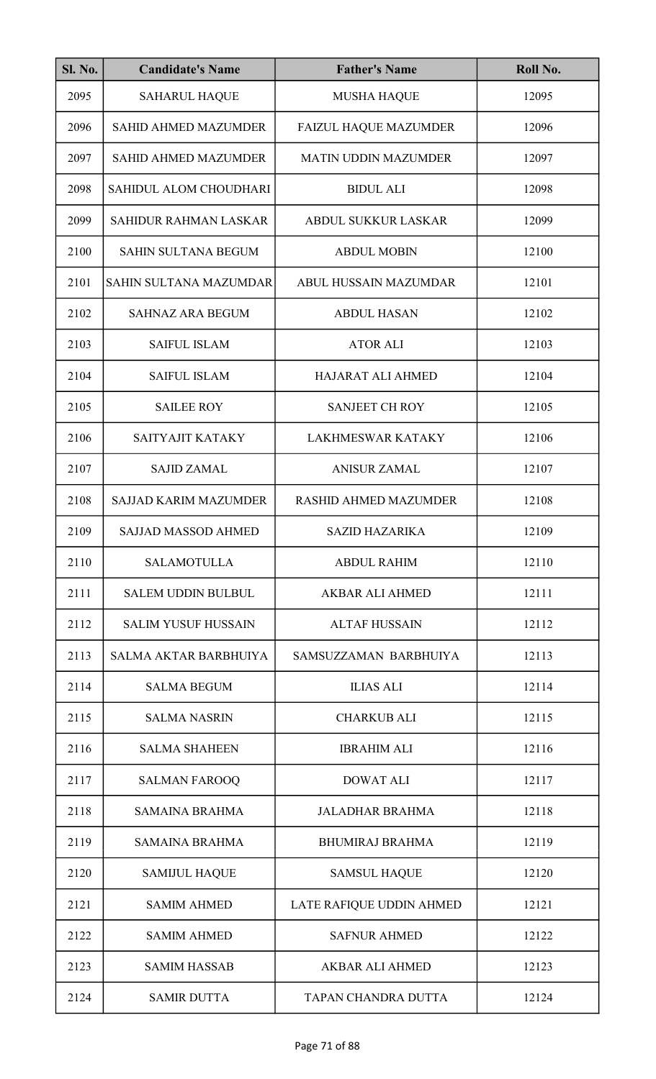| <b>Sl. No.</b> | <b>Candidate's Name</b>      | <b>Father's Name</b>         | Roll No. |
|----------------|------------------------------|------------------------------|----------|
| 2095           | <b>SAHARUL HAQUE</b>         | <b>MUSHA HAQUE</b>           | 12095    |
| 2096           | <b>SAHID AHMED MAZUMDER</b>  | <b>FAIZUL HAQUE MAZUMDER</b> | 12096    |
| 2097           | <b>SAHID AHMED MAZUMDER</b>  | <b>MATIN UDDIN MAZUMDER</b>  | 12097    |
| 2098           | SAHIDUL ALOM CHOUDHARI       | <b>BIDUL ALI</b>             | 12098    |
| 2099           | SAHIDUR RAHMAN LASKAR        | ABDUL SUKKUR LASKAR          | 12099    |
| 2100           | <b>SAHIN SULTANA BEGUM</b>   | <b>ABDUL MOBIN</b>           | 12100    |
| 2101           | SAHIN SULTANA MAZUMDAR       | <b>ABUL HUSSAIN MAZUMDAR</b> | 12101    |
| 2102           | <b>SAHNAZ ARA BEGUM</b>      | <b>ABDUL HASAN</b>           | 12102    |
| 2103           | <b>SAIFUL ISLAM</b>          | <b>ATOR ALI</b>              | 12103    |
| 2104           | <b>SAIFUL ISLAM</b>          | HAJARAT ALI AHMED            | 12104    |
| 2105           | <b>SAILEE ROY</b>            | <b>SANJEET CH ROY</b>        | 12105    |
| 2106           | SAITYAJIT KATAKY             | <b>LAKHMESWAR KATAKY</b>     | 12106    |
| 2107           | <b>SAJID ZAMAL</b>           | <b>ANISUR ZAMAL</b>          | 12107    |
| 2108           | <b>SAJJAD KARIM MAZUMDER</b> | <b>RASHID AHMED MAZUMDER</b> | 12108    |
| 2109           | SAJJAD MASSOD AHMED          | <b>SAZID HAZARIKA</b>        | 12109    |
| 2110           | <b>SALAMOTULLA</b>           | <b>ABDUL RAHIM</b>           | 12110    |
| 2111           | <b>SALEM UDDIN BULBUL</b>    | <b>AKBAR ALI AHMED</b>       | 12111    |
| 2112           | <b>SALIM YUSUF HUSSAIN</b>   | <b>ALTAF HUSSAIN</b>         | 12112    |
| 2113           | <b>SALMA AKTAR BARBHUIYA</b> | SAMSUZZAMAN BARBHUIYA        | 12113    |
| 2114           | <b>SALMA BEGUM</b>           | <b>ILIAS ALI</b>             | 12114    |
| 2115           | <b>SALMA NASRIN</b>          | <b>CHARKUB ALI</b>           | 12115    |
| 2116           | <b>SALMA SHAHEEN</b>         | <b>IBRAHIM ALI</b>           | 12116    |
| 2117           | <b>SALMAN FAROOQ</b>         | <b>DOWAT ALI</b>             | 12117    |
| 2118           | <b>SAMAINA BRAHMA</b>        | <b>JALADHAR BRAHMA</b>       | 12118    |
| 2119           | <b>SAMAINA BRAHMA</b>        | <b>BHUMIRAJ BRAHMA</b>       | 12119    |
| 2120           | <b>SAMIJUL HAQUE</b>         | <b>SAMSUL HAQUE</b>          | 12120    |
| 2121           | <b>SAMIM AHMED</b>           | LATE RAFIQUE UDDIN AHMED     | 12121    |
| 2122           | <b>SAMIM AHMED</b>           | <b>SAFNUR AHMED</b>          | 12122    |
| 2123           | <b>SAMIM HASSAB</b>          | <b>AKBAR ALI AHMED</b>       | 12123    |
| 2124           | <b>SAMIR DUTTA</b>           | TAPAN CHANDRA DUTTA          | 12124    |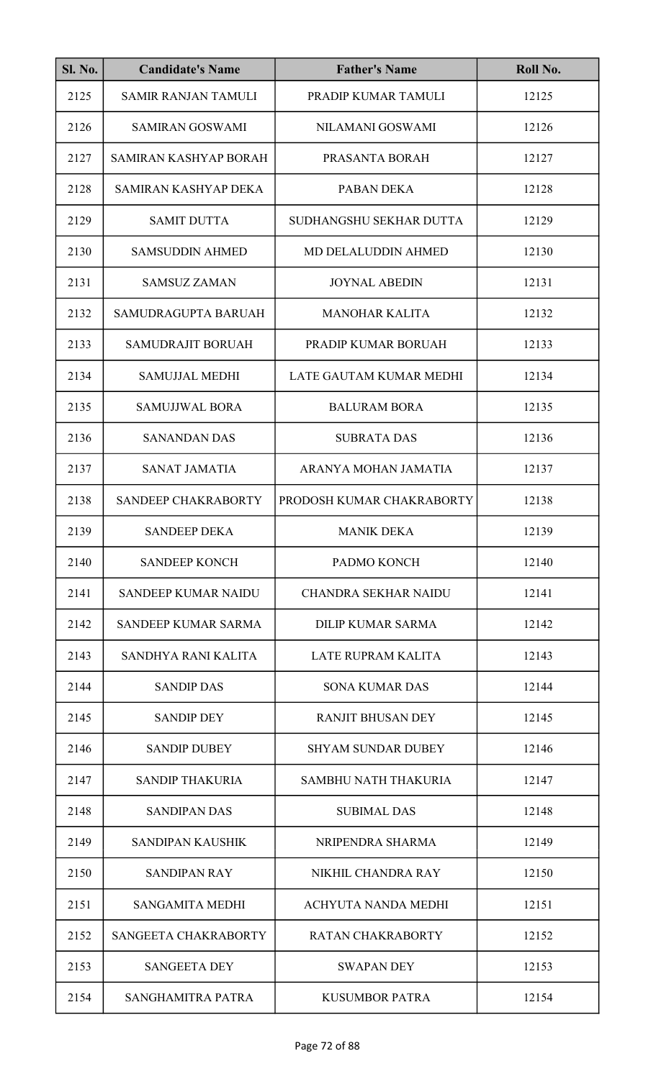| <b>Sl. No.</b> | <b>Candidate's Name</b>    | <b>Father's Name</b>        | Roll No. |
|----------------|----------------------------|-----------------------------|----------|
| 2125           | <b>SAMIR RANJAN TAMULI</b> | PRADIP KUMAR TAMULI         | 12125    |
| 2126           | <b>SAMIRAN GOSWAMI</b>     | NILAMANI GOSWAMI            | 12126    |
| 2127           | SAMIRAN KASHYAP BORAH      | PRASANTA BORAH              | 12127    |
| 2128           | SAMIRAN KASHYAP DEKA       | PABAN DEKA                  | 12128    |
| 2129           | <b>SAMIT DUTTA</b>         | SUDHANGSHU SEKHAR DUTTA     | 12129    |
| 2130           | <b>SAMSUDDIN AHMED</b>     | MD DELALUDDIN AHMED         | 12130    |
| 2131           | <b>SAMSUZ ZAMAN</b>        | <b>JOYNAL ABEDIN</b>        | 12131    |
| 2132           | SAMUDRAGUPTA BARUAH        | <b>MANOHAR KALITA</b>       | 12132    |
| 2133           | <b>SAMUDRAJIT BORUAH</b>   | PRADIP KUMAR BORUAH         | 12133    |
| 2134           | <b>SAMUJJAL MEDHI</b>      | LATE GAUTAM KUMAR MEDHI     | 12134    |
| 2135           | <b>SAMUJJWAL BORA</b>      | <b>BALURAM BORA</b>         | 12135    |
| 2136           | <b>SANANDAN DAS</b>        | <b>SUBRATA DAS</b>          | 12136    |
| 2137           | <b>SANAT JAMATIA</b>       | ARANYA MOHAN JAMATIA        | 12137    |
| 2138           | SANDEEP CHAKRABORTY        | PRODOSH KUMAR CHAKRABORTY   | 12138    |
| 2139           | <b>SANDEEP DEKA</b>        | <b>MANIK DEKA</b>           | 12139    |
| 2140           | <b>SANDEEP KONCH</b>       | PADMO KONCH                 | 12140    |
| 2141           | <b>SANDEEP KUMAR NAIDU</b> | <b>CHANDRA SEKHAR NAIDU</b> | 12141    |
| 2142           | SANDEEP KUMAR SARMA        | <b>DILIP KUMAR SARMA</b>    | 12142    |
| 2143           | SANDHYA RANI KALITA        | <b>LATE RUPRAM KALITA</b>   | 12143    |
| 2144           | <b>SANDIP DAS</b>          | <b>SONA KUMAR DAS</b>       | 12144    |
| 2145           | <b>SANDIP DEY</b>          | <b>RANJIT BHUSAN DEY</b>    | 12145    |
| 2146           | <b>SANDIP DUBEY</b>        | <b>SHYAM SUNDAR DUBEY</b>   | 12146    |
| 2147           | <b>SANDIP THAKURIA</b>     | <b>SAMBHU NATH THAKURIA</b> | 12147    |
| 2148           | <b>SANDIPAN DAS</b>        | <b>SUBIMAL DAS</b>          | 12148    |
| 2149           | SANDIPAN KAUSHIK           | NRIPENDRA SHARMA            | 12149    |
| 2150           | <b>SANDIPAN RAY</b>        | NIKHIL CHANDRA RAY          | 12150    |
| 2151           | <b>SANGAMITA MEDHI</b>     | ACHYUTA NANDA MEDHI         | 12151    |
| 2152           | SANGEETA CHAKRABORTY       | <b>RATAN CHAKRABORTY</b>    | 12152    |
| 2153           | <b>SANGEETA DEY</b>        | <b>SWAPAN DEY</b>           | 12153    |
| 2154           | SANGHAMITRA PATRA          | <b>KUSUMBOR PATRA</b>       | 12154    |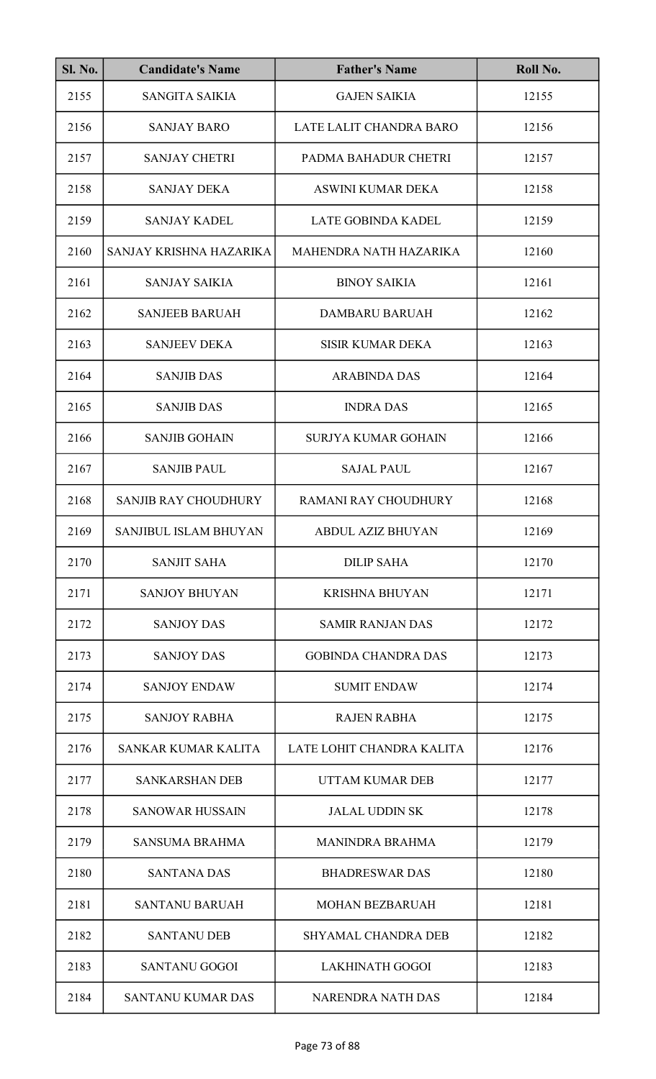| <b>Sl. No.</b> | <b>Candidate's Name</b>     | <b>Father's Name</b>       | Roll No. |
|----------------|-----------------------------|----------------------------|----------|
| 2155           | <b>SANGITA SAIKIA</b>       | <b>GAJEN SAIKIA</b>        | 12155    |
| 2156           | <b>SANJAY BARO</b>          | LATE LALIT CHANDRA BARO    | 12156    |
| 2157           | <b>SANJAY CHETRI</b>        | PADMA BAHADUR CHETRI       | 12157    |
| 2158           | <b>SANJAY DEKA</b>          | ASWINI KUMAR DEKA          | 12158    |
| 2159           | <b>SANJAY KADEL</b>         | <b>LATE GOBINDA KADEL</b>  | 12159    |
| 2160           | SANJAY KRISHNA HAZARIKA     | MAHENDRA NATH HAZARIKA     | 12160    |
| 2161           | <b>SANJAY SAIKIA</b>        | <b>BINOY SAIKIA</b>        | 12161    |
| 2162           | <b>SANJEEB BARUAH</b>       | <b>DAMBARU BARUAH</b>      | 12162    |
| 2163           | <b>SANJEEV DEKA</b>         | <b>SISIR KUMAR DEKA</b>    | 12163    |
| 2164           | <b>SANJIB DAS</b>           | <b>ARABINDA DAS</b>        | 12164    |
| 2165           | <b>SANJIB DAS</b>           | <b>INDRA DAS</b>           | 12165    |
| 2166           | <b>SANJIB GOHAIN</b>        | <b>SURJYA KUMAR GOHAIN</b> | 12166    |
| 2167           | <b>SANJIB PAUL</b>          | <b>SAJAL PAUL</b>          | 12167    |
| 2168           | <b>SANJIB RAY CHOUDHURY</b> | RAMANI RAY CHOUDHURY       | 12168    |
| 2169           | SANJIBUL ISLAM BHUYAN       | ABDUL AZIZ BHUYAN          | 12169    |
| 2170           | <b>SANJIT SAHA</b>          | <b>DILIP SAHA</b>          | 12170    |
| 2171           | <b>SANJOY BHUYAN</b>        | <b>KRISHNA BHUYAN</b>      | 12171    |
| 2172           | <b>SANJOY DAS</b>           | <b>SAMIR RANJAN DAS</b>    | 12172    |
| 2173           | <b>SANJOY DAS</b>           | <b>GOBINDA CHANDRA DAS</b> | 12173    |
| 2174           | <b>SANJOY ENDAW</b>         | <b>SUMIT ENDAW</b>         | 12174    |
| 2175           | <b>SANJOY RABHA</b>         | <b>RAJEN RABHA</b>         | 12175    |
| 2176           | SANKAR KUMAR KALITA         | LATE LOHIT CHANDRA KALITA  | 12176    |
| 2177           | <b>SANKARSHAN DEB</b>       | UTTAM KUMAR DEB            | 12177    |
| 2178           | <b>SANOWAR HUSSAIN</b>      | <b>JALAL UDDIN SK</b>      | 12178    |
| 2179           | <b>SANSUMA BRAHMA</b>       | <b>MANINDRA BRAHMA</b>     | 12179    |
| 2180           | <b>SANTANA DAS</b>          | <b>BHADRESWAR DAS</b>      | 12180    |
| 2181           | <b>SANTANU BARUAH</b>       | <b>MOHAN BEZBARUAH</b>     | 12181    |
| 2182           | <b>SANTANU DEB</b>          | <b>SHYAMAL CHANDRA DEB</b> | 12182    |
| 2183           | <b>SANTANU GOGOI</b>        | <b>LAKHINATH GOGOI</b>     | 12183    |
| 2184           | <b>SANTANU KUMAR DAS</b>    | <b>NARENDRA NATH DAS</b>   | 12184    |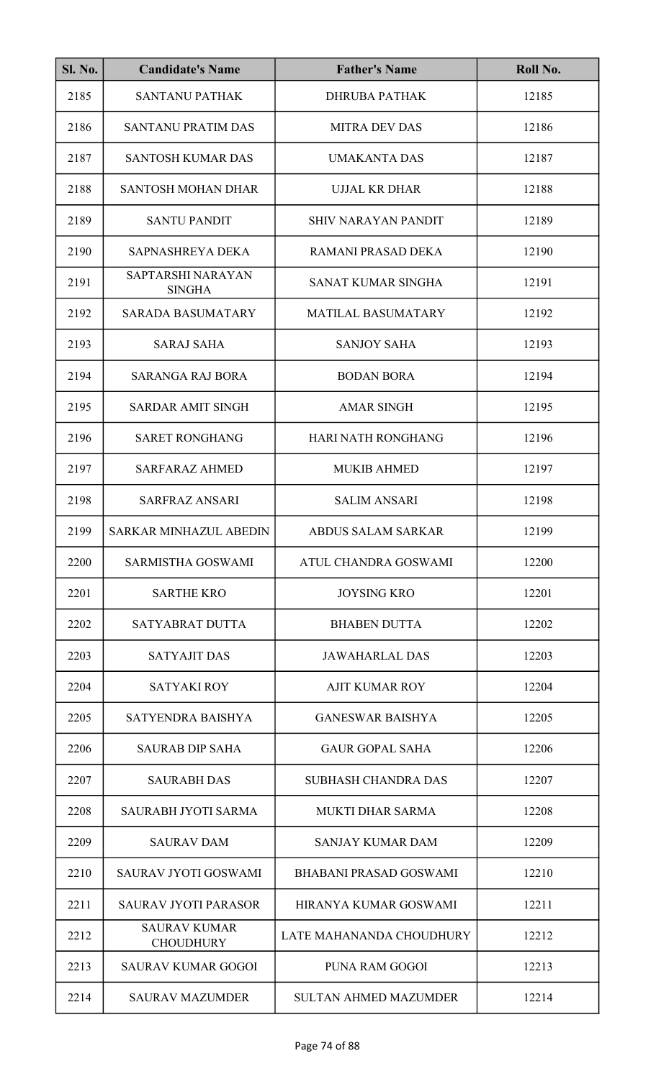| <b>Sl. No.</b> | <b>Candidate's Name</b>                 | <b>Father's Name</b>          | Roll No. |
|----------------|-----------------------------------------|-------------------------------|----------|
| 2185           | <b>SANTANU PATHAK</b>                   | <b>DHRUBA PATHAK</b>          | 12185    |
| 2186           | <b>SANTANU PRATIM DAS</b>               | <b>MITRA DEV DAS</b>          | 12186    |
| 2187           | <b>SANTOSH KUMAR DAS</b>                | <b>UMAKANTA DAS</b>           | 12187    |
| 2188           | <b>SANTOSH MOHAN DHAR</b>               | <b>UJJAL KR DHAR</b>          | 12188    |
| 2189           | <b>SANTU PANDIT</b>                     | <b>SHIV NARAYAN PANDIT</b>    | 12189    |
| 2190           | SAPNASHREYA DEKA                        | RAMANI PRASAD DEKA            | 12190    |
| 2191           | SAPTARSHI NARAYAN<br><b>SINGHA</b>      | SANAT KUMAR SINGHA            | 12191    |
| 2192           | <b>SARADA BASUMATARY</b>                | <b>MATILAL BASUMATARY</b>     | 12192    |
| 2193           | <b>SARAJ SAHA</b>                       | <b>SANJOY SAHA</b>            | 12193    |
| 2194           | <b>SARANGA RAJ BORA</b>                 | <b>BODAN BORA</b>             | 12194    |
| 2195           | <b>SARDAR AMIT SINGH</b>                | <b>AMAR SINGH</b>             | 12195    |
| 2196           | <b>SARET RONGHANG</b>                   | HARI NATH RONGHANG            | 12196    |
| 2197           | <b>SARFARAZ AHMED</b>                   | <b>MUKIB AHMED</b>            | 12197    |
| 2198           | <b>SARFRAZ ANSARI</b>                   | <b>SALIM ANSARI</b>           | 12198    |
| 2199           | SARKAR MINHAZUL ABEDIN                  | ABDUS SALAM SARKAR            | 12199    |
| 2200           | <b>SARMISTHA GOSWAMI</b>                | ATUL CHANDRA GOSWAMI          | 12200    |
| 2201           | <b>SARTHE KRO</b>                       | <b>JOYSING KRO</b>            | 12201    |
| 2202           | SATYABRAT DUTTA                         | <b>BHABEN DUTTA</b>           | 12202    |
| 2203           | <b>SATYAJIT DAS</b>                     | JAWAHARLAL DAS                | 12203    |
| 2204           | SATYAKI ROY                             | AJIT KUMAR ROY                | 12204    |
| 2205           | SATYENDRA BAISHYA                       | <b>GANESWAR BAISHYA</b>       | 12205    |
| 2206           | <b>SAURAB DIP SAHA</b>                  | <b>GAUR GOPAL SAHA</b>        | 12206    |
| 2207           | <b>SAURABH DAS</b>                      | <b>SUBHASH CHANDRA DAS</b>    | 12207    |
| 2208           | SAURABH JYOTI SARMA                     | <b>MUKTI DHAR SARMA</b>       | 12208    |
| 2209           | <b>SAURAV DAM</b>                       | <b>SANJAY KUMAR DAM</b>       | 12209    |
| 2210           | <b>SAURAV JYOTI GOSWAMI</b>             | <b>BHABANI PRASAD GOSWAMI</b> | 12210    |
| 2211           | <b>SAURAV JYOTI PARASOR</b>             | HIRANYA KUMAR GOSWAMI         | 12211    |
| 2212           | <b>SAURAV KUMAR</b><br><b>CHOUDHURY</b> | LATE MAHANANDA CHOUDHURY      | 12212    |
| 2213           | <b>SAURAV KUMAR GOGOI</b>               | PUNA RAM GOGOI                | 12213    |
| 2214           | <b>SAURAV MAZUMDER</b>                  | <b>SULTAN AHMED MAZUMDER</b>  | 12214    |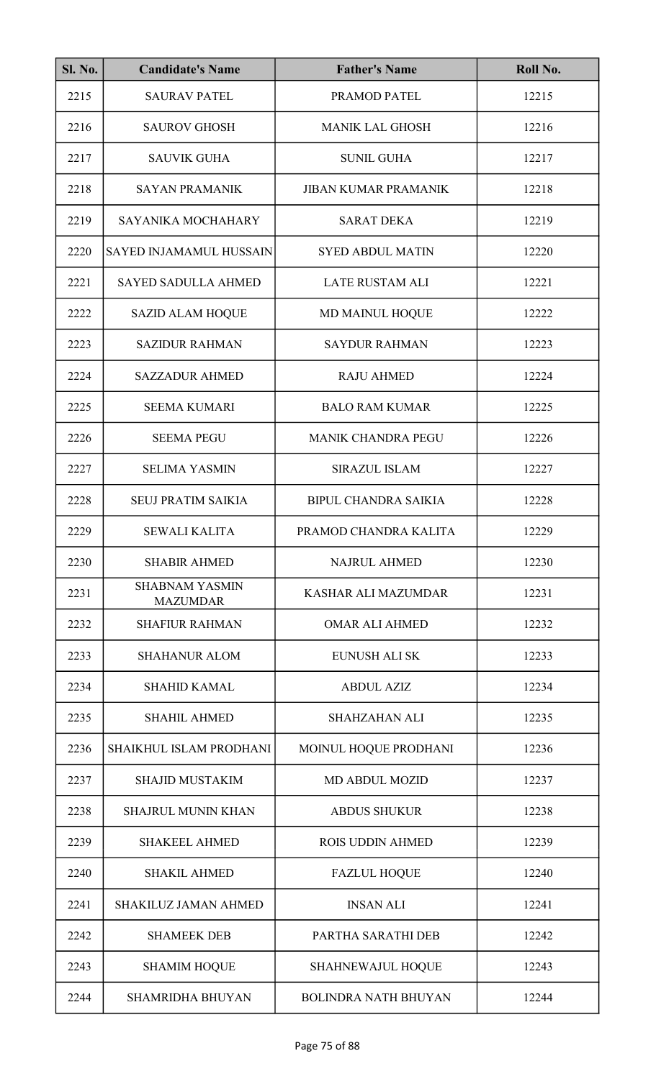| <b>Sl. No.</b> | <b>Candidate's Name</b>                  | <b>Father's Name</b>        | Roll No. |
|----------------|------------------------------------------|-----------------------------|----------|
| 2215           | <b>SAURAV PATEL</b>                      | PRAMOD PATEL                | 12215    |
| 2216           | <b>SAUROV GHOSH</b>                      | <b>MANIK LAL GHOSH</b>      | 12216    |
| 2217           | <b>SAUVIK GUHA</b>                       | <b>SUNIL GUHA</b>           | 12217    |
| 2218           | <b>SAYAN PRAMANIK</b>                    | <b>JIBAN KUMAR PRAMANIK</b> | 12218    |
| 2219           | SAYANIKA MOCHAHARY                       | <b>SARAT DEKA</b>           | 12219    |
| 2220           | SAYED INJAMAMUL HUSSAIN                  | <b>SYED ABDUL MATIN</b>     | 12220    |
| 2221           | <b>SAYED SADULLA AHMED</b>               | <b>LATE RUSTAM ALI</b>      | 12221    |
| 2222           | <b>SAZID ALAM HOQUE</b>                  | <b>MD MAINUL HOQUE</b>      | 12222    |
| 2223           | <b>SAZIDUR RAHMAN</b>                    | <b>SAYDUR RAHMAN</b>        | 12223    |
| 2224           | <b>SAZZADUR AHMED</b>                    | <b>RAJU AHMED</b>           | 12224    |
| 2225           | <b>SEEMA KUMARI</b>                      | <b>BALO RAM KUMAR</b>       | 12225    |
| 2226           | <b>SEEMA PEGU</b>                        | MANIK CHANDRA PEGU          | 12226    |
| 2227           | <b>SELIMA YASMIN</b>                     | <b>SIRAZUL ISLAM</b>        | 12227    |
| 2228           | <b>SEUJ PRATIM SAIKIA</b>                | <b>BIPUL CHANDRA SAIKIA</b> | 12228    |
| 2229           | <b>SEWALI KALITA</b>                     | PRAMOD CHANDRA KALITA       | 12229    |
| 2230           | <b>SHABIR AHMED</b>                      | <b>NAJRUL AHMED</b>         | 12230    |
| 2231           | <b>SHABNAM YASMIN</b><br><b>MAZUMDAR</b> | <b>KASHAR ALI MAZUMDAR</b>  | 12231    |
| 2232           | <b>SHAFIUR RAHMAN</b>                    | <b>OMAR ALI AHMED</b>       | 12232    |
| 2233           | <b>SHAHANUR ALOM</b>                     | <b>EUNUSH ALI SK</b>        | 12233    |
| 2234           | <b>SHAHID KAMAL</b>                      | <b>ABDUL AZIZ</b>           | 12234    |
| 2235           | <b>SHAHIL AHMED</b>                      | <b>SHAHZAHAN ALI</b>        | 12235    |
| 2236           | SHAIKHUL ISLAM PRODHANI                  | MOINUL HOQUE PRODHANI       | 12236    |
| 2237           | <b>SHAJID MUSTAKIM</b>                   | <b>MD ABDUL MOZID</b>       | 12237    |
| 2238           | <b>SHAJRUL MUNIN KHAN</b>                | <b>ABDUS SHUKUR</b>         | 12238    |
| 2239           | <b>SHAKEEL AHMED</b>                     | <b>ROIS UDDIN AHMED</b>     | 12239    |
| 2240           | <b>SHAKIL AHMED</b>                      | <b>FAZLUL HOQUE</b>         | 12240    |
| 2241           | <b>SHAKILUZ JAMAN AHMED</b>              | <b>INSAN ALI</b>            | 12241    |
| 2242           | <b>SHAMEEK DEB</b>                       | PARTHA SARATHI DEB          | 12242    |
| 2243           | <b>SHAMIM HOQUE</b>                      | SHAHNEWAJUL HOQUE           | 12243    |
| 2244           | <b>SHAMRIDHA BHUYAN</b>                  | <b>BOLINDRA NATH BHUYAN</b> | 12244    |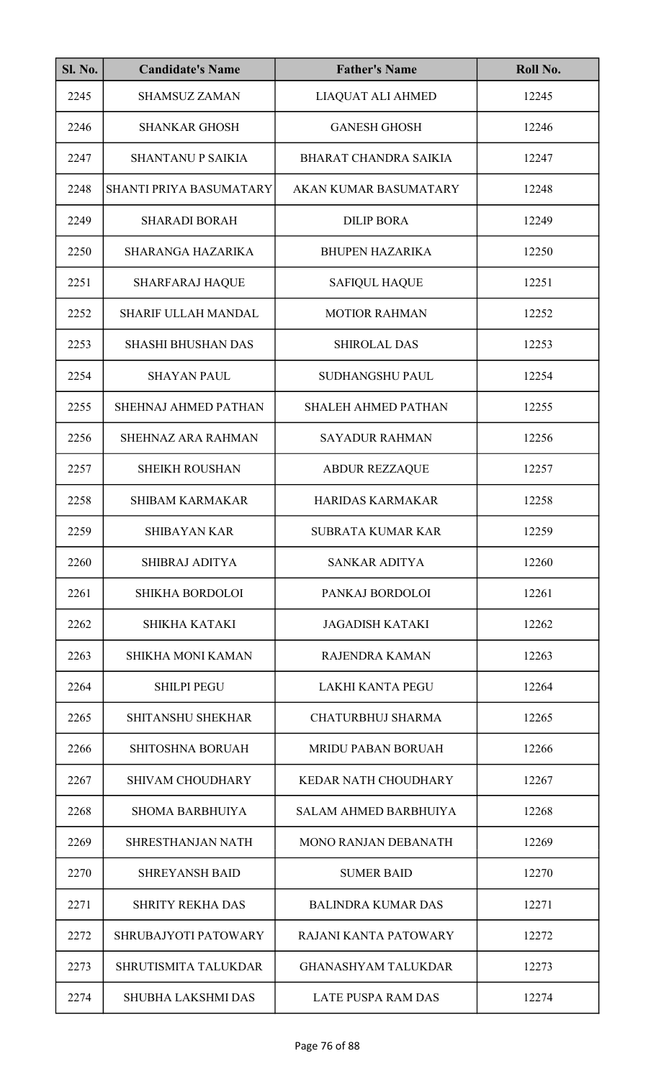| <b>Sl. No.</b> | <b>Candidate's Name</b>     | <b>Father's Name</b>         | Roll No. |
|----------------|-----------------------------|------------------------------|----------|
| 2245           | <b>SHAMSUZ ZAMAN</b>        | LIAQUAT ALI AHMED            | 12245    |
| 2246           | <b>SHANKAR GHOSH</b>        | <b>GANESH GHOSH</b>          | 12246    |
| 2247           | <b>SHANTANU P SAIKIA</b>    | <b>BHARAT CHANDRA SAIKIA</b> | 12247    |
| 2248           | SHANTI PRIYA BASUMATARY     | <b>AKAN KUMAR BASUMATARY</b> | 12248    |
| 2249           | <b>SHARADI BORAH</b>        | <b>DILIP BORA</b>            | 12249    |
| 2250           | SHARANGA HAZARIKA           | <b>BHUPEN HAZARIKA</b>       | 12250    |
| 2251           | <b>SHARFARAJ HAQUE</b>      | <b>SAFIQUL HAQUE</b>         | 12251    |
| 2252           | <b>SHARIF ULLAH MANDAL</b>  | <b>MOTIOR RAHMAN</b>         | 12252    |
| 2253           | <b>SHASHI BHUSHAN DAS</b>   | <b>SHIROLAL DAS</b>          | 12253    |
| 2254           | <b>SHAYAN PAUL</b>          | SUDHANGSHU PAUL              | 12254    |
| 2255           | <b>SHEHNAJ AHMED PATHAN</b> | <b>SHALEH AHMED PATHAN</b>   | 12255    |
| 2256           | SHEHNAZ ARA RAHMAN          | <b>SAYADUR RAHMAN</b>        | 12256    |
| 2257           | <b>SHEIKH ROUSHAN</b>       | <b>ABDUR REZZAQUE</b>        | 12257    |
| 2258           | <b>SHIBAM KARMAKAR</b>      | <b>HARIDAS KARMAKAR</b>      | 12258    |
| 2259           | <b>SHIBAYAN KAR</b>         | SUBRATA KUMAR KAR            | 12259    |
| 2260           | <b>SHIBRAJ ADITYA</b>       | <b>SANKAR ADITYA</b>         | 12260    |
| 2261           | <b>SHIKHA BORDOLOI</b>      | PANKAJ BORDOLOI              | 12261    |
| 2262           | SHIKHA KATAKI               | <b>JAGADISH KATAKI</b>       | 12262    |
| 2263           | <b>SHIKHA MONI KAMAN</b>    | RAJENDRA KAMAN               | 12263    |
| 2264           | <b>SHILPI PEGU</b>          | <b>LAKHI KANTA PEGU</b>      | 12264    |
| 2265           | <b>SHITANSHU SHEKHAR</b>    | <b>CHATURBHUJ SHARMA</b>     | 12265    |
| 2266           | <b>SHITOSHNA BORUAH</b>     | <b>MRIDU PABAN BORUAH</b>    | 12266    |
| 2267           | <b>SHIVAM CHOUDHARY</b>     | <b>KEDAR NATH CHOUDHARY</b>  | 12267    |
| 2268           | <b>SHOMA BARBHUIYA</b>      | <b>SALAM AHMED BARBHUIYA</b> | 12268    |
| 2269           | <b>SHRESTHANJAN NATH</b>    | <b>MONO RANJAN DEBANATH</b>  | 12269    |
| 2270           | <b>SHREYANSH BAID</b>       | <b>SUMER BAID</b>            | 12270    |
| 2271           | <b>SHRITY REKHA DAS</b>     | <b>BALINDRA KUMAR DAS</b>    | 12271    |
| 2272           | SHRUBAJYOTI PATOWARY        | RAJANI KANTA PATOWARY        | 12272    |
| 2273           | SHRUTISMITA TALUKDAR        | <b>GHANASHYAM TALUKDAR</b>   | 12273    |
| 2274           | <b>SHUBHA LAKSHMI DAS</b>   | <b>LATE PUSPA RAM DAS</b>    | 12274    |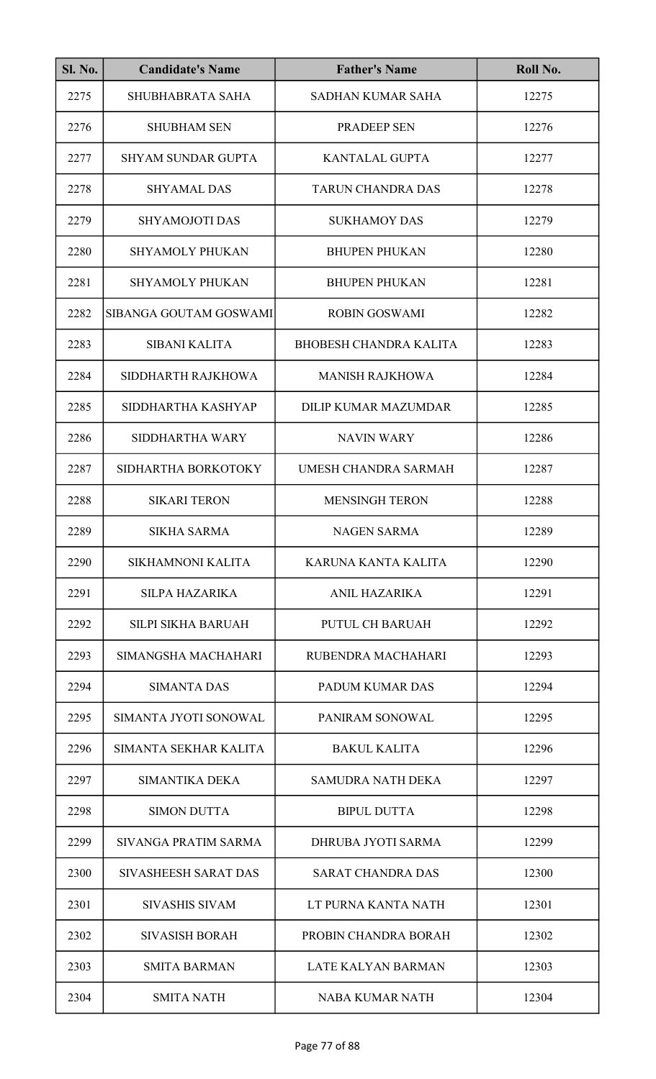| <b>Sl. No.</b> | <b>Candidate's Name</b>   | <b>Father's Name</b>          | Roll No. |
|----------------|---------------------------|-------------------------------|----------|
| 2275           | SHUBHABRATA SAHA          | <b>SADHAN KUMAR SAHA</b>      | 12275    |
| 2276           | <b>SHUBHAM SEN</b>        | <b>PRADEEP SEN</b>            | 12276    |
| 2277           | <b>SHYAM SUNDAR GUPTA</b> | <b>KANTALAL GUPTA</b>         | 12277    |
| 2278           | <b>SHYAMAL DAS</b>        | <b>TARUN CHANDRA DAS</b>      | 12278    |
| 2279           | <b>SHYAMOJOTI DAS</b>     | <b>SUKHAMOY DAS</b>           | 12279    |
| 2280           | <b>SHYAMOLY PHUKAN</b>    | <b>BHUPEN PHUKAN</b>          | 12280    |
| 2281           | <b>SHYAMOLY PHUKAN</b>    | <b>BHUPEN PHUKAN</b>          | 12281    |
| 2282           | SIBANGA GOUTAM GOSWAMI    | <b>ROBIN GOSWAMI</b>          | 12282    |
| 2283           | <b>SIBANI KALITA</b>      | <b>BHOBESH CHANDRA KALITA</b> | 12283    |
| 2284           | SIDDHARTH RAJKHOWA        | <b>MANISH RAJKHOWA</b>        | 12284    |
| 2285           | SIDDHARTHA KASHYAP        | <b>DILIP KUMAR MAZUMDAR</b>   | 12285    |
| 2286           | SIDDHARTHA WARY           | <b>NAVIN WARY</b>             | 12286    |
| 2287           | SIDHARTHA BORKOTOKY       | UMESH CHANDRA SARMAH          | 12287    |
| 2288           | <b>SIKARI TERON</b>       | <b>MENSINGH TERON</b>         | 12288    |
| 2289           | <b>SIKHA SARMA</b>        | <b>NAGEN SARMA</b>            | 12289    |
| 2290           | SIKHAMNONI KALITA         | KARUNA KANTA KALITA           | 12290    |
| 2291           | <b>SILPA HAZARIKA</b>     | <b>ANIL HAZARIKA</b>          | 12291    |
| 2292           | <b>SILPI SIKHA BARUAH</b> | PUTUL CH BARUAH               | 12292    |
| 2293           | SIMANGSHA MACHAHARI       | RUBENDRA MACHAHARI            | 12293    |
| 2294           | <b>SIMANTA DAS</b>        | <b>PADUM KUMAR DAS</b>        | 12294    |
| 2295           | SIMANTA JYOTI SONOWAL     | PANIRAM SONOWAL               | 12295    |
| 2296           | SIMANTA SEKHAR KALITA     | <b>BAKUL KALITA</b>           | 12296    |
| 2297           | <b>SIMANTIKA DEKA</b>     | <b>SAMUDRA NATH DEKA</b>      | 12297    |
| 2298           | <b>SIMON DUTTA</b>        | <b>BIPUL DUTTA</b>            | 12298    |
| 2299           | SIVANGA PRATIM SARMA      | DHRUBA JYOTI SARMA            | 12299    |
| 2300           | SIVASHEESH SARAT DAS      | <b>SARAT CHANDRA DAS</b>      | 12300    |
| 2301           | <b>SIVASHIS SIVAM</b>     | LT PURNA KANTA NATH           | 12301    |
| 2302           | <b>SIVASISH BORAH</b>     | PROBIN CHANDRA BORAH          | 12302    |
| 2303           | <b>SMITA BARMAN</b>       | LATE KALYAN BARMAN            | 12303    |
| 2304           | <b>SMITA NATH</b>         | <b>NABA KUMAR NATH</b>        | 12304    |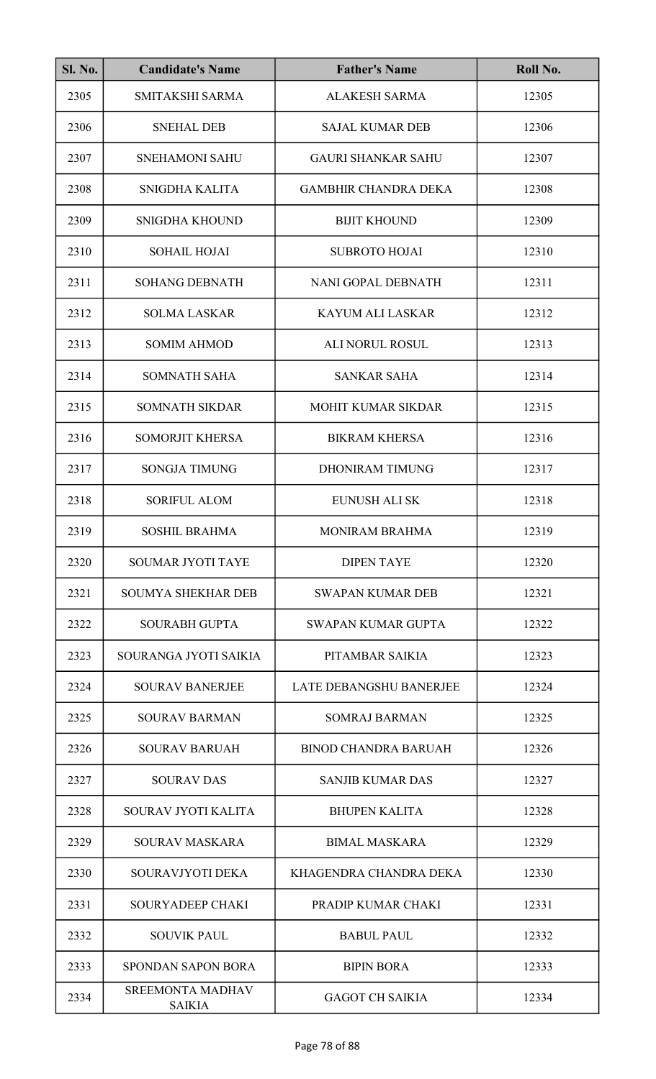| <b>Sl. No.</b> | <b>Candidate's Name</b>                  | <b>Father's Name</b>        | Roll No. |
|----------------|------------------------------------------|-----------------------------|----------|
| 2305           | SMITAKSHI SARMA                          | <b>ALAKESH SARMA</b>        | 12305    |
| 2306           | <b>SNEHAL DEB</b>                        | <b>SAJAL KUMAR DEB</b>      | 12306    |
| 2307           | <b>SNEHAMONI SAHU</b>                    | <b>GAURI SHANKAR SAHU</b>   | 12307    |
| 2308           | SNIGDHA KALITA                           | <b>GAMBHIR CHANDRA DEKA</b> | 12308    |
| 2309           | SNIGDHA KHOUND                           | <b>BIJIT KHOUND</b>         | 12309    |
| 2310           | <b>SOHAIL HOJAI</b>                      | <b>SUBROTO HOJAI</b>        | 12310    |
| 2311           | <b>SOHANG DEBNATH</b>                    | NANI GOPAL DEBNATH          | 12311    |
| 2312           | <b>SOLMA LASKAR</b>                      | <b>KAYUM ALI LASKAR</b>     | 12312    |
| 2313           | <b>SOMIM AHMOD</b>                       | <b>ALI NORUL ROSUL</b>      | 12313    |
| 2314           | <b>SOMNATH SAHA</b>                      | <b>SANKAR SAHA</b>          | 12314    |
| 2315           | <b>SOMNATH SIKDAR</b>                    | <b>MOHIT KUMAR SIKDAR</b>   | 12315    |
| 2316           | <b>SOMORJIT KHERSA</b>                   | <b>BIKRAM KHERSA</b>        | 12316    |
| 2317           | <b>SONGJA TIMUNG</b>                     | <b>DHONIRAM TIMUNG</b>      | 12317    |
| 2318           | <b>SORIFUL ALOM</b>                      | <b>EUNUSH ALI SK</b>        | 12318    |
| 2319           | <b>SOSHIL BRAHMA</b>                     | <b>MONIRAM BRAHMA</b>       | 12319    |
| 2320           | <b>SOUMAR JYOTI TAYE</b>                 | <b>DIPEN TAYE</b>           | 12320    |
| 2321           | <b>SOUMYA SHEKHAR DEB</b>                | <b>SWAPAN KUMAR DEB</b>     | 12321    |
| 2322           | <b>SOURABH GUPTA</b>                     | SWAPAN KUMAR GUPTA          | 12322    |
| 2323           | SOURANGA JYOTI SAIKIA                    | PITAMBAR SAIKIA             | 12323    |
| 2324           | <b>SOURAV BANERJEE</b>                   | LATE DEBANGSHU BANERJEE     | 12324    |
| 2325           | <b>SOURAV BARMAN</b>                     | <b>SOMRAJ BARMAN</b>        | 12325    |
| 2326           | <b>SOURAV BARUAH</b>                     | <b>BINOD CHANDRA BARUAH</b> | 12326    |
| 2327           | <b>SOURAV DAS</b>                        | <b>SANJIB KUMAR DAS</b>     | 12327    |
| 2328           | SOURAV JYOTI KALITA                      | <b>BHUPEN KALITA</b>        | 12328    |
| 2329           | <b>SOURAV MASKARA</b>                    | <b>BIMAL MASKARA</b>        | 12329    |
| 2330           | SOURAVJYOTI DEKA                         | KHAGENDRA CHANDRA DEKA      | 12330    |
| 2331           | SOURYADEEP CHAKI                         | PRADIP KUMAR CHAKI          | 12331    |
| 2332           | <b>SOUVIK PAUL</b>                       | <b>BABUL PAUL</b>           | 12332    |
| 2333           | <b>SPONDAN SAPON BORA</b>                | <b>BIPIN BORA</b>           | 12333    |
| 2334           | <b>SREEMONTA MADHAV</b><br><b>SAIKIA</b> | <b>GAGOT CH SAIKIA</b>      | 12334    |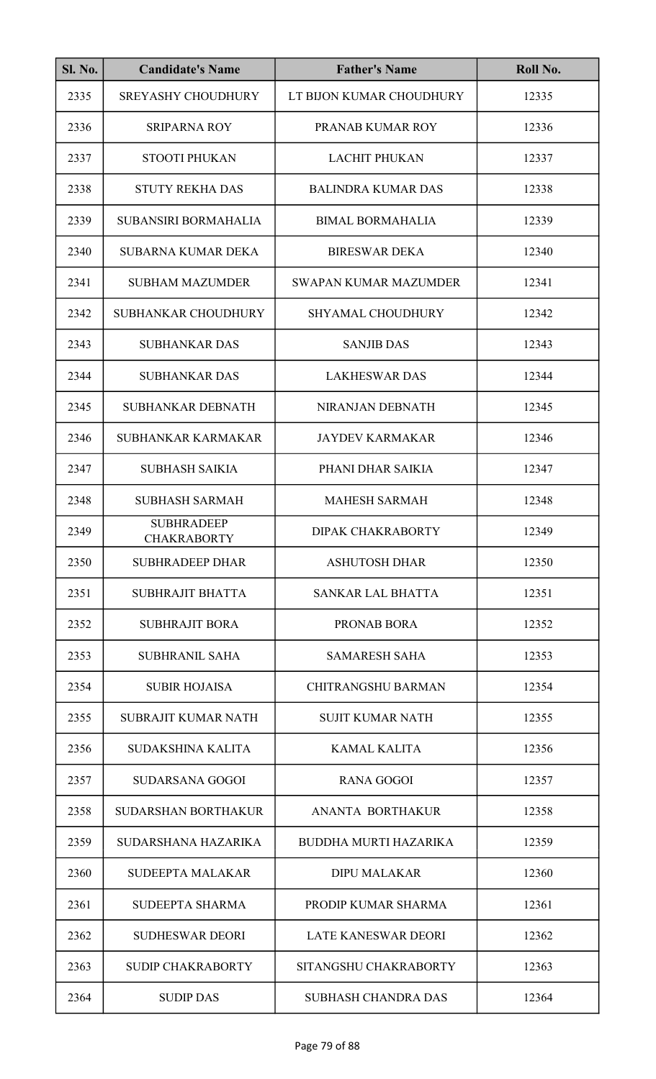| <b>Sl. No.</b> | <b>Candidate's Name</b>                 | <b>Father's Name</b>         | Roll No. |
|----------------|-----------------------------------------|------------------------------|----------|
| 2335           | <b>SREYASHY CHOUDHURY</b>               | LT BIJON KUMAR CHOUDHURY     | 12335    |
| 2336           | <b>SRIPARNA ROY</b>                     | PRANAB KUMAR ROY             | 12336    |
| 2337           | <b>STOOTI PHUKAN</b>                    | <b>LACHIT PHUKAN</b>         | 12337    |
| 2338           | <b>STUTY REKHA DAS</b>                  | <b>BALINDRA KUMAR DAS</b>    | 12338    |
| 2339           | <b>SUBANSIRI BORMAHALIA</b>             | <b>BIMAL BORMAHALIA</b>      | 12339    |
| 2340           | <b>SUBARNA KUMAR DEKA</b>               | <b>BIRESWAR DEKA</b>         | 12340    |
| 2341           | <b>SUBHAM MAZUMDER</b>                  | SWAPAN KUMAR MAZUMDER        | 12341    |
| 2342           | <b>SUBHANKAR CHOUDHURY</b>              | <b>SHYAMAL CHOUDHURY</b>     | 12342    |
| 2343           | <b>SUBHANKAR DAS</b>                    | <b>SANJIB DAS</b>            | 12343    |
| 2344           | <b>SUBHANKAR DAS</b>                    | <b>LAKHESWAR DAS</b>         | 12344    |
| 2345           | SUBHANKAR DEBNATH                       | NIRANJAN DEBNATH             | 12345    |
| 2346           | SUBHANKAR KARMAKAR                      | <b>JAYDEV KARMAKAR</b>       | 12346    |
| 2347           | <b>SUBHASH SAIKIA</b>                   | PHANI DHAR SAIKIA            | 12347    |
| 2348           | <b>SUBHASH SARMAH</b>                   | <b>MAHESH SARMAH</b>         | 12348    |
| 2349           | <b>SUBHRADEEP</b><br><b>CHAKRABORTY</b> | DIPAK CHAKRABORTY            | 12349    |
| 2350           | <b>SUBHRADEEP DHAR</b>                  | <b>ASHUTOSH DHAR</b>         | 12350    |
| 2351           | SUBHRAJIT BHATTA                        | <b>SANKAR LAL BHATTA</b>     | 12351    |
| 2352           | <b>SUBHRAJIT BORA</b>                   | PRONAB BORA                  | 12352    |
| 2353           | <b>SUBHRANIL SAHA</b>                   | <b>SAMARESH SAHA</b>         | 12353    |
| 2354           | <b>SUBIR HOJAISA</b>                    | <b>CHITRANGSHU BARMAN</b>    | 12354    |
| 2355           | <b>SUBRAJIT KUMAR NATH</b>              | <b>SUJIT KUMAR NATH</b>      | 12355    |
| 2356           | <b>SUDAKSHINA KALITA</b>                | <b>KAMAL KALITA</b>          | 12356    |
| 2357           | <b>SUDARSANA GOGOI</b>                  | <b>RANA GOGOI</b>            | 12357    |
| 2358           | <b>SUDARSHAN BORTHAKUR</b>              | ANANTA BORTHAKUR             | 12358    |
| 2359           | SUDARSHANA HAZARIKA                     | <b>BUDDHA MURTI HAZARIKA</b> | 12359    |
| 2360           | <b>SUDEEPTA MALAKAR</b>                 | <b>DIPU MALAKAR</b>          | 12360    |
| 2361           | <b>SUDEEPTA SHARMA</b>                  | PRODIP KUMAR SHARMA          | 12361    |
| 2362           | <b>SUDHESWAR DEORI</b>                  | <b>LATE KANESWAR DEORI</b>   | 12362    |
| 2363           | <b>SUDIP CHAKRABORTY</b>                | SITANGSHU CHAKRABORTY        | 12363    |
| 2364           | <b>SUDIP DAS</b>                        | <b>SUBHASH CHANDRA DAS</b>   | 12364    |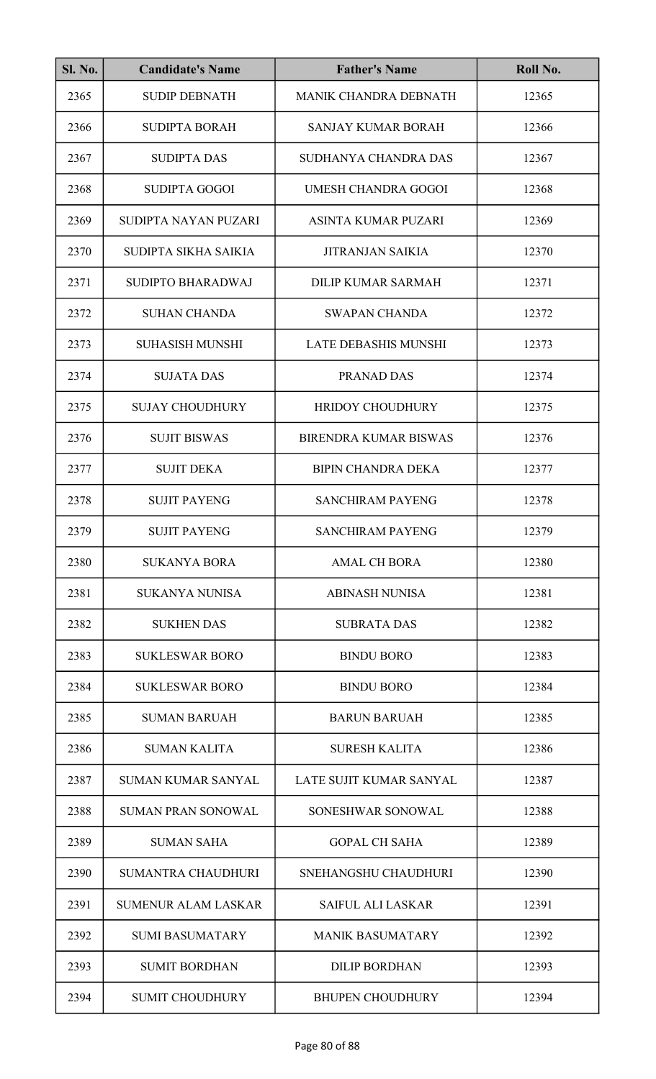| SI. No. | <b>Candidate's Name</b>    | <b>Father's Name</b>         | Roll No. |
|---------|----------------------------|------------------------------|----------|
| 2365    | <b>SUDIP DEBNATH</b>       | MANIK CHANDRA DEBNATH        | 12365    |
| 2366    | <b>SUDIPTA BORAH</b>       | <b>SANJAY KUMAR BORAH</b>    | 12366    |
| 2367    | <b>SUDIPTA DAS</b>         | SUDHANYA CHANDRA DAS         | 12367    |
| 2368    | <b>SUDIPTA GOGOI</b>       | <b>UMESH CHANDRA GOGOI</b>   | 12368    |
| 2369    | SUDIPTA NAYAN PUZARI       | ASINTA KUMAR PUZARI          | 12369    |
| 2370    | SUDIPTA SIKHA SAIKIA       | <b>JITRANJAN SAIKIA</b>      | 12370    |
| 2371    | <b>SUDIPTO BHARADWAJ</b>   | <b>DILIP KUMAR SARMAH</b>    | 12371    |
| 2372    | <b>SUHAN CHANDA</b>        | <b>SWAPAN CHANDA</b>         | 12372    |
| 2373    | <b>SUHASISH MUNSHI</b>     | LATE DEBASHIS MUNSHI         | 12373    |
| 2374    | <b>SUJATA DAS</b>          | PRANAD DAS                   | 12374    |
| 2375    | <b>SUJAY CHOUDHURY</b>     | <b>HRIDOY CHOUDHURY</b>      | 12375    |
| 2376    | <b>SUJIT BISWAS</b>        | <b>BIRENDRA KUMAR BISWAS</b> | 12376    |
| 2377    | <b>SUJIT DEKA</b>          | <b>BIPIN CHANDRA DEKA</b>    | 12377    |
| 2378    | <b>SUJIT PAYENG</b>        | <b>SANCHIRAM PAYENG</b>      | 12378    |
| 2379    | <b>SUJIT PAYENG</b>        | SANCHIRAM PAYENG             | 12379    |
| 2380    | <b>SUKANYA BORA</b>        | <b>AMAL CH BORA</b>          | 12380    |
| 2381    | <b>SUKANYA NUNISA</b>      | <b>ABINASH NUNISA</b>        | 12381    |
| 2382    | <b>SUKHEN DAS</b>          | <b>SUBRATA DAS</b>           | 12382    |
| 2383    | <b>SUKLESWAR BORO</b>      | <b>BINDU BORO</b>            | 12383    |
| 2384    | <b>SUKLESWAR BORO</b>      | <b>BINDU BORO</b>            | 12384    |
| 2385    | <b>SUMAN BARUAH</b>        | <b>BARUN BARUAH</b>          | 12385    |
| 2386    | <b>SUMAN KALITA</b>        | <b>SURESH KALITA</b>         | 12386    |
| 2387    | <b>SUMAN KUMAR SANYAL</b>  | LATE SUJIT KUMAR SANYAL      | 12387    |
| 2388    | <b>SUMAN PRAN SONOWAL</b>  | SONESHWAR SONOWAL            | 12388    |
| 2389    | <b>SUMAN SAHA</b>          | <b>GOPAL CH SAHA</b>         | 12389    |
| 2390    | <b>SUMANTRA CHAUDHURI</b>  | SNEHANGSHU CHAUDHURI         | 12390    |
| 2391    | <b>SUMENUR ALAM LASKAR</b> | <b>SAIFUL ALI LASKAR</b>     | 12391    |
| 2392    | <b>SUMI BASUMATARY</b>     | <b>MANIK BASUMATARY</b>      | 12392    |
| 2393    | <b>SUMIT BORDHAN</b>       | <b>DILIP BORDHAN</b>         | 12393    |
| 2394    | <b>SUMIT CHOUDHURY</b>     | <b>BHUPEN CHOUDHURY</b>      | 12394    |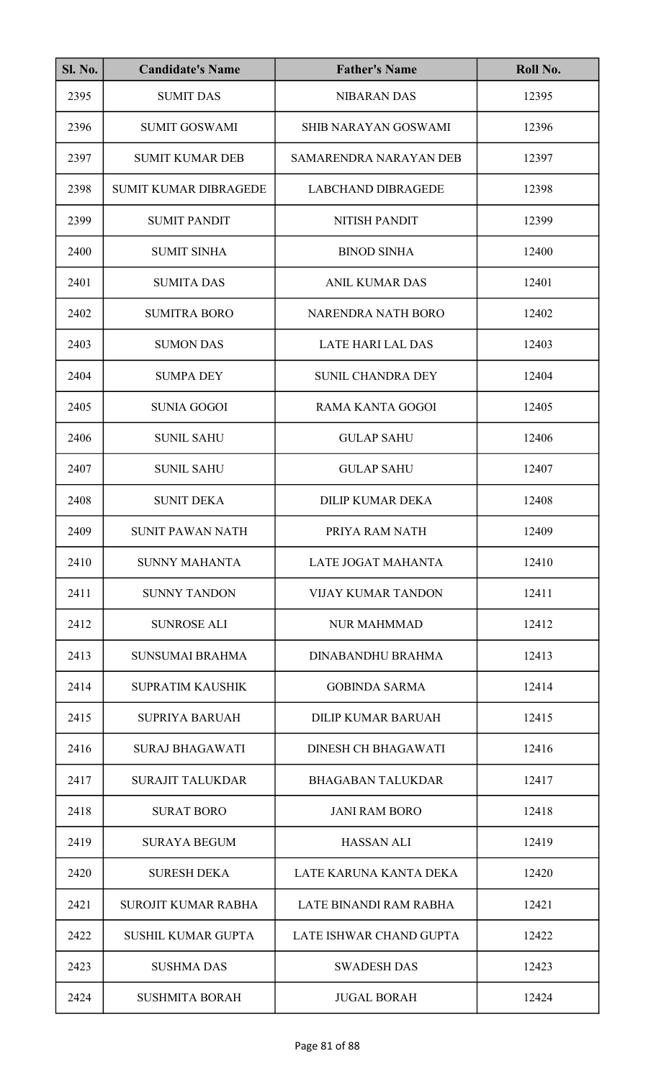| <b>Sl. No.</b> | <b>Candidate's Name</b>      | <b>Father's Name</b>       | Roll No. |
|----------------|------------------------------|----------------------------|----------|
| 2395           | <b>SUMIT DAS</b>             | <b>NIBARAN DAS</b>         | 12395    |
| 2396           | <b>SUMIT GOSWAMI</b>         | SHIB NARAYAN GOSWAMI       | 12396    |
| 2397           | <b>SUMIT KUMAR DEB</b>       | SAMARENDRA NARAYAN DEB     | 12397    |
| 2398           | <b>SUMIT KUMAR DIBRAGEDE</b> | <b>LABCHAND DIBRAGEDE</b>  | 12398    |
| 2399           | <b>SUMIT PANDIT</b>          | NITISH PANDIT              | 12399    |
| 2400           | <b>SUMIT SINHA</b>           | <b>BINOD SINHA</b>         | 12400    |
| 2401           | <b>SUMITA DAS</b>            | <b>ANIL KUMAR DAS</b>      | 12401    |
| 2402           | <b>SUMITRA BORO</b>          | NARENDRA NATH BORO         | 12402    |
| 2403           | <b>SUMON DAS</b>             | <b>LATE HARI LAL DAS</b>   | 12403    |
| 2404           | <b>SUMPA DEY</b>             | <b>SUNIL CHANDRA DEY</b>   | 12404    |
| 2405           | <b>SUNIA GOGOI</b>           | <b>RAMA KANTA GOGOI</b>    | 12405    |
| 2406           | <b>SUNIL SAHU</b>            | <b>GULAP SAHU</b>          | 12406    |
| 2407           | <b>SUNIL SAHU</b>            | <b>GULAP SAHU</b>          | 12407    |
| 2408           | <b>SUNIT DEKA</b>            | <b>DILIP KUMAR DEKA</b>    | 12408    |
| 2409           | <b>SUNIT PAWAN NATH</b>      | PRIYA RAM NATH             | 12409    |
| 2410           | <b>SUNNY MAHANTA</b>         | LATE JOGAT MAHANTA         | 12410    |
| 2411           | <b>SUNNY TANDON</b>          | <b>VIJAY KUMAR TANDON</b>  | 12411    |
| 2412           | <b>SUNROSE ALI</b>           | <b>NUR MAHMMAD</b>         | 12412    |
| 2413           | <b>SUNSUMAI BRAHMA</b>       | DINABANDHU BRAHMA          | 12413    |
| 2414           | <b>SUPRATIM KAUSHIK</b>      | <b>GOBINDA SARMA</b>       | 12414    |
| 2415           | <b>SUPRIYA BARUAH</b>        | DILIP KUMAR BARUAH         | 12415    |
| 2416           | <b>SURAJ BHAGAWATI</b>       | <b>DINESH CH BHAGAWATI</b> | 12416    |
| 2417           | <b>SURAJIT TALUKDAR</b>      | <b>BHAGABAN TALUKDAR</b>   | 12417    |
| 2418           | <b>SURAT BORO</b>            | <b>JANI RAM BORO</b>       | 12418    |
| 2419           | <b>SURAYA BEGUM</b>          | <b>HASSAN ALI</b>          | 12419    |
| 2420           | <b>SURESH DEKA</b>           | LATE KARUNA KANTA DEKA     | 12420    |
| 2421           | <b>SUROJIT KUMAR RABHA</b>   | LATE BINANDI RAM RABHA     | 12421    |
| 2422           | <b>SUSHIL KUMAR GUPTA</b>    | LATE ISHWAR CHAND GUPTA    | 12422    |
| 2423           | <b>SUSHMA DAS</b>            | <b>SWADESH DAS</b>         | 12423    |
| 2424           | <b>SUSHMITA BORAH</b>        | <b>JUGAL BORAH</b>         | 12424    |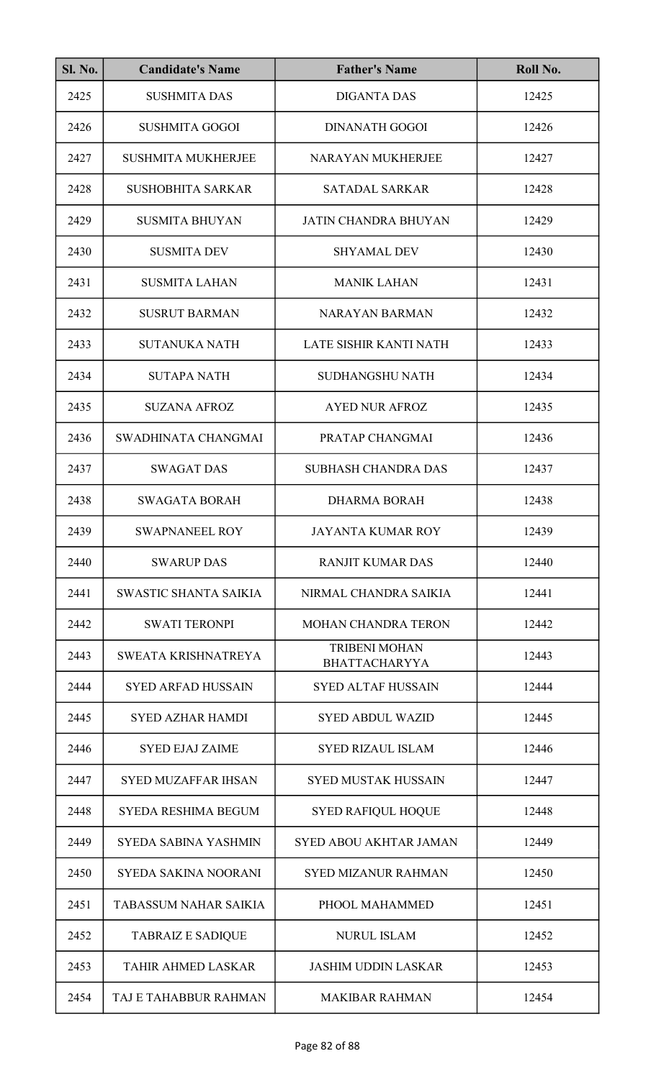| <b>Sl. No.</b> | <b>Candidate's Name</b>      | <b>Father's Name</b>                         | Roll No. |
|----------------|------------------------------|----------------------------------------------|----------|
| 2425           | <b>SUSHMITA DAS</b>          | <b>DIGANTA DAS</b>                           | 12425    |
| 2426           | <b>SUSHMITA GOGOI</b>        | <b>DINANATH GOGOI</b>                        | 12426    |
| 2427           | <b>SUSHMITA MUKHERJEE</b>    | <b>NARAYAN MUKHERJEE</b>                     | 12427    |
| 2428           | <b>SUSHOBHITA SARKAR</b>     | <b>SATADAL SARKAR</b>                        | 12428    |
| 2429           | <b>SUSMITA BHUYAN</b>        | <b>JATIN CHANDRA BHUYAN</b>                  | 12429    |
| 2430           | <b>SUSMITA DEV</b>           | <b>SHYAMAL DEV</b>                           | 12430    |
| 2431           | <b>SUSMITA LAHAN</b>         | <b>MANIK LAHAN</b>                           | 12431    |
| 2432           | <b>SUSRUT BARMAN</b>         | <b>NARAYAN BARMAN</b>                        | 12432    |
| 2433           | <b>SUTANUKA NATH</b>         | LATE SISHIR KANTI NATH                       | 12433    |
| 2434           | <b>SUTAPA NATH</b>           | <b>SUDHANGSHU NATH</b>                       | 12434    |
| 2435           | <b>SUZANA AFROZ</b>          | <b>AYED NUR AFROZ</b>                        | 12435    |
| 2436           | SWADHINATA CHANGMAI          | PRATAP CHANGMAI                              | 12436    |
| 2437           | <b>SWAGAT DAS</b>            | <b>SUBHASH CHANDRA DAS</b>                   | 12437    |
| 2438           | <b>SWAGATA BORAH</b>         | <b>DHARMA BORAH</b>                          | 12438    |
| 2439           | <b>SWAPNANEEL ROY</b>        | <b>JAYANTA KUMAR ROY</b>                     | 12439    |
| 2440           | <b>SWARUP DAS</b>            | <b>RANJIT KUMAR DAS</b>                      | 12440    |
| 2441           | SWASTIC SHANTA SAIKIA        | NIRMAL CHANDRA SAIKIA                        | 12441    |
| 2442           | <b>SWATI TERONPI</b>         | <b>MOHAN CHANDRA TERON</b>                   | 12442    |
| 2443           | SWEATA KRISHNATREYA          | <b>TRIBENI MOHAN</b><br><b>BHATTACHARYYA</b> | 12443    |
| 2444           | <b>SYED ARFAD HUSSAIN</b>    | <b>SYED ALTAF HUSSAIN</b>                    | 12444    |
| 2445           | <b>SYED AZHAR HAMDI</b>      | <b>SYED ABDUL WAZID</b>                      | 12445    |
| 2446           | <b>SYED EJAJ ZAIME</b>       | <b>SYED RIZAUL ISLAM</b>                     | 12446    |
| 2447           | <b>SYED MUZAFFAR IHSAN</b>   | <b>SYED MUSTAK HUSSAIN</b>                   | 12447    |
| 2448           | <b>SYEDA RESHIMA BEGUM</b>   | <b>SYED RAFIQUL HOQUE</b>                    | 12448    |
| 2449           | <b>SYEDA SABINA YASHMIN</b>  | <b>SYED ABOU AKHTAR JAMAN</b>                | 12449    |
| 2450           | <b>SYEDA SAKINA NOORANI</b>  | <b>SYED MIZANUR RAHMAN</b>                   | 12450    |
| 2451           | <b>TABASSUM NAHAR SAIKIA</b> | PHOOL MAHAMMED                               | 12451    |
| 2452           | <b>TABRAIZ E SADIQUE</b>     | <b>NURUL ISLAM</b>                           | 12452    |
| 2453           | <b>TAHIR AHMED LASKAR</b>    | <b>JASHIM UDDIN LASKAR</b>                   | 12453    |
| 2454           | TAJ E TAHABBUR RAHMAN        | <b>MAKIBAR RAHMAN</b>                        | 12454    |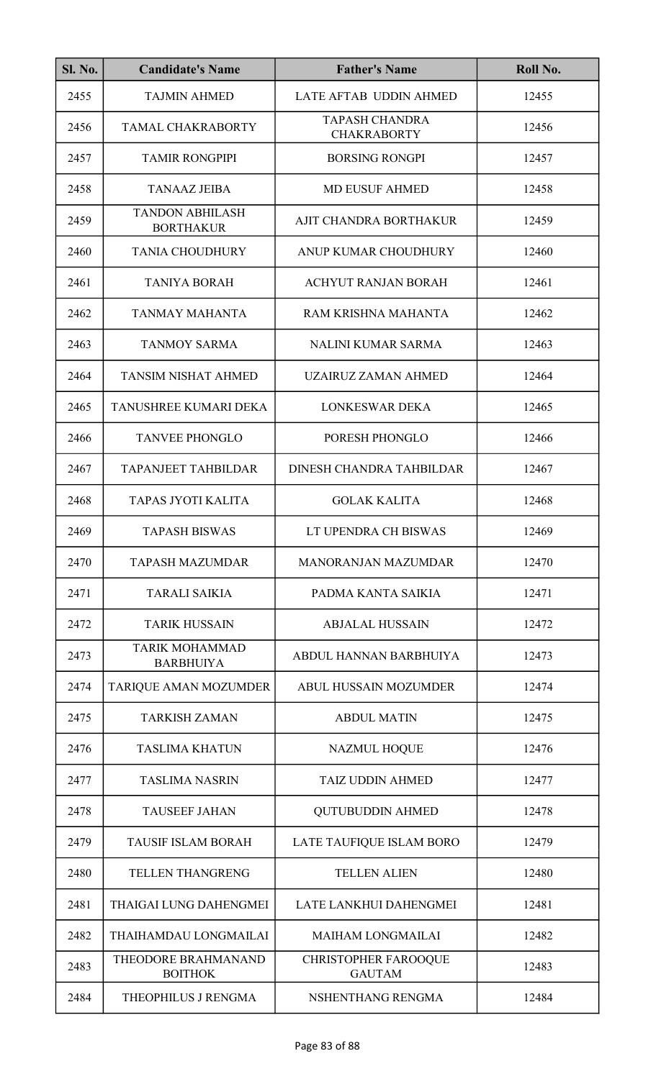| <b>Sl. No.</b> | <b>Candidate's Name</b>                    | <b>Father's Name</b>                         | Roll No. |
|----------------|--------------------------------------------|----------------------------------------------|----------|
| 2455           | <b>TAJMIN AHMED</b>                        | LATE AFTAB UDDIN AHMED                       | 12455    |
| 2456           | <b>TAMAL CHAKRABORTY</b>                   | <b>TAPASH CHANDRA</b><br><b>CHAKRABORTY</b>  | 12456    |
| 2457           | <b>TAMIR RONGPIPI</b>                      | <b>BORSING RONGPI</b>                        | 12457    |
| 2458           | <b>TANAAZ JEIBA</b>                        | <b>MD EUSUF AHMED</b>                        | 12458    |
| 2459           | <b>TANDON ABHILASH</b><br><b>BORTHAKUR</b> | AJIT CHANDRA BORTHAKUR                       | 12459    |
| 2460           | <b>TANIA CHOUDHURY</b>                     | ANUP KUMAR CHOUDHURY                         | 12460    |
| 2461           | <b>TANIYA BORAH</b>                        | <b>ACHYUT RANJAN BORAH</b>                   | 12461    |
| 2462           | <b>TANMAY MAHANTA</b>                      | RAM KRISHNA MAHANTA                          | 12462    |
| 2463           | <b>TANMOY SARMA</b>                        | <b>NALINI KUMAR SARMA</b>                    | 12463    |
| 2464           | <b>TANSIM NISHAT AHMED</b>                 | <b>UZAIRUZ ZAMAN AHMED</b>                   | 12464    |
| 2465           | TANUSHREE KUMARI DEKA                      | <b>LONKESWAR DEKA</b>                        | 12465    |
| 2466           | <b>TANVEE PHONGLO</b>                      | PORESH PHONGLO                               | 12466    |
| 2467           | <b>TAPANJEET TAHBILDAR</b>                 | DINESH CHANDRA TAHBILDAR                     | 12467    |
| 2468           | TAPAS JYOTI KALITA                         | <b>GOLAK KALITA</b>                          | 12468    |
| 2469           | <b>TAPASH BISWAS</b>                       | LT UPENDRA CH BISWAS                         | 12469    |
| 2470           | <b>TAPASH MAZUMDAR</b>                     | <b>MANORANJAN MAZUMDAR</b>                   | 12470    |
| 2471           | <b>TARALI SAIKIA</b>                       | PADMA KANTA SAIKIA                           | 12471    |
| 2472           | <b>TARIK HUSSAIN</b>                       | <b>ABJALAL HUSSAIN</b>                       | 12472    |
| 2473           | <b>TARIK MOHAMMAD</b><br><b>BARBHUIYA</b>  | ABDUL HANNAN BARBHUIYA                       | 12473    |
| 2474           | TARIQUE AMAN MOZUMDER                      | <b>ABUL HUSSAIN MOZUMDER</b>                 | 12474    |
| 2475           | <b>TARKISH ZAMAN</b>                       | <b>ABDUL MATIN</b>                           | 12475    |
| 2476           | <b>TASLIMA KHATUN</b>                      | <b>NAZMUL HOQUE</b>                          | 12476    |
| 2477           | <b>TASLIMA NASRIN</b>                      | <b>TAIZ UDDIN AHMED</b>                      | 12477    |
| 2478           | <b>TAUSEEF JAHAN</b>                       | <b>QUTUBUDDIN AHMED</b>                      | 12478    |
| 2479           | <b>TAUSIF ISLAM BORAH</b>                  | LATE TAUFIQUE ISLAM BORO                     | 12479    |
| 2480           | <b>TELLEN THANGRENG</b>                    | <b>TELLEN ALIEN</b>                          | 12480    |
| 2481           | <b>THAIGAI LUNG DAHENGMEI</b>              | LATE LANKHUI DAHENGMEI                       | 12481    |
| 2482           | THAIHAMDAU LONGMAILAI                      | <b>MAIHAM LONGMAILAI</b>                     | 12482    |
| 2483           | THEODORE BRAHMANAND<br><b>BOITHOK</b>      | <b>CHRISTOPHER FAROOQUE</b><br><b>GAUTAM</b> | 12483    |
| 2484           | THEOPHILUS J RENGMA                        | NSHENTHANG RENGMA                            | 12484    |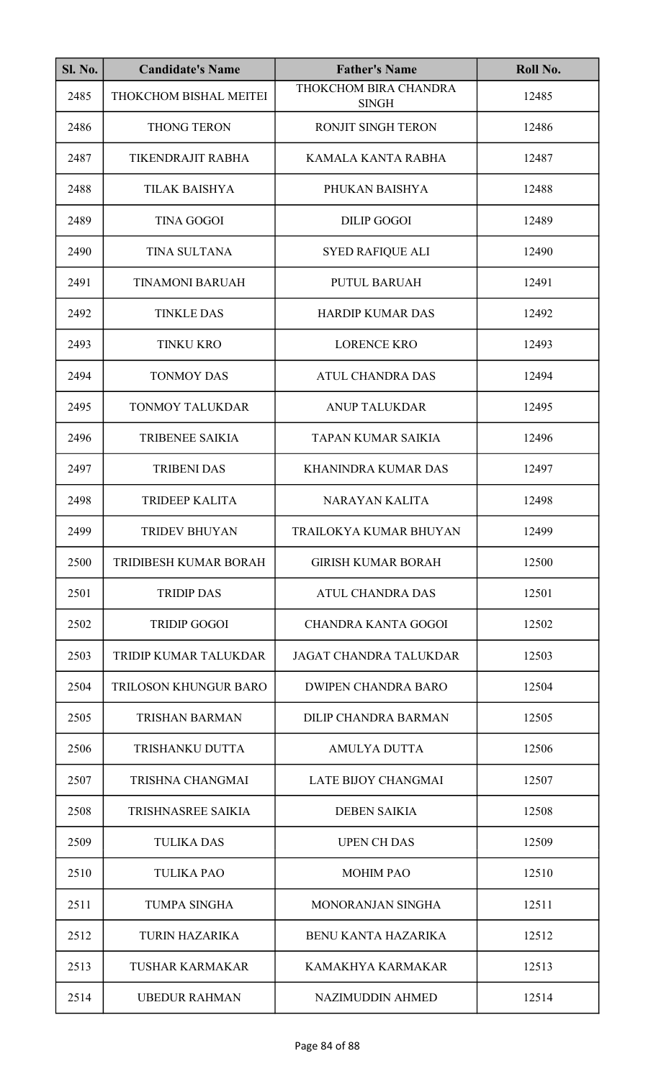| Sl. No. | <b>Candidate's Name</b>      | <b>Father's Name</b>                  | Roll No. |
|---------|------------------------------|---------------------------------------|----------|
| 2485    | THOKCHOM BISHAL MEITEI       | THOKCHOM BIRA CHANDRA<br><b>SINGH</b> | 12485    |
| 2486    | THONG TERON                  | RONJIT SINGH TERON                    | 12486    |
| 2487    | TIKENDRAJIT RABHA            | KAMALA KANTA RABHA                    | 12487    |
| 2488    | <b>TILAK BAISHYA</b>         | PHUKAN BAISHYA                        | 12488    |
| 2489    | <b>TINA GOGOI</b>            | <b>DILIP GOGOI</b>                    | 12489    |
| 2490    | TINA SULTANA                 | <b>SYED RAFIQUE ALI</b>               | 12490    |
| 2491    | <b>TINAMONI BARUAH</b>       | <b>PUTUL BARUAH</b>                   | 12491    |
| 2492    | <b>TINKLE DAS</b>            | <b>HARDIP KUMAR DAS</b>               | 12492    |
| 2493    | <b>TINKU KRO</b>             | <b>LORENCE KRO</b>                    | 12493    |
| 2494    | <b>TONMOY DAS</b>            | <b>ATUL CHANDRA DAS</b>               | 12494    |
| 2495    | TONMOY TALUKDAR              | <b>ANUP TALUKDAR</b>                  | 12495    |
| 2496    | <b>TRIBENEE SAIKIA</b>       | TAPAN KUMAR SAIKIA                    | 12496    |
| 2497    | <b>TRIBENI DAS</b>           | <b>KHANINDRA KUMAR DAS</b>            | 12497    |
| 2498    | <b>TRIDEEP KALITA</b>        | NARAYAN KALITA                        | 12498    |
| 2499    | <b>TRIDEV BHUYAN</b>         | TRAILOKYA KUMAR BHUYAN                | 12499    |
| 2500    | TRIDIBESH KUMAR BORAH        | <b>GIRISH KUMAR BORAH</b>             | 12500    |
| 2501    | <b>TRIDIP DAS</b>            | <b>ATUL CHANDRA DAS</b>               | 12501    |
| 2502    | <b>TRIDIP GOGOI</b>          | <b>CHANDRA KANTA GOGOI</b>            | 12502    |
| 2503    | <b>TRIDIP KUMAR TALUKDAR</b> | <b>JAGAT CHANDRA TALUKDAR</b>         | 12503    |
| 2504    | TRILOSON KHUNGUR BARO        | <b>DWIPEN CHANDRA BARO</b>            | 12504    |
| 2505    | <b>TRISHAN BARMAN</b>        | <b>DILIP CHANDRA BARMAN</b>           | 12505    |
| 2506    | TRISHANKU DUTTA              | <b>AMULYA DUTTA</b>                   | 12506    |
| 2507    | TRISHNA CHANGMAI             | LATE BIJOY CHANGMAI                   | 12507    |
| 2508    | TRISHNASREE SAIKIA           | <b>DEBEN SAIKIA</b>                   | 12508    |
| 2509    | <b>TULIKA DAS</b>            | <b>UPEN CH DAS</b>                    | 12509    |
| 2510    | <b>TULIKA PAO</b>            | <b>MOHIM PAO</b>                      | 12510    |
| 2511    | <b>TUMPA SINGHA</b>          | MONORANJAN SINGHA                     | 12511    |
| 2512    | <b>TURIN HAZARIKA</b>        | <b>BENU KANTA HAZARIKA</b>            | 12512    |
| 2513    | <b>TUSHAR KARMAKAR</b>       | KAMAKHYA KARMAKAR                     | 12513    |
| 2514    | <b>UBEDUR RAHMAN</b>         | <b>NAZIMUDDIN AHMED</b>               | 12514    |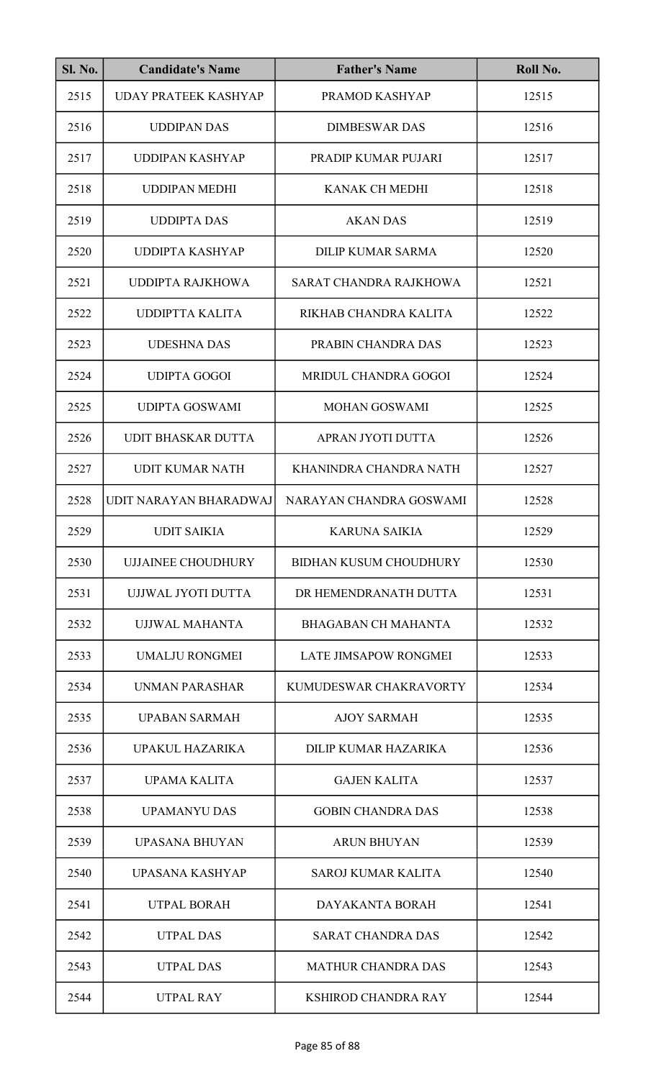| <b>Sl. No.</b> | <b>Candidate's Name</b>     | <b>Father's Name</b>          | Roll No. |
|----------------|-----------------------------|-------------------------------|----------|
| 2515           | <b>UDAY PRATEEK KASHYAP</b> | PRAMOD KASHYAP                | 12515    |
| 2516           | <b>UDDIPAN DAS</b>          | <b>DIMBESWAR DAS</b>          | 12516    |
| 2517           | UDDIPAN KASHYAP             | PRADIP KUMAR PUJARI           | 12517    |
| 2518           | <b>UDDIPAN MEDHI</b>        | <b>KANAK CH MEDHI</b>         | 12518    |
| 2519           | <b>UDDIPTA DAS</b>          | <b>AKAN DAS</b>               | 12519    |
| 2520           | <b>UDDIPTA KASHYAP</b>      | <b>DILIP KUMAR SARMA</b>      | 12520    |
| 2521           | <b>UDDIPTA RAJKHOWA</b>     | SARAT CHANDRA RAJKHOWA        | 12521    |
| 2522           | <b>UDDIPTTA KALITA</b>      | RIKHAB CHANDRA KALITA         | 12522    |
| 2523           | <b>UDESHNA DAS</b>          | PRABIN CHANDRA DAS            | 12523    |
| 2524           | <b>UDIPTA GOGOI</b>         | MRIDUL CHANDRA GOGOI          | 12524    |
| 2525           | <b>UDIPTA GOSWAMI</b>       | <b>MOHAN GOSWAMI</b>          | 12525    |
| 2526           | <b>UDIT BHASKAR DUTTA</b>   | APRAN JYOTI DUTTA             | 12526    |
| 2527           | <b>UDIT KUMAR NATH</b>      | KHANINDRA CHANDRA NATH        | 12527    |
| 2528           | UDIT NARAYAN BHARADWAJ      | NARAYAN CHANDRA GOSWAMI       | 12528    |
| 2529           | <b>UDIT SAIKIA</b>          | <b>KARUNA SAIKIA</b>          | 12529    |
| 2530           | <b>UJJAINEE CHOUDHURY</b>   | <b>BIDHAN KUSUM CHOUDHURY</b> | 12530    |
| 2531           | UJJWAL JYOTI DUTTA          | DR HEMENDRANATH DUTTA         | 12531    |
| 2532           | <b>UJJWAL MAHANTA</b>       | <b>BHAGABAN CH MAHANTA</b>    | 12532    |
| 2533           | <b>UMALJU RONGMEI</b>       | <b>LATE JIMSAPOW RONGMEI</b>  | 12533    |
| 2534           | UNMAN PARASHAR              | KUMUDESWAR CHAKRAVORTY        | 12534    |
| 2535           | <b>UPABAN SARMAH</b>        | <b>AJOY SARMAH</b>            | 12535    |
| 2536           | UPAKUL HAZARIKA             | DILIP KUMAR HAZARIKA          | 12536    |
| 2537           | UPAMA KALITA                | <b>GAJEN KALITA</b>           | 12537    |
| 2538           | <b>UPAMANYU DAS</b>         | <b>GOBIN CHANDRA DAS</b>      | 12538    |
| 2539           | UPASANA BHUYAN              | <b>ARUN BHUYAN</b>            | 12539    |
| 2540           | <b>UPASANA KASHYAP</b>      | <b>SAROJ KUMAR KALITA</b>     | 12540    |
| 2541           | <b>UTPAL BORAH</b>          | <b>DAYAKANTA BORAH</b>        | 12541    |
| 2542           | <b>UTPAL DAS</b>            | <b>SARAT CHANDRA DAS</b>      | 12542    |
| 2543           | <b>UTPAL DAS</b>            | <b>MATHUR CHANDRA DAS</b>     | 12543    |
| 2544           | <b>UTPAL RAY</b>            | <b>KSHIROD CHANDRA RAY</b>    | 12544    |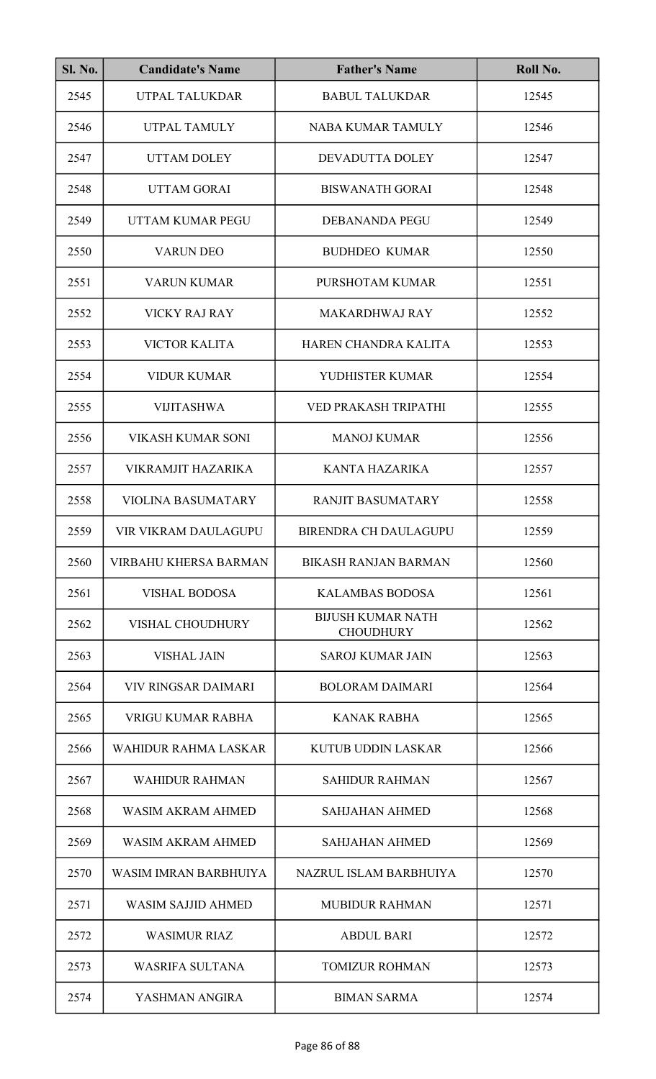| <b>Sl. No.</b> | <b>Candidate's Name</b>      | <b>Father's Name</b>                         | Roll No. |
|----------------|------------------------------|----------------------------------------------|----------|
| 2545           | UTPAL TALUKDAR               | <b>BABUL TALUKDAR</b>                        | 12545    |
| 2546           | UTPAL TAMULY                 | NABA KUMAR TAMULY                            | 12546    |
| 2547           | <b>UTTAM DOLEY</b>           | DEVADUTTA DOLEY                              | 12547    |
| 2548           | <b>UTTAM GORAI</b>           | <b>BISWANATH GORAI</b>                       | 12548    |
| 2549           | UTTAM KUMAR PEGU             | DEBANANDA PEGU                               | 12549    |
| 2550           | <b>VARUN DEO</b>             | <b>BUDHDEO KUMAR</b>                         | 12550    |
| 2551           | <b>VARUN KUMAR</b>           | PURSHOTAM KUMAR                              | 12551    |
| 2552           | <b>VICKY RAJ RAY</b>         | <b>MAKARDHWAJ RAY</b>                        | 12552    |
| 2553           | <b>VICTOR KALITA</b>         | HAREN CHANDRA KALITA                         | 12553    |
| 2554           | <b>VIDUR KUMAR</b>           | YUDHISTER KUMAR                              | 12554    |
| 2555           | <b>VIJITASHWA</b>            | VED PRAKASH TRIPATHI                         | 12555    |
| 2556           | VIKASH KUMAR SONI            | <b>MANOJ KUMAR</b>                           | 12556    |
| 2557           | <b>VIKRAMJIT HAZARIKA</b>    | <b>KANTA HAZARIKA</b>                        | 12557    |
| 2558           | <b>VIOLINA BASUMATARY</b>    | <b>RANJIT BASUMATARY</b>                     | 12558    |
| 2559           | VIR VIKRAM DAULAGUPU         | BIRENDRA CH DAULAGUPU                        | 12559    |
| 2560           | <b>VIRBAHU KHERSA BARMAN</b> | <b>BIKASH RANJAN BARMAN</b>                  | 12560    |
| 2561           | <b>VISHAL BODOSA</b>         | <b>KALAMBAS BODOSA</b>                       | 12561    |
| 2562           | <b>VISHAL CHOUDHURY</b>      | <b>BIJUSH KUMAR NATH</b><br><b>CHOUDHURY</b> | 12562    |
| 2563           | <b>VISHAL JAIN</b>           | <b>SAROJ KUMAR JAIN</b>                      | 12563    |
| 2564           | <b>VIV RINGSAR DAIMARI</b>   | <b>BOLORAM DAIMARI</b>                       | 12564    |
| 2565           | VRIGU KUMAR RABHA            | <b>KANAK RABHA</b>                           | 12565    |
| 2566           | <b>WAHIDUR RAHMA LASKAR</b>  | <b>KUTUB UDDIN LASKAR</b>                    | 12566    |
| 2567           | <b>WAHIDUR RAHMAN</b>        | <b>SAHIDUR RAHMAN</b>                        | 12567    |
| 2568           | WASIM AKRAM AHMED            | <b>SAHJAHAN AHMED</b>                        | 12568    |
| 2569           | WASIM AKRAM AHMED            | <b>SAHJAHAN AHMED</b>                        | 12569    |
| 2570           | WASIM IMRAN BARBHUIYA        | NAZRUL ISLAM BARBHUIYA                       | 12570    |
| 2571           | <b>WASIM SAJJID AHMED</b>    | <b>MUBIDUR RAHMAN</b>                        | 12571    |
| 2572           | <b>WASIMUR RIAZ</b>          | <b>ABDUL BARI</b>                            | 12572    |
| 2573           | <b>WASRIFA SULTANA</b>       | <b>TOMIZUR ROHMAN</b>                        | 12573    |
| 2574           | YASHMAN ANGIRA               | <b>BIMAN SARMA</b>                           | 12574    |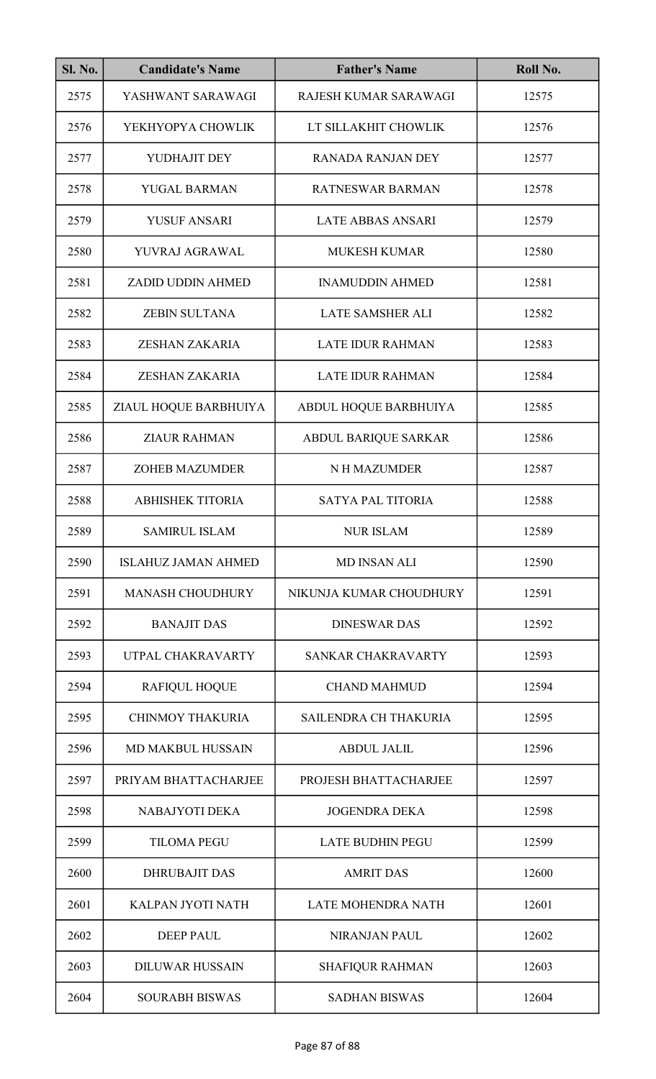| <b>Sl. No.</b> | <b>Candidate's Name</b>    | <b>Father's Name</b>     | Roll No. |
|----------------|----------------------------|--------------------------|----------|
| 2575           | YASHWANT SARAWAGI          | RAJESH KUMAR SARAWAGI    | 12575    |
| 2576           | YEKHYOPYA CHOWLIK          | LT SILLAKHIT CHOWLIK     | 12576    |
| 2577           | YUDHAJIT DEY               | <b>RANADA RANJAN DEY</b> | 12577    |
| 2578           | YUGAL BARMAN               | RATNESWAR BARMAN         | 12578    |
| 2579           | <b>YUSUF ANSARI</b>        | LATE ABBAS ANSARI        | 12579    |
| 2580           | YUVRAJ AGRAWAL             | <b>MUKESH KUMAR</b>      | 12580    |
| 2581           | <b>ZADID UDDIN AHMED</b>   | <b>INAMUDDIN AHMED</b>   | 12581    |
| 2582           | <b>ZEBIN SULTANA</b>       | <b>LATE SAMSHER ALI</b>  | 12582    |
| 2583           | ZESHAN ZAKARIA             | <b>LATE IDUR RAHMAN</b>  | 12583    |
| 2584           | ZESHAN ZAKARIA             | <b>LATE IDUR RAHMAN</b>  | 12584    |
| 2585           | ZIAUL HOQUE BARBHUIYA      | ABDUL HOQUE BARBHUIYA    | 12585    |
| 2586           | <b>ZIAUR RAHMAN</b>        | ABDUL BARIQUE SARKAR     | 12586    |
| 2587           | <b>ZOHEB MAZUMDER</b>      | N H MAZUMDER             | 12587    |
| 2588           | <b>ABHISHEK TITORIA</b>    | <b>SATYA PAL TITORIA</b> | 12588    |
| 2589           | <b>SAMIRUL ISLAM</b>       | <b>NUR ISLAM</b>         | 12589    |
| 2590           | <b>ISLAHUZ JAMAN AHMED</b> | <b>MD INSAN ALI</b>      | 12590    |
| 2591           | <b>MANASH CHOUDHURY</b>    | NIKUNJA KUMAR CHOUDHURY  | 12591    |
| 2592           | <b>BANAJIT DAS</b>         | <b>DINESWAR DAS</b>      | 12592    |
| 2593           | UTPAL CHAKRAVARTY          | SANKAR CHAKRAVARTY       | 12593    |
| 2594           | <b>RAFIQUL HOQUE</b>       | <b>CHAND MAHMUD</b>      | 12594    |
| 2595           | <b>CHINMOY THAKURIA</b>    | SAILENDRA CH THAKURIA    | 12595    |
| 2596           | <b>MD MAKBUL HUSSAIN</b>   | <b>ABDUL JALIL</b>       | 12596    |
| 2597           | PRIYAM BHATTACHARJEE       | PROJESH BHATTACHARJEE    | 12597    |
| 2598           | NABAJYOTI DEKA             | <b>JOGENDRA DEKA</b>     | 12598    |
| 2599           | <b>TILOMA PEGU</b>         | <b>LATE BUDHIN PEGU</b>  | 12599    |
| 2600           | <b>DHRUBAJIT DAS</b>       | <b>AMRIT DAS</b>         | 12600    |
| 2601           | KALPAN JYOTI NATH          | LATE MOHENDRA NATH       | 12601    |
| 2602           | <b>DEEP PAUL</b>           | <b>NIRANJAN PAUL</b>     | 12602    |
| 2603           | <b>DILUWAR HUSSAIN</b>     | <b>SHAFIQUR RAHMAN</b>   | 12603    |
| 2604           | <b>SOURABH BISWAS</b>      | <b>SADHAN BISWAS</b>     | 12604    |